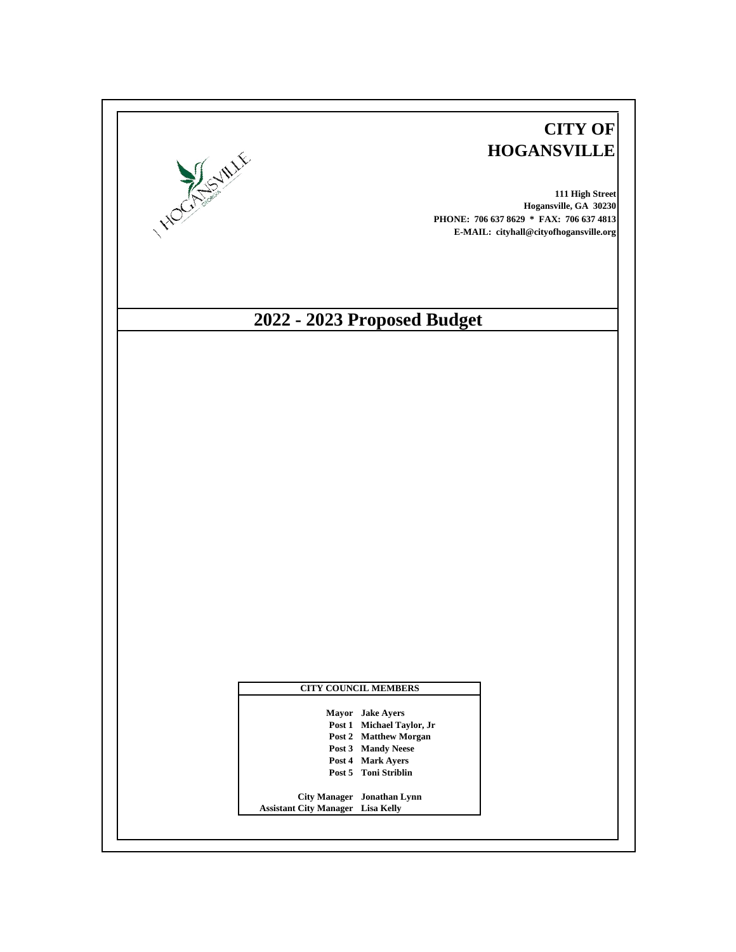| <b>HOCKSONLIE</b> |                                          |                                                    | <b>CITY OF</b><br><b>HOGANSVILLE</b><br>111 High Street<br>Hogansville, GA 30230<br>PHONE: 706 637 8629 * FAX: 706 637 4813<br>E-MAIL: cityhall@cityofhogansville.org |
|-------------------|------------------------------------------|----------------------------------------------------|-----------------------------------------------------------------------------------------------------------------------------------------------------------------------|
|                   |                                          | 2022 - 2023 Proposed Budget                        |                                                                                                                                                                       |
|                   |                                          |                                                    |                                                                                                                                                                       |
|                   |                                          |                                                    |                                                                                                                                                                       |
|                   |                                          |                                                    |                                                                                                                                                                       |
|                   |                                          |                                                    |                                                                                                                                                                       |
|                   |                                          |                                                    |                                                                                                                                                                       |
|                   |                                          |                                                    |                                                                                                                                                                       |
|                   |                                          |                                                    |                                                                                                                                                                       |
|                   |                                          |                                                    |                                                                                                                                                                       |
|                   |                                          |                                                    |                                                                                                                                                                       |
|                   |                                          |                                                    |                                                                                                                                                                       |
|                   |                                          |                                                    |                                                                                                                                                                       |
|                   |                                          |                                                    |                                                                                                                                                                       |
|                   |                                          |                                                    |                                                                                                                                                                       |
|                   |                                          |                                                    |                                                                                                                                                                       |
|                   |                                          |                                                    |                                                                                                                                                                       |
|                   |                                          |                                                    |                                                                                                                                                                       |
|                   |                                          |                                                    |                                                                                                                                                                       |
|                   |                                          |                                                    |                                                                                                                                                                       |
|                   |                                          |                                                    |                                                                                                                                                                       |
|                   |                                          | <b>CITY COUNCIL MEMBERS</b>                        |                                                                                                                                                                       |
|                   |                                          | Mayor Jake Ayers                                   |                                                                                                                                                                       |
|                   |                                          | Post 1 Michael Taylor, Jr<br>Post 2 Matthew Morgan |                                                                                                                                                                       |
|                   |                                          | Post 3 Mandy Neese                                 |                                                                                                                                                                       |
|                   |                                          | Post 4 Mark Ayers<br>Post 5 Toni Striblin          |                                                                                                                                                                       |
|                   |                                          |                                                    |                                                                                                                                                                       |
|                   | <b>Assistant City Manager Lisa Kelly</b> | City Manager Jonathan Lynn                         |                                                                                                                                                                       |
|                   |                                          |                                                    |                                                                                                                                                                       |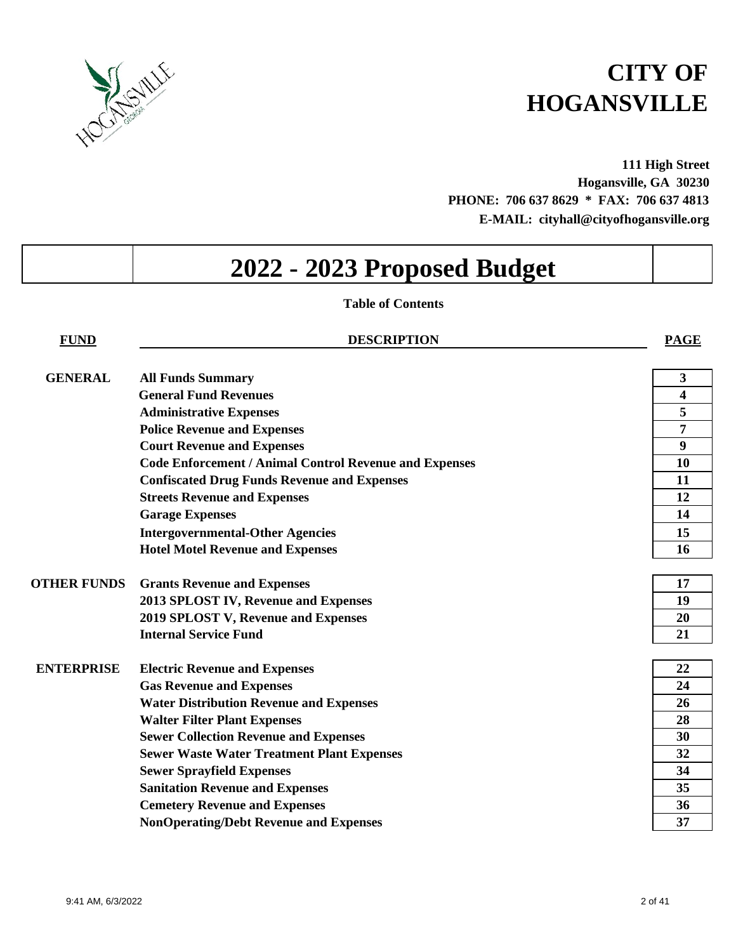

**111 High Street Hogansville, GA 30230 PHONE: 706 637 8629 \* FAX: 706 637 4813 E-MAIL: cityhall@cityofhogansville.org**

# **2022 - 2023 Proposed Budget**

# **Table of Contents**

**FUND DESCRIPTION PAGE**

| <b>GENERAL</b>     | <b>All Funds Summary</b>                                      | 3  |
|--------------------|---------------------------------------------------------------|----|
|                    | <b>General Fund Revenues</b>                                  | 4  |
|                    | <b>Administrative Expenses</b>                                | 5  |
|                    | <b>Police Revenue and Expenses</b>                            | 7  |
|                    | <b>Court Revenue and Expenses</b>                             | 9  |
|                    | <b>Code Enforcement / Animal Control Revenue and Expenses</b> | 10 |
|                    | <b>Confiscated Drug Funds Revenue and Expenses</b>            | 11 |
|                    | <b>Streets Revenue and Expenses</b>                           | 12 |
|                    | <b>Garage Expenses</b>                                        | 14 |
|                    | <b>Intergovernmental-Other Agencies</b>                       | 15 |
|                    | <b>Hotel Motel Revenue and Expenses</b>                       | 16 |
|                    |                                                               |    |
| <b>OTHER FUNDS</b> | <b>Grants Revenue and Expenses</b>                            | 17 |
|                    | 2013 SPLOST IV, Revenue and Expenses                          | 19 |
|                    | 2019 SPLOST V, Revenue and Expenses                           | 20 |
|                    | <b>Internal Service Fund</b>                                  | 21 |
| <b>ENTERPRISE</b>  | <b>Electric Revenue and Expenses</b>                          | 22 |
|                    | <b>Gas Revenue and Expenses</b>                               | 24 |
|                    | <b>Water Distribution Revenue and Expenses</b>                | 26 |
|                    | <b>Walter Filter Plant Expenses</b>                           | 28 |
|                    | <b>Sewer Collection Revenue and Expenses</b>                  | 30 |
|                    | <b>Sewer Waste Water Treatment Plant Expenses</b>             | 32 |
|                    | <b>Sewer Sprayfield Expenses</b>                              | 34 |
|                    | <b>Sanitation Revenue and Expenses</b>                        | 35 |
|                    | <b>Cemetery Revenue and Expenses</b>                          | 36 |
|                    | <b>NonOperating/Debt Revenue and Expenses</b>                 | 37 |
|                    |                                                               |    |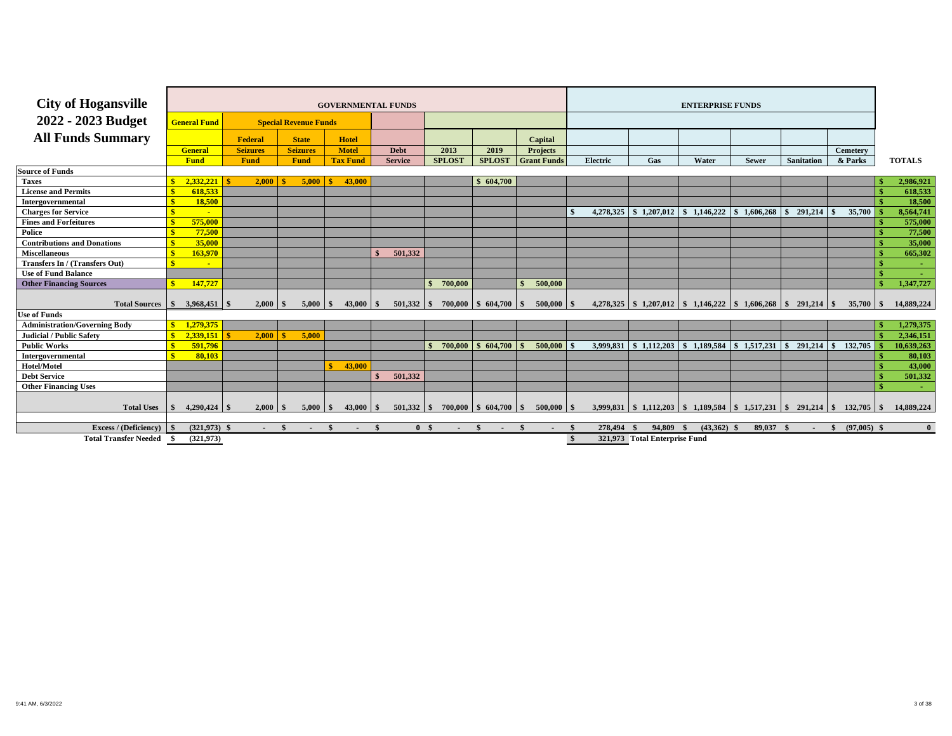| <b>City of Hogansville</b>            |                     |                |                 |              |          |                              | <b>GOVERNMENTAL FUNDS</b>    |              |                |                |               |                             |                          |                    |      |                 |                               | <b>ENTERPRISE FUNDS</b>                                                                 |              |              |                   |                 |               |
|---------------------------------------|---------------------|----------------|-----------------|--------------|----------|------------------------------|------------------------------|--------------|----------------|----------------|---------------|-----------------------------|--------------------------|--------------------|------|-----------------|-------------------------------|-----------------------------------------------------------------------------------------|--------------|--------------|-------------------|-----------------|---------------|
| 2022 - 2023 Budget                    | <b>General Fund</b> |                |                 |              |          | <b>Special Revenue Funds</b> |                              |              |                |                |               |                             |                          |                    |      |                 |                               |                                                                                         |              |              |                   |                 |               |
| <b>All Funds Summary</b>              |                     |                | Federal         |              |          | <b>State</b>                 | <b>Hotel</b>                 |              |                |                |               |                             |                          | Capital            |      |                 |                               |                                                                                         |              |              |                   |                 |               |
|                                       | <b>General</b>      |                | <b>Seizures</b> |              |          | <b>Seizures</b>              | <b>Motel</b>                 |              | Debt           |                | 2013          | 2019                        |                          | <b>Projects</b>    |      |                 |                               |                                                                                         |              |              |                   | <b>Cemetery</b> |               |
|                                       | <b>Fund</b>         |                | Fund            |              |          | <b>Fund</b>                  | <b>Tax Fund</b>              |              | <b>Service</b> |                | <b>SPLOST</b> | <b>SPLOST</b>               |                          | <b>Grant Funds</b> |      | <b>Electric</b> | Gas                           | Water                                                                                   | <b>Sewer</b> |              | <b>Sanitation</b> | & Parks         | <b>TOTALS</b> |
| <b>Source of Funds</b>                |                     |                |                 |              |          |                              |                              |              |                |                |               |                             |                          |                    |      |                 |                               |                                                                                         |              |              |                   |                 |               |
| <b>Taxes</b>                          |                     | 2.332.221      |                 | $2,000$   \$ |          | 5.000                        | 43,000                       |              |                |                |               | \$604,700                   |                          |                    |      |                 |                               |                                                                                         |              |              |                   |                 | 2,986,921     |
| <b>License and Permits</b>            |                     | 618,533        |                 |              |          |                              |                              |              |                |                |               |                             |                          |                    |      |                 |                               |                                                                                         |              |              |                   |                 | 618,533       |
| Intergovernmental                     |                     | 18,500         |                 |              |          |                              |                              |              |                |                |               |                             |                          |                    |      |                 |                               |                                                                                         |              |              |                   |                 | 18,500        |
| <b>Charges for Service</b>            |                     | $\sim$         |                 |              |          |                              |                              |              |                |                |               |                             |                          |                    |      | 4,278,325       |                               | $\vert$ \$ 1,207,012 \ \$ 1,146,222                                                     | \$1,606,268  | $\mathbf{s}$ | $291,214$ \$      | 35,700          | 8,564,741     |
| <b>Fines and Forfeitures</b>          |                     | 575,000        |                 |              |          |                              |                              |              |                |                |               |                             |                          |                    |      |                 |                               |                                                                                         |              |              |                   |                 | 575,000       |
| Police                                |                     | 77,500         |                 |              |          |                              |                              |              |                |                |               |                             |                          |                    |      |                 |                               |                                                                                         |              |              |                   |                 | 77,500        |
| <b>Contributions and Donations</b>    |                     | 35,000         |                 |              |          |                              |                              |              |                |                |               |                             |                          |                    |      |                 |                               |                                                                                         |              |              |                   |                 | 35,000        |
| <b>Miscellaneous</b>                  |                     | 163,970        |                 |              |          |                              |                              |              | 501,332        |                |               |                             |                          |                    |      |                 |                               |                                                                                         |              |              |                   |                 | 665,302       |
| <b>Transfers In / (Transfers Out)</b> |                     | $\blacksquare$ |                 |              |          |                              |                              |              |                |                |               |                             |                          |                    |      |                 |                               |                                                                                         |              |              |                   |                 |               |
| <b>Use of Fund Balance</b>            |                     |                |                 |              |          |                              |                              |              |                |                |               |                             |                          |                    |      |                 |                               |                                                                                         |              |              |                   |                 |               |
| <b>Other Financing Sources</b>        |                     | 147,727        |                 |              |          |                              |                              |              |                | $\mathbf{s}$   | 700,000       |                             | $\mathbf{\hat{s}}$       | 500,000            |      |                 |                               |                                                                                         |              |              |                   |                 | 1,347,727     |
| <b>Total Sources</b>                  | $\mathbf{s}$        | 3,968,451      | -\$             | 2,000        | <b>S</b> |                              |                              |              | $501,332$ \$   |                |               | $700,000$   \$ 604,700   \$ |                          | $500,000$ \$       |      |                 |                               | $4,278,325$   \$ 1,207,012   \$ 1,146,222   \$ 1,606,268   \$ 291,214   \$              |              |              |                   |                 | 14,889,224    |
| <b>Use of Funds</b>                   |                     |                |                 |              |          |                              |                              |              |                |                |               |                             |                          |                    |      |                 |                               |                                                                                         |              |              |                   |                 |               |
| <b>Administration/Governing Body</b>  |                     | 1,279,375      |                 |              |          |                              |                              |              |                |                |               |                             |                          |                    |      |                 |                               |                                                                                         |              |              |                   |                 | 1,279,375     |
| Judicial / Public Safety              |                     | 2,339,151      |                 | 2.000        |          | 5.000                        |                              |              |                |                |               |                             |                          |                    |      |                 |                               |                                                                                         |              |              |                   |                 | 2,346,151     |
| <b>Public Works</b>                   |                     | 591,796        |                 |              |          |                              |                              |              |                |                | 700,000       | \$604,700                   |                          | 500,000            |      |                 |                               | 3,999,831 \ \$ 1,112,203 \ \$ 1,189,584 \ \$ 1,517,231                                  |              | $\mathbf{s}$ | $291,214$ \$      | 132,705         | 10,639,263    |
| Intergovernmental                     |                     | 80.103         |                 |              |          |                              |                              |              |                |                |               |                             |                          |                    |      |                 |                               |                                                                                         |              |              |                   |                 | 80,103        |
| Hotel/Motel                           |                     |                |                 |              |          |                              | 43,000                       |              |                |                |               |                             |                          |                    |      |                 |                               |                                                                                         |              |              |                   |                 | 43,000        |
| <b>Debt Service</b>                   |                     |                |                 |              |          |                              |                              | $\mathbf{F}$ | 501,332        |                |               |                             |                          |                    |      |                 |                               |                                                                                         |              |              |                   |                 | 501,332       |
| <b>Other Financing Uses</b>           |                     |                |                 |              |          |                              |                              |              |                |                |               |                             |                          |                    |      |                 |                               |                                                                                         |              |              |                   |                 |               |
| <b>Total Uses</b>                     |                     | $4,290,424$ \$ |                 | 2.000        |          | 5,000                        | $43,000$ \$<br>SS.           |              |                |                |               | $700,000$   \$ 604,700      | $\overline{\phantom{a}}$ | $500,000$ \$       |      |                 |                               | $3,999,831$   \$ 1,112,203   \$ 1,189,584   \$ 1,517,231   \$ 291,214   \$ 132,705   \$ |              |              |                   |                 | 14,889,224    |
| <b>Excess / (Deficiency)</b>          |                     | $(321,973)$ \$ |                 |              |          |                              | $\mathbf{\hat{z}}$<br>$\sim$ | - \$         |                | 0 <sup>5</sup> | $\sim 100$    | - \$                        |                          |                    |      | 278,494 \$      | 94.809                        | $(43,362)$ \$                                                                           | 89,037 \$    |              | $\sim$ \$         | $(97,005)$ \$   | $\mathbf{0}$  |
| <b>Total Transfer Needed</b>          |                     | (321, 973)     |                 |              |          |                              |                              |              |                |                |               |                             |                          |                    | - \$ |                 | 321,973 Total Enterprise Fund |                                                                                         |              |              |                   |                 |               |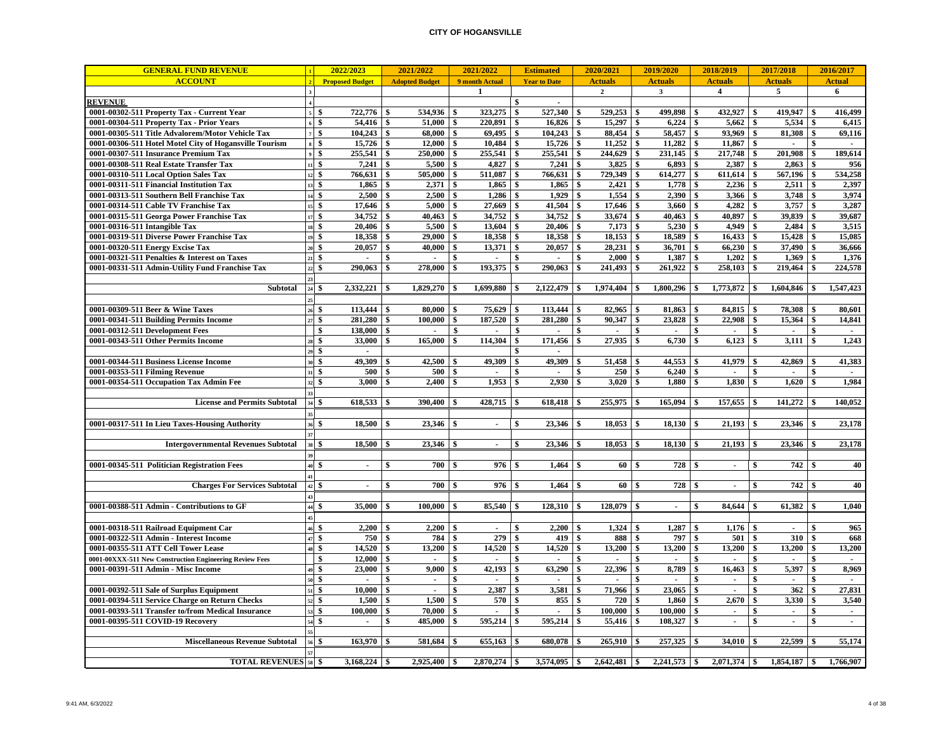| <b>GENERAL FUND REVENUE</b>                             |                                        | 2022/2023                      |               | 2021/2022             |               | 2021/2022      |              | <b>Estimated</b>    |                    | 2020/2021      |               | 2019/2020      |                    | 2018/2019               | 2017/2018                         |               | 2016/2017      |
|---------------------------------------------------------|----------------------------------------|--------------------------------|---------------|-----------------------|---------------|----------------|--------------|---------------------|--------------------|----------------|---------------|----------------|--------------------|-------------------------|-----------------------------------|---------------|----------------|
| <b>ACCOUNT</b>                                          |                                        | <b>Proposed Budget</b>         |               | <b>Adopted Budget</b> |               | 9 month Actual |              | <b>Year to Date</b> |                    | <b>Actuals</b> |               | <b>Actuals</b> |                    | <b>Actuals</b>          | <b>Actuals</b>                    |               | <b>Actual</b>  |
|                                                         |                                        |                                |               |                       |               | $\mathbf{1}$   |              |                     |                    | $\overline{2}$ |               | $\mathbf{3}$   |                    | $\overline{\mathbf{4}}$ | 5                                 |               | 6              |
| <b>REVENUE</b>                                          |                                        |                                |               |                       |               |                | \$           | $\sim$              |                    |                |               |                |                    |                         |                                   |               |                |
| 0001-00302-511 Property Tax - Current Year              |                                        | 722,776 \$<br>\$               |               | 534,936               | <b>S</b>      | 323,275        | \$           | 527,340 \$          |                    | 529,253        | \$            | 499,898 \$     |                    | 432,927                 | \$<br>419,947                     | \$            | 416,499        |
| 0001-00304-511 Property Tax - Prior Years               |                                        | 54,416<br>\$                   | -\$           | 51,000                | \$            | 220,891        | \$           | 16,826              | $\mathbf{s}$       | 15,297         | \$            |                |                    | 5,662                   | \$<br>5,534                       | \$            | 6,415          |
| 0001-00305-511 Title Advalorem/Motor Vehicle Tax        |                                        | \$<br>104,243                  | \$            | 68,000                | \$            | 69,495         | \$           | 104,243             | -\$                | 88,454         | \$            | 58,457 \$      |                    | 93,969                  | \$<br>81,308                      | \$            | 69,116         |
| 0001-00306-511 Hotel Motel City of Hogansville Tourism  |                                        | 15,726<br>\$                   | $\mathbf{s}$  | 12.000                | \$            | 10.484         | \$           | 15,726              | $\mathbf{s}$       | 11,252         | $\mathbf{s}$  | 11,282         | \$                 | 11.867                  | \$                                | \$            |                |
| 0001-00307-511 Insurance Premium Tax                    |                                        | $\mathbf{s}$<br>255,541        | \$            | 250,000               | - \$          | 255,541        | \$           | 255,541             | -\$                | 244,629        | \$            | $231,145$ \$   |                    | 217,748                 | \$<br>201,908                     | <sup>\$</sup> | 189,614        |
| 0001-00308-511 Real Estate Transfer Tax                 | 11S                                    | 7,241                          | <sup>\$</sup> | 5,500                 | \$            | 4,827          | \$           | $7,241$ \$          |                    | 3,825          | \$            | 6,893          | -\$                | 2,387                   | \$<br>2,863                       | \$            | 956            |
| 0001-00310-511 Local Option Sales Tax                   |                                        | 766,631<br>\$                  | \$            | 505,000               | \$            | 511,087        | \$           | 766,631             | $\mathbf{s}$       | 729,349        | \$            | $614,277$ \$   |                    | 611,614                 | \$<br>567,196                     | \$            | 534,258        |
| 0001-00311-511 Financial Institution Tax                |                                        | \$<br>1,865                    | \$            | 2,371                 | \$            | 1,865          | \$           | 1,865               | \$                 | 2,421          |               | 1,778          | \$                 | 2,236                   | \$<br>2,511                       | \$            | 2,397          |
| 0001-00313-511 Southern Bell Franchise Tax              |                                        | $\mathbf{s}$<br>2,500          | <sup>\$</sup> | 2,500                 | \$            | 1,286          | \$           | 1,929               | $\mathbf{\hat{s}}$ | 1,554          |               | 2,390          | \$                 | 3,366                   | \$<br>3,748                       | \$            | 3,974          |
| 0001-00314-511 Cable TV Franchise Tax                   | 15                                     | \$<br>17,646                   | \$            | 5,000                 | \$            | 27,669         | \$           | 41,504              | \$                 | 17,646         | \$            | 3,660          | \$                 | 4,282                   | \$<br>3,757                       | \$            | 3,287          |
| 0001-00315-511 Georga Power Franchise Tax               | 17                                     | 34,752<br>-\$                  | \$            | 40.463                | \$            | 34,752         | \$           | 34,752              | $\mathbf{s}$       | 33,674         | $\mathbf{s}$  | $40,463$ \$    |                    | 40.897                  | \$<br>39,839                      | \$            | 39,687         |
| 0001-00316-511 Intangible Tax                           |                                        | - \$<br>20,406                 | <sup>\$</sup> | 5.500                 | <sup>\$</sup> | 13,604         | \$           | 20,406              | \$                 | 7,173          | \$            | $5,230$ \$     |                    | 4,949                   | \$<br>2.484                       | <sup>\$</sup> | 3,515          |
| 0001-00319-511 Diverse Power Franchise Tax              |                                        | \$<br>18,358                   | <sup>\$</sup> | 29,000                | \$            | 18,358         | $\mathbf{s}$ | $18,358$ \$         |                    | 18,153         | \$            | 18,589         | \$                 | 16,433                  | \$<br>15,428                      | \$            | 15,085         |
| 0001-00320-511 Energy Excise Tax                        |                                        | 20,057<br>\$                   | \$            | 40.000                | \$            | 13,371         | \$           | 20,057              | - \$               | 28,231         | \$            | 36,701         | l \$               | 66,230                  | \$<br>37,490                      | \$            | 36,666         |
| 0001-00321-511 Penalties & Interest on Taxes            |                                        | \$<br>$\sim$                   | \$            | $\blacksquare$        | \$            | $\sim$         | \$           | $\blacksquare$      | \$                 | 2,000          | \$            | 1,387          | \$                 | 1,202                   | \$<br>1,369                       | \$            | 1,376          |
| 0001-00331-511 Admin-Utility Fund Franchise Tax         |                                        | \$<br>290,063                  | <sup>\$</sup> | 278,000               | \$            | 193,375        | \$           | 290,063             | $\mathbf{s}$       | 241,493        |               | 261,922        | \$                 | 258,103                 | \$<br>219,464                     |               | 224,578        |
|                                                         |                                        |                                |               |                       |               |                |              |                     |                    |                |               |                |                    |                         |                                   |               |                |
| Subtotal                                                | 24 \$                                  | $2,332,221$ \\$                |               | $1,829,270$ \$        |               | 1,699,880      | <b>S</b>     | $2,122,479$ \$      |                    | $1,974,404$ \$ |               |                |                    | $1,773,872$ \$          | $1,604,846$ \$                    |               | 1,547,423      |
|                                                         |                                        |                                |               |                       |               |                |              |                     |                    |                |               |                |                    |                         |                                   |               |                |
| 0001-00309-511 Beer & Wine Taxes                        |                                        | \$                             |               | 80,000                | - \$          | 75,629         | S.           |                     |                    | 82,965         | <sup>\$</sup> | 81,863 \$      |                    | 84,815                  | \$<br>78,308                      | \$            | 80,601         |
| 0001-00341-511 Building Permits Income                  |                                        | 281,280<br>\$                  | \$            | 100.000               | \$            | 187.520        | \$           | 281,280             | - \$               | 90.347         | \$            | 23,828         | \$                 | 22,908                  | \$<br>15,364                      | \$            | 14,841         |
| 0001-00312-511 Development Fees                         |                                        | \$<br>138,000                  | \$            | $\overline{a}$        | \$            | $\sim$         | \$           | $\mathbf{r}$        | \$                 |                | \$            | $\sim$         | \$                 | $\sim$                  | \$<br>$\sim$                      | \$            | $\sim$         |
| 0001-00343-511 Other Permits Income                     |                                        | \$<br>33,000                   | \$            | 165,000               | \$            | 114,304        | \$           | 171,456             | \$                 | 27,935         |               | 6,730          | \$                 | 6,123                   | \$<br>3,111                       |               | 1,243          |
|                                                         |                                        | $\mathbf{s}$<br>$\sim$         |               |                       |               |                | \$           | $\sim$              |                    |                |               |                |                    |                         |                                   |               |                |
| 0001-00344-511 Business License Income                  |                                        | \$<br>49,309                   | <sup>\$</sup> | 42,500                | <sup>\$</sup> | 49,309         | \$           | 49,309              | \$                 | 51,458         | \$            | 44,553         | - \$               | 41,979                  | \$<br>42,869                      |               | 41,383         |
|                                                         |                                        | 500                            |               | 500                   |               | $\blacksquare$ |              | $\sim$              |                    | 250            |               | $6.240$   \$   |                    | $\sim$                  | \$<br>$\sim$                      |               | $\sim$         |
| 0001-00353-511 Filming Revenue                          |                                        | \$                             | \$            |                       | -\$           |                | \$           |                     | \$                 |                |               |                |                    |                         |                                   | \$            |                |
| 0001-00354-511 Occupation Tax Admin Fee                 |                                        | \$<br>3,000                    |               | 2,400                 | \$            | 1,953          | \$           | 2,930               | \$                 | 3,020          |               | 1,880          | \$                 | 1,830                   | \$<br>1,620                       |               | 1,984          |
|                                                         |                                        |                                |               |                       |               |                |              |                     |                    |                |               |                |                    |                         |                                   |               |                |
| <b>License and Permits Subtotal</b>                     | $34$ \$                                |                                |               | 390,400               | ∣\$           | 428,715        | -\$          | 618,418             | \$                 | 255,975        | l \$          | $165,094$ \ \$ |                    | 157,655                 | \$<br>141,272                     |               | 140,052        |
|                                                         |                                        |                                |               |                       |               |                |              |                     |                    |                |               |                |                    |                         |                                   |               |                |
| 0001-00317-511 In Lieu Taxes-Housing Authority          |                                        | \$<br>18,500                   | -S            | 23,346                |               | $\sim$         | \$           | $23,346$ \$         |                    | 18,053         | \$            | $18,130$ \$    |                    | 21,193                  | \$<br>23,346                      |               | 23,178         |
|                                                         |                                        |                                |               |                       |               |                |              |                     |                    |                |               |                |                    |                         |                                   |               |                |
| <b>Intergovernmental Revenues Subtotal</b>              | 38 S                                   | $18,500$ \ \$                  |               | 23,346                | l \$          | $\sim$         | \$           | $23.346$ \$         |                    |                |               | $18,130$   \$  |                    |                         | 23,346                            | -\$           | 23,178         |
|                                                         |                                        |                                |               |                       |               |                |              |                     |                    |                |               |                |                    |                         |                                   |               |                |
| 0001-00345-511 Politician Registration Fees             | $40\frac{3}{5}$                        | $\blacksquare$                 | <sup>\$</sup> | 700                   | <b>S</b>      | 976            | \$           | $1,464$ \$          |                    | 60             | <sup>\$</sup> | 728            | -\$                | $\sim$                  | \$<br>742                         |               | 40             |
|                                                         |                                        |                                |               |                       |               |                |              |                     |                    |                |               |                |                    |                         |                                   |               |                |
| <b>Charges For Services Subtotal</b>                    | $42 \vert \text{\text{\textsterling}}$ |                                | <sup>\$</sup> | $700$ \ \$            |               | 976            | \$           | $1,464$ \$          |                    | 60             | - \$          | 728            | - \$               | $\blacksquare$          | \$<br>742                         |               | 40             |
|                                                         |                                        |                                |               |                       |               |                |              |                     |                    |                |               |                |                    |                         |                                   |               |                |
| 0001-00388-511 Admin - Contributions to GF              | 44 \$                                  | 35,000 \$                      |               | $100,000$ \ \$        |               | 85,540         | -\$          | $128,310$ \$        |                    | 128,079        | -\$           | $\sim$         | -\$                | 84,644                  | \$<br>61,382                      |               | 1,040          |
|                                                         |                                        |                                |               |                       |               |                |              |                     |                    |                |               |                |                    |                         |                                   |               |                |
| 0001-00318-511 Railroad Equipment Car                   |                                        | 2,200<br>\$                    | -9            | 2,200                 |               | $\blacksquare$ | \$           | 2,200               | \$                 | 1,324          |               | 1,287          |                    | 1,176                   | $\mathbf{r}$                      | \$            | 965            |
| 0001-00322-511 Admin - Interest Income                  |                                        | \$<br>750                      | \$            | 784                   |               | 279            | \$           | 419                 | \$                 | 888            |               | 797            | \$                 | 501                     | \$<br>310                         | \$            | 668            |
| 0001-00355-511 ATT Cell Tower Lease                     |                                        | $\mathbf{s}$<br>14.520         | S.            | 13.200                | $\mathbf{s}$  | 14.520         | \$           | 14,520              | $\mathbf{s}$       | 13.200         | \$            | 13.200         | $\mathbf{s}$       | 13,200                  | \$<br>13.200                      | $\mathbf{s}$  | 13,200         |
| 0001-00XXX-511 New Construction Engineering Review Fees |                                        | \$<br>12,000                   | $\mathbf{s}$  | $\mathbf{L}$          | \$            | $\sim$         | \$           | $\blacksquare$      | \$                 | $\mathbf{r}$   | \$            | $\mathbf{L}$   | $\mathbf{\hat{s}}$ | $\blacksquare$          | \$<br>$\mathcal{L}_{\mathcal{A}}$ | \$            | $\sim$         |
| 0001-00391-511 Admin - Misc Income                      |                                        | \$<br>23,000                   | \$            | 9.000                 | <sup>\$</sup> | 42.193         | S.           | 63.290              | \$                 | 22.396         | \$            | 8.789          | -\$                | 16.463                  | \$<br>5,397                       | \$            | 8.969          |
|                                                         |                                        | \$<br>$\overline{\phantom{a}}$ | \$            | $\blacksquare$        | \$            | $\sim$         | \$           | $\mathbf{r}$        | \$                 |                |               | $\overline{a}$ | \$                 | $\blacksquare$          | \$<br>$\blacksquare$              | \$            | $\blacksquare$ |
| 0001-00392-511 Sale of Surplus Equipment                |                                        | \$<br>10,000                   | \$            | $\blacksquare$        | \$            | 2,387          | \$           | 3,581               | \$                 | 71,966         |               | 23,065         | -\$                | $\sim$                  | \$<br>362                         | \$            | 27,831         |
| 0001-00394-511 Service Charge on Return Checks          |                                        | \$<br>1,500                    | \$            | 1,500                 | \$            | 570            | \$           | 855                 | \$                 | 720            | \$            | 1,860          | \$                 | 2,670                   | \$<br>3,330                       | \$            | 3,540          |
| 0001-00393-511 Transfer to/from Medical Insurance       |                                        | \$<br>100,000                  | <sup>\$</sup> | 70.000                | \$            |                | \$           | $\mathbf{r}$        | \$                 | 100.000        | \$            | 100.000        | \$                 | $\blacksquare$          | \$<br>$\blacksquare$              | \$            | $\sim$         |
| 0001-00395-511 COVID-19 Recovery                        |                                        | \$<br>$\sim$                   | \$            | 485,000               |               | 595,214        | \$           | 595,214             | -\$                | 55,416         | \$            | 108,327        | \$                 | $\sim$                  | \$<br>$\mathbf{r}$                | \$            | $\sim$         |
|                                                         |                                        |                                |               |                       |               |                |              |                     |                    |                |               |                |                    |                         |                                   |               |                |
| <b>Miscellaneous Revenue Subtotal</b>                   | 56 S                                   |                                |               |                       |               | $655,163$ \$   |              | 680,078 \$          |                    | $265,910$ \$   |               | $257,325$ \$   |                    | $34.010$ S              |                                   |               | 55,174         |
|                                                         |                                        |                                |               |                       |               |                |              |                     |                    |                |               |                |                    |                         |                                   |               |                |
| <b>TOTAL REVENUES</b> 58 \$                             |                                        | 3,168,224                      | - \$          | 2,925,400             | -\$           | 2,870,274      | \$           | $3,574,095$ \$      |                    | 2,642,481      | <b>S</b>      | $2,241,573$ \$ |                    | $2,071,374$ \$          | 1,854,187                         | \$            | 1,766,907      |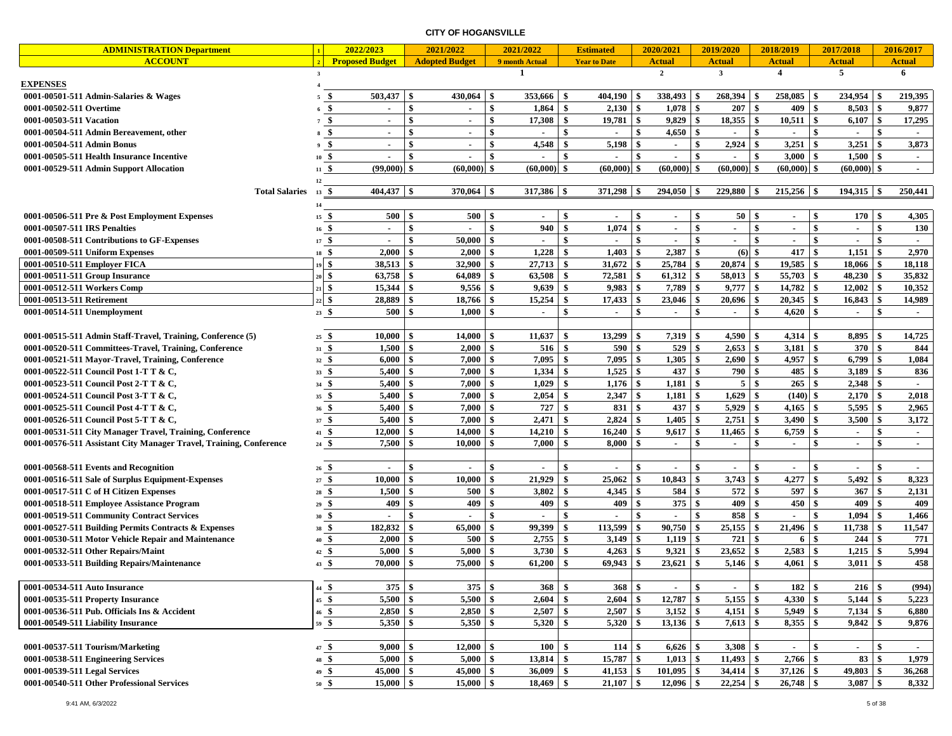|                                                                    |                  | 2022/2023              |               | 2021/2022             |              | 2021/2022      |               | <b>Estimated</b>    |                  | 2020/2021                |               | 2019/2020               |            | 2018/2019                | 2017/2018     |                          |                     | 2016/2017     |
|--------------------------------------------------------------------|------------------|------------------------|---------------|-----------------------|--------------|----------------|---------------|---------------------|------------------|--------------------------|---------------|-------------------------|------------|--------------------------|---------------|--------------------------|---------------------|---------------|
| <b>ADMINISTRATION Department</b><br><b>ACCOUNT</b>                 |                  | <b>Proposed Budget</b> |               | <b>Adopted Budget</b> |              | 9 month Actual |               | <b>Year to Date</b> |                  | <b>Actual</b>            |               | <b>Actual</b>           |            | <b>Actual</b>            | <b>Actual</b> |                          |                     | <b>Actual</b> |
|                                                                    | $\mathbf{3}$     |                        |               |                       |              | -1             |               |                     |                  | $\mathbf{2}$             |               | $\overline{\mathbf{3}}$ |            | $\overline{4}$           | 5             |                          |                     | 6             |
| <b>EXPENSES</b>                                                    |                  |                        |               |                       |              |                |               |                     |                  |                          |               |                         |            |                          |               |                          |                     |               |
| 0001-00501-511 Admin-Salaries & Wages                              | 5                | 503,437<br>-\$         | $\mathbf{s}$  | 430,064               | -\$          | 353,666        | - \$          | 404,190             | -8               | 338,493                  | -\$           | 268,394                 | -8         | 258,085                  | -\$           | 234,954                  |                     | 219,395       |
| 0001-00502-511 Overtime                                            | $6\frac{6}{5}$   | $\sim$                 | \$            | $\blacksquare$        | \$           | 1,864          | \$            | 2,130               | -\$              | 1,078                    | $\mathbf{s}$  | 207S                    |            | 409                      | $\mathbf{s}$  | 8,503                    | - \$                | 9,877         |
| 0001-00503-511 Vacation                                            | $7 \frac{6}{5}$  | $\blacksquare$         | \$            | $\overline{a}$        | \$           | 17,308         | -\$           | 19,781              | -\$              | $9,829$ \$               |               | $18,355$ \$             |            | 10,511                   | \$            | $6,107$ \$               |                     | 17,295        |
|                                                                    |                  | -\$                    | $\mathbf{s}$  | ÷.                    | \$           |                | $\mathbf{\$}$ |                     | $\mathbf{s}$     | 4,650                    | \$            |                         | \$         |                          | \$            |                          | $\ddot{\mathbf{s}}$ |               |
| 0001-00504-511 Admin Bereavement, other                            |                  | $\sim$                 |               |                       |              |                | -\$           |                     | -\$              |                          |               |                         |            |                          |               |                          | -S                  |               |
| 0001-00504-511 Admin Bonus                                         | 9 \$             | $\sim$                 | \$            | $\sim$                | \$           | 4,548          |               | 5,198               |                  | $\sim$                   | \$            | 2,924                   | \$         | 3,251                    | \$            | 3,251                    |                     | 3,873         |
| 0001-00505-511 Health Insurance Incentive                          | $10\frac{6}{3}$  |                        | \$            |                       | \$           |                | \$            |                     | $\mathbf{s}$     |                          | \$            |                         | \$         | 3,000                    | \$            | $1,500$ \$               |                     | $\sim$        |
| 0001-00529-511 Admin Support Allocation                            | $11 \text{ }$ \$ | (99,000)               | $\mathbf{\$}$ | (60.000)              | $\mathbf{s}$ | (60,000)       | $\mathbf{s}$  | (60,000)            | -\$              | $(60,000)$ \$            |               | (60,000)                | \$         | $(60,000)$ \$            |               | (60,000)                 | $\ddot{s}$          |               |
|                                                                    | 12               |                        |               |                       |              |                |               |                     |                  |                          |               |                         |            |                          |               |                          |                     |               |
| <b>Total Salaries</b>                                              | $13 \tIm$        | $404,437$ \$           |               | $370,064$ \$          |              | 317,386        | -\$           | $371,298$ \$        |                  | $294,050$ \$             |               | 229,880 \$              |            | $215,256$ \$             |               | $194,315$ \$             |                     | 250,441       |
|                                                                    | 14               |                        |               |                       |              |                |               |                     |                  |                          |               |                         |            |                          |               |                          |                     |               |
| 0001-00506-511 Pre & Post Employment Expenses                      | $15 \text{ }$ \$ | 500S                   |               | 500                   | -\$          |                | -\$           |                     | -\$              | ٠                        | \$            | $50 \quad$ \$           |            | $\blacksquare$           | -\$           | 170S                     |                     | 4,305         |
| 0001-00507-511 IRS Penalties                                       | $16\frac{6}{3}$  | $\sim$                 | $\mathbf{s}$  | $\sim$                | $\mathbf{s}$ | 940            | <sup>\$</sup> | 1,074               | $\mathbf{s}$     | $\sim$                   | \$            | $\sim$                  | \$         | $\sim$                   | \$            | $\sim$                   | $\mathbf{s}$        | 130           |
| 0001-00508-511 Contributions to GF-Expenses                        | 17S              |                        | $\mathbf{s}$  | 50,000                | -\$          |                | \$            |                     | $\mathbf{s}$     |                          | $\mathbf{s}$  |                         | \$         |                          | $\mathbf{s}$  |                          | $\mathbf{\$}$       |               |
| 0001-00509-511 Uniform Expenses                                    | $18\frac{6}{5}$  | 2,000                  | \$            | 2,000                 | -\$          | 1,228          | -\$           | 1,403               | $\boldsymbol{s}$ | 2,387                    | \$            | $(6)$ \$                |            | 417                      | -\$           | 1,151                    | \$                  | 2,970         |
| 0001-00510-511 Employer FICA                                       |                  | -\$<br>38,513          | $\mathbf{s}$  | 32,900                | -\$          | 27,713         | -\$           | 31,672              | \$               | 25,784                   | l \$          | $20,874$ \$             |            | 19,585                   | \$            | 18,066                   | -\$                 | 18,118        |
| 0001-00511-511 Group Insurance                                     |                  | -\$<br>63,758          | \$            | 64,089                | -\$          | 63,508         | -\$           | 72,581              | -\$              |                          |               | 58,013                  | - \$       | 55,703                   | \$            | 48,230                   | - \$                | 35,832        |
| 0001-00512-511 Workers Comp                                        |                  | l \$<br>15,344         | \$            | 9,556                 | -\$          | 9,639          | -\$           | 9,983               | -\$              | 7,789                    | -\$           | 9,777                   | -\$        | 14,782                   | $\frac{1}{2}$ | $12,002$ \$              |                     | 10,352        |
| 0001-00513-511 Retirement                                          | 2 S              | 28,889                 | $\mathbf{s}$  | 18,766                | -\$          | 15,254         | -\$           | 17,433              | - \$             |                          |               | $20,696$ \$             |            | 20,345                   | $\sqrt{3}$    | $16,843$ \$              |                     | 14,989        |
| 0001-00514-511 Unemployment                                        | $23 \quad $$     | $500 \t$ \$            |               | 1,000                 | S,           |                | \$            | $\blacksquare$      | $\mathbf{s}$     | $\blacksquare$           | \$            |                         | \$         | 4,620                    | \$            |                          | \$                  |               |
|                                                                    |                  |                        |               |                       |              |                |               |                     |                  |                          |               |                         |            |                          |               |                          |                     |               |
| 0001-00515-511 Admin Staff-Travel, Training, Conference (5)        | $25 \text{ } $$  | $10,000$   \$          |               | 14,000                | -\$          | 11,637         | -\$           | 13,299              | S,               | $7,319$ \\$              |               | 4,590                   | l \$       | 4,314                    | \$            |                          |                     | 14,725        |
| 0001-00520-511 Committees-Travel, Training, Conference             | $31 \text{ } $$  | 1,500                  | \$            | 2,000                 | -\$          | 516            | -\$           | 590                 | \$               | 529                      | <sup>\$</sup> | 2,653                   | -\$        | 3,181                    | $\mathbf{s}$  | 370                      | -\$                 | 844           |
| 0001-00521-511 Mayor-Travel, Training, Conference                  | $32^{6}$         | 6,000                  | \$            | 7,000                 | -\$          | 7,095          | $\mathbf{\$}$ | 7,095               | -\$              | 1,305                    | \$            | 2,690                   | \$         | 4,957                    | \$            | 6,799                    | -\$                 | 1,084         |
| 0001-00522-511 Council Post 1-T T & C,                             | $33 \quad $$     | 5,400                  | \$            | 7,000                 | -\$          | 1,334          | -\$           | 1,525               | -\$              | 437                      | -\$           | 790                     | -\$        | 485                      | \$            | 3,189                    | -S                  | 836           |
| 0001-00523-511 Council Post 2-T T & C,                             | $34 \text{ } $$  | 5,400                  | $\mathbf{s}$  | 7,000                 | -\$          | 1,029          | \$            | 1,176               | $\mathbf{s}$     | $1,181$ \$               |               | $5 \quad$ $\sqrt{3}$    |            | 265                      | \$            |                          |                     | $\sim$        |
| 0001-00524-511 Council Post 3-T T & C,                             | $35\frac{6}{3}$  | 5,400                  | \$            | 7,000                 | -\$          | 2,054          | -\$           | 2,347               | -\$              | 1,181                    | $\mathbf{s}$  | 1,629                   | \$         | (140)                    | $\frac{1}{2}$ | 2,170                    | -\$                 | 2,018         |
| 0001-00525-511 Council Post 4-T T & C,                             | $36\frac{6}{3}$  | 5,400                  | \$            | 7,000                 | S,           | 727            | -\$           | 831                 | $\mathbf{s}$     | 437                      | $\frac{1}{2}$ |                         |            | 4,165                    | \$            | $5,595$ \$               |                     | 2,965         |
| 0001-00526-511 Council Post 5-T T & C,                             | 37S              | 5,400                  | $\mathbf{s}$  | 7,000                 | $\mathbf{s}$ | 2,471          | \$            | 2,824               | -\$              | 1,405                    | <b>S</b>      | 2,751                   | l \$       | 3,490                    | \$            | 3,500                    | - \$                | 3,172         |
|                                                                    | $41 \,$ \$       |                        | \$            |                       | \$           |                | -\$           | 16,240              |                  | 9,617                    | $\cdot$ \$    | 11,465                  |            | 6,759                    |               |                          | \$                  |               |
| 0001-00531-511 City Manager Travel, Training, Conference           |                  | 12,000                 | \$            | 14,000                | -\$          | 14,210         | $\mathbf{s}$  |                     |                  |                          | \$            |                         | \$         |                          | \$<br>\$      | $\overline{\phantom{a}}$ | \$                  | $\sim$        |
| 0001-00576-511 Assistant City Manager Travel, Training, Conference | 24S              | 7,500                  |               | 10,000                |              | 7,000          |               | 8,000               | S,               | $\sim$                   |               | $\sim$                  | \$         | $\overline{\phantom{a}}$ |               | $\blacksquare$           |                     | $\sim$        |
|                                                                    |                  |                        | \$            |                       |              |                |               |                     | $\mathbf{s}$     |                          | \$            |                         | \$         |                          |               |                          | $\mathbf{s}$        |               |
| 0001-00568-511 Events and Recognition                              | $26\frac{6}{5}$  | $\blacksquare$         |               |                       | -\$          |                | \$            |                     |                  |                          |               |                         |            | $\overline{\phantom{a}}$ | \$            |                          |                     |               |
| 0001-00516-511 Sale of Surplus Equipment-Expenses                  | 27S              | 10,000                 | \$            | 10,000                | S,           | 21,929         | -\$           | 25,062              | -\$              | 10,843                   | $\bullet$     | 3,743                   | $\sqrt{3}$ | 4,277                    | \$            | 5,492                    | -S                  | 8,323         |
| 0001-00517-511 C of H Citizen Expenses                             | $28 \frac{6}{9}$ | 1,500                  | \$            | 500                   | -\$          | 3,802          | -\$           | 4,345               | S,               | 584                      | <b>\$</b>     | 572                     | \$         | 597                      | \$            | 367                      | -\$                 | 2,131         |
| 0001-00518-511 Employee Assistance Program                         | 29S              | 409                    | \$            | 409                   | \$           | 409            | \$            | 409                 | $\mathbf{s}$     | 375S                     |               | 409                     | <b>S</b>   | 450                      | \$            | 409                      | -S                  | 409           |
| 0001-00519-511 Community Contract Services                         | 30 \$            | $\blacksquare$         | \$            |                       | -\$          |                | - \$          |                     | -\$              | $\overline{\phantom{a}}$ | \$            | 858 \$                  |            | $\blacksquare$           | \$            | 1,094                    | -S                  | 1,466         |
| 0001-00527-511 Building Permits Contracts & Expenses               | 38 \$            | 182,832                | \$            | 65,000                | -\$          | 99,399         | - \$          | 113,599             | -\$              | 90,750                   | -\$           | 25,155                  | \$         | 21,496                   | \$            | 11,738                   | -\$                 | 11,547        |
| 0001-00530-511 Motor Vehicle Repair and Maintenance                | 40\$             | 2,000                  | \$            | 500                   | -\$          | 2,755          | -\$           | 3,149               | -\$              | 1,119                    | - \$          | $721 \quad$ \$          |            | 6                        | \$            | 244S                     |                     | 771           |
| 0001-00532-511 Other Repairs/Maint                                 | 42 \$            | 5,000                  | \$            | 5,000                 | -\$          | 3,730          | -\$           | 4,263               | -\$              | 9,321                    | - \$          | 23,652                  | -\$        | 2,583                    | \$            | 1,215                    | -\$                 | 5,994         |
| 0001-00533-511 Building Repairs/Maintenance                        | 43 \$            | 70,000                 | \$            | 75,000                | \$           | 61,200         | -\$           | 69,943              | \$               | 23,621                   | - \$          | 5,146                   | \$         | 4,061                    | \$            | 3,011                    | \$                  | 458           |
|                                                                    |                  |                        |               |                       |              |                |               |                     |                  |                          |               |                         |            |                          |               |                          |                     |               |
| 0001-00534-511 Auto Insurance                                      | $44 - $$         | $375$ \$               |               | 375S                  |              | 368            | \$            | 368 <sup>8</sup>    |                  | $\sim$                   | \$            | $\sim$                  | \$         | $182 \quad$ \$           |               | $216$ \$                 |                     | (994)         |
| 0001-00535-511 Property Insurance                                  | 45 \$            | 5,500                  | $\mathbf{s}$  | 5,500                 | -\$          | 2,604          | -\$           | 2,604               | -\$              | $12,787$ \$              |               | 5,155   $\overline{\$}$ |            | 4,330                    | \$            |                          |                     | 5,223         |
| 0001-00536-511 Pub. Officials Ins & Accident                       | $46 \tIm$        |                        |               | 2,850                 | -S           | 2,507          | \$            | 2,507               | \$               | $3,152$ \$               |               |                         |            | 5,949                    | \$            | 7,134 \$                 |                     | 6,880         |
| 0001-00549-511 Liability Insurance                                 | $59$ \$          | 5,350                  | \$            | 5,350                 | - \$         | 5,320          | \$            | 5,320               |                  | 13,136                   | \$            |                         |            | 8,355                    | $\frac{1}{2}$ | $9,842$ \$               |                     | 9,876         |
|                                                                    |                  |                        |               |                       |              |                |               |                     |                  |                          |               |                         |            |                          |               |                          |                     |               |
| 0001-00537-511 Tourism/Marketing                                   | 47 \$            | $9,000$   \$           |               | 12,000                | -S           | 100            | - \$          | 114                 | -\$              | $6,626$ \$               |               | $3,308$ \$              |            | $\overline{\phantom{a}}$ | \$            |                          | \$                  |               |
| 0001-00538-511 Engineering Services                                | 48 \$            | 5,000                  | \$            | 5,000                 | - \$         | 13,814         | -\$           | 15,787              | -\$              | $1,013$ \$               |               | $11,493$ \$             |            | 2,766                    | \$            | $83 \quad$               |                     | 1,979         |
| 0001-00539-511 Legal Services                                      | 49 \$            | $45,000$ \$            |               | 45,000                | -\$          | 36,009         | \$            | $41,153$ \$         |                  | $101,095$ \$             |               | $34,414$ \$             |            | $37,126$ \$              |               | $49,803$ \$              |                     | 36,268        |
| 0001-00540-511 Other Professional Services                         | $50\frac{6}{3}$  | $15,000$ \$            |               | 15,000                | \$           | 18,469         | \$            | $21,107$ \$         |                  | $12,096$ \$              |               | $22,254$ \$             |            | $26,748$ \$              |               | $3,087$ \$               |                     | 8,332         |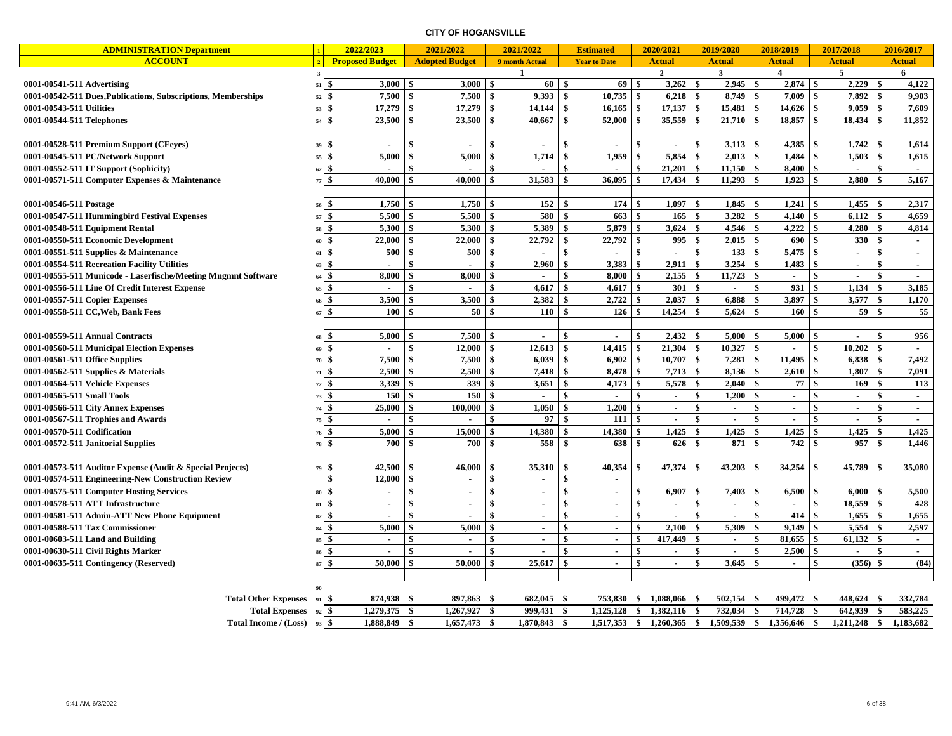| <b>ADMINISTRATION Department</b>                                        |                       | 2022/2023                |                        | 2021/2022                |                  | 2021/2022                |                    | <b>Estimated</b>         |              | 2020/2021                |               | 2019/2020                   |                    | 2018/2019     |               | 2017/2018        |                    | 2016/2017           |
|-------------------------------------------------------------------------|-----------------------|--------------------------|------------------------|--------------------------|------------------|--------------------------|--------------------|--------------------------|--------------|--------------------------|---------------|-----------------------------|--------------------|---------------|---------------|------------------|--------------------|---------------------|
| <b>ACCOUNT</b>                                                          |                       | <b>Proposed Budget</b>   |                        | <b>Adopted Budget</b>    |                  | 9 month Actual           |                    | <b>Year to Date</b>      |              | <b>Actual</b>            |               | <b>Actual</b>               |                    | <b>Actual</b> |               | <b>Actual</b>    |                    | <b>Actual</b>       |
|                                                                         | $\mathbf{3}$          |                          |                        |                          |                  | <sup>1</sup>             |                    |                          |              | $\overline{2}$           |               | $\mathbf{3}$                |                    | 4             |               | 5                |                    | 6                   |
| 0001-00541-511 Advertising                                              | 51S                   | 3,000                    | \$                     | $3,000$ \$               |                  | $60 \mid$ \$             |                    | $69$ \$                  |              | 3,262                    | <b>S</b>      | $2,945$ \$                  |                    | $2,874$ \$    |               | 2,229            | <sup>\$</sup>      | 4,122               |
| 0001-00542-511 Dues, Publications, Subscriptions, Memberships           | $52 \text{ } $$       | 7,500                    | $\mathbf{s}$           | $7,500$ \$               |                  | 9,393                    | -\$                | 10,735                   | l s          | 6,218                    | $\mathbf{s}$  | 8,749                       | $\mathbf{s}$       | 7,009         | \$            | 7,892            | $\hat{\mathbf{s}}$ | 9.903               |
| 0001-00543-511 Utilities                                                | $53\frac{6}{5}$       | 17,279                   | \$                     | 17,279                   | -\$              | 14,144                   | -\$                | $16,165$ \$              |              | 17,137                   | $\mathbf{\$}$ | 15,481                      | $\mathbf{\$}$      | 14,626        | \$            | 9,059            | \$                 | 7,609               |
| 0001-00544-511 Telephones                                               | 54S                   | 23,500                   | \$                     | 23,500                   | -\$              | 40,667                   | -\$                | 52,000                   | -\$          | 35,559                   | \$            | 21,710                      | \$                 | 18,857        | \$            | 18,434           | \$                 | 11,852              |
|                                                                         |                       |                          |                        |                          |                  |                          |                    |                          |              |                          |               |                             |                    |               |               |                  |                    |                     |
| 0001-00528-511 Premium Support (CFeyes)                                 | 39S                   | $\overline{\phantom{a}}$ | \$                     | $\sim$                   | \$               | $\overline{a}$           | $\mathbf{\$}$      | $\blacksquare$           | \$           | $\overline{\phantom{a}}$ | \$            | 3,113                       | \$                 | 4,385         | \$            | 1,742            | \$                 | 1,614               |
| 0001-00545-511 PC/Network Support                                       | 55 \$                 | 5,000                    | \$                     | 5,000                    | \$               | 1,714                    | $\boldsymbol{s}$   | 1,959                    | \$           | 5,854                    | \$            | 2,013                       | \$                 | 1,484         | \$            | 1,503            | \$                 | 1,615               |
| 0001-00552-511 IT Support (Sophicity)                                   | $62 \text{ } $$       | $\overline{\phantom{a}}$ | -\$                    | $\blacksquare$           | \$               | $\sim$                   | \$                 | $\blacksquare$           | \$           | 21,201                   | \$            | 11,150                      | $\sqrt{3}$         | 8,400         | \$            | $\sim$           | \$                 | $\sim$              |
| 0001-00571-511 Computer Expenses & Maintenance                          | 77S                   | 40,000                   | -\$                    | 40,000                   | \$               | 31,583                   | $\mathbf{s}$       | 36,095                   | - \$         | 17,434                   | -\$           | 11,293                      | $\mathbf{\hat{s}}$ | 1,923         | \$            | 2,880            | \$                 | 5,167               |
|                                                                         |                       |                          |                        |                          |                  |                          |                    |                          |              |                          |               |                             |                    |               |               |                  |                    |                     |
| 0001-00546-511 Postage                                                  | $56\frac{6}{9}$       | 1.750                    | -\$                    | 1,750                    | -\$              | 152                      | $\mathbf{\hat{S}}$ | 174                      | <b>S</b>     | 1.097                    | $\mathbf{s}$  | 1.845                       | $\mathbf{s}$       | 1.241         | \$            | 1.455            | \$                 | 2,317               |
| 0001-00547-511 Hummingbird Festival Expenses                            | 57S                   | 5,500                    | - \$                   | 5,500                    | $\vert$ \$       | 580                      | \$                 | 663                      | <b>S</b>     | 165                      | \$            | 3,282                       | $\mathbf{\hat{s}}$ | 4,140         | \$            | 6,112            | $\mathbf{\$}$      | 4,659               |
| 0001-00548-511 Equipment Rental                                         | $58\quad$             | 5,300                    | -\$                    | 5,300                    | \$               | 5,389                    | \$                 | 5,879                    | l \$         | 3,624                    | \$            | 4,546                       | $\mathbf{s}$       | 4,222         | \$            | 4,280            | \$                 | 4,814               |
| 0001-00550-511 Economic Development                                     | $60\frac{5}{9}$       | 22,000                   | - \$                   | 22,000                   | \$               | 22,792                   | \$                 | 22,792                   | <b>S</b>     | 995                      | $\mathbf{\$}$ | $2,015$ \$                  |                    | 690           | $\mathbf{s}$  | 330              | $\mathbf{\$}$      | $\sim$              |
| 0001-00551-511 Supplies & Maintenance                                   | 61S                   | 500                      | $\mathbf{s}$           | 500                      | $\mathbf{s}$     | ÷                        | \$                 | $\mathbf{r}$             | $\mathbf{s}$ | $\sim$                   | $\mathbf{s}$  | 133                         | $\mathbf{s}$       | 5,475         | \$            | $\mathbf{r}$     | $\mathbf{s}$       | $\sim$              |
| 0001-00554-511 Recreation Facility Utilities                            | $63 \frac{6}{9}$      | $\overline{a}$           | $\boldsymbol{\hat{s}}$ | $\sim$                   | \$               | 2,960                    | \$                 | 3,383                    | <b>S</b>     | 2,911                    | \$            | 3,254                       | $\mathbf{\hat{s}}$ | 1,483         | $\mathbf{\$}$ | $\sim$           | \$                 | $\sim$              |
| 0001-00555-511 Municode - Laserfische/Meeting Mngmnt Software           | $64\frac{6}{9}$       | 8,000                    | $\mathbf{s}$           | 8,000                    | -\$              | $\blacksquare$           | $\mathbf{\$}$      | 8,000                    | \$           | 2,155                    | \$            | 11,723                      | $\mathbf{\$}$      | $\sim$        | \$            | $\sim$           | \$                 | $\sim$              |
| 0001-00556-511 Line Of Credit Interest Expense                          | $65\frac{6}{9}$       |                          | \$                     | $\overline{\phantom{a}}$ | \$               | 4,617                    | \$                 | 4,617                    | \$           | 301                      | $\mathbf{s}$  | $\mathbf{r}$                | \$                 | 931           | \$            | 1,134            | \$                 | 3,185               |
| 0001-00557-511 Copier Expenses                                          | $66\frac{6}{3}$       | 3,500                    |                        | 3,500                    |                  | 2,382                    | -\$                | 2,722                    | S.           | 2,037                    | -\$           | 6,888                       | \$                 | 3,897         | \$            | 3,577            | \$                 | 1,170               |
| 0001-00558-511 CC, Web, Bank Fees                                       | 67S                   | 100                      | \$                     | 50                       | \$               | 110                      | -\$                | 126                      | \$           | 14,254                   | \$            | 5,624                       | $\mathbf{\hat{s}}$ | 160           | \$            | 59               | $\mathbf{\hat{s}}$ | 55                  |
|                                                                         |                       | 5,000                    | $\mathbf{s}$           | 7,500                    | $\mathbf{s}$     |                          | \$                 |                          | \$           | 2,432                    | -\$           | $5,000$ \$                  |                    | $5,000$ \ \$  |               |                  | \$                 |                     |
| 0001-00559-511 Annual Contracts                                         | $68\frac{5}{5}$<br>\$ |                          | \$                     | 12,000                   | -\$              | $\blacksquare$<br>12,613 | $\ddot{\bm{x}}$    | $\blacksquare$<br>14,415 | \$           | 21,304                   | $\mathbf{s}$  | 10,327                      | $\mathbf{s}$       |               | \$            | $\sim$<br>10,202 | \$                 | 956<br>$\mathbf{r}$ |
| 0001-00560-511 Municipal Election Expenses                              | 69<br>70S             | 7,500                    | $\mathbf{\$}$          | 7,500                    | \$               | 6,039                    | $\mathbf{s}$       | 6,902                    | <b>S</b>     | 10,707                   | $\mathbf{\$}$ | 7,281                       | \$                 | 11,495        | \$            | 6,838            | \$                 | 7,492               |
| 0001-00561-511 Office Supplies<br>0001-00562-511 Supplies $&$ Materials | $71 \,$ \$            | 2,500                    |                        | 2,500                    | \$               | 7,418                    | $\mathbf{\$}$      | 8,478                    | - \$         | 7,713                    | \$            | 8,136                       | $\mathbf{s}$       | 2,610         |               | 1,807            | \$                 | 7,091               |
| 0001-00564-511 Vehicle Expenses                                         | 72S                   | 3,339                    | -\$                    | 339                      | \$               | 3,651                    | -\$                | 4,173                    | -\$          | 5,578                    | \$            | 2,040                       | $\mathbf{s}$       | 77            | \$            | 169              | \$                 | 113                 |
| 0001-00565-511 Small Tools                                              | $73 \t$$              | 150                      | \$                     | $150 \text{ s}$          |                  |                          | \$                 |                          | \$           | $\sim$                   | \$            | 1,200                       | $\mathbf{s}$       | $\sim$        | $\mathbf{s}$  | $\sim$           | \$                 | $\sim$              |
| 0001-00566-511 City Annex Expenses                                      | $\mathbf{s}$          | 25,000                   | $\mathbf{S}$           | 100.000                  | -\$              | 1,050                    | \$                 | 1,200                    | $\mathbf{s}$ | $\sim$                   | \$            | $\mathcal{L}_{\mathcal{A}}$ | $\mathbf{s}$       | $\sim$        | \$            | $\sim$           | $\hat{\mathbf{s}}$ | $\sim$              |
| 0001-00567-511 Trophies and Awards                                      | 74<br>$75\frac{6}{5}$ | $\overline{\phantom{a}}$ | \$                     |                          | \$               | 97                       | $\mathbf{\hat{S}}$ | 111                      | <b>\$</b>    | $\sim$                   | \$            | $\mathbf{r}$                | \$                 | $\sim$        | \$            | $\sim$           |                    | $\sim$              |
| 0001-00570-511 Codification                                             | 76S                   | 5,000                    | \$                     | 15,000                   |                  | 14,380                   |                    | 14,380                   | -\$          | 1,425                    | -\$           | 1,425                       | \$                 | 1,425         | \$            | 1,425            | \$                 | 1,425               |
| 0001-00572-511 Janitorial Supplies                                      | \$<br>78              | 700                      | -\$                    | 700                      |                  | 558                      |                    | 638                      |              | 626                      | \$            | 871                         | \$                 | 742           | \$            | 957              | \$                 | 1,446               |
|                                                                         |                       |                          |                        |                          |                  |                          |                    |                          |              |                          |               |                             |                    |               |               |                  |                    |                     |
| 0001-00573-511 Auditor Expense (Audit & Special Projects)               | 79 \$                 | 42,500                   | -\$                    | 46,000                   | -\$              | 35,310                   | - \$               | 40,354                   | <b>S</b>     | 47,374                   | -\$           | 43,203                      | \$                 | 34,254        | \$            | 45,789           | \$                 | 35,080              |
| 0001-00574-511 Engineering-New Construction Review                      | \$                    | 12,000                   | \$                     | $\sim$                   | \$               | $\sim$                   | \$                 | $\blacksquare$           |              |                          |               |                             |                    |               |               |                  |                    |                     |
| 0001-00575-511 Computer Hosting Services                                | -\$<br>80             | $\blacksquare$           | \$                     | $\blacksquare$           | \$               | $\sim$                   | \$                 | $\blacksquare$           | -\$          | 6,907                    | -\$           |                             |                    | $6,500$   \$  |               | 6,000            | \$                 | 5,500               |
| 0001-00578-511 ATT Infrastructure                                       | \$<br>81              | $\sim$                   | $\mathbf{\$}$          | $\sim$                   | \$               | $\sim$                   | $\mathbf{\$}$      | $\sim$                   | $\mathbf{s}$ | $\sim$                   | $\mathbf{s}$  | $\sim$                      | $\mathbf{s}$       | $\sim$        | \$            | 18.559           | $\mathbf{s}$       | 428                 |
| 0001-00581-511 Admin-ATT New Phone Equipment                            | 82S                   |                          | -\$                    | $\ddot{\phantom{1}}$     | \$               | $\overline{a}$           | -\$                | $\sim$                   | \$           | $\overline{a}$           | \$            | $\sim$                      | \$                 | 414           | \$            | 1,655            | \$                 | 1,655               |
| 0001-00588-511 Tax Commissioner                                         | $84\quad$             | 5,000                    | $\mathbf{\hat{S}}$     | 5,000                    | $\boldsymbol{s}$ | $\sim$                   | $\mathbf{\$}$      | $\blacksquare$           | \$           | 2,100                    | $\mathbf{s}$  | 5,309                       | $\mathbf{s}$       | 9,149         | $\mathbf{s}$  | 5,554            | $\mathbf{\$}$      | 2,597               |
| 0001-00603-511 Land and Building                                        | $85\quad$ \$          | $\sim$                   | \$                     | $\blacksquare$           | -\$              | $\blacksquare$           | \$                 | $\sim$                   | \$           | 417,449                  | -\$           | $\sim$                      | \$                 | 81,655        | <b>S</b>      | 61,132           | \$                 | $\sim$              |
| 0001-00630-511 Civil Rights Marker                                      | \$<br>86              | $\sim$                   | $\mathbf{s}$           | $\blacksquare$           | \$               | $\sim$                   | \$                 | $\mathbf{r}$             | $\mathbf{s}$ | $\sim$                   | \$            | $\sim$                      | \$                 | 2,500         | $\mathbf{s}$  | $\mathbf{r}$     | $\mathbf{\$}$      | $\sim$              |
| 0001-00635-511 Contingency (Reserved)                                   | 87S                   | 50.000                   | $\mathbf{\hat{S}}$     | 50.000                   | $\ddot{\bm{x}}$  | 25,617                   | $\hat{\mathbf{s}}$ | $\mathbf{r}$             | \$           | $\sim$                   | $\mathbf{s}$  | 3.645                       | $\mathbf{\hat{s}}$ | $\sim$        | $\mathbf{s}$  | (356)            | $\hat{\mathbf{s}}$ | (84)                |
|                                                                         |                       |                          |                        |                          |                  |                          |                    |                          |              |                          |               |                             |                    |               |               |                  |                    |                     |
|                                                                         |                       |                          |                        |                          |                  |                          |                    |                          |              |                          |               |                             |                    |               |               |                  |                    |                     |
| <b>Total Other Expenses</b>                                             | \$<br>91              | 874,938                  | - \$                   | 897,863                  | -\$              | 682,045                  | - \$               | 753,830                  | \$           | 1,088,066                | - \$          | 502,154                     | -S                 | 499,472       | - \$          | 448,624          | - S                | 332,784             |
| Total Expenses 92 \$                                                    |                       | 1,279,375 \$             |                        | $1,267,927$ \$           |                  | 999,431                  | - \$               | 1,125,128                | - \$         | 1,382,116                | -\$           | 732,034                     | - \$               | 714,728       | - \$          | 642,939 \$       |                    | 583,225             |
| Total Income / $(Loss)$ 93 \$                                           |                       | 1,888,849 \$             |                        | 1,657,473                | - \$             | 1,870,843                | - \$               | 1,517,353 \$ 1,260,365   |              |                          | - \$          | 1,509,539                   | \$                 | 1,356,646     | -\$           | $1,211,248$ \$   |                    | 1,183,682           |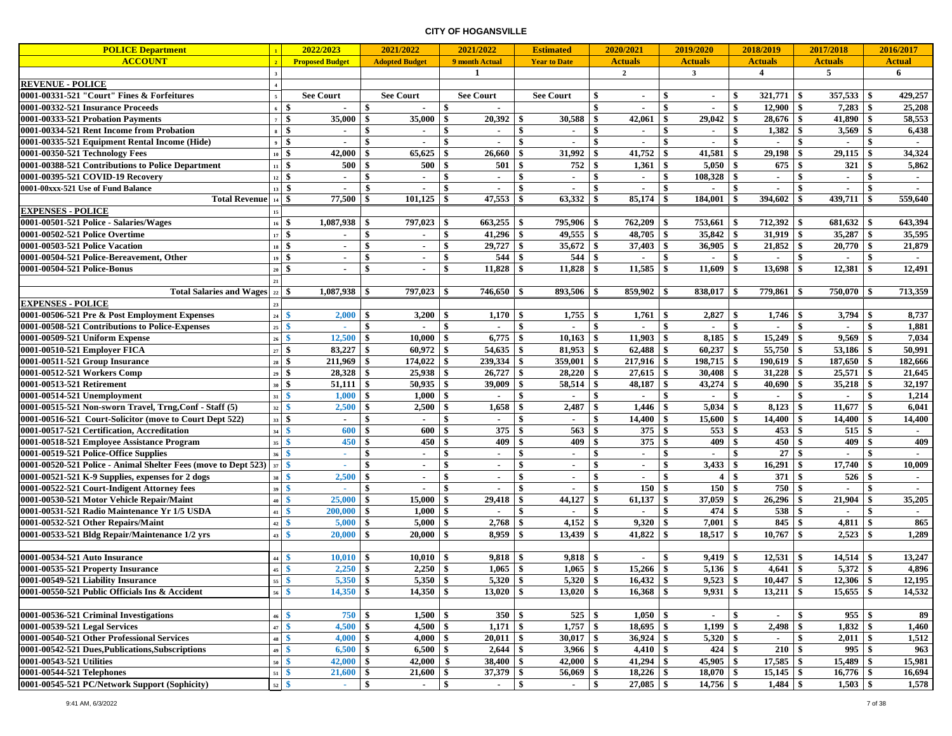| <b>POLICE Department</b>                                       |                                | 2022/2023              |              | 2021/2022             | 2021/2022            |     | <b>Estimated</b>    |                  | 2020/2021        |                    | 2019/2020      |     | 2018/2019                  |               | 2017/2018      |     | 2016/2017      |
|----------------------------------------------------------------|--------------------------------|------------------------|--------------|-----------------------|----------------------|-----|---------------------|------------------|------------------|--------------------|----------------|-----|----------------------------|---------------|----------------|-----|----------------|
| <b>ACCOUNT</b>                                                 |                                | <b>Proposed Budget</b> |              | <b>Adopted Budget</b> | 9 month Actual       |     | <b>Year to Date</b> |                  | <b>Actuals</b>   |                    | <b>Actuals</b> |     | <b>Actuals</b>             |               | <b>Actuals</b> |     | Actual         |
|                                                                |                                |                        |              |                       | $\mathbf{1}$         |     |                     |                  | $\boldsymbol{2}$ |                    | $\mathbf{3}$   |     | 4                          |               | 5              |     | 6              |
| <b>REVENUE - POLICE</b>                                        |                                |                        |              |                       |                      |     |                     |                  |                  |                    |                |     |                            |               |                |     |                |
| 0001-00331-521 "Court" Fines & Forfeitures                     | $\overline{5}$                 | <b>See Court</b>       |              | <b>See Court</b>      | <b>See Court</b>     |     | <b>See Court</b>    | \$               | $\sim$           | -\$                | $\sim$         | -\$ | $321,771$ \$               |               | 357,533        | -\$ | 429,257        |
| 0001-00332-521 Insurance Proceeds                              | $6 \overline{3}$               |                        | \$           | $\sim$                | \$<br>$\sim$         |     |                     | \$               | $\sim$           | \$                 | $\sim$         | \$  | $12,900$ \$                |               | 7,283          | -\$ | 25,208         |
| 0001-00333-521 Probation Payments                              | $7 \frac{1}{3}$                | 35,000                 | \$           | 35,000                | \$<br>20,392         | \$  | 30,588              | \$               | 42,061           | -\$                | 29,042         | -\$ | 28,676                     | \$            | 41,890         | \$  | 58,553         |
| 0001-00334-521 Rent Income from Probation                      | \$<br>$\bf{8}$                 | $\sim$                 | \$           | $\sim$                | \$<br>$\blacksquare$ | \$  | $\blacksquare$      | \$               |                  | \$                 | $\blacksquare$ | \$  | 1,382                      | \$            | 3,569          | \$  | 6,438          |
| 0001-00335-521 Equipment Rental Income (Hide)                  | $9 \mid$ \$                    |                        |              |                       |                      | \$  |                     | \$               |                  | \$                 |                | \$  |                            | \$            |                |     |                |
| 0001-00350-521 Technology Fees                                 |                                | 42,000                 | \$           | 65,625                | 26,660<br>\$         | \$  | 31,992              | -\$              | 41,752           | \$                 | 41,581         | -\$ | 29,198                     | \$            | 29,115         | -\$ | 34,324         |
| 0001-00388-521 Contributions to Police Department              | $11 \quad$ \$                  | 500                    | \$           | 500                   | 501<br>\$            | \$  | 752                 | -\$              | $1,361$ \$       |                    | 5,050          | \$  | 675S                       |               | 321            | -\$ | 5,862          |
| 0001-00395-521 COVID-19 Recovery                               | $12 \quad$                     |                        | \$           | $\sim$                | \$<br>$\sim$         | \$  | $\sim$              | \$               | $\sim$           | \$                 | 108,328        | \$  | $\sim$                     | $\mathbf{\$}$ | $\sim$         | \$  |                |
| 0001-00xxx-521 Use of Fund Balance                             | $13 \mid$ \$                   |                        | \$           |                       | \$<br>$\sim$         | \$  | $\blacksquare$      | \$               |                  | \$                 |                | -\$ | $\sim$                     | \$            |                | -\$ | $\blacksquare$ |
| <b>Total Revenue</b>                                           | $14 \overline{\phantom{1}3}$   | $77,500$ \$            |              |                       |                      |     | 63,332              | -\$              |                  |                    | $184,001$ \$   |     | $394,602$ \$               |               | $439,711$ \$   |     | 559,640        |
| <b>EXPENSES - POLICE</b>                                       | 15                             |                        |              |                       |                      |     |                     |                  |                  |                    |                |     |                            |               |                |     |                |
| 0001-00501-521 Police - Salaries/Wages                         | $16$ \$                        |                        |              | 797,023 \$            |                      |     | 795,906             | - \$             | $762,209$ \$     |                    | 753,661 \$     |     | $712,392$ \$               |               | $681,632$ \$   |     | 643,394        |
| 0001-00502-521 Police Overtime                                 | $17 \t$ \$                     |                        | \$           |                       | \$<br>41,296         | \$  | 49,555              | \$               | 48,705           | \$                 | 35,842         | \$  | 31,919                     | \$            | 35,287         | \$  | 35,595         |
| 0001-00503-521 Police Vacation                                 | S.<br>18                       | $\blacksquare$         | \$           | $\blacksquare$        | 29,727<br>\$         | \$  | 35,672              | \$               | 37,403           | \$                 | 36,905         | \$  | 21,852                     | -\$           | 20,770         | \$  | 21,879         |
| 0001-00504-521 Police-Bereavement, Other                       | $19 \frac{1}{3}$               | ٠                      | \$           | $\sim$                | \$<br>544            | \$  | 544                 | -\$              |                  | \$                 |                | \$  | $\sim$                     | \$            |                |     |                |
| 0001-00504-521 Police-Bonus                                    | $20 \overline{\phantom{a}}$ \$ | $\sim$                 | \$           | $\sim$                | \$<br>11,828         | \$  | 11,828              | -\$              | 11,585           | $\mathbf{\hat{s}}$ | 11,609         | \$  | $13,698$ \$                |               | 12,381         | -\$ | 12,491         |
|                                                                | 21                             |                        |              |                       |                      |     |                     |                  |                  |                    |                |     |                            |               |                |     |                |
| Total Salaries and Wages $ z_2 $ \$                            |                                | $1,087,938$ \$         |              | $797,023$ \ \\$       | $746,650$ \ \ \$     |     | 893,506             | l \$             |                  |                    | $838,017$ \$   |     | $779,861$ \$               |               | 750,070        | -\$ | 713,359        |
| <b>EXPENSES - POLICE</b>                                       |                                |                        |              |                       |                      |     |                     |                  |                  |                    |                |     |                            |               |                |     |                |
| 0001-00506-521 Pre & Post Employment Expenses                  | $24 \overline{\phantom{1}8}$   | 2,000                  | \$           | 3,200                 | \$<br>1,170          | \$  | 1,755               | -\$              | $1,761$ \$       |                    | 2,827          | -\$ |                            |               | $3,794$ \$     |     | 8,737          |
| 0001-00508-521 Contributions to Police-Expenses                | $25 \quad$                     | ×                      | \$           | $\sim$                | \$<br>$\blacksquare$ | \$  | $\sim$              | $\mathbf{\$}$    | $\sim$           | \$                 | $\sim$         | \$  | $\sim$                     | \$            | $\blacksquare$ | -\$ | 1,881          |
| 0001-00509-521 Uniform Expense                                 | $26\frac{8}{5}$                | 12,500                 | \$           | 10,000                | \$<br>6,775          | \$  | 10,163              | \$               | $11,903$ \$      |                    | $8,185$ \$     |     | $15,249$ \$                |               | 9,569          | \$  | 7,034          |
| 0001-00510-521 Employer FICA                                   |                                | 83,227                 | \$           | 60,972                | 54,635<br>\$         | \$  | 81,953              | \$               | 62,488           | -\$                | 60,237         | \$  | 55,750                     | -\$           | 53,186         | -\$ | 50,991         |
| 0001-00511-521 Group Insurance                                 | $28 \t3$                       | 211,969                | \$           | 174,022               | 239,334<br>\$        | \$  | 359,001             | \$               | 217,916          | -\$                | 198,715        | \$  | 190,619                    | -\$           | 187,650        | -\$ | 182,666        |
| 0001-00512-521 Workers Comp                                    | $29$ \$                        | 28,328                 | \$           | 25,938                | 26,727<br>\$         | \$  | 28,220              | \$               |                  |                    | 30,408         | -\$ | 31,228                     | \$            | 25,571         | \$  | 21,645         |
| 0001-00513-521 Retirement                                      | $30 \quad$ \$                  | 51,111                 | \$           | 50,935                | 39,009<br>\$         | \$  | 58,514              | \$               | 48,187           | \$                 | 43,274         | \$  | $40.690$ \$                |               | 35,218         | S.  | 32,197         |
| 0001-00514-521 Unemployment                                    | $31 \quad$                     | 1,000                  | \$           | 1,000                 | \$<br>$\sim$         | \$  | $\sim$              | -\$              | $\sim$           | \$                 | $\sim$         | \$  | $\sim$                     | \$            | $\sim$         | \$  | 1,214          |
| 0001-00515-521 Non-sworn Travel, Trng, Conf - Staff (5)        | $32 \overline{\text{S}}$       | 2,500                  | \$           | 2,500                 | \$<br>1,658          | \$  | 2,487               | $\boldsymbol{s}$ | 1,446            | -S                 | 5,034          | \$  | 8,123                      | -\$           | 11,677         | \$  | 6,041          |
| 0001-00516-521 Court-Solicitor (move to Court Dept 522)        | $33 \mid$ \$                   |                        | \$           | $\sim$                | \$                   | \$  | $\blacksquare$      | \$               | 14,400           | -\$                | 15,600         | -\$ | 14,400                     | -\$           | 14,400         | -\$ | 14,400         |
| 0001-00517-521 Certification, Accreditation                    | $34 \frac{8}{9}$               | 600                    |              | 600                   | 375<br>\$            | \$  | 563                 | \$               | 375              | -\$                | 553            | -\$ | 453                        | -\$           | 515            | -\$ |                |
| 0001-00518-521 Employee Assistance Program                     | 35 <sup>8</sup>                | 450                    |              | 450                   | 409<br>\$            | \$  | 409                 | -\$              | 375              | -\$                | 409            | -\$ | 450                        | $\sqrt{3}$    | 409            | -\$ | 409            |
| 0001-00519-521 Police-Office Supplies                          | $36\frac{8}{5}$                | ٠                      | \$           | $\sim$                | \$<br>$\sim$         | \$  | $\sim$              | -\$              | $\sim$           | \$                 | $\sim$         | \$  | $27 \overline{\smash{)}\}$ |               | $\sim$         | \$  | $\sim$         |
| 0001-00520-521 Police - Animal Shelter Fees (move to Dept 523) | 37 <sup>8</sup>                |                        | \$           | $\sim$                | \$<br>$\sim$         | \$  | $\sim$              | $\boldsymbol{s}$ | $\sim$           | $\mathbf{\$}$      | 3,433          | \$  | 16,291                     | \$            | 17,740         | -\$ | 10,009         |
| 0001-00521-521 K-9 Supplies, expenses for 2 dogs               | $38 \tIm$                      | 2,500                  | \$           | $\sim$                | \$<br>$\sim$         | \$  | $\blacksquare$      | \$               |                  | \$                 | 4              | \$  | 371                        | <b>S</b>      | 526            | -\$ | $\sim$         |
| 0001-00522-521 Court-Indigent Attorney fees                    | $39 \frac{8}{9}$               |                        |              |                       | \$<br>$\blacksquare$ | \$  |                     | \$               | 150              | -\$                | 150            | \$  | 750                        | \$            |                |     |                |
| 0001-00530-521 Motor Vehicle Repair/Maint                      | $40 \quad$                     | 25,000                 | \$           | 15,000                | 29,418<br>\$         | \$  | 44,127              | \$               | 61,137           | \$                 | 37,059         | -\$ | 26,296                     | -\$           | 21,904         | -\$ | 35,205         |
| 0001-00531-521 Radio Maintenance Yr 1/5 USDA                   | $41 \quad$                     | 200,000                | \$           | 1,000                 | \$<br>$\sim$         | \$  | $\sim$              | \$               | $\sim$           | \$                 | $474 \t3$      |     | 538 \$                     |               | $\overline{a}$ | \$  | $\sim$         |
| 0001-00532-521 Other Repairs/Maint                             | $42 \quad$                     | 5,000                  | \$           | 5,000                 | \$<br>2,768          | \$  | 4,152               | $\boldsymbol{s}$ | 9,320            | -S                 | 7,001          | \$  | 845                        | \$            | 4,811          | -\$ | 865            |
| 0001-00533-521 Bldg Repair/Maintenance 1/2 yrs                 | $43 \quad$                     | 20,000                 | \$           | 20,000                | 8,959<br>\$          | \$  | 13,439              | -\$              | 41,822           | \$                 | 18,517         | \$  | 10,767                     | \$            | 2,523          | -\$ | 1,289          |
|                                                                |                                |                        |              |                       |                      |     |                     |                  |                  |                    |                |     |                            |               |                |     |                |
| 0001-00534-521 Auto Insurance                                  | $44 \quad$                     | 10,010                 | \$           | 10,010                | 9,818                | \$  | 9,818               | -\$              | $\sim$           | \$                 | 9,419          |     | 12,531                     | -\$           | 14,514         |     | 13,247         |
| 0001-00535-521 Property Insurance                              | $45 \quad$                     | 2,250                  | $\mathbf{s}$ |                       | 1,065                | \$  | 1,065               | \$               |                  |                    | $5,136$ \$     |     | $4,641$ \$                 |               |                |     | 4,896          |
| 0001-00549-521 Liability Insurance                             | $55\frac{8}{5}$                | 5,350                  | \$           | 5,350                 | $5,320$ \$<br>\$     |     | 5,320               | \$               | $16,432$ \$      |                    | $9,523$ \$     |     | $10,447$ \$                |               | $12,306$ \$    |     | 12,195         |
| 0001-00550-521 Public Officials Ins & Accident                 | $56\frac{8}{5}$                | 14,350                 | -\$          | $14,350$ \$           | $13,020$ \$          |     | 13,020              | -\$              | $16,368$ \$      |                    | $9,931$ \$     |     | $13,211$   \$              |               | $15,655$ \$    |     | 14,532         |
|                                                                |                                |                        |              |                       |                      |     |                     |                  |                  |                    |                |     |                            |               |                |     |                |
| 0001-00536-521 Criminal Investigations                         | $46 \quad$                     | 750                    | \$           | $1,500$ \$            | 350S                 |     | $525 \t$ \$         |                  |                  |                    | $\sim$         | \$  | $\sim$                     | \$            | 955S           |     | 89             |
| 0001-00539-521 Legal Services                                  |                                | $4,500$ \$             |              | $4,500$ \$            | $1,171$ \$           |     | 1,757               | -\$              | $18,695$ \$      |                    | $1,199$ \$     |     | $2,498$ \$                 |               | $1,832$ \$     |     | 1,460          |
| 0001-00540-521 Other Professional Services                     | $48 \quad$                     | 4,000                  | \$           | 4,000                 | 20,011<br>\$         | \$  | 30,017              | \$               |                  |                    | 5,320          | \$  | $\sim$                     | \$            | $2,011$ \$     |     | 1,512          |
| 0001-00542-521 Dues, Publications, Subscriptions               | $49 \t{S}$                     | 6,500                  | \$           | 6,500                 | 2,644<br>- \$        | -\$ | 3,966               | -\$              | $4,410$ \$       |                    | $424 \t$$      |     | 210                        | - \$          | 995S           |     | 963            |
| 0001-00543-521 Utilities                                       | $50 \quad$                     | 42,000                 |              | 42,000                | \$<br>38,400         | \$  | 42,000              | \$               |                  |                    | $45,905$   \$  |     | $17,585$ \$                |               | 15,489         | -\$ | 15,981         |
| 0001-00544-521 Telephones                                      | $51 \quad$                     | 21,600                 | \$           | 21,600                | 37,379<br>\$         | \$  | 56,069              | -\$              | $18,226$ \$      |                    | $18,070$ \$    |     | $15,145$ \$                |               | $16,776$ \$    |     | 16,694         |
| 0001-00545-521 PC/Network Support (Sophicity)                  | $52 \quad$                     | $\sim$                 | \$           | $\sim$                | \$<br>$\sim$         | \$  | $\sim$              | \$               | $27,085$ \$      |                    | $14,756$ \$    |     | $1,484$ \$                 |               | $1,503$ \$     |     | 1,578          |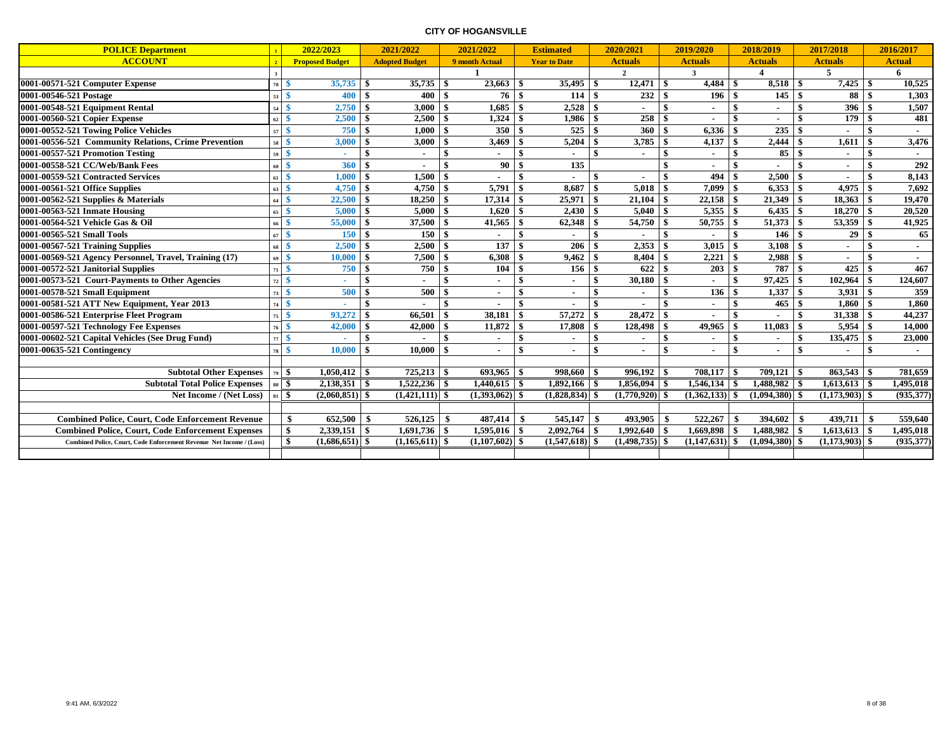| <b>POLICE Department</b>                                             |                    | 2022/2023              |              | 2021/2022             |              | 2021/2022        |              | <b>Estimated</b>    |              | 2020/2021        |      | 2019/2020        |               | 2018/2019              |                 | 2017/2018        |     | 2016/2017     |
|----------------------------------------------------------------------|--------------------|------------------------|--------------|-----------------------|--------------|------------------|--------------|---------------------|--------------|------------------|------|------------------|---------------|------------------------|-----------------|------------------|-----|---------------|
| <b>ACCOUNT</b>                                                       |                    | <b>Proposed Budget</b> |              | <b>Adopted Budget</b> |              | 9 month Actual   |              | <b>Year to Date</b> |              | <b>Actuals</b>   |      | <b>Actuals</b>   |               | <b>Actuals</b>         |                 | <b>Actuals</b>   |     | <b>Actual</b> |
|                                                                      |                    |                        |              |                       |              |                  |              |                     |              | $\overline{2}$   |      | 3                |               | $\boldsymbol{\Lambda}$ |                 | 5                |     | 6             |
| 0001-00571-521 Computer Expense                                      | 70 <sup>1</sup>    | $35,735$ \$<br>-\$     |              |                       |              | 23,663           | -\$          | $35,495$ \$         |              | 12,471           | - \$ | 4,484            | - \$          | 8.518                  | - \$            | 7,425            | -\$ | 10,525        |
| 0001-00546-521 Postage                                               | 53                 | 400 S<br>-8            |              | $400 \, \text{S}$     |              | 76 l             | -\$          | 114                 | l \$         | 232              | -\$  | 196              | -9            | 145                    | $\mathbf{s}$    | 88               | -\$ | 1,303         |
| 0001-00548-521 Equipment Rental                                      | 54                 | 2,750                  | \$           | 3,000                 | \$           | 1.685            | -\$          | 2,528               | - \$         |                  |      |                  | -\$           | $\sim$                 |                 | 396              |     | 1,507         |
| 0001-00560-521 Copier Expense                                        | 62                 | 2,500<br>-8            | \$           | 2,500                 | \$           | 1,324            | -\$          | 1,986               | - \$         | 258              |      |                  | -\$           | $\sim$                 |                 | 179              |     | 481           |
| 0001-00552-521 Towing Police Vehicles                                | 57                 | 750S<br>-\$            |              | 1.000                 | \$           | 350              | -\$          | 525                 | l \$         | 360              | -\$  | 6,336            | -9            | 235                    |                 |                  | -\$ |               |
| 0001-00556-521 Community Relations, Crime Prevention                 | 58                 | 3,000<br>-\$           | \$           | 3,000                 | <b>S</b>     | 3,469            | \$           | 5,204               | l \$         | 3,785            | \$   | 4,137            | - \$          | 2,444                  | \$              | 1,611            | -\$ | 3,476         |
| 0001-00557-521 Promotion Testing                                     | 59                 | -\$                    | \$           | $\sim$                | \$           |                  | \$           |                     | -\$          | $\blacksquare$   | \$   |                  | -S            | 85                     | \$              |                  | -\$ |               |
| 0001-00558-521 CC/Web/Bank Fees                                      | 60                 | -\$<br>360             | \$           |                       | \$           | 90               | \$           | 135                 |              |                  | \$   |                  | -\$           |                        | \$              |                  | -\$ | 292           |
| 0001-00559-521 Contracted Services                                   | 61                 | 1,000<br>-\$           | \$           | 1,500                 | $\mathbf{s}$ |                  | \$           |                     | \$           |                  | \$   | 494              | -\$           | 2,500                  | $\ddot{\bm{x}}$ |                  |     | 8,143         |
| 0001-00561-521 Office Supplies                                       | 63                 | 4,750<br>-\$           | \$           | 4,750                 | \$           | 5,791            | \$           | 8.687               | -\$          | 5.018            |      | 7.099            | -\$           | 6.353                  | \$              | 4.975            | -\$ | 7,692         |
| $0001-00562-521$ Supplies & Materials                                | 64                 | 22,500<br>-8           | \$           | 18,250                | \$           | 17,314           | \$           | 25,971              | -9           | 21,104           |      | 22,158           | -\$           | 21,349                 |                 | 18,363           | -\$ | 19,470        |
| 0001-00563-521 Inmate Housing                                        | 65                 | 5,000<br>-8            | -\$          | 5.000                 | \$           | 1.620            | -\$          | 2,430               |              | 5.040            |      | 5,355            | -\$           | 6.435                  |                 | 18,270           |     | 20,520        |
| 0001-00564-521 Vehicle Gas & Oil                                     | 66                 | 55,000<br>-9           | -\$          | 37,500                | \$           | 41,565           | -\$          | 62,348              | - \$         | 54,750           | \$   | 50,755           | -9            | 51,373                 |                 | 53,359           |     | 41,925        |
| 0001-00565-521 Small Tools                                           | 67                 | 150<br>-\$             | -\$          | 150                   | \$           | $\sim$           | \$           | ٠                   | \$           | $\sim$           | \$   |                  | $\mathbf{\$}$ | 146                    | \$              | 29               | -\$ | 65            |
| 0001-00567-521 Training Supplies                                     | $68 \quad$         | 2.500                  | \$           | 2.500                 | \$           | 137              | \$           | 206                 | -\$          | 2.353            | \$   | 3.015            | -\$           | 3.108                  | \$              |                  |     | $\sim$        |
| 0001-00569-521 Agency Personnel, Travel, Training (17)               | $69$ $\frac{6}{5}$ | 10,000                 | <b>S</b>     | 7,500                 | \$           | 6,308            | \$           | 9,462               | -\$          | 8,404            | \$   | 2,221            | -\$           | 2,988                  | \$              |                  | -\$ | $\sim$        |
| 0001-00572-521 Janitorial Supplies                                   | 71                 | 750S<br>-\$            |              | 750 \$                |              | 104              | \$           | 156                 | l \$         | 622              | \$   | 203              | $\mathbf{s}$  | 787                    | \$              | 425              | -\$ | 467           |
| 0001-00573-521 Court-Payments to Other Agencies                      | 72                 | -\$                    | \$           | $\blacksquare$        | \$           | $\sim$           | \$           | $\blacksquare$      | \$           | 30,180           | \$   |                  | -\$           | 97,425                 | -\$             | 102,964          | -\$ | 124,607       |
| 0001-00578-521 Small Equipment                                       | 73                 | 500<br>-\$             | \$           | 500                   | \$           | $\sim$           | $\mathbf{s}$ | $\blacksquare$      | \$           |                  |      | 136              | -\$           | 1,337                  | \$              | 3,931            | -\$ | 359           |
| 0001-00581-521 ATT New Equipment, Year 2013                          | 74                 | -\$                    | \$           |                       | \$           |                  | \$           |                     | -\$          |                  |      |                  | -\$           | 465                    | - \$            | 1.860            | -\$ | 1,860         |
| 0001-00586-521 Enterprise Fleet Program                              | 75                 | 93,272<br>-\$          | \$           | 66,501                | \$           | 38,181           | Ŝ.           | 57,272              | - \$         | 28,472           | \$   |                  | \$            |                        | \$              | 31,338           | -\$ | 44,237        |
| 0001-00597-521 Technology Fee Expenses                               | 76                 | 42,000<br>-\$          | \$           | 42,000                | -\$          | 11,872           | \$           | 17.808              | -\$          | 128,498          | \$   | 49.965           | -\$           | 11.083                 | \$              | 5.954            | -\$ | 14,000        |
| 0001-00602-521 Capital Vehicles (See Drug Fund)                      | 77                 | -\$                    | \$           |                       | \$           |                  | \$           |                     | \$           | $\blacksquare$   | \$   |                  | -\$           | $\blacksquare$         | \$              | 135,475          | -\$ | 23,000        |
| 0001-00635-521 Contingency                                           | 78                 | 10,000<br>-\$          | $\mathbf{s}$ | 10.000                | $\mathbf{s}$ |                  | $\mathbf{s}$ |                     | $\mathbf{s}$ | $\blacksquare$   | \$   |                  | -9            | $\blacksquare$         | \$              |                  | -\$ | $\sim$        |
|                                                                      |                    |                        |              |                       |              |                  |              |                     |              |                  |      |                  |               |                        |                 |                  |     |               |
| <b>Subtotal Other Expenses</b>                                       | 79S                | $1,050,412$ \$         |              | $725,213$ \$          |              |                  |              |                     |              | $996.192$   \$   |      | 708.117          | ∣\$           |                        |                 |                  |     | 781,659       |
| <b>Subtotal Total Police Expenses</b>                                |                    | $80\frac{8}{3}$        |              | $1,522,236$ \$        |              |                  |              | $1,892,166$   \$    |              |                  |      |                  |               | $1,488,982$ \$         |                 | $1,613,613$ \$   |     | 1,495,018     |
| Net Income / (Net Loss)                                              | $\frac{1}{3}$      | $(2,060,851)$ \$       |              | $(1,421,111)$ \$      |              | $(1,393,062)$ \$ |              | $(1,828,834)$ \$    |              | $(1,770,920)$ \$ |      | $(1,362,133)$ \$ |               | $(1,094,380)$ \$       |                 | $(1,173,903)$ \$ |     | (935, 377)    |
|                                                                      |                    |                        |              |                       |              |                  |              |                     |              |                  |      |                  |               |                        |                 |                  |     |               |
| <b>Combined Police, Court, Code Enforcement Revenue</b>              |                    | \$<br>652,500          | -\$          | 526.125               | -\$          | 487,414          | - \$         | 545,147             | l \$         | 493.905          | \$   | 522,267          |               | 394,602                | \$              | 439.711          |     | 559,640       |
| <b>Combined Police, Court, Code Enforcement Expenses</b>             |                    | \$                     |              |                       |              | 1,595,016        | \$           | 2,092,764           | $1$ \$       | 1,992,640        | \$   | 1,669,898        | -\$           | 1.488.982              | \$              | $1,613,613$ \$   |     | 1,495,018     |
| Combined Police, Court, Code Enforcement Revenue Net Income / (Loss) |                    | \$<br>$(1,686,651)$ \$ |              | $(1,165,611)$ \$      |              | $(1,107,602)$ \$ |              | $(1,547,618)$ \$    |              | $(1,498,735)$ \$ |      | $(1,147,631)$ \$ |               | $(1,094,380)$ \$       |                 | $(1,173,903)$ \$ |     | (935, 377)    |
|                                                                      |                    |                        |              |                       |              |                  |              |                     |              |                  |      |                  |               |                        |                 |                  |     |               |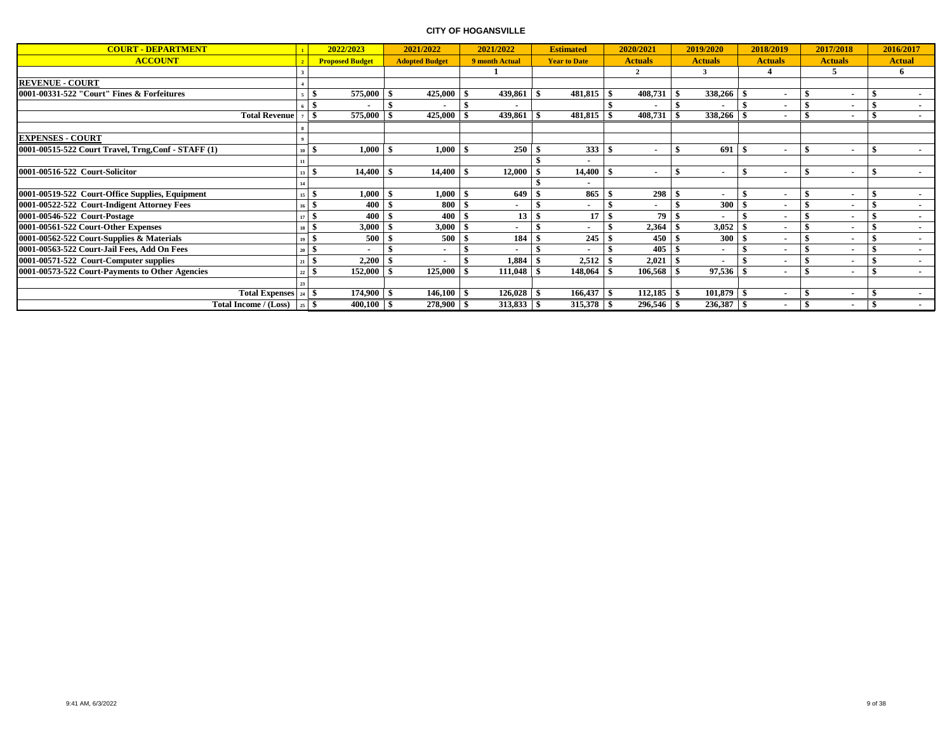| <b>COURT - DEPARTMENT</b>                           |                               | 2022/2023              | 2021/2022             |    | 2021/2022      | <b>Estimated</b>    |      | 2020/2021      |      | 2019/2020                |      | 2018/2019                |      | 2017/2018                |              | 2016/2017      |
|-----------------------------------------------------|-------------------------------|------------------------|-----------------------|----|----------------|---------------------|------|----------------|------|--------------------------|------|--------------------------|------|--------------------------|--------------|----------------|
| <b>ACCOUNT</b>                                      |                               | <b>Proposed Budget</b> | <b>Adopted Budget</b> |    | 9 month Actual | <b>Year to Date</b> |      | <b>Actuals</b> |      | <b>Actuals</b>           |      | <b>Actuals</b>           |      | <b>Actuals</b>           |              | <b>Actual</b>  |
|                                                     |                               |                        |                       |    |                |                     |      | $\overline{2}$ |      | 3                        |      |                          |      | 5                        |              | 6              |
| <b>REVENUE - COURT</b>                              |                               |                        |                       |    |                |                     |      |                |      |                          |      |                          |      |                          |              |                |
| 0001-00331-522 "Court" Fines & Forfeitures          |                               | 575,000<br>э           | 425,000               |    | 439,861        | 481,815             |      | 408,731        |      | 338,266 \$               |      |                          | - \$ |                          |              |                |
|                                                     |                               |                        |                       |    |                |                     |      |                |      |                          |      |                          |      |                          |              | $\blacksquare$ |
| <b>Total Revenue</b>                                |                               | 575,000<br>\$          | 425,000               |    | 439,861        | 481,815             | -8   | 408,731        |      | 338,266 \$               |      |                          | \$.  |                          |              |                |
|                                                     |                               |                        |                       |    |                |                     |      |                |      |                          |      |                          |      |                          |              |                |
| <b>EXPENSES - COURT</b>                             |                               |                        |                       |    |                |                     |      |                |      |                          |      |                          |      |                          |              |                |
| 0001-00515-522 Court Travel, Trng, Conf - STAFF (1) |                               | 1,000<br><sup>1</sup>  | 1,000                 |    | 250            | 333                 |      |                |      | 691                      | - 39 |                          | -8   | $\overline{\phantom{a}}$ |              | $\blacksquare$ |
|                                                     |                               |                        |                       |    |                |                     |      |                |      |                          |      |                          |      |                          |              |                |
| 0001-00516-522 Court-Solicitor                      | 13                            | 14,400<br>- 31         | 14,400                |    | 12,000         | 14,400              |      |                |      | $\blacksquare$           |      |                          |      | $\overline{\phantom{a}}$ |              | $\sim$         |
|                                                     |                               |                        |                       |    |                |                     |      |                |      |                          |      |                          |      |                          |              |                |
| 0001-00519-522 Court-Office Supplies, Equipment     |                               | $1,\!000$<br>э         | 1,000                 |    | 649            | 865                 |      | 298            | - 15 | ٠                        |      |                          | -9   |                          |              | $\sim$         |
| 0001-00522-522 Court-Indigent Attorney Fees         |                               | 400<br>э               | 800                   |    |                |                     |      |                |      | 300                      |      |                          |      |                          |              | $\blacksquare$ |
| 0001-00546-522 Court-Postage                        |                               | 400                    | 400                   |    | 13             | 17                  |      | 79             |      | $\overline{\phantom{a}}$ |      |                          |      |                          |              |                |
| 0001-00561-522 Court-Other Expenses                 | $18$ $\overline{\phantom{0}}$ | 3,000                  | 3,000                 |    |                |                     |      | $2,364$ \$     |      | 3,052                    |      |                          |      |                          |              | $\blacksquare$ |
| 0001-00562-522 Court-Supplies & Materials           | 19                            | 500                    | 500                   |    | 184            | 245                 |      | 450            |      | 300                      |      |                          |      |                          |              |                |
| 0001-00563-522 Court-Jail Fees, Add On Fees         | $20 \, \text{S}$              |                        |                       |    |                |                     |      | $405 - $$      |      | $\overline{\phantom{a}}$ |      |                          |      | $\overline{\phantom{a}}$ |              | $\blacksquare$ |
| 0001-00571-522 Court-Computer supplies              | 21                            | 2,200<br>-8            |                       |    | 1,884          | 2,512               |      | 2,021          |      |                          |      |                          |      |                          |              | $\sim$         |
| 0001-00573-522 Court-Payments to Other Agencies     | 22                            | 152,000<br>л           | 125,000               |    | 111,048        | 148,064             |      | 106,568        |      | 97,536                   |      |                          |      | $\overline{\phantom{a}}$ |              | $\blacksquare$ |
|                                                     |                               |                        |                       |    |                |                     |      |                |      |                          |      |                          |      |                          |              |                |
| Total Expenses $ 24 $ \$                            |                               | 174,900 \$             | 146,100               | -8 | $126,028$ \$   | 166,437             | - \$ | $112,185$ \$   |      | $101,879$ \$             |      | $\overline{\phantom{a}}$ |      | $\overline{\phantom{a}}$ | <sup>1</sup> | $\sim$         |
| Total Income / (Loss)                               | $125$ $\sqrt{5}$              | $400,100$ \$           | $278,900$ \ \$        |    | $313,833$ \$   | $315,378$ \$        |      | 296,546 \$     |      | 236,387 \$               |      |                          | - \$ |                          |              | $\sim$         |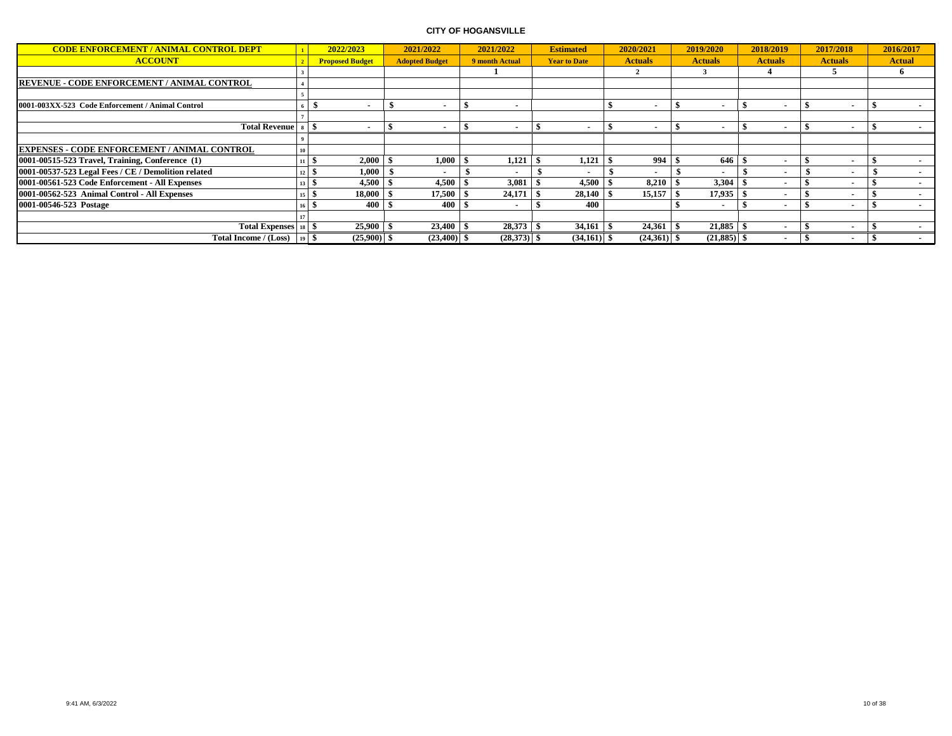| <b>CODE ENFORCEMENT / ANIMAL CONTROL DEPT</b>        | 1               | 2022/2023              | 2021/2022             | 2021/2022                | <b>Estimated</b>    | 2020/2021      | 2019/2020                | 2018/2019                | 2017/2018                | 2016/2017                |
|------------------------------------------------------|-----------------|------------------------|-----------------------|--------------------------|---------------------|----------------|--------------------------|--------------------------|--------------------------|--------------------------|
| <b>ACCOUNT</b>                                       |                 | <b>Proposed Budget</b> | <b>Adopted Budget</b> | 9 month Actual           | <b>Year to Date</b> | <b>Actuals</b> | <b>Actuals</b>           | <b>Actuals</b>           | <b>Actuals</b>           | <b>Actual</b>            |
|                                                      |                 |                        |                       |                          |                     |                |                          |                          |                          | ħ                        |
| <b>REVENUE - CODE ENFORCEMENT / ANIMAL CONTROL</b>   |                 |                        |                       |                          |                     |                |                          |                          |                          |                          |
|                                                      |                 |                        |                       |                          |                     |                |                          |                          |                          |                          |
| 0001-003XX-523 Code Enforcement / Animal Control     |                 |                        |                       | $\overline{\phantom{a}}$ |                     | $\sim$         | $\overline{\phantom{a}}$ |                          | $\overline{\phantom{a}}$ |                          |
|                                                      |                 |                        |                       |                          |                     |                |                          |                          |                          |                          |
| Total Revenue   s   \$                               |                 |                        |                       |                          |                     |                |                          |                          |                          |                          |
|                                                      |                 |                        |                       |                          |                     |                |                          |                          |                          |                          |
| <b>EXPENSES - CODE ENFORCEMENT / ANIMAL CONTROL</b>  |                 |                        |                       |                          |                     |                |                          |                          |                          |                          |
| $ 0001-00515-523$ Travel, Training, Conference $(1)$ |                 | 2,000<br>11   5        | 1,000                 | 1,121                    | 1,121               | 994            | 646                      |                          |                          |                          |
| 0001-00537-523 Legal Fees / CE / Demolition related  |                 | 1,000<br>$12 \mid 5$   |                       |                          |                     |                |                          | ۰                        |                          | $\blacksquare$           |
| 0001-00561-523 Code Enforcement - All Expenses       |                 | 4,500<br>13 5          | 4,500                 | 3,081                    | 4,500               | 8,210          | 3,304                    |                          |                          |                          |
| 0001-00562-523 Animal Control - All Expenses         |                 | 18,000                 | 17,500                | 24,171                   | 28,140              | 15.157         | 17,935                   | $\overline{\phantom{a}}$ | $\overline{\phantom{a}}$ | $\sim$                   |
| 10001-00546-523 Postage                              |                 | 400                    | 400                   |                          | 400                 |                | $\overline{\phantom{a}}$ |                          | $\overline{\phantom{a}}$ | $\sim$                   |
|                                                      |                 |                        |                       |                          |                     |                |                          |                          |                          |                          |
| Total Expenses   18   \$                             |                 | $25,900$ \$            | $23,400$ \$           | $28,373$ \$              | $34,161$ \$         |                |                          |                          |                          | $\overline{\phantom{a}}$ |
| Total Income / (Loss)                                | $19$ $\sqrt{5}$ | $(25,900)$ \$          | $(23,400)$ \$         | $(28,373)$ \$            | $(34,161)$ \$       | $(24,361)$ \$  | $(21,885)$ \$            |                          |                          |                          |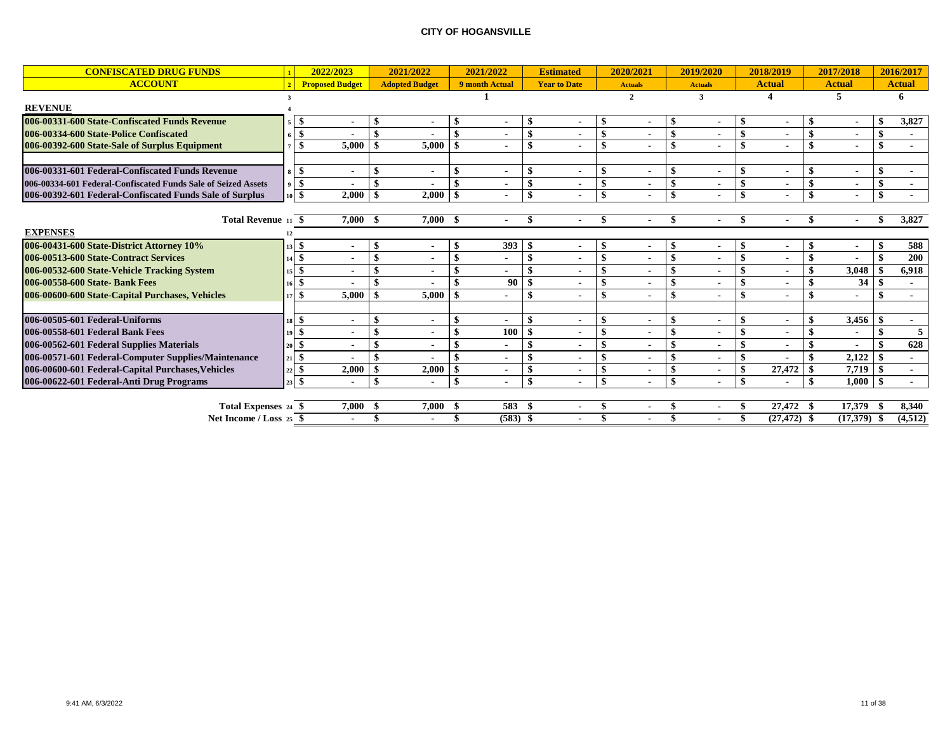| <b>CONFISCATED DRUG FUNDS</b>                                 |     | 2022/2023              |                    | 2021/2022             |     | 2021/2022             |               | <b>Estimated</b>    | 2020/2021      |              | 2019/2020      | 2018/2019                      |               | 2017/2018     |               | 2016/2017     |
|---------------------------------------------------------------|-----|------------------------|--------------------|-----------------------|-----|-----------------------|---------------|---------------------|----------------|--------------|----------------|--------------------------------|---------------|---------------|---------------|---------------|
| <b>ACCOUNT</b>                                                |     | <b>Proposed Budget</b> |                    | <b>Adopted Budget</b> |     | 9 month Actual        |               | <b>Year to Date</b> | <b>Actuals</b> |              | <b>Actuals</b> | <b>Actual</b>                  |               | <b>Actual</b> |               | <b>Actual</b> |
|                                                               |     |                        |                    |                       |     |                       |               |                     | $\mathbf{2}$   |              | 3              |                                |               | 5             |               | 6             |
| <b>REVENUE</b>                                                |     |                        |                    |                       |     |                       |               |                     |                |              |                |                                |               |               |               |               |
| 006-00331-600 State-Confiscated Funds Revenue                 |     | $\blacksquare$         | -S                 |                       |     |                       | - \$          |                     |                |              |                | $\blacksquare$                 |               |               |               | 3,827         |
| 006-00334-600 State-Police Confiscated                        |     |                        | $\mathbf{\hat{S}}$ |                       |     |                       | $\mathbf{\$}$ |                     |                |              |                |                                | \$            |               | \$            |               |
| 006-00392-600 State-Sale of Surplus Equipment                 |     | 5,000                  |                    | 5,000                 |     |                       | \$            |                     |                |              |                | $\blacksquare$                 | \$            |               | \$            |               |
|                                                               |     |                        |                    |                       |     |                       |               |                     |                |              |                |                                |               |               |               |               |
| 006-00331-601 Federal-Confiscated Funds Revenue               |     | \$<br>$\blacksquare$   | -\$                |                       |     |                       | $\mathbf{\$}$ | $\blacksquare$      |                |              |                | \$<br>$\overline{\phantom{a}}$ | -\$           |               |               |               |
| 006-00334-601 Federal-Confiscated Funds Sale of Seized Assets |     | \$                     |                    |                       |     |                       |               | $\blacksquare$      |                |              |                | $\blacksquare$                 |               |               |               |               |
| 006-00392-601 Federal-Confiscated Funds Sale of Surplus       |     | \$<br>2.000            | -\$                | 2,000                 |     |                       | \$            |                     |                |              |                | \$                             | $\mathbf{\$}$ |               | \$            |               |
|                                                               |     |                        |                    |                       |     |                       |               |                     |                |              |                |                                |               |               |               |               |
| Total Revenue 11 \$                                           |     | 7,000                  | -8                 | $7,000$ \$            |     |                       | \$            |                     |                |              |                |                                |               |               |               | 3,827         |
| <b>EXPENSES</b>                                               |     |                        |                    |                       |     |                       |               |                     |                |              |                |                                |               |               |               |               |
| 006-00431-600 State-District Attorney 10%                     |     | \$<br>$\blacksquare$   | -8                 |                       |     | 393                   | -9            | $\blacksquare$      |                |              |                | \$<br>$\overline{\phantom{a}}$ | -S            |               |               | 588           |
| 006-00513-600 State-Contract Services                         | 4   |                        | $\mathbf{\$}$      |                       |     |                       | \$            |                     |                |              |                |                                | \$            |               | \$            | 200           |
| 006-00532-600 State-Vehicle Tracking System                   |     |                        |                    |                       |     |                       | \$            |                     |                |              |                |                                |               | 3,048         |               | 6,918         |
| 006-00558-600 State- Bank Fees                                |     |                        |                    |                       |     | 90                    |               |                     |                |              |                |                                |               | 34            | -\$           |               |
| 006-00600-600 State-Capital Purchases, Vehicles               | 17  | 5,000<br>\$            | -\$                | 5,000                 |     |                       | \$            |                     |                |              |                | $\blacksquare$                 | \$            |               | \$            |               |
|                                                               |     |                        |                    |                       |     |                       |               |                     |                |              |                |                                |               |               |               |               |
| 006-00505-601 Federal-Uniforms                                |     | \$<br>$\blacksquare$   | -\$                |                       |     |                       | -\$           |                     |                |              |                | $\overline{\phantom{a}}$       |               | 3,456         | -\$           |               |
| 006-00558-601 Federal Bank Fees                               |     |                        |                    |                       |     | 100                   |               |                     |                |              |                | $\blacksquare$                 |               |               | $\mathbf{\$}$ | 5             |
| 006-00562-601 Federal Supplies Materials                      |     |                        |                    |                       |     |                       | -\$           |                     |                |              |                |                                |               |               |               | 628           |
| 006-00571-601 Federal-Computer Supplies/Maintenance           | 21. | \$                     |                    |                       |     |                       | \$            |                     |                |              |                |                                |               | 2,122         | $\mathbf{s}$  |               |
| 006-00600-601 Federal-Capital Purchases, Vehicles             |     | 2,000<br>\$            | -\$                | 2,000                 |     | $\blacksquare$        | \$            |                     |                |              |                | 27,472                         | \$            | 7.719         | $\mathbf{s}$  |               |
| 006-00622-601 Federal-Anti Drug Programs                      |     | \$<br>$\blacksquare$   | -\$                |                       |     | $\blacksquare$        | -\$           |                     | \$             | $\mathbf{I}$ |                | \$                             | -\$           | 1.000         | - \$          |               |
|                                                               |     |                        |                    |                       |     |                       |               |                     |                |              |                |                                |               |               |               |               |
| Total Expenses 24 \$                                          |     | 7.000                  |                    | 7,000                 | - 9 | 583                   |               |                     |                |              |                | 27,472                         |               | 17,379        |               | 8,340         |
| Net Income / Loss 25 \$                                       |     |                        |                    |                       |     | $\overline{(583)}$ \$ |               |                     |                |              |                | $(27, 472)$ \$                 |               | $(17,379)$ \$ |               | (4,512)       |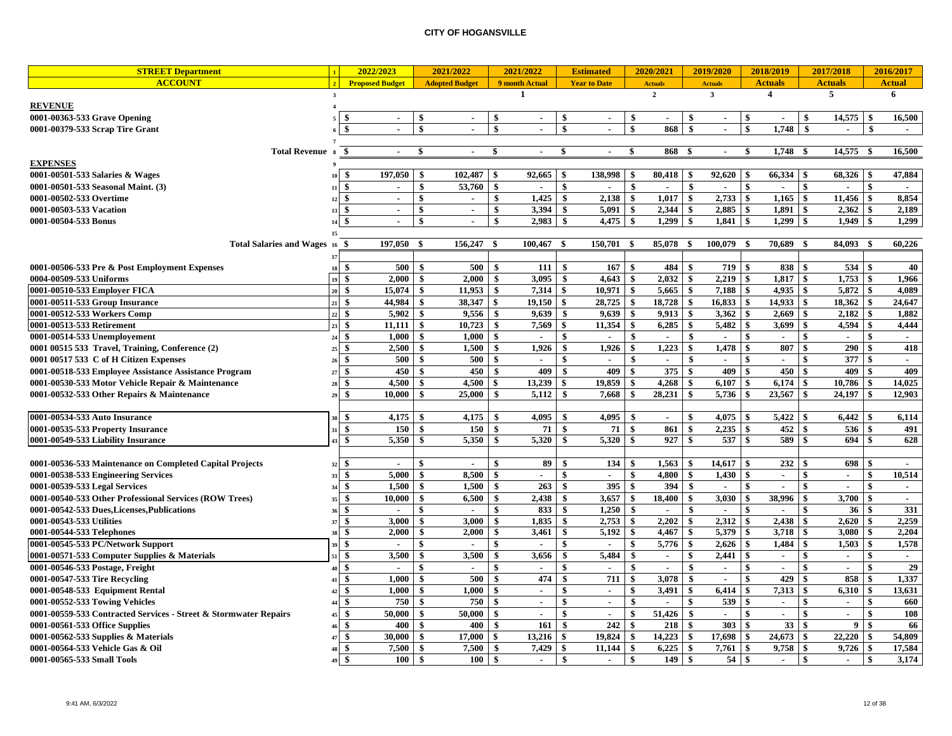| <b>STREET Department</b>                                         | 2022/2023                                          |                 | 2021/2022             | 2021/2022           |                |                                 | <b>Estimated</b>    |                    | 2020/2021      | 2019/2020               |              |                                 | 2018/2019                   |                               | 2017/2018      |                                 | 2016/2017      |
|------------------------------------------------------------------|----------------------------------------------------|-----------------|-----------------------|---------------------|----------------|---------------------------------|---------------------|--------------------|----------------|-------------------------|--------------|---------------------------------|-----------------------------|-------------------------------|----------------|---------------------------------|----------------|
| <b>ACCOUNT</b>                                                   | $\overline{\phantom{a}}$<br><b>Proposed Budget</b> |                 | <b>Adopted Budget</b> | 9 month Actual      |                |                                 | <b>Year to Date</b> |                    | <b>Actuals</b> | <b>Actuals</b>          |              |                                 | <b>Actuals</b>              |                               | <b>Actuals</b> |                                 | <b>Actual</b>  |
|                                                                  | $\overline{\mathbf{3}}$                            |                 |                       | $\mathbf{1}$        |                |                                 |                     |                    | $\overline{2}$ | $\overline{\mathbf{3}}$ |              |                                 | $\overline{\mathbf{4}}$     |                               | 5              |                                 | 6              |
| <b>REVENUE</b>                                                   |                                                    |                 |                       |                     |                |                                 |                     |                    |                |                         |              |                                 |                             |                               |                |                                 |                |
| 0001-00363-533 Grave Opening                                     | \$<br>$\sim$                                       |                 | $\sim$                | \$                  | $\sim$         | \$                              | $\sim$              | -\$                | $\sim$         | -\$                     | $\sim$       | \$                              | $\sim$                      | \$                            | 14,575         | -\$                             | 16,500         |
| 0001-00379-533 Scrap Tire Grant                                  |                                                    |                 | $\ddot{\phantom{1}}$  | $\ddot{\bm{x}}$     |                | $\boldsymbol{\hat{\mathbf{s}}}$ |                     | $\mathbf{s}$       | 868            | \$                      | $\sim$       | $\boldsymbol{\hat{\mathbf{s}}}$ | 1,748                       | \$                            |                | \$                              | $\sim$         |
|                                                                  |                                                    |                 |                       |                     |                |                                 |                     |                    |                |                         |              |                                 |                             |                               |                |                                 |                |
| <b>Total Revenue</b>                                             | -\$<br>$\mathbf{r}$<br>$\mathbf{s}$                | \$              | $\sim$                | \$                  | $\sim$         | \$                              | $\sim$              | -\$                | 868            | -\$                     | $\sim$       | \$                              | 1,748                       | - \$                          | 14,575         | -\$                             | 16,500         |
| <b>EXPENSES</b>                                                  |                                                    |                 |                       |                     |                |                                 |                     |                    |                |                         |              |                                 |                             |                               |                |                                 |                |
| 0001-00501-533 Salaries & Wages                                  | 197,050<br>-\$<br>10                               | -\$             | 102,487               | \$                  | 92,665         | \$                              | 138,998             | -\$                | 80,418         | \$                      | 92,620       | -\$                             | 66,334                      | -\$                           | 68,326         | -\$                             | 47,884         |
| 0001-00501-533 Seasonal Maint. (3)                               | -\$<br>$\blacksquare$<br>11                        |                 | \$<br>53,760          | \$                  | $\sim$         | \$                              | $\sim$              | \$                 | $\blacksquare$ | \$                      | $\sim$       | -\$                             | $\sim$                      | -\$                           | $\sim$         | -\$                             | $\overline{a}$ |
| 0001-00502-533 Overtime                                          | \$<br>12                                           | \$<br>$\sim$    | $\sim$                | \$                  | 1,425          | \$                              | 2,138               | -\$                | 1,017          | \$                      | 2,733        | $\mathbf{\hat{s}}$              | 1,165                       | \$                            | 11,456         | -\$                             | 8,854          |
| 0001-00503-533 Vacation                                          | -\$<br>$\sim$<br>13                                | -\$             | $\sim$                | \$                  | 3,394          | \$                              | 5,091               | -\$                | 2,344          | \$                      | 2,885        | \$                              | 1,891                       | \$                            | 2,362          | -\$                             | 2,189          |
| 0001-00504-533 Bonus                                             | $\ddot{\bm{x}}$<br>$\blacksquare$<br>14            |                 | $\sim$                | $\mathbf{\$}$       | 2,983          | \$                              | 4,475               | -\$                | 1,299          | $\mathbf{\$}$           | 1,841        | $\mathbf{\$}$                   | 1,299                       | -\$                           | 1.949          | \$                              | 1,299          |
|                                                                  | 15                                                 |                 |                       |                     |                |                                 |                     |                    |                |                         |              |                                 |                             |                               |                |                                 |                |
| <b>Total Salaries and Wages 16</b>                               | 197,050<br>- \$                                    | - \$            | 156,247               | - \$                | 100,467        | - \$                            | 150,701             | - \$               | 85,078         | -\$                     | 100,079      | -\$                             | 70,689                      | -\$                           | 84,093         | -\$                             | 60,226         |
|                                                                  |                                                    |                 |                       |                     |                |                                 |                     |                    |                |                         |              |                                 |                             |                               |                |                                 |                |
| 0001-00506-533 Pre & Post Employment Expenses                    | -\$<br>18                                          | 500<br>- \$     | 500                   | \$                  | 111            | \$                              | $167 \t$ \$         |                    | 484            | -\$                     | 719          | $\sim$                          | 838 \$                      |                               | 534            | l \$                            | 40             |
| 0004-00509-533 Uniforms                                          | -\$<br>2.000<br>19                                 | S.              | 2.000                 | \$                  | 3.095          | \$                              | 4.643               | - \$               | 2.032          | \$                      | 2,219        | -\$                             | 1,817                       | \$                            | 1,753          | -\$                             | 1.966          |
| 0001-00510-533 Employer FICA                                     | 20<br>-\$<br>15,074                                | - \$            | 11,953                | -\$                 | 7,314          | \$                              | $10.971$   \$       |                    | 5,665          | -\$                     | 7,188        | $\mathbf{\$}$                   | $4,935$ \$                  |                               | 5,872          | <b>S</b>                        | 4.089          |
| 0001-00511-533 Group Insurance                                   | 44,984<br>21<br>\$                                 |                 | \$<br>38,347          | \$                  | 19,150         | \$                              | 28,725              | -\$                | 18,728         | \$                      | 16,833       | \$                              | 14,933                      | \$                            | 18,362         | -\$                             | 24,647         |
| 0001-00512-533 Workers Comp                                      | -\$<br>5.902<br>22                                 | <sup>\$</sup>   | 9.556                 | \$                  | 9.639          |                                 | 9.639               | -\$                | 9.913          | \$                      | 3,362        | \$                              | 2.669                       | \$                            | 2,182          | -\$                             | 1,882          |
| 0001-00513-533 Retirement                                        | $^{23}$<br>-\$<br>11,111                           | \$              | 10,723                | \$                  | 7,569          |                                 | 11,354              | - \$               | 6,285          | \$                      | 5,482        | -\$                             | 3,699                       | \$                            | 4,594          | -\$                             | 4,444          |
| 0001-00514-533 Unemployement                                     | \$<br>1,000<br>24                                  | \$              | 1,000                 | \$                  | $\sim$         | \$                              | $\sim$              | \$                 | $\sim$         | \$                      | $\sim$       | \$                              | $\blacksquare$              | \$                            | $\sim$         | \$                              | $\sim$         |
| 0001 00515 533 Travel, Training, Conference (2)                  | 2,500<br>-\$<br>25                                 | \$              | 1.500                 | \$                  | 1,926          | \$                              | 1,926               | -\$                | 1,223          | \$                      | 1,478        | \$                              | 807                         | -\$                           | 290            | -\$                             | 418            |
| 0001 00517 533 C of H Citizen Expenses                           | \$<br>26                                           | 500             | \$<br>500             | \$                  | $\sim$         | \$                              | $\sim$              | $\mathbf{s}$       | $\sim$         | \$                      | $\sim$       | \$                              | $\sim$                      | \$                            | 377            | -\$                             | $\sim$         |
|                                                                  | \$                                                 | 450<br>\$       | 450                   | \$                  | 409            | \$                              | 409                 | -\$                | 375            | \$                      | 409          | \$                              | $450 - $$                   |                               | 409            | -\$                             | 409            |
| 0001-00518-533 Employee Assistance Assistance Program            | 27<br>4.500<br>-\$                                 | -\$             | 4.500                 | \$                  | 13.239         | \$                              | 19,859              | - \$               | 4,268          | \$                      | 6.107        | \$                              | 6.174                       | \$                            | 10,786         | -\$                             | 14.025         |
| 0001-00530-533 Motor Vehicle Repair & Maintenance                | 28<br>-\$<br>10,000                                | \$              | 25,000                | \$                  | 5,112          | \$                              | 7,668               | -\$                | 28,231         | \$                      | 5,736        | \$                              | 23,567                      | \$                            | 24,197         | \$                              | 12,903         |
| 0001-00532-533 Other Repairs & Maintenance                       | 29                                                 |                 |                       |                     |                |                                 |                     |                    |                |                         |              |                                 |                             |                               |                |                                 |                |
| 0001-00534-533 Auto Insurance                                    | \$<br>4,175                                        | -S              | 4,175                 | \$                  | 4,095          | \$                              | 4,095               | \$                 | $\sim$         | \$                      | 4,075        | S.                              | 5,422                       | -\$                           | 6,442          | -\$                             | 6,114          |
|                                                                  |                                                    |                 |                       |                     |                |                                 |                     |                    |                |                         |              |                                 |                             |                               |                |                                 |                |
| 0001-00535-533 Property Insurance                                | \$<br>$\overline{\mathbf{s}}$<br>5,350             | 150<br>\$<br>\$ | 150<br>5.350          | \$<br>\$            | 71<br>5,320    | \$<br>\$                        | 71<br>5,320         | -\$<br>- \$        | 861<br>927     | \$<br>\$                | 2,235<br>537 | \$<br>-\$                       | 452<br>589                  | \$<br>$\overline{\mathbf{s}}$ | 536<br>694     | \$<br>- \$                      | 491<br>628     |
| 0001-00549-533 Liability Insurance                               |                                                    |                 |                       |                     |                |                                 |                     |                    |                |                         |              |                                 |                             |                               |                |                                 |                |
|                                                                  |                                                    |                 |                       |                     |                |                                 |                     |                    |                |                         |              |                                 |                             |                               |                |                                 |                |
| 0001-00536-533 Maintenance on Completed Capital Projects         | -\$<br>$\sim$<br>32                                | -\$             | $\sim$                | \$                  | 89             |                                 | 134                 | -\$                | 1,563          | \$                      | 14,617       | -\$                             | 232                         | \$                            | 698            | -\$                             |                |
| 0001-00538-533 Engineering Services                              | 5,000<br>\$<br>33                                  | \$              | 8,500                 | \$                  | $\blacksquare$ |                                 | $\sim$              | -\$                | 4,800          | \$                      | 1,430        | \$                              | $\sim$                      | \$                            | $\sim$         | \$                              | 10,514         |
| 0001-00539-533 Legal Services                                    | $\mathbf{\$}$<br>1,500<br>34                       | \$              | 1,500                 | \$                  | 263            |                                 | 395                 | $\mathbf{s}$       | 394            | $\mathbf{\$}$           | $\mathbf{r}$ | \$                              | $\sim$                      | \$                            | $\omega$       | $\boldsymbol{\hat{\mathbf{s}}}$ | $\sim$         |
| 0001-00540-533 Other Professional Services (ROW Trees)           | \$<br>10,000<br>35                                 | \$              | 6,500                 | \$                  | 2,438          |                                 | 3,657               | \$                 | 18,400         | \$                      | 3,030        | \$                              | 38,996                      | \$                            | 3,700          | \$                              | $\sim$         |
| 0001-00542-533 Dues, Licenses, Publications                      | -\$<br>36<br>$\blacksquare$                        | -\$             | $\sim$                | \$                  | 833            | \$                              | 1,250               | -\$                | $\sim$         | \$                      | $\mathbf{r}$ | \$                              | $\sim$                      | \$                            | 36             | -\$                             | 331            |
| 0001-00543-533 Utilities                                         | \$<br>3,000<br>37                                  | \$              | 3,000                 | \$                  | 1,835          | \$                              | 2,753               | -\$                | 2,202          | \$                      | 2,312        | \$                              | 2,438                       | \$                            | 2,620          | \$                              | 2,259          |
| 0001-00544-533 Telephones                                        | \$<br>2.000<br>38                                  | -\$             | 2.000                 | \$                  | 3.461          | \$                              | 5,192               | - \$               | 4,467          | \$                      | 5,379        | \$                              | 3,718                       | - \$                          | 3.080          | -\$                             | 2,204          |
| 0001-00545-533 PC/Network Support                                | $\ddot{\bm{x}}$<br>$\ddot{\phantom{1}}$            | -\$             | $\sim$                | \$                  | $\sim$         |                                 | $\sim$              | $\mathbf{s}$       | 5,776          | \$                      | 2.626        | \$                              | 1.484                       | \$                            | 1.503          | -\$                             | 1,578          |
| 0001-00571-533 Computer Supplies & Materials                     | 3,500<br>-\$<br>51                                 | - \$            | 3,500                 | \$                  | 3,656          | \$                              | 5,484               | - \$               | $\sim$         | \$                      | 2,441        | \$                              | $\sim$                      | -\$                           | $\sim$         | -\$                             | $\sim$         |
| 0001-00546-533 Postage, Freight                                  | $\mathbf{s}$<br>$\sim$                             |                 | $\sim$                | \$                  | $\sim$         |                                 | $\blacksquare$      | $\mathbf{\hat{s}}$ | $\sim$         | $\mathbf{\$}$           | $\sim$       | \$                              | $\sim$                      | \$                            | $\sim$         | $\mathbf{S}$                    | 29             |
| 0001-00547-533 Tire Recycling                                    | $\mathbf{\$}$<br>1.000<br>41                       | \$              | 500                   | $\ddot{\mathbf{s}}$ | 474            |                                 | 711                 | \$                 | 3.078          | $\mathbf{\$}$           | $\sim$       | $\boldsymbol{\hat{\mathbf{s}}}$ | 429                         | \$                            | 858            |                                 | 1,337          |
| 0001-00548-533 Equipment Rental                                  | \$<br>1,000<br>42                                  | \$              | 1.000                 | \$                  | $\sim$         |                                 | $\sim$              | \$                 | 3,491          | \$                      | 6,414        | \$                              | 7,313                       | \$                            | 6,310          | -\$                             | 13,631         |
| 0001-00552-533 Towing Vehicles                                   | -\$<br>44                                          | 750<br>-\$      | 750                   | \$                  | $\sim$         | \$                              | $\sim$              | \$                 | $\sim$         | \$                      | 539          | \$                              | $\mathcal{L}_{\mathcal{A}}$ | \$                            | $\mathbf{r}$   | \$                              | 660            |
| 0001-00559-533 Contracted Services - Street & Stormwater Repairs | 50,000<br>\$<br>45                                 | -\$             | 50,000                | \$                  | $\sim$         | \$                              | $\sim$              | $\mathbf{\$}$      | 51,426         | \$                      | $\sim$       | \$                              | $\sim$                      | \$                            | $\mathbf{r}$   | \$                              | 108            |
| 0001-00561-533 Office Supplies                                   | \$<br>$\mathbf{16}$                                | \$<br>400       | 400                   | \$                  | 161            | \$                              | 242                 | \$                 | 218            | \$                      | 303          | -\$                             | 33                          | -\$                           | 9              | - \$                            | 66             |
| 0001-00562-533 Supplies & Materials                              | -\$<br>30.000<br>47                                | -\$             | 17.000                | \$                  | 13,216         | \$                              | 19,824              | - \$               | 14,223         | \$                      | 17,698       | -\$                             | 24,673                      | \$                            | 22,220         | - \$                            | 54,809         |
| 0001-00564-533 Vehicle Gas & Oil                                 | \$<br>7,500<br>48                                  | \$              | 7,500                 | \$                  | 7,429          | \$                              | 11,144              | -\$                | 6,225          | \$                      | 7,761        | \$                              | 9,758                       | -\$                           | 9,726          | -\$                             | 17,584         |
| 0001-00565-533 Small Tools                                       | \$<br>49                                           | 100<br>\$       | 100                   | \$                  | $\sim$         | \$                              | $\sim$              | \$                 | 149            | \$                      | 54           | \$                              | $\sim$                      | \$                            | $\sim$         | \$                              | 3,174          |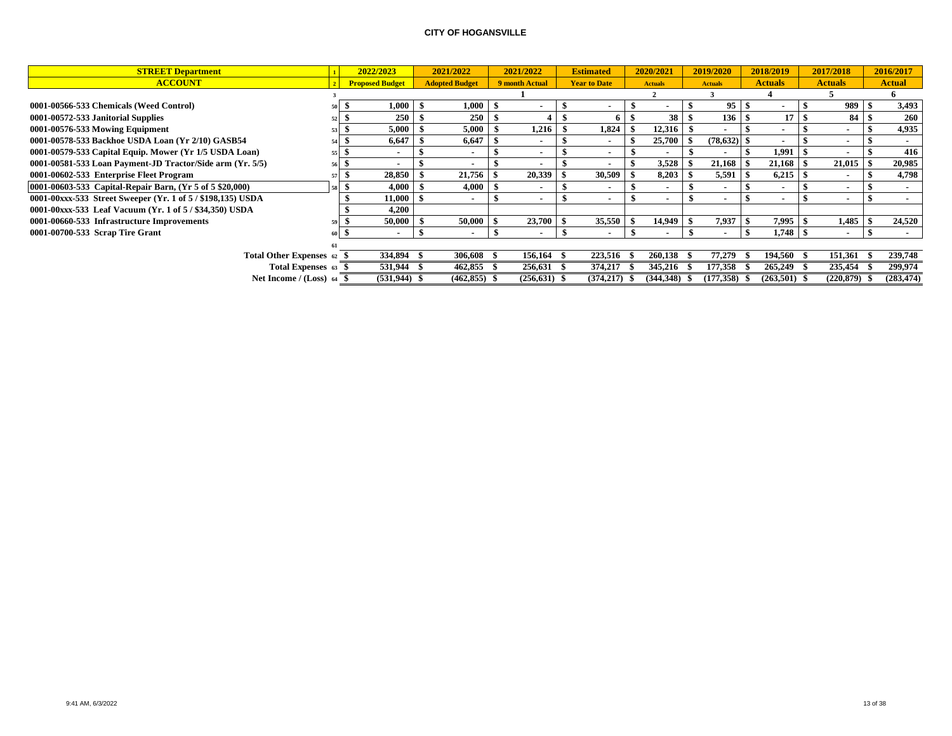| <b>STREET Department</b>                                    |    | 2022/2023              | 2021/2022             | 2021/2022      | <b>Estimated</b>         | 2020/2021       |      | 2019/2020      | 2018/2019      | 2017/2018                | 2016/2017     |
|-------------------------------------------------------------|----|------------------------|-----------------------|----------------|--------------------------|-----------------|------|----------------|----------------|--------------------------|---------------|
| <b>ACCOUNT</b>                                              |    | <b>Proposed Budget</b> | <b>Adopted Budget</b> | 9 month Actual | <b>Year to Date</b>      | <b>Actuals</b>  |      | <b>Actuals</b> | <b>Actuals</b> | <b>Actuals</b>           | <b>Actual</b> |
|                                                             |    |                        |                       |                |                          |                 |      |                |                |                          |               |
| 0001-00566-533 Chemicals (Weed Control)                     |    | $1,\!000$              | 1,000                 |                |                          |                 |      | 95             |                | 989                      | 3,493         |
| 0001-00572-533 Janitorial Supplies                          |    | 250                    | 250                   |                |                          | 38 <sup>1</sup> |      | 136            | 17             | 84S                      | 260           |
| 0001-00576-533 Mowing Equipment                             |    | 5,000                  | 5,000                 | 1,216          | 1,824                    | 12,316          |      |                |                | $\overline{\phantom{a}}$ | 4,935         |
| 0001-00578-533 Backhoe USDA Loan (Yr 2/10) GASB54           |    | 6,647                  | 6,647                 |                |                          | 25,700          |      | (78, 632)      |                | $\overline{\phantom{a}}$ |               |
| 0001-00579-533 Capital Equip. Mower (Yr 1/5 USDA Loan)      | 55 |                        |                       |                | $\overline{\phantom{a}}$ |                 |      |                | 1,991          |                          | 416           |
| 0001-00581-533 Loan Payment-JD Tractor/Side arm (Yr. 5/5)   | 56 |                        |                       |                | $\blacksquare$           | 3,528           |      | 21,168         | 21,168         | 21,015                   | 20,985        |
| 0001-00602-533 Enterprise Fleet Program                     |    | 28,850                 | 21,756                | 20,339         | 30,509                   | 8,203           | - 55 | 5,591          | 6,215          |                          | 4,798         |
| 0001-00603-533 Capital-Repair Barn, (Yr 5 of 5 \$20,000)    |    | 4,000                  | 4,000                 |                | $\overline{\phantom{a}}$ |                 |      |                |                | $\overline{\phantom{a}}$ |               |
| 0001-00xxx-533 Street Sweeper (Yr. 1 of 5 / \$198,135) USDA |    | 11,000                 |                       |                | $\overline{\phantom{a}}$ |                 |      |                |                | $\sim$                   |               |
| 0001-00xxx-533 Leaf Vacuum (Yr. 1 of 5 / \$34,350) USDA     |    | 4,200                  |                       |                |                          |                 |      |                |                |                          |               |
| 0001-00660-533 Infrastructure Improvements                  |    | 50,000                 | 50,000                | 23,700         | 35,550                   | 14,949          |      | 7,937          | 7,995          | 1,485                    | 24,520        |
| 0001-00700-533 Scrap Tire Grant                             |    |                        |                       |                | $\overline{\phantom{a}}$ |                 |      |                |                | $\sim$                   | . .           |
|                                                             |    |                        |                       |                |                          |                 |      |                |                |                          |               |
| Total Other Expenses 62                                     |    | 334,894                | 306,608               | 156,164        | 223,516                  | 260.138         |      | 77,279         | 194.560        | 151,361                  | 239,748       |
| Total Expenses 63                                           |    | 531,944                | 462,855               | 256,631        | 374,217                  | 345,216         |      | 177,358        | 265,249        | 235,454                  | 299,974       |
| Net Income / (Loss) 64                                      |    | $(531, 944)$ \$        | $(462, 855)$ \$       | (256, 631)     | (374.217)                | (344.348)       |      | (177, 358)     | (263.501)      | (220, 879)               | (283, 474)    |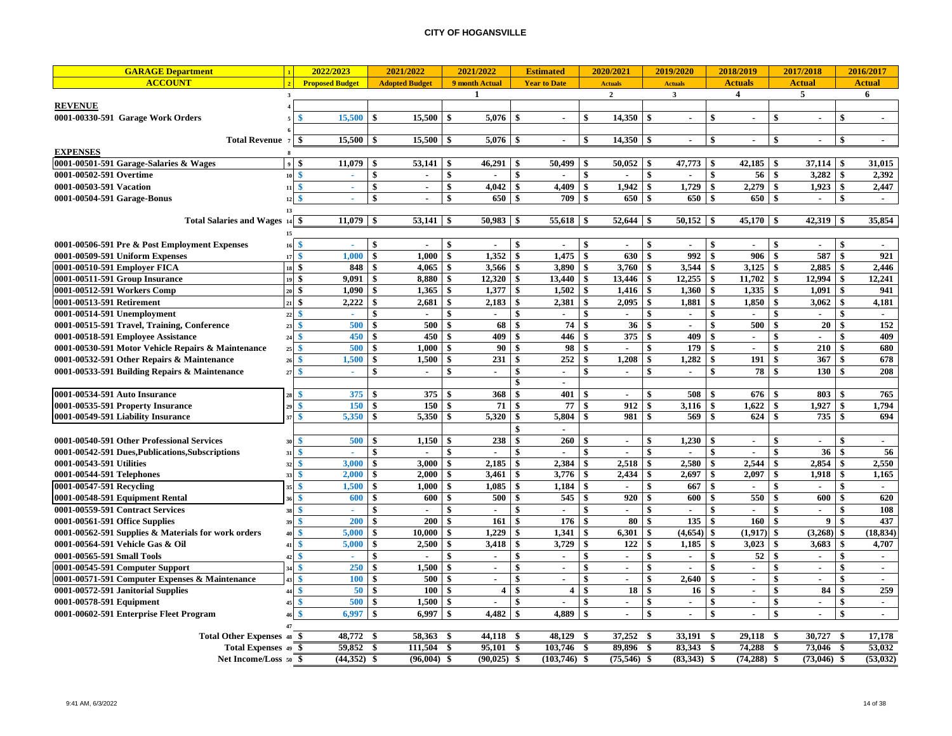| <b>GARAGE Department</b>                            |                                | 2022/2023              |                    | 2021/2022             |               | 2021/2022             |              | <b>Estimated</b>    |              | 2020/2021      | 2019/2020                                 |                    | 2018/2019      | 2017/2018                    |     | 2016/2017      |
|-----------------------------------------------------|--------------------------------|------------------------|--------------------|-----------------------|---------------|-----------------------|--------------|---------------------|--------------|----------------|-------------------------------------------|--------------------|----------------|------------------------------|-----|----------------|
| <b>ACCOUNT</b>                                      |                                | <b>Proposed Budget</b> |                    | <b>Adopted Budget</b> |               | 9 month Actual        |              | <b>Year to Date</b> |              | <b>Actuals</b> | <b>Actuals</b>                            |                    | <b>Actuals</b> | <b>Actual</b>                |     | <b>Actual</b>  |
|                                                     | $\mathbf{3}$                   |                        |                    |                       |               | 1                     |              |                     |              | $\overline{2}$ | $\mathbf{3}$                              |                    | $\overline{4}$ | 5                            |     | 6              |
| <b>REVENUE</b>                                      |                                |                        |                    |                       |               |                       |              |                     |              |                |                                           |                    |                |                              |     |                |
| 0001-00330-591 Garage Work Orders                   | \$                             | 15,500                 | \$                 | 15,500                | \$            | 5,076                 | -\$          | $\blacksquare$      | \$           | 14,350         | \$<br>$\blacksquare$                      | \$                 | ٠              | \$                           | \$  | $\blacksquare$ |
|                                                     |                                |                        |                    |                       |               |                       |              |                     |              |                |                                           |                    |                |                              |     |                |
| <b>Total Revenue</b> 7                              |                                | 15.500                 |                    | 15.500                | -\$           | $\overline{5,076}$ \$ |              | $\sim$              | \$           |                | $\sim$                                    | -\$                | $\sim$         | -8<br>$\overline{a}$         |     | $\sim$         |
| <b>EXPENSES</b>                                     |                                |                        |                    |                       |               |                       |              |                     |              |                |                                           |                    |                |                              |     |                |
| 0001-00501-591 Garage-Salaries & Wages              | -\$                            | 11.079                 | l \$               | 53,141                | -\$           | $46.291$   \$         |              | 50.499              | -\$          | 50.052         | 47,773<br><b>S</b>                        | -\$                | 42,185         | $37,114$ \\$<br>-\$          |     | 31,015         |
| 0001-00502-591 Overtime                             | $\ddot{\bm{x}}$<br>10          | $\mathbf{r}$           | \$                 | $\sim$                | $\mathbf{s}$  |                       | $\mathbf{s}$ |                     | \$           |                | \$                                        | $\mathbf{\$}$      | 56             | $\mathbf{s}$<br>3,282        | \$  | 2,392          |
| 0001-00503-591 Vacation                             | \$<br>11                       | a.                     | \$                 | $\sim$                | \$            | $4,042$ \$            |              | $4,409$ \$          |              | $1,942$ \$     | 1,729                                     | \$                 | 2,279          | \$<br>$1,923$ \$             |     | 2,447          |
| 0001-00504-591 Garage-Bonus                         | 12                             | a.                     | $\mathbf{\hat{S}}$ | $\sim$                | \$            | 650 \$                |              | 709                 | \$           | 650 \$         | 650                                       | \$                 | 650            | \$<br>$\sim$                 | \$  | $\sim$         |
|                                                     | 13                             |                        |                    |                       |               |                       |              |                     |              |                |                                           |                    |                |                              |     |                |
| Total Salaries and Wages 14 \$                      |                                | 11,079                 | l \$               |                       |               |                       |              | $55,618$ \$         |              |                | $50,152$   \$                             |                    | 45,170         | $42,319$ \$<br>-\$           |     | 35,854         |
|                                                     | 15                             |                        |                    |                       |               |                       |              |                     |              |                |                                           |                    |                |                              |     |                |
| 0001-00506-591 Pre & Post Employment Expenses       | \$<br>16                       | $\sim$                 | \$                 | $\overline{a}$        | S.            | $\sim$                | -\$          | $\sim$              | \$           | $\sim$         | \$<br>$\sim$                              | \$                 | $\sim$         | -\$<br>$\sim$                | \$  |                |
| 0001-00509-591 Uniform Expenses                     | -\$<br>17                      | 1,000                  | \$                 | 1,000                 | \$            | 1,352                 | $\mathbf{s}$ | 1,475               | \$           | 630            | \$<br>992                                 | \$                 | 906            | -\$<br>587                   | \$  | 921            |
| 0001-00510-591 Employer FICA                        | $18$ \$                        | 848                    | -\$                | 4,065                 | \$            | 3,566                 | \$           | 3,890               | \$           | 3,760          | 3,544<br>-\$                              | \$                 | 3,125          | -\$<br>2,885                 | -\$ | 2,446          |
| 0001-00511-591 Group Insurance                      | $19$ \$                        | 9,091                  | \$                 | 8,880                 | \$            | 12,320                | \$           | 13,440              | \$           | 13,446         | \$<br>12,255                              | \$                 | 11,702         | \$<br>12,994                 | \$  | 12,241         |
| 0001-00512-591 Workers Comp                         | l \$<br>20                     | 1,090                  | \$                 | 1,365                 | <sup>\$</sup> | 1,377                 | \$           | 1,502               | \$           | 1,416          | \$<br>1,360                               | \$                 | 1,335          | \$<br>1,091                  | \$  | 941            |
| 0001-00513-591 Retirement                           | \$<br>21                       | 2,222                  |                    | 2,681                 | \$            | 2,183                 | \$           | 2,381               | \$           | 2,095          | \$<br>1,881                               | \$                 | 1,850          | \$<br>3,062                  | \$  | 4,181          |
| 0001-00514-591 Unemployment                         | 22<br>s                        |                        | \$                 | ÷                     | \$            |                       | \$           | $\blacksquare$      | \$           |                | \$<br>$\sim$                              | $\mathbf{\$}$      |                | \$                           | \$  | $\sim$         |
| 0001-00515-591 Travel, Training, Conference         | $\overline{2}$                 | 500                    | \$                 | 500                   | -\$           | 68                    | \$           | 74                  | \$           | 36             | $\boldsymbol{\hat{\mathbf{x}}}$<br>$\sim$ | \$                 | 500            | \$<br>20                     |     | 152            |
| 0001-00518-591 Employee Assistance                  | \$                             | 450                    | \$                 | 450                   | \$            | 409                   | \$           | 446                 | \$           | 375            | 409<br>\$                                 | $\mathbf{\hat{S}}$ | $\blacksquare$ | $\mathbf{\hat{S}}$           | \$  | 409            |
| 0001-00530-591 Motor Vehicle Repairs & Maintenance  | \$<br>$\overline{2}$           | 500                    | \$                 | 1,000                 | \$            | 90                    | \$           | 98                  | \$           | $\overline{a}$ | 179<br>\$                                 | \$                 | $\blacksquare$ | $\mathbf{\hat{S}}$<br>210    | \$  | 680            |
| 0001-00532-591 Other Repairs & Maintenance          | $\mathbf{s}$<br>$\overline{2}$ | 1.500                  | -\$                | 1,500                 | \$            | 231                   | $\mathbf{s}$ | 252                 | \$           | 1,208          | \$<br>1,282                               | \$                 | 191            | 367<br>-\$                   | \$  | 678            |
| 0001-00533-591 Building Repairs & Maintenance       | S<br>$\overline{z}$            | A.                     | \$                 | $\sim$                | \$            | $\sim$                | \$           | $\sim$              | \$           | $\sim$         | \$<br>$\sim$                              | \$                 | 78             | $\mathbf{\hat{S}}$<br>130    | \$  | 208            |
|                                                     |                                |                        |                    |                       |               |                       | \$           | $\blacksquare$      |              |                |                                           |                    |                |                              |     |                |
| 0001-00534-591 Auto Insurance                       | s                              | 375                    | <b>S</b>           | 375                   | \$            | 368                   | \$           | 401                 | \$           | $\sim$         | \$<br>508                                 | \$                 | 676            | 803<br>-\$                   | -\$ | 765            |
| 0001-00535-591 Property Insurance                   | 2 <sup>i</sup>                 | 150                    | \$                 | 150                   | -\$           | 71                    | \$           | 77                  | \$           | 912            | \$<br>3,116                               | \$                 | 1,622          | 1,927<br>-\$                 |     | 1.794          |
| 0001-00549-591 Liability Insurance                  |                                | 5,350                  |                    | 5.350                 | \$            | 5,320                 | \$           | 5,804               | \$           | 981            | 569<br>\$                                 | \$                 | 624            | \$<br>735                    | \$  | 694            |
|                                                     |                                |                        |                    |                       |               |                       |              |                     |              |                |                                           |                    |                |                              |     |                |
| 0001-00540-591 Other Professional Services          | \$<br>3 <sup>0</sup>           | 500                    | -\$                | 1,150                 | \$            | 238                   | \$           | 260                 | \$           |                | \$<br>1,230                               | \$                 |                | \$                           | \$  | $\sim$         |
| 0001-00542-591 Dues, Publications, Subscriptions    | \$                             | $\sim$                 | \$                 |                       | \$            | $\blacksquare$        | \$           | $\mathbf{r}$        | \$           | $\sim$         | \$<br>$\sim$                              | \$                 | $\sim$         | 36<br>\$                     | \$  | 56             |
| 0001-00543-591 Utilities                            | S<br>$\mathbf{R}$              | 3,000                  | \$                 | 3.000                 | \$            | 2,185                 | $\mathbf{s}$ | 2,384               | \$           | 2,518          | \$<br>2,580                               | \$                 | 2,544          | 2,854<br>\$                  | \$  | 2,550          |
| 0001-00544-591 Telephones                           | \$                             | 2,000                  | -\$                | 2,000                 | \$            | 3,461                 | \$           | 3,776               | \$           | 2,434          | \$<br>2,697                               | \$                 | 2,097          | \$<br>1,918                  | \$  | 1,165          |
| 0001-00547-591 Recycling                            |                                | 1,500                  | \$                 | 1,000                 | \$            | 1,085                 | \$           | 1,184               | \$           | $\blacksquare$ | \$<br>667                                 | \$                 | $\sim$         | \$<br>$\sim$                 | \$  | $\sim$         |
| 0001-00548-591 Equipment Rental                     |                                | 600                    | \$                 | 600                   | \$            | 500                   | \$           | 545                 | -\$          | 920            | \$<br>600                                 | \$                 | 550            | 600<br>\$                    | \$  | 620            |
| 0001-00559-591 Contract Services                    | -\$<br>35                      | a.                     | \$                 | $\blacksquare$        | \$            | ×.                    | \$           | ÷.                  | \$           | $\sim$         | \$<br>$\sim$                              | \$                 | $\mathbf{r}$   | $\mathbf{\hat{S}}$<br>$\sim$ | \$  | 108            |
| 0001-00561-591 Office Supplies                      | S<br>39                        | 200                    | \$                 | 200                   | \$            | 161                   | \$           | 176                 | \$           | 80             | \$<br>135                                 | \$                 | 160            | $\mathbf{9}$<br>\$           |     | 437            |
| 0001-00562-591 Supplies & Materials for work orders |                                | 5,000                  | \$                 | 10,000                |               | 1,229                 | \$           | 1,341               | \$           | 6,301          | (4, 654)                                  |                    | (1,917)        | -\$<br>(3,268)               |     | (18, 834)      |
| 0001-00564-591 Vehicle Gas & Oil                    | \$<br>$\overline{4}$           | 5,000                  | \$                 | 2,500                 | \$            | 3,418                 | \$           | 3,729               | $\mathbf{s}$ | 122            | \$<br>1,185                               | \$                 | 3,023          | -\$<br>3,683                 | \$  | 4,707          |
| 0001-00565-591 Small Tools                          | \$                             | $\omega$               | \$                 |                       | \$            | $\blacksquare$        | \$           | $\blacksquare$      | \$           | $\blacksquare$ | \$<br>$\mathcal{L}_{\mathcal{A}}$         | \$                 | 52             | \$<br>$\blacksquare$         | \$  | $\sim$         |
| 0001-00545-591 Computer Support                     | \$                             | 250                    | \$                 | 1,500                 | S.            | $\sim$                | $\mathbf{s}$ | $\sim$              | \$           | $\blacksquare$ | \$<br>$\sim$                              | \$                 | $\sim$         | -\$<br>$\sim$                | \$  | $\sim$         |
| 0001-00571-591 Computer Expenses & Maintenance      | S                              | <b>100</b>             | $\sim$             | 500                   | \$            | $\mathbf{r}$          | $\mathbf{s}$ | $\sim$              | \$           | $\sim$         | \$<br>2,640                               | \$                 | $\sim$         | \$<br>$\overline{a}$         | \$  | $\sim$         |
| 0001-00572-591 Janitorial Supplies                  | \$                             | 50                     | \$                 | 100                   | \$            | 4 <sup>1</sup>        | \$           | 4                   | \$           | 18             | \$<br>16                                  | \$                 | $\sim$         | \$<br>84                     | \$  | 259            |
| 0001-00578-591 Equipment                            | S                              | 500                    | $\sim$             | 1,500                 | \$            | $\sim$                | \$           | $\sim$              | \$           | $\sim$         | \$<br>$\sim$                              | \$                 | $\sim$         | \$<br>$\sim$                 | \$  | $\sim$         |
| 0001-00602-591 Enterprise Fleet Program             |                                | 6,997                  | \$                 | 6.997                 | \$            | 4,482                 | \$           | 4,889               | -\$          | $\mathbf{r}$   | \$<br>$\sim$                              | $\mathbf{\$}$      | $\blacksquare$ | $\mathbf{\hat{S}}$<br>$\sim$ | \$  | $\sim$         |
|                                                     |                                |                        |                    |                       |               |                       |              |                     |              |                |                                           |                    |                |                              |     |                |
| Total Other Expenses 48 \$                          |                                | 48,772 \$              |                    | 58,363                | - \$          | 44,118 \$             |              | 48,129 \$           |              | 37,252         | - \$<br>33,191                            | - \$               | 29,118 \$      | 30,727 \$                    |     | 17,178         |
| Total Expenses 49 \$                                |                                | 59,852 \$              |                    | 111,504               | - \$          | 95,101 \$             |              | 103,746 \$          |              | 89,896         | - \$<br>83,343                            | -\$                | 74,288 \$      | 73,046 \$                    |     | 53,032         |
| Net Income/Loss 50 \$                               |                                | $(44,352)$ \$          |                    | $(96,004)$ \$         |               | $(90, 025)$ \$        |              | $(103,746)$ \$      |              | $(75,546)$ \$  | (83,343)                                  | \$                 | $(74, 288)$ \$ | $(73,046)$ \$                |     | (53, 032)      |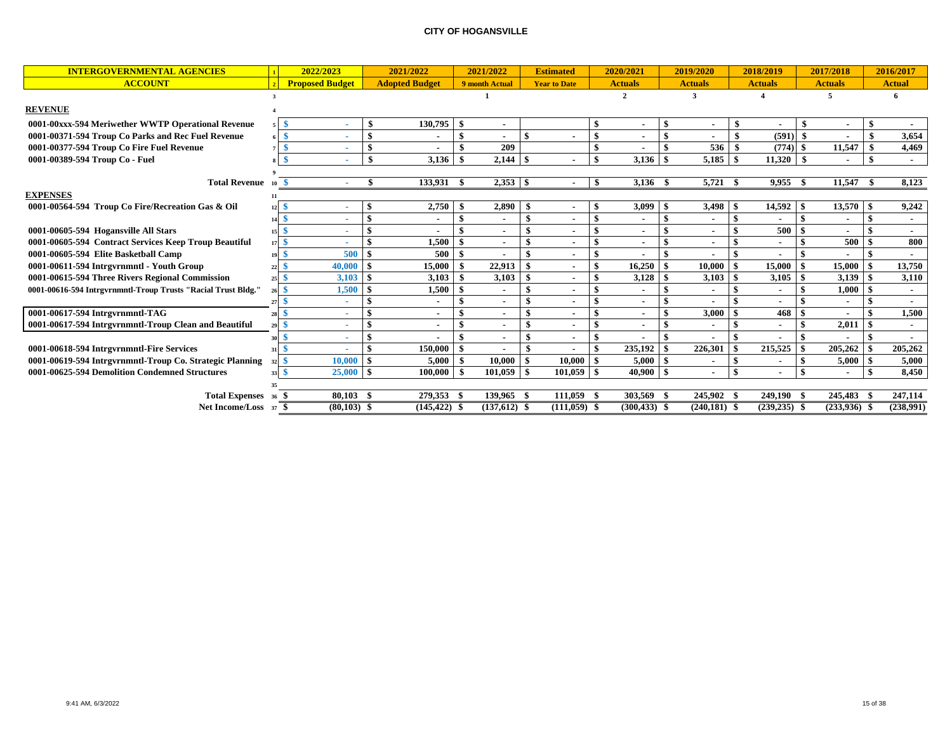| <b>INTERGOVERNMENTAL AGENCIES</b>                             |          | 2022/2023              |                  | 2021/2022             |      | 2021/2022      |                    | <b>Estimated</b>         |     | 2020/2021       |                    | 2019/2020       |      | 2018/2019       |           | 2017/2018      | 2016/2017      |
|---------------------------------------------------------------|----------|------------------------|------------------|-----------------------|------|----------------|--------------------|--------------------------|-----|-----------------|--------------------|-----------------|------|-----------------|-----------|----------------|----------------|
| <b>ACCOUNT</b>                                                |          | <b>Proposed Budget</b> |                  | <b>Adopted Budget</b> |      | 9 month Actual |                    | <b>Year to Date</b>      |     | <b>Actuals</b>  |                    | <b>Actuals</b>  |      | <b>Actuals</b>  |           | <b>Actuals</b> | <b>Actual</b>  |
|                                                               |          |                        |                  |                       |      |                |                    |                          |     | $\overline{2}$  |                    | 3               |      |                 |           | 5              |                |
| <b>REVENUE</b>                                                |          |                        |                  |                       |      |                |                    |                          |     |                 |                    |                 |      |                 |           |                |                |
| 0001-00xxx-594 Meriwether WWTP Operational Revenue            | \$       |                        | \$               | 130,795               | -S   |                |                    |                          |     |                 | -9                 |                 |      |                 | - \$      | ٠              |                |
| 0001-00371-594 Troup Co Parks and Rec Fuel Revenue            | ¢        |                        | $\mathbf{s}$     |                       | \$   |                | $\hat{\mathbf{x}}$ |                          | \$  |                 | \$                 |                 |      | (591)           |           |                | 3,654          |
| 0001-00377-594 Troup Co Fire Fuel Revenue                     |          |                        | \$               |                       | \$   | 209            |                    |                          |     |                 | $\mathbf{s}$       | 536             |      | (774)           | -\$       | 11,547         | 4,469          |
| 0001-00389-594 Troup Co - Fuel                                |          |                        | \$               | 3,136                 |      |                |                    | $\overline{\phantom{a}}$ | \$  | 3,136           |                    | 5,185           | - \$ | 11,320          |           |                | $\sim$         |
|                                                               |          |                        |                  |                       |      |                |                    |                          |     |                 |                    |                 |      |                 |           |                |                |
| Total Revenue 10 \$                                           |          |                        |                  | 133,931               | - \$ | $2,353$ \$     |                    |                          | -\$ | $3,136$ \$      |                    | $5,721$ \$      |      | 9,955           | - \$      | 11,547 \$      | 8,123          |
| <b>EXPENSES</b>                                               | 11       |                        |                  |                       |      |                |                    |                          |     |                 |                    |                 |      |                 |           |                |                |
| 0001-00564-594 Troup Co Fire/Recreation Gas & Oil             | 12       |                        | $\boldsymbol{s}$ | 2,750                 |      | 2,890          | -\$                | $\sim$                   |     | 3,099           |                    | 3,498           | -9   | 14,592          | -\$       | 13,570         | 9,242          |
|                                                               | 14       |                        | $\mathbf{s}$     |                       |      |                |                    | $\sim$                   | \$  |                 | $\mathbf{\hat{S}}$ |                 |      |                 | -9        |                |                |
| 0001-00605-594 Hogansville All Stars                          |          |                        | -\$              |                       |      |                |                    | $\sim$                   |     |                 |                    |                 |      | 500             |           |                | $\blacksquare$ |
| 0001-00605-594 Contract Services Keep Troup Beautiful         | \$<br>17 |                        | $\mathbf{s}$     | 1,500                 | \$   |                | \$                 | $\overline{\phantom{a}}$ |     |                 |                    |                 |      |                 |           | 500            | 800            |
| 0001-00605-594 Elite Basketball Camp                          | 19       | 500                    | -\$              | 500                   | \$   |                |                    | $\blacksquare$           |     |                 |                    |                 |      |                 |           |                |                |
| 0001-00611-594 Intrgyrnmntl - Youth Group                     |          | 40,000                 | -\$              | 15,000                |      | 22,913         | \$                 | $\blacksquare$           | \$  | 16,250          |                    | 10,000          |      | 15,000          |           | 15,000         | 13,750         |
| 0001-00615-594 Three Rivers Regional Commission               | 25       | 3,103                  | - \$             | 3,103                 | \$   | 3,103          |                    | $\sim$                   |     | 3,128           |                    | 3,103           |      | 3,105           |           | 3,139          | 3,110          |
| 0001-00616-594 Intrgvrnmntl-Troup Trusts "Racial Trust Bldg." | \$       | 1,500                  |                  | 1,500                 |      |                |                    | $\sim$                   |     |                 |                    |                 |      | $\sim$          |           | 1,000          |                |
|                                                               |          |                        |                  |                       |      |                |                    | $\overline{\phantom{a}}$ |     |                 | \$                 |                 |      |                 |           |                |                |
| 0001-00617-594 Intrgyrnmntl-TAG                               |          |                        | -\$              |                       |      |                |                    | $\sim$                   |     |                 |                    | 3,000           |      | 468             |           |                | 1,500          |
| 0001-00617-594 Intrgyrnmntl-Troup Clean and Beautiful         | \$<br>29 |                        | $\mathbf{s}$     |                       |      |                |                    | $\blacksquare$           |     |                 |                    |                 |      |                 |           | 2,011          | $\sim$         |
|                                                               |          |                        | -\$              |                       |      |                |                    | $\sim$                   |     |                 |                    |                 |      |                 |           |                |                |
| 0001-00618-594 Intrgyrnmntl-Fire Services                     |          |                        | $\mathbf{s}$     | 150,000               |      |                | \$                 |                          | \$  | 235,192         |                    | 226,301         |      | 215,525         | -\$       | 205,262        | 205,262        |
| 0001-00619-594 Intrgvrnmntl-Troup Co. Strategic Planning      |          | 10,000                 | - \$             | 5,000                 |      | 10.000         | -\$                | 10.000                   |     | $5,000$ \$      |                    |                 |      |                 |           | 5,000          | 5,000          |
| 0001-00625-594 Demolition Condemned Structures                |          | 25,000                 | - \$             | 100,000               |      | 101.059        | - \$               | 101,059                  | -\$ | $40,900$ \$     |                    |                 |      |                 | $\bullet$ |                | 8,450          |
|                                                               |          |                        |                  |                       |      |                |                    |                          |     |                 |                    |                 |      |                 |           |                |                |
| Total Expenses 36 \$                                          |          | 80.103                 |                  | 279.353               |      | 139,965 \$     |                    | 111.059                  |     | 303,569         |                    | 245,902 \$      |      | 249,190         | -\$       | 245,483        | 247,114        |
| Net Income/Loss 37 \$                                         |          | $(80,103)$ \$          |                  | $(145, 422)$ \$       |      | $(137,612)$ \$ |                    | $(111, 059)$ \$          |     | $(300, 433)$ \$ |                    | $(240, 181)$ \$ |      | $(239, 235)$ \$ |           | (233,936)      | (238,991)      |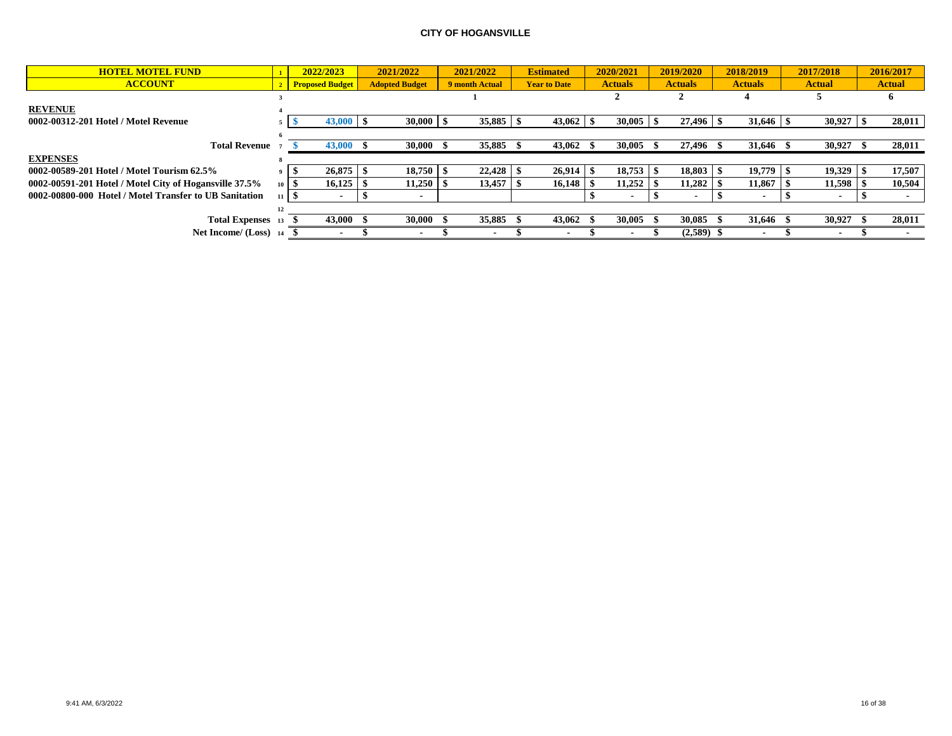| <b>HOTEL MOTEL FUND</b>                                |             | 2022/2023              | 2021/2022             | 2021/2022      | <b>Estimated</b>    | 2020/2021      | 2019/2020      | 2018/2019      | 2017/2018                | 2016/2017     |
|--------------------------------------------------------|-------------|------------------------|-----------------------|----------------|---------------------|----------------|----------------|----------------|--------------------------|---------------|
| <b>ACCOUNT</b>                                         |             | <b>Proposed Budget</b> | <b>Adopted Budget</b> | 9 month Actual | <b>Year to Date</b> | <b>Actuals</b> | <b>Actuals</b> | <b>Actuals</b> | <b>Actual</b>            | <b>Actual</b> |
|                                                        |             |                        |                       |                |                     |                |                |                |                          |               |
| <b>REVENUE</b>                                         |             |                        |                       |                |                     |                |                |                |                          |               |
| 0002-00312-201 Hotel / Motel Revenue                   |             | $43,000$ \$            | $30,000$ \$           |                |                     |                |                | $31,646$   \$  | 30,927                   | 28,011        |
|                                                        |             |                        |                       |                |                     |                |                |                |                          |               |
| <b>Total Revenue</b>                                   |             | 43,000                 | $30,000$ \$           | 35,885         | 43,062              | 30,005         | 27,496         | 31,646         | 30,927                   | 28,011        |
| <b>EXPENSES</b>                                        |             |                        |                       |                |                     |                |                |                |                          |               |
| 0002-00589-201 Hotel / Motel Tourism 62.5%             |             | 26,875                 | 18,750                |                |                     | 18,753         | 18,803         | 19,779 \$      | 19,329                   | 17,507        |
| 0002-00591-201 Hotel / Motel City of Hogansville 37.5% | $10 \mid S$ | 16,125                 | 11,250                | 13,457         | 16,148              | 11,252         | 11,282         | 11,867         | 11,598                   | 10,504        |
| 0002-00800-000 Hotel / Motel Transfer to UB Sanitation |             | $\sim$                 |                       |                |                     |                |                |                | . .                      |               |
|                                                        |             |                        |                       |                |                     |                |                |                |                          |               |
| <b>Total Expenses</b>                                  |             | 43,000                 | 30,000                | 35,885         | 43,062              | 30,005         | 30,085         | 31.646         | 30,927                   | 28,011        |
| Net Income/ (Loss) 14                                  |             |                        |                       |                |                     |                | (2,589)        |                | $\overline{\phantom{a}}$ |               |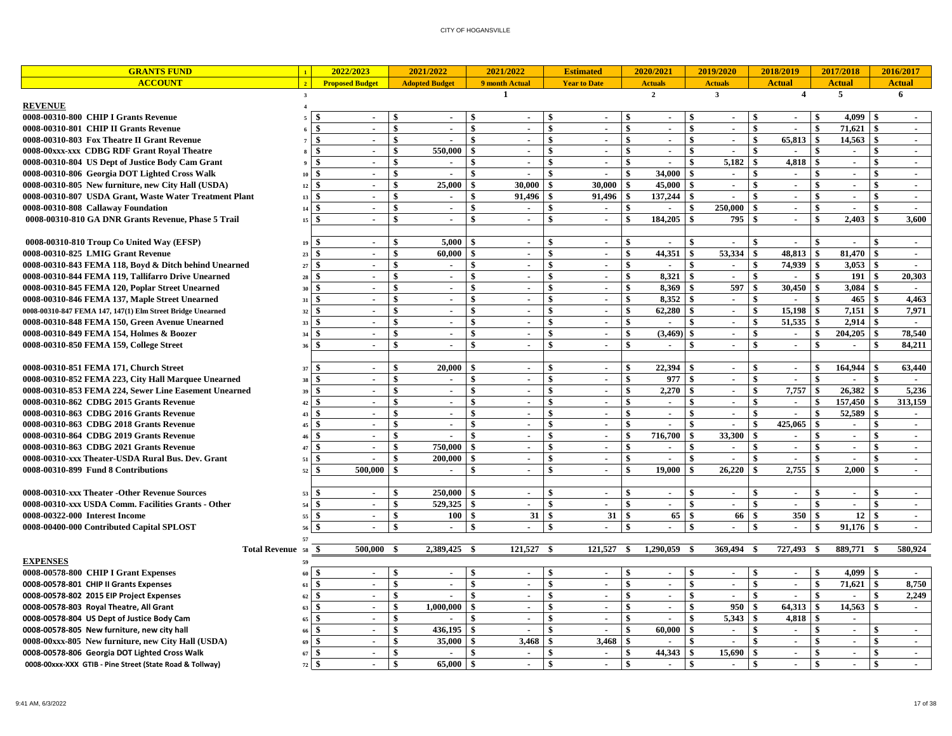| <b>GRANTS FUND</b>                                         |                              | 2022/2023                   |                    | 2021/2022             |               | 2021/2022      |              | <b>Estimated</b>    |                    | 2020/2021      |               | 2019/2020      |                    | 2018/2019      |                    | 2017/2018                   |              | 2016/2017                   |
|------------------------------------------------------------|------------------------------|-----------------------------|--------------------|-----------------------|---------------|----------------|--------------|---------------------|--------------------|----------------|---------------|----------------|--------------------|----------------|--------------------|-----------------------------|--------------|-----------------------------|
| <b>ACCOUNT</b>                                             | $\sqrt{2}$                   | <b>Proposed Budget</b>      |                    | <b>Adopted Budget</b> |               | 9 month Actual |              | <b>Year to Date</b> |                    | <b>Actuals</b> |               | <b>Actuals</b> |                    | <b>Actual</b>  |                    | <b>Actual</b>               |              | <b>Actual</b>               |
|                                                            | $\overline{3}$               |                             |                    |                       |               | $\mathbf{1}$   |              |                     |                    | $\overline{2}$ |               | $\mathbf{3}$   |                    | $\overline{4}$ |                    | 5                           |              | 6                           |
| <b>REVENUE</b>                                             |                              |                             |                    |                       |               |                |              |                     |                    |                |               |                |                    |                |                    |                             |              |                             |
| 0008-00310-800 CHIP I Grants Revenue                       |                              |                             |                    | $\sim$                |               | $\blacksquare$ |              |                     | \$                 | $\sim$         |               | $\blacksquare$ | \$                 |                | \$                 | 4.099                       | -\$          |                             |
| 0008-00310-801 CHIP II Grants Revenue                      |                              |                             | \$                 | ÷.                    | \$            |                | $\mathbf{s}$ | ÷.                  | $\mathbf{s}$       | $\sim$         | $\mathbf{s}$  | $\mathbf{r}$   | $\mathbf{s}$       | $\overline{a}$ | -\$                | 71.621                      | \$           | $\sim$                      |
| 0008-00310-803 Fox Theatre II Grant Revenue                | \$                           | $\mathbf{r}$                | \$                 | $\sim$                | \$            | $\sim$         | $\mathbf{s}$ | $\mathbf{r}$        | \$                 | $\sim$         | \$            | $\sim$         | \$                 | 65,813         | l \$               | 14,563                      | \$           | $\sim$                      |
| 0008-00xxx-xxx CDBG RDF Grant Royal Theatre                |                              | $\sim$                      | \$                 | 550,000               | \$            | $\blacksquare$ | \$           | $\sim$              | -\$                | $\sim$         | \$            | $\blacksquare$ | \$                 | $\blacksquare$ | -\$                | $\sim$                      | \$           | $\sim$                      |
| 0008-00310-804 US Dept of Justice Body Cam Grant           | \$                           | $\sim$                      | \$                 | $\sim$                |               | $\blacksquare$ | \$           | $\sim$              | -\$                | $\sim$         | \$            | 5,182          | -\$                | 4,818          | -\$                | $\sim$                      | \$           | $\sim$                      |
| 0008-00310-806 Georgia DOT Lighted Cross Walk              | \$<br>10                     | $\sim$                      | \$                 | $\sim$                | \$            | $\blacksquare$ | \$           |                     | $\hat{\mathbf{s}}$ | 34,000         | \$            | $\sim$         | $\mathbf{s}$       | $\sim$         | -\$                | $\sim$                      | \$           | $\sim$                      |
| 0008-00310-805 New furniture, new City Hall (USDA)         | $\mathbf{\hat{s}}$<br>12     | $\sim$                      | \$                 | 25,000                | \$            | 30.000         | -S           | 30,000              | \$                 | 45.000         | \$            | $\sim$         | $\mathbf{s}$       | $\blacksquare$ | $\mathbf{s}$       | $\mathcal{L}_{\mathcal{A}}$ | \$           | $\sim$                      |
| 0008-00310-807 USDA Grant, Waste Water Treatment Plant     | \$.<br>13                    | $\mathbf{r}$                | \$                 | $\sim$                | \$            | 91,496         | -S           | 91,496              | \$                 | 137,244        | \$            | $\mathbf{r}$   | \$                 | $\mathbf{r}$   | \$                 | $\mathbf{r}$                | \$           | $\sim$                      |
| 0008-00310-808 Callaway Foundation                         | -9<br>14                     | $\sim$                      | \$                 | $\sim$                | \$            | $\sim$         | \$           | $\sim$              | -\$                | $\blacksquare$ | \$            | 250,000        | $\mathbf{s}$       | $\sim$         | $\mathbf{\hat{s}}$ | $\sim$                      | \$           | $\sim$                      |
| 0008-00310-810 GA DNR Grants Revenue, Phase 5 Trail        | -\$<br>$15\,$                | $\sim$                      | \$                 | $\sim$                | \$            | $\sim$         | \$           | $\blacksquare$      | \$                 | 184,205        | \$            | 795            | \$                 | $\sim$         | -\$                | 2,403                       | \$           | 3,600                       |
|                                                            |                              |                             |                    |                       |               |                |              |                     |                    |                |               |                |                    |                |                    |                             |              |                             |
| 0008-00310-810 Troup Co United Way (EFSP)                  | $\mathbf{s}$<br>19           |                             | \$                 | 5.000                 | \$            |                | \$           |                     | $\mathbf{s}$       |                | \$            |                | $\mathbf{s}$       |                | $\mathbf{s}$       |                             | \$           | $\sim$                      |
| 0008-00310-825 LMIG Grant Revenue                          | \$<br>23                     | $\sim$                      | \$                 | 60.000                | \$            | $\sim$         | $\mathbf{s}$ | $\blacksquare$      | \$                 | 44,351         | \$            | 53,334         | \$                 | 48,813         | $\mathbf{s}$       | 81,470                      | $\mathbf{s}$ | $\sim$                      |
| 0008-00310-843 FEMA 118, Boyd & Ditch behind Unearned      | 27<br>\$.                    | $\sim$                      | $\mathbf{s}$       | $\sim$                | \$            | $\sim$         | \$           | $\sim$              | $\mathbf{s}$       | $\sim$         | \$            | $\sim$         | \$                 | 74.939         | $\mathbf{s}$       | 3,053                       | \$           | $\sim$                      |
| 0008-00310-844 FEMA 119, Tallifarro Drive Unearned         | -\$<br>28                    | $\sim$                      | \$                 | $\sim$                | \$            | $\blacksquare$ | \$           | $\sim$              | \$                 | 8,321          | \$            | $\sim$         | \$                 | $\sim$         | -\$                | 191                         | \$           | 20,303                      |
| 0008-00310-845 FEMA 120, Poplar Street Unearned            | 30                           | $\sim$                      | \$                 | $\sim$                | \$            | $\sim$         | \$           | $\sim$              | \$                 | 8,369          | \$            | 597            | \$                 | 30,450         | $\sqrt{3}$         | 3,084                       | \$           | $\sim$                      |
| 0008-00310-846 FEMA 137, Maple Street Unearned             | -\$<br>31                    | $\sim$                      | $\hat{\mathbf{s}}$ | $\sim$                | \$            |                | \$           | $\blacksquare$      | \$                 | 8.352          | \$            | $\sim$         | \$                 |                | -\$                | 465                         | $\mathbf{s}$ | 4.463                       |
| 0008-00310-847 FEMA 147, 147(1) Elm Street Bridge Unearned | \$<br>32                     | $\sim$                      | \$                 | $\sim$                | \$            | $\sim$         | $\mathbf{s}$ | $\sim$              | \$                 | 62,280         | \$            | $\sim$         | \$                 | 15,198         | <sup>\$</sup>      | 7,151                       | \$           | 7,971                       |
| 0008-00310-848 FEMA 150, Green Avenue Unearned             | \$.<br>33                    | $\sim$                      | \$                 | $\sim$                | \$            | $\sim$         | $\mathbf{s}$ | $\sim$              | \$                 | $\sim$         | \$            | $\sim$         | $\mathbf{\$}$      | 51,535         | $\mathbf{\hat{s}}$ | 2,914                       | $\mathbf{s}$ | $\sim$                      |
| 0008-00310-849 FEMA 154, Holmes & Boozer                   | -\$<br>34                    | $\blacksquare$              | \$                 | $\blacksquare$        | \$            | $\blacksquare$ | \$           | $\blacksquare$      | \$                 | (3,469)        | \$            | $\sim$         | \$                 | $\mathbf{r}$   | $\mathbf{\$}$      | 204,205                     | \$           | 78,540                      |
| 0008-00310-850 FEMA 159, College Street                    | 36                           | $\sim$                      | \$                 | $\sim$                | \$            | $\sim$         |              | $\sim$              | \$                 | $\sim$         | \$            | $\sim$         | \$                 | $\sim$         | $\mathbf{s}$       | $\sim$                      | \$           | 84,211                      |
|                                                            |                              |                             |                    |                       |               |                |              |                     |                    |                |               |                |                    |                |                    |                             |              |                             |
| 0008-00310-851 FEMA 171, Church Street                     | 37                           | $\sim$                      | \$                 | 20.000                | $\mathbf{s}$  | $\sim$         | $\mathbf{s}$ | $\mathbf{r}$        | $\mathbf{s}$       | 22.394         | $\mathbf{\$}$ | $\sim$         | $\mathbf{s}$       | $\blacksquare$ | <sup>\$</sup>      | 164,944                     | -\$          | 63,440                      |
| 0008-00310-852 FEMA 223, City Hall Marquee Unearned        | \$.<br>38                    | $\mathcal{L}_{\mathcal{A}}$ | \$                 | $\sim$                | \$            | $\mathbf{r}$   | -\$          | $\sim$              | \$                 | 977            | \$            | $\sim$         | \$                 | $\sim$         | $\mathbf{s}$       | $\mathbf{r}$                | \$           | $\sim$                      |
| 0008-00310-853 FEMA 224, Sewer Line Easement Unearned      | \$<br>39                     | $\sim$                      | \$                 | $\sim$                | \$            | $\blacksquare$ | $\mathbf{s}$ | $\blacksquare$      | \$                 | 2,270          | \$            | $\sim$         | \$                 | 7,757          | <b>S</b>           | 26,382                      | \$           | 5,236                       |
| 0008-00310-862 CDBG 2015 Grants Revenue                    | 42                           | $\sim$                      | \$                 | $\sim$                | \$            | $\sim$         | \$           | $\sim$              | \$                 | $\sim$         | \$            | $\sim$         | \$                 | $\sim$         | -\$                | 157,450                     | \$           | 313,159                     |
| 0008-00310-863 CDBG 2016 Grants Revenue                    | - \$<br>43                   | $\sim$                      | \$                 | $\sim$                | \$            | $\blacksquare$ |              | $\sim$              | $\mathbf{s}$       | $\sim$         | \$            | $\sim$         | \$                 | $\sim$         | $\mathbf{s}$       | 52,589                      | \$           | $\sim$                      |
| 0008-00310-863 CDBG 2018 Grants Revenue                    | \$<br>4 <sub>5</sub>         | $\sim$                      | \$                 | $\sim$                | \$            | $\blacksquare$ | $\mathbf{s}$ | $\blacksquare$      | -\$                | ÷.             | \$            | $\mathbf{r}$   | $\mathbf{s}$       | 425,065        | $\mathbf{s}$       | $\sim$                      | \$           | $\sim$                      |
| 0008-00310-864 CDBG 2019 Grants Revenue                    | \$<br>46                     | $\mathbf{r}$                | \$                 | $\sim$                | \$            | $\sim$         | $\mathbf{s}$ | $\mathbf{r}$        | $\mathbf{s}$       | 716,700        | \$            | 33,300         | \$                 | $\sim$         | $\mathbf{s}$       | $\sim$                      | \$           | $\sim$                      |
| 0008-00310-863 CDBG 2021 Grants Revenue                    | \$<br>47                     | $\sim$                      | \$                 | 750,000               | \$            | $\blacksquare$ | $\mathbf{s}$ | $\sim$              | \$                 | $\sim$         | \$            | $\sim$         | $\mathbf{s}$       | $\sim$         | <sup>\$</sup>      | $\sim$                      | \$           | $\sim$                      |
| 0008-00310-xxx Theater-USDA Rural Bus. Dev. Grant          | \$<br>51                     | $\sim$                      | \$                 | 200,000               | \$            | $\blacksquare$ | \$           | $\sim$              | \$                 | $\sim$         | \$            | $\sim$         | \$                 | $\sim$         | \$                 | $\sim$                      | \$           | $\sim$                      |
| 0008-00310-899 Fund 8 Contributions                        | \$<br>52                     | 500,000                     | \$                 | $\sim$                | \$            |                |              | ÷                   | \$                 | 19.000         | \$            | 26,220         | $\mathbf{\hat{s}}$ | 2,755          | <b>S</b>           | 2.000                       | \$           | $\sim$                      |
|                                                            |                              |                             |                    |                       |               |                |              |                     |                    |                |               |                |                    |                |                    |                             |              |                             |
| 0008-00310-xxx Theater -Other Revenue Sources              | -8<br>53                     | $\sim$                      | $\mathbf{s}$       | 250,000               | \$            | $\blacksquare$ | -\$          | $\sim$              | \$                 | $\sim$         | \$            | $\sim$         | $\mathbf{s}$       | $\sim$         | $\mathbf{s}$       | $\sim$                      | \$           | $\sim$                      |
| 0008-00310-xxx USDA Comm. Facilities Grants - Other        | 54<br>- \$                   | $\sim$                      | \$                 | 529,325               | \$            | $\blacksquare$ | S,           | $\blacksquare$      | $\boldsymbol{s}$   | $\sim$         | \$            | $\sim$         | \$                 | $\blacksquare$ | $\mathbf{s}$       | $\sim$                      | \$           | $\sim$                      |
| 0008-00322-000 Interest Income                             | -\$<br>55                    | $\sim$                      | \$                 | 100                   | \$            | 31             | -\$          | 31                  | -\$                | 65             | \$            | 66             | -\$                | 350            | <b>S</b>           | 12                          | \$           | $\sim$                      |
| 0008-00400-000 Contributed Capital SPLOST                  | \$<br>56                     | $\sim$                      | \$                 | $\sim$                | \$            | $\sim$         |              | $\overline{a}$      | \$                 | $\sim$         | \$            | $\sim$         | \$                 | $\overline{a}$ | \$                 | 91,176                      | -\$          | $\sim$                      |
|                                                            | 57                           |                             |                    |                       |               |                |              |                     |                    |                |               |                |                    |                |                    |                             |              |                             |
| Total Revenue 58 \$                                        |                              | 500,000                     | -\$                | 2,389,425 \$          |               | 121,527 \$     |              | 121,527             | \$                 | 1,290,059      | - \$          | 369,494        | -\$                | 727,493        | \$                 | 889,771                     | \$           | 580,924                     |
| <b>EXPENSES</b>                                            |                              |                             |                    |                       |               |                |              |                     |                    |                |               |                |                    |                |                    |                             |              |                             |
| 0008-00578-800 CHIP I Grant Expenses                       |                              | $\sim$                      | \$                 | $\sim$                |               | $\sim$         | -\$          | $\blacksquare$      | -\$                | $\sim$         | \$            | $\sim$         | \$                 | $\sim$         | $\sqrt{3}$         | 4,099                       | \$           |                             |
| 0008-00578-801 CHIP II Grants Expenses                     | 61                           | $\sim$                      | \$                 | $\sim$                | \$            | $\blacksquare$ | \$           | $\sim$              | -\$                | $\sim$         | \$            | $\sim$         | \$                 | $\blacksquare$ | \$                 | 71,621                      | \$           | 8,750                       |
| 0008-00578-802 2015 EIP Project Expenses                   | 62                           | $\sim$                      | $\mathbf{\hat{s}}$ | $\sim$                | \$            | $\sim$         | $\mathbf{s}$ | $\sim$              | $\mathbf{s}$       | $\sim$         | \$            | $\mathbf{r}$   | $\mathbf{s}$       | $\sim$         | $\mathbf{s}$       |                             | \$           | 2,249                       |
| 0008-00578-803 Royal Theatre, All Grant                    | \$<br>63                     | $\sim$                      | \$                 | 1.000.000             | \$            | $\sim$         | $\mathbf{s}$ | $\blacksquare$      | $\mathbf{s}$       | $\sim$         | \$            | 950            | \$                 | 64,313         | $\mathbf{s}$       | 14,563                      | \$           | $\sim$                      |
| 0008-00578-804 US Dept of Justice Body Cam                 | \$<br>65                     | $\sim$                      | \$                 |                       | \$            | $\sim$         | $\mathbf{s}$ | $\sim$              | \$                 | $\sim$         | \$            | 5,343          | \$                 | 4,818          | $\mathbf{s}$       | $\sim$                      |              |                             |
| 0008-00578-805 New furniture, new city hall                |                              | $\sim$                      | \$                 | 436,195               | \$            | $\blacksquare$ | S,           | $\blacksquare$      | \$                 | 60,000         | \$            | $\sim$         | \$                 | $\sim$         | $\mathbf{s}$       | $\sim$                      | \$           | $\sim$                      |
| 0008-00xxx-805 New furniture, new City Hall (USDA)         | \$.<br>69                    | $\sim$                      | \$                 | 35,000                | \$            | 3,468          | -\$          | 3,468               | -\$                | $\sim$         | \$.           | $\sim$         | \$                 | $\sim$         | -\$                | $\sim$                      | \$           | $\sim$                      |
| 0008-00578-806 Georgia DOT Lighted Cross Walk              | \$<br>67                     | $\sim$                      | \$                 | $\blacksquare$        | \$            | $\blacksquare$ | \$           | $\blacksquare$      | \$                 | 44,343         | \$            | 15,690         | \$                 | $\blacksquare$ | $\mathbf{s}$       | $\sim$                      | \$           | $\sim$                      |
| 0008-00xxx-XXX GTIB - Pine Street (State Road & Tollway)   | $\mathbf{\hat{s}}$<br>$72\,$ | $\mathbf{r}$                | \$                 | 65,000                | <sup>\$</sup> |                | $\mathbf{s}$ | $\mathbf{r}$        | $\mathbf{s}$       | $\sim$         | $\mathbf{s}$  | $\mathbf{r}$   | $\mathbf{s}$       | $\mathbf{r}$   | $\mathbf{s}$       | $\mathcal{L}$               | \$           | $\mathcal{L}^{\mathcal{L}}$ |
|                                                            |                              |                             |                    |                       |               |                |              |                     |                    |                |               |                |                    |                |                    |                             |              |                             |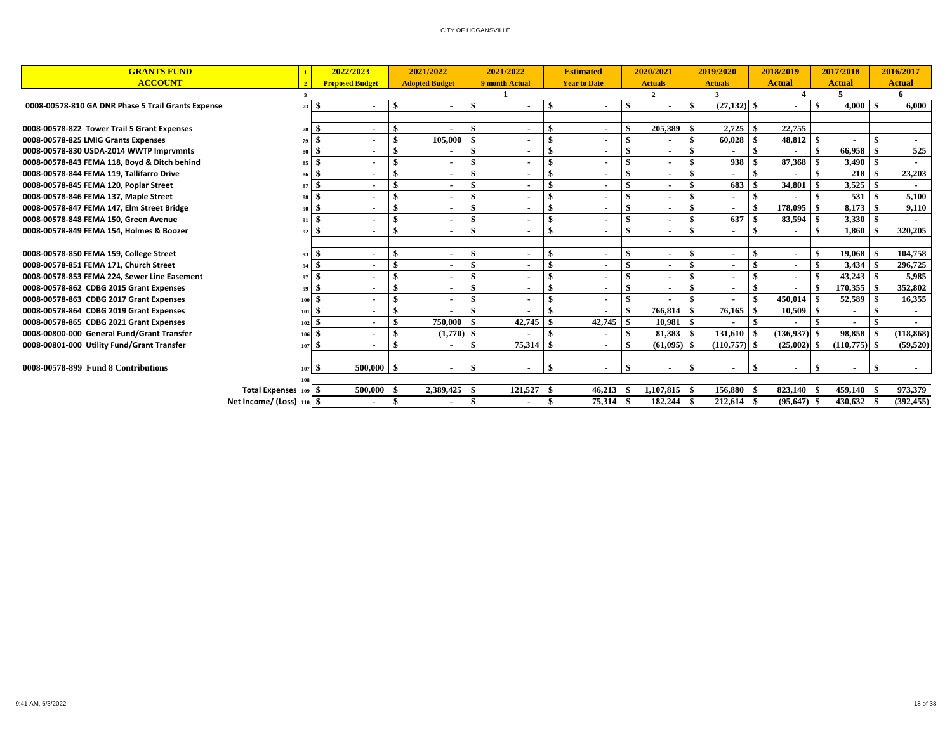| <b>GRANTS FUND</b>                                 |                           |     | 2022/2023                |    | 2021/2022             |     | 2021/2022      |      | <b>Estimated</b>         |     | 2020/2021                |                | 2019/2020        |          | 2018/2019      |      | 2017/2018      |      | 2016/2017     |
|----------------------------------------------------|---------------------------|-----|--------------------------|----|-----------------------|-----|----------------|------|--------------------------|-----|--------------------------|----------------|------------------|----------|----------------|------|----------------|------|---------------|
| <b>ACCOUNT</b>                                     | $\overline{\mathbf{z}}$   |     | <b>Proposed Budget</b>   |    | <b>Adopted Budget</b> |     | 9 month Actual |      | <b>Year to Date</b>      |     | <b>Actuals</b>           |                | <b>Actuals</b>   |          | <b>Actual</b>  |      | <b>Actual</b>  |      | <b>Actual</b> |
|                                                    |                           |     |                          |    |                       |     |                |      |                          |     | $\overline{2}$           |                | $\mathbf{a}$     |          |                |      | 5              |      | 6             |
| 0008-00578-810 GA DNR Phase 5 Trail Grants Expense | 73                        | -\$ | $\overline{\phantom{a}}$ | \$ |                       | -\$ | $\blacksquare$ |      | $\blacksquare$           | \$  |                          | -\$            | $(27.132)$ \$    |          |                | \$   | $4,000$ \$     |      | 6.000         |
|                                                    |                           |     |                          |    |                       |     |                |      |                          |     |                          |                |                  |          |                |      |                |      |               |
| 0008-00578-822 Tower Trail 5 Grant Expenses        | 78                        | -\$ | $\overline{\phantom{a}}$ |    |                       |     | $\blacksquare$ |      | $\blacksquare$           |     | 205,389                  | l \$           |                  |          | 22,755         |      |                |      |               |
| 0008-00578-825 LMIG Grants Expenses                | 79                        | -\$ | $\overline{\phantom{a}}$ | \$ | 105,000               |     |                |      | $\blacksquare$           | \$  |                          | \$             | $60,028$ \$      |          | 48,812         | -8   |                |      |               |
| 0008-00578-830 USDA-2014 WWTP Imprvmnts            | 80                        | -8  | $\overline{\phantom{a}}$ | \$ |                       |     | ٠              |      | $\blacksquare$           |     | ٠                        |                |                  |          |                |      | 66,958         |      | 525           |
| 0008-00578-843 FEMA 118, Boyd & Ditch behind       | 85                        | -8  | ٠                        | \$ |                       |     |                |      | $\blacksquare$           |     | ٠                        |                | 938 <sup>8</sup> |          | 87,368         |      | 3,490          | - \$ |               |
| 0008-00578-844 FEMA 119, Tallifarro Drive          | 86                        | \$  | $\overline{\phantom{a}}$ | \$ |                       |     | ٠              |      | $\blacksquare$           |     | ٠                        |                |                  |          |                |      | 218            |      | 23,203        |
| 0008-00578-845 FEMA 120, Poplar Street             | 87                        | \$  | ٠                        | \$ |                       |     | ٠              |      | $\sim$                   |     | $\blacksquare$           |                | 683              | -\$      | 34,801         |      | 3,525          |      |               |
| 0008-00578-846 FEMA 137, Maple Street              | 88                        | \$  | ٠                        | \$ |                       |     | ٠              |      | ٠                        |     |                          |                |                  | \$       |                |      | 531            |      | 5,100         |
| 0008-00578-847 FEMA 147, Elm Street Bridge         | 90                        | -\$ | ٠                        | \$ |                       |     |                |      | $\blacksquare$           |     | $\overline{\phantom{a}}$ |                |                  | <b>S</b> | 178,095        | -\$  | 8,173          | \$   | 9,110         |
| 0008-00578-848 FEMA 150, Green Avenue              | 91                        | \$  | ٠                        | \$ |                       |     | ٠              |      | $\blacksquare$           |     | ٠                        |                | 637              | -\$      | 83,594         | -\$  | 3,330          | \$   |               |
| 0008-00578-849 FEMA 154, Holmes & Boozer           | 92                        | \$  | $\overline{\phantom{a}}$ | \$ |                       |     | ٠              |      | $\blacksquare$           | \$  | $\blacksquare$           | -\$            | ٠                | <b>S</b> |                |      | 1,860          |      | 320,205       |
|                                                    |                           |     |                          |    |                       |     |                |      |                          |     |                          |                |                  |          |                |      |                |      |               |
| 0008-00578-850 FEMA 159, College Street            | 93                        | -\$ | $\overline{\phantom{a}}$ | \$ |                       |     | $\blacksquare$ |      | $\blacksquare$           | \$  | ٠                        | \$             |                  | \$       |                |      | 19,068         |      | 104,758       |
| 0008-00578-851 FEMA 171, Church Street             | 94                        | \$  |                          | \$ |                       | -\$ |                |      | $\overline{\phantom{a}}$ | \$  |                          | -\$            |                  | -\$      |                | -\$  |                |      | 296,725       |
| 0008-00578-853 FEMA 224, Sewer Line Easement       | 97                        | \$  |                          | \$ |                       |     |                |      |                          |     |                          |                |                  | \$       |                |      |                |      | 5,985         |
| 0008-00578-862 CDBG 2015 Grant Expenses            | 99                        | \$. | $\overline{\phantom{a}}$ | \$ |                       | -\$ | $\blacksquare$ |      | $\blacksquare$           | \$  | $\overline{\phantom{a}}$ | -\$            |                  | -\$      |                |      | 170,355        |      | 352,802       |
| 0008-00578-863 CDBG 2017 Grant Expenses            |                           |     | $\overline{\phantom{a}}$ | \$ |                       |     |                |      | ۰                        | \$  |                          |                |                  | . \$     | 450,014        |      | 52,589         |      | 16,355        |
| 0008-00578-864 CDBG 2019 Grant Expenses            | 101                       | -\$ |                          | \$ |                       |     |                |      |                          |     | $766.814$ \$             |                |                  |          | 10,509         | - \$ |                |      |               |
| 0008-00578-865 CDBG 2021 Grant Expenses            | 102                       | -\$ | $\overline{\phantom{a}}$ | \$ | 750,000               |     | 42.745         |      | 42,745                   | -\$ | 10.981                   | $\blacksquare$ |                  |          |                |      |                |      |               |
| 0008-00800-000 General Fund/Grant Transfer         | 106                       | \$. | $\overline{\phantom{a}}$ | \$ | $(1,770)$ \$          |     |                |      | $\overline{\phantom{a}}$ | \$  | 81,383                   |                | $131,610$ \$     |          | (136,937)      | - \$ | 98,858         |      | (118, 868)    |
| 0008-00801-000 Utility Fund/Grant Transfer         | 107                       | -\$ | $\overline{\phantom{a}}$ | \$ |                       |     | 75.314         |      | $\blacksquare$           |     | $(61.095)$ \$            |                | $(110.757)$ \$   |          | (25.002)       | - SS | $(110.775)$ \$ |      | (59, 520)     |
|                                                    |                           |     |                          |    |                       |     |                |      |                          |     |                          |                |                  |          |                |      |                |      |               |
| 0008-00578-899 Fund 8 Contributions                | 107                       | \$  | $500,000$ \$             |    |                       | -\$ | $\blacksquare$ |      | $\blacksquare$           | \$  |                          | $\mathbf{A}$   |                  | \$       | $\blacksquare$ |      | ٠              |      |               |
|                                                    |                           |     |                          |    |                       |     |                |      |                          |     |                          |                |                  |          |                |      |                |      |               |
|                                                    | Total Expenses 109 \$     |     | 500,000 \$               |    | 2,389,425 \$          |     | 121,527 \$     |      | 46,213                   |     | 1,107,815 \$             |                | 156,880 \$       |          | 823,140 \$     |      | 459,140 \$     |      | 973,379       |
|                                                    | Net Income/ (Loss) 110 \$ |     | $\blacksquare$           | -8 |                       |     | $\sim$         | - 38 | 75,314                   |     | 182,244 \$               |                | 212,614 \$       |          | $(95,647)$ \$  |      | 430,632 \$     |      | (392, 455)    |
|                                                    |                           |     |                          |    |                       |     |                |      |                          |     |                          |                |                  |          |                |      |                |      |               |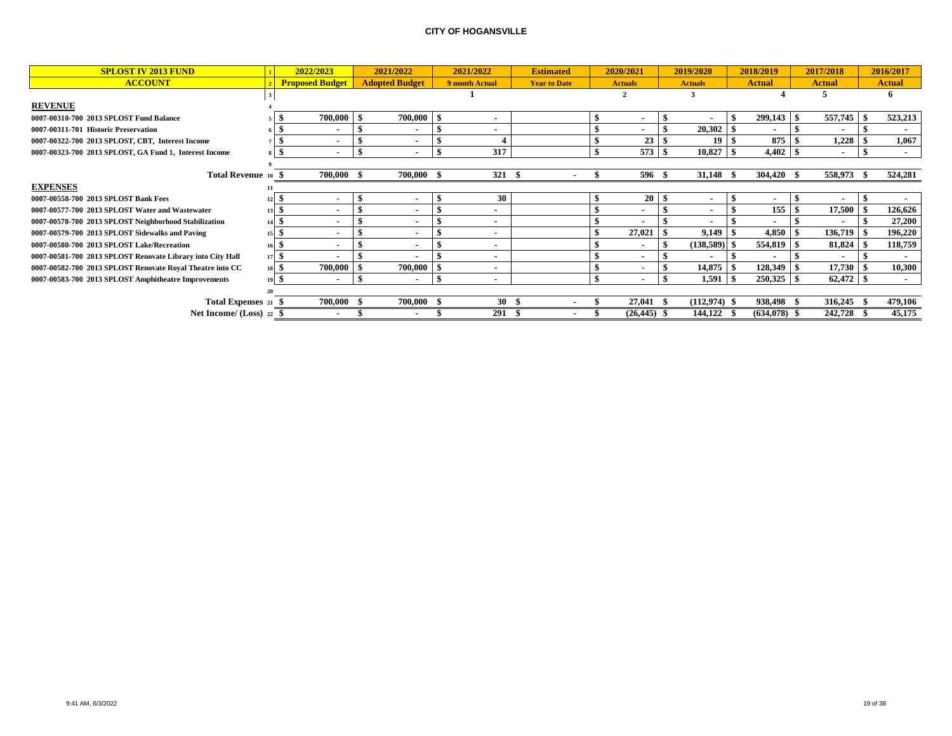| <b>SPLOST IV 2013 FUND</b>                                 | 2022/2023                | 2021/2022                | 2021/2022                | <b>Estimated</b>    | 2020/2021       | 2019/2020                |      | 2018/2019      |    | 2017/2018     | 2016/2017     |
|------------------------------------------------------------|--------------------------|--------------------------|--------------------------|---------------------|-----------------|--------------------------|------|----------------|----|---------------|---------------|
| <b>ACCOUNT</b>                                             | <b>Proposed Budget</b>   | <b>Adopted Budget</b>    | 9 month Actual           | <b>Year to Date</b> | <b>Actuals</b>  | <b>Actuals</b>           |      | <b>Actual</b>  |    | <b>Actual</b> | <b>Actual</b> |
|                                                            |                          |                          |                          |                     |                 |                          |      |                |    |               |               |
| <b>REVENUE</b>                                             |                          |                          |                          |                     |                 |                          |      |                |    |               |               |
| 0007-00310-700 2013 SPLOST Fund Balance                    | 700,000 \$               | 700,000                  | $\blacksquare$           |                     | $\blacksquare$  |                          |      | 299,143        | -9 | 557,745       | 523,213       |
| 0007-00311-701 Historic Preservation                       | $\overline{\phantom{a}}$ |                          | $\overline{\phantom{a}}$ |                     | $\blacksquare$  | 20,302                   |      | $\blacksquare$ |    |               |               |
| 0007-00322-700 2013 SPLOST, CBT, Interest Income           | $\blacksquare$           |                          |                          |                     | 23              | 19                       |      | 875            |    | 1,228         | 1,067         |
| 0007-00323-700 2013 SPLOST, GA Fund 1, Interest Income     |                          |                          | 317                      |                     | $573^{8}$       | $10,827$ \$              |      |                |    | ۰             | $\sim$        |
|                                                            |                          |                          |                          |                     |                 |                          |      |                |    |               |               |
| Total Revenue 10                                           | 700,000                  | 700,000                  | 321                      |                     | 596 \$          | 31,148                   | - 35 | 304,420        |    | 558,973       | 524,281       |
| <b>EXPENSES</b>                                            |                          |                          |                          |                     |                 |                          |      |                |    |               |               |
| 0007-00558-700 2013 SPLOST Bank Fees                       | ٠                        | $\overline{\phantom{a}}$ | 30                       |                     | 20 <sup>1</sup> | ٠                        |      |                |    |               |               |
| 0007-00577-700 2013 SPLOST Water and Wastewater            | $\overline{\phantom{a}}$ |                          | $\blacksquare$           |                     | $\blacksquare$  | $\overline{\phantom{a}}$ |      | 155            |    | 17,500        | 126,626       |
| 0007-00578-700 2013 SPLOST Neighborhood Stabilization      |                          |                          | $\blacksquare$           |                     | $\blacksquare$  |                          |      | $\blacksquare$ |    |               | 27,200        |
| 0007-00579-700 2013 SPLOST Sidewalks and Paving            |                          |                          | $\blacksquare$           |                     | 27,021          | 9,149                    | -\$  | $4,850$   \$   |    | 136,719       | 196,220       |
| 0007-00580-700 2013 SPLOST Lake/Recreation                 | $\overline{\phantom{a}}$ |                          | $\blacksquare$           |                     | $\blacksquare$  | (138, 589)               |      | 554,819        |    | 81,824        | 118,759       |
| 0007-00581-700 2013 SPLOST Renovate Library into City Hall |                          |                          | $\blacksquare$           |                     | $\blacksquare$  | $\overline{\phantom{a}}$ |      | $\blacksquare$ |    |               |               |
| 0007-00582-700 2013 SPLOST Renovate Royal Theatre into CC  | 700,000                  | 700,000                  | $\blacksquare$           |                     | $\blacksquare$  | 14,875                   |      | 128,349        |    | 17,730        | 10,300        |
| 0007-00583-700 2013 SPLOST Amphitheatre Improvements       | ٠                        |                          | $\blacksquare$           |                     | ٠               | 1,591                    | - \$ | 250,325        | -S | 62,472        |               |
|                                                            |                          |                          |                          |                     |                 |                          |      |                |    |               |               |
| Total Expenses 21 \$                                       | 700,000                  | 700,000                  | 30 <sup>5</sup>          |                     | $27,041$ \$     | $(112, 974)$ \$          |      | 938,498        |    | 316,245       | 479,106       |
| Net Income/ $(Loss)$ 22 \$                                 | $\overline{\phantom{a}}$ |                          | 291S                     |                     | $(26, 445)$ \$  | 144.122                  | - 55 | (634.078)      |    | 242,728       | 45,175        |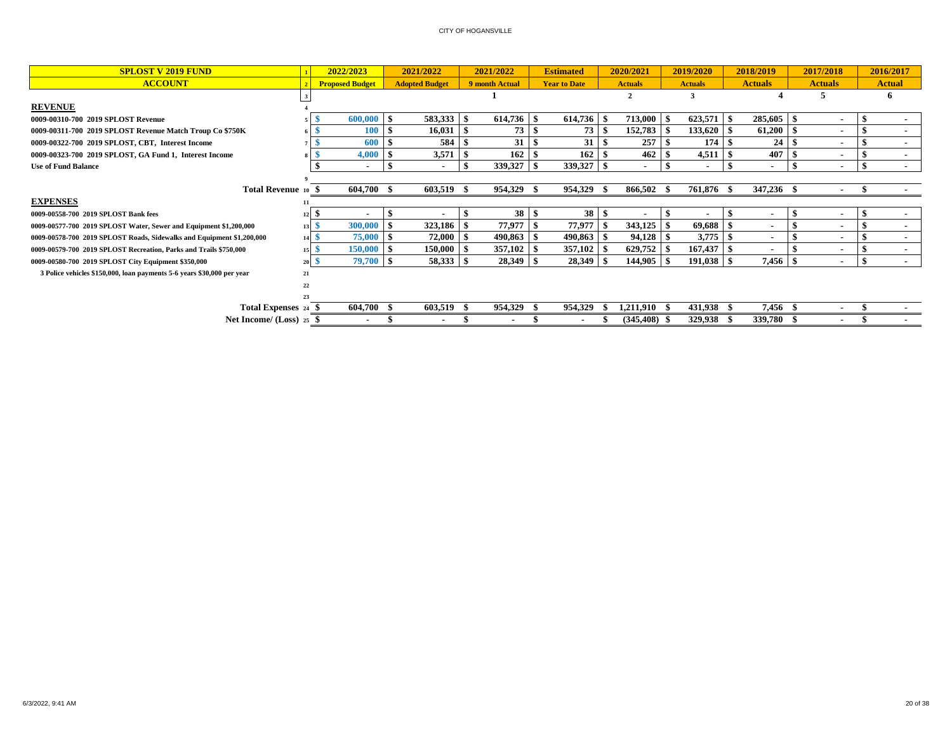| <b>SPLOST V 2019 FUND</b>                                              |                 | 2022/2023                |      | 2021/2022             |      | 2021/2022         |      | <b>Estimated</b>    |      | 2020/2021       | 2019/2020      | 2018/2019      |      | 2017/2018      | 2016/2017     |
|------------------------------------------------------------------------|-----------------|--------------------------|------|-----------------------|------|-------------------|------|---------------------|------|-----------------|----------------|----------------|------|----------------|---------------|
| <b>ACCOUNT</b>                                                         |                 | <b>Proposed Budget</b>   |      | <b>Adopted Budget</b> |      | 9 month Actual    |      | <b>Year to Date</b> |      | <b>Actuals</b>  | <b>Actuals</b> | <b>Actuals</b> |      | <b>Actuals</b> | <b>Actual</b> |
|                                                                        |                 |                          |      |                       |      |                   |      |                     |      |                 |                |                |      |                | <sup>0</sup>  |
| <b>REVENUE</b>                                                         |                 |                          |      |                       |      |                   |      |                     |      |                 |                |                |      |                |               |
| 0009-00310-700 2019 SPLOST Revenue                                     |                 | $600,000$ \$             |      | 583,333               |      | 614,736 \$        |      | 614,736             |      | 713,000         | 623,571        | 285,605        |      | $\blacksquare$ |               |
| 0009-00311-700 2019 SPLOST Revenue Match Troup Co \$750K               | 6 I 3           | 100                      |      | 16,031                |      | 73                |      | 73                  | -9   | 152,783         | 133,620        | 61,200         |      | $\blacksquare$ | $\sim$        |
| 0009-00322-700 2019 SPLOST, CBT, Interest Income                       |                 | 600                      | l \$ | 584                   |      | 31                | l \$ | 31                  | l \$ | 257             | 174            | 24             |      | ٠              |               |
| 0009-00323-700 2019 SPLOST, GA Fund 1, Interest Income                 | 8 I S           | 4,000                    | l S  | 3,571                 |      | $162 \, \text{S}$ |      | 162                 | -9   | 462             | 4,511          | 407            |      | $\blacksquare$ | . .           |
| <b>Use of Fund Balance</b>                                             |                 | $\overline{\phantom{a}}$ |      |                       |      | 339,327           | l \$ | 339,327 \$          |      |                 |                | $\blacksquare$ |      |                |               |
|                                                                        |                 |                          |      |                       |      |                   |      |                     |      |                 |                |                |      |                |               |
| Total Revenue 10 \$                                                    |                 | 604,700 \$               |      | 603,519 \$            |      | 954,329 \$        |      | 954,329             |      | 866,502 \$      | 761,876 \$     | 347,236 \$     |      |                |               |
| <b>EXPENSES</b>                                                        |                 |                          |      |                       |      |                   |      |                     |      |                 |                |                |      |                |               |
| 0009-00558-700 2019 SPLOST Bank fees                                   | $12 \mid 5$     | $\blacksquare$           | -9   |                       |      | $38 \mid$ \$      |      | 38 <sup>8</sup>     |      |                 |                |                |      | $\blacksquare$ |               |
| 0009-00577-700 2019 SPLOST Water, Sewer and Equipment \$1,200,000      | $13\frac{8}{5}$ | 300,000                  | ı S  | 323,186               |      | 77,977            |      | 77,977              |      | 343,125         | 69,688         |                |      | $\sim$         |               |
| 0009-00578-700 2019 SPLOST Roads, Sidewalks and Equipment \$1,200,000  | 14S             | 75,000                   | ∣\$  | 72,000                |      | $490,863$ \$      |      | $490,863$ \$        |      | 94,128          | 3,775          |                |      | $\blacksquare$ |               |
| 0009-00579-700 2019 SPLOST Recreation, Parks and Trails \$750,000      | 15 <sup>8</sup> | $150,000$ \$             |      | 150,000               |      | $357,102$ \\$     |      | 357,102             |      | 629,752         | 167,437        |                |      | $\blacksquare$ | . .           |
| 0009-00580-700 2019 SPLOST City Equipment \$350,000                    | $20\degree$     | 79,700 S                 |      | 58,333                | - \$ |                   |      | 28,349              | - \$ | 144,905         | $191,038$   \$ | 7,456          |      | $\blacksquare$ |               |
| 3 Police vehicles \$150,000, loan payments 5-6 years \$30,000 per year | 21              |                          |      |                       |      |                   |      |                     |      |                 |                |                |      |                |               |
|                                                                        | 22              |                          |      |                       |      |                   |      |                     |      |                 |                |                |      |                |               |
|                                                                        |                 |                          |      |                       |      |                   |      |                     |      |                 |                |                |      |                |               |
| Total Expenses 24 \$                                                   |                 | 604,700                  |      | 603,519               |      | 954,329           |      | 954,329             |      | 1,211,910       | 431,938        | 7,456          | - 39 |                |               |
| Net Income/ $(Loss)$ 25 \$                                             |                 | ۰                        |      |                       |      | ٠                 |      | ٠                   |      | $(345, 408)$ \$ | 329,938 \$     | 339,780        |      |                |               |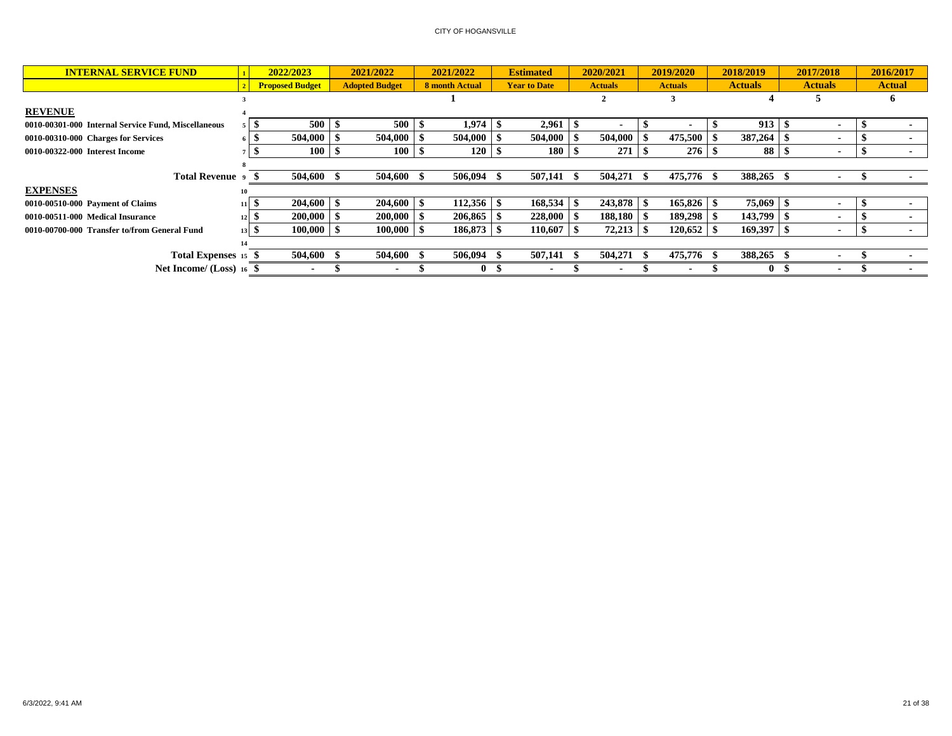| <b>INTERNAL SERVICE FUND</b>                        |                 | 2022/2023              | 2021/2022             | 2021/2022      | <b>Estimated</b>    | 2020/2021      | 2019/2020      | 2018/2019      | 2017/2018                | 2016/2017     |
|-----------------------------------------------------|-----------------|------------------------|-----------------------|----------------|---------------------|----------------|----------------|----------------|--------------------------|---------------|
|                                                     |                 | <b>Proposed Budget</b> | <b>Adopted Budget</b> | 8 month Actual | <b>Year to Date</b> | <b>Actuals</b> | <b>Actuals</b> | <b>Actuals</b> | <b>Actuals</b>           | <b>Actual</b> |
|                                                     |                 |                        |                       |                |                     |                |                |                | C.                       |               |
| <b>REVENUE</b>                                      |                 |                        |                       |                |                     |                |                |                |                          |               |
| 0010-00301-000 Internal Service Fund, Miscellaneous |                 | 500                    | 500                   | 1,974          | $2,961$   \$        |                |                | $913 \t s$     |                          |               |
| 0010-00310-000 Charges for Services                 |                 | 504.000                | 504,000               | 504,000        | 504,000             | 504,000        | 475,500        | 387,264        | $\blacksquare$           |               |
| 0010-00322-000 Interest Income                      |                 | $100 \pm$              | 100                   | 120            | 180                 | 271            | 276            | 88 \$          | $\blacksquare$           |               |
|                                                     |                 |                        |                       |                |                     |                |                |                |                          |               |
| Total Revenue 9                                     |                 | 504,600 \$             | 504,600 \$            | 506,094        |                     | 504,271        | 475,776 \$     | 388,265        |                          |               |
| <b>EXPENSES</b>                                     |                 |                        |                       |                |                     |                |                |                |                          |               |
| 0010-00510-000 Payment of Claims                    | 11              | 204,600                | 204,600               | 112,356        | 168,534             | 243,878        | 165,826        | 75,069         |                          |               |
| 0010-00511-000 Medical Insurance                    |                 | 200,000                | 200,000               | 206,865        | $228,000$   \$      | 188,180        | 189,298        | $143,799$ \\$  | $\blacksquare$           |               |
| 0010-00700-000 Transfer to/from General Fund        | 13 <sup>1</sup> | $100,000$   \$         | 100,000               | 186,873        | 110,607             | 72,213         | 120,652        | $169,397$ \\$  | $\overline{\phantom{a}}$ |               |
|                                                     |                 |                        |                       |                |                     |                |                |                |                          |               |
| Total Expenses 15 \$                                |                 | 504,600                | 504,600               | 506,094        |                     | 504,271        | 475,776 \$     | 388,265        |                          |               |
| Net Income/ (Loss) 16                               |                 |                        |                       |                |                     |                |                | $\mathbf{0}$   |                          |               |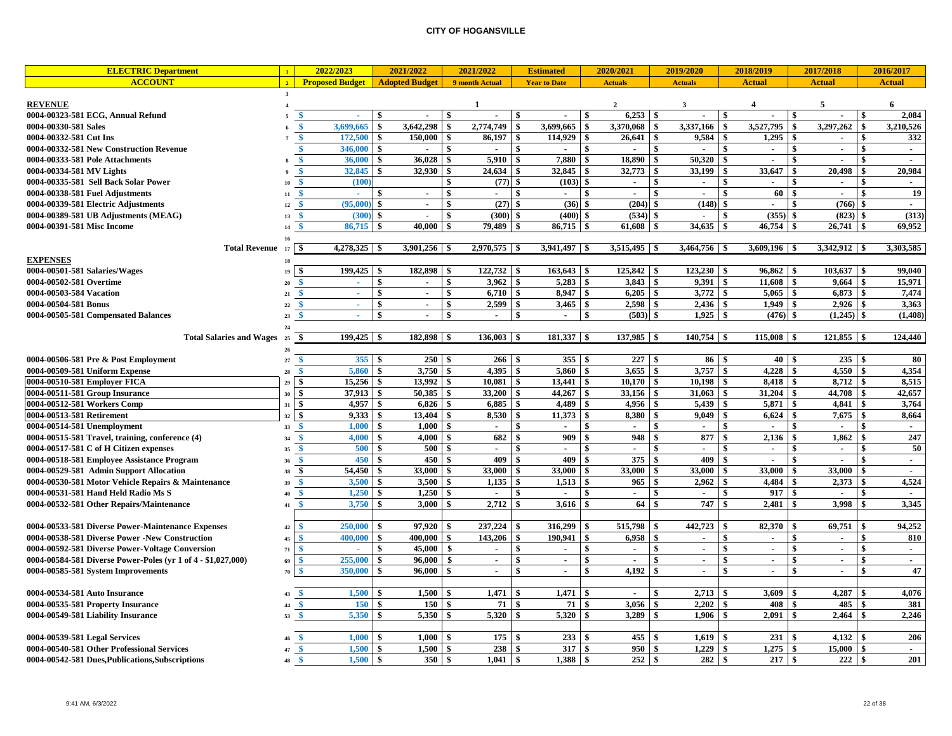| <b>ELECTRIC Department</b>                                   |            | 2022/2023                               | 2021/2022                                    |                    | 2021/2022                   | <b>Estimated</b>               |              | 2020/2021                | 2019/2020                 | 2018/2019                                    |              | 2017/2018                |               | 2016/2017     |
|--------------------------------------------------------------|------------|-----------------------------------------|----------------------------------------------|--------------------|-----------------------------|--------------------------------|--------------|--------------------------|---------------------------|----------------------------------------------|--------------|--------------------------|---------------|---------------|
| <b>ACCOUNT</b>                                               |            | <b>Proposed Budget</b>                  | <b>Adopted Budget</b>                        |                    | 9 month Actual              | <b>Year to Date</b>            |              | <b>Actuals</b>           | <b>Actuals</b>            | <b>Actual</b>                                |              | <b>Actual</b>            |               | <b>Actual</b> |
|                                                              |            |                                         |                                              |                    |                             |                                |              |                          |                           |                                              |              |                          |               |               |
| <b>REVENUE</b>                                               |            |                                         |                                              |                    | -1                          | \$<br>$\overline{\phantom{a}}$ |              | $\overline{2}$           | 3<br>٠                    | $\boldsymbol{4}$                             |              | 5                        |               | 6<br>2,084    |
| 0004-00323-581 ECG, Annual Refund                            |            | <b>S</b><br>×.<br>3,699,665<br><b>s</b> | \$<br>$\sim$<br>$\ddot{\bm{x}}$<br>3,642,298 | -8<br>$\mathbf{s}$ | $\blacksquare$<br>2.774.749 | \$<br>3,699,665                | <b>S</b>     |                          | $\mathbf{s}$<br>3,337,166 | - \$<br>$\sim$<br>$\mathbf{\$}$<br>3,527,795 | \$           | 3,297,262                |               | 3,210,526     |
| 0004-00330-581 Sales<br>0004-00332-581 Cut Ins               |            | 172,500<br>$\mathbf{\$}$                | 150,000<br>\$                                | $\sqrt{3}$         | 86,197                      | 114,929<br>\$                  | -\$          | 3,370,068<br>26,641      | \$<br>9,584               | \$<br>1,295                                  | \$           | $\blacksquare$           |               | 332           |
| 0004-00332-581 New Construction Revenue                      |            | 346,000<br><b>s</b>                     | \$<br>$\overline{\phantom{a}}$               | - \$               | $\sim$                      | \$<br>$\sim$                   | -\$          | $\overline{\phantom{a}}$ | \$<br>$\sim$              | \$<br>$\sim$                                 | \$           | $\sim$                   | -\$           | $\sim$        |
| 0004-00333-581 Pole Attachments                              |            | 36,000<br>$\ddot{\bm{x}}$               | \$<br>36,028                                 | $\sqrt{3}$         | 5,910                       | \$<br>7,880                    | -\$          | 18,890                   | 50,320<br>\$              | $\hat{\mathbf{x}}$<br>$\blacksquare$         | \$           | ٠                        | \$            | $\sim$        |
| 0004-00334-581 MV Lights                                     |            | 32,845<br>\$                            | 32,930<br>\$                                 | l \$               | 24,634                      | 32,845<br>\$                   | - \$         | 32,773                   | 33,199<br>\$              | 33,647                                       |              | 20,498                   |               | 20,984        |
| 0004-00335-581 Sell Back Solar Power                         | 10         | (100)                                   |                                              | $\mathbf{\hat{S}}$ | (77)                        | (103)<br>\$                    | $\mathbf{s}$ | $\blacksquare$           | \$<br>$\blacksquare$      | \$                                           | \$           |                          |               | $\sim$        |
| 0004-00338-581 Fuel Adjustments                              | 11         | $\mathbf{\$}$<br>a.                     | \$<br>$\blacksquare$                         | \$                 | $\sim$                      | \$<br>$\blacksquare$           | \$           | $\overline{\phantom{a}}$ | \$<br>$\sim$              | 60<br>\$                                     | \$           | $\blacksquare$           | \$            | 19            |
| 0004-00339-581 Electric Adjustments                          | 12         | (95,000)                                | \$<br>$\sim$                                 | -\$                | (27)                        | \$<br>(36)                     |              | $(204)$ \$               | (148)                     | \$<br>$\sim$                                 | \$           | (766)                    |               | $\sim$        |
| 0004-00389-581 UB Adjustments (MEAG)                         | 13         | (300)                                   | \$<br>$\blacksquare$                         | -\$                | (300)                       | (400)<br>\$                    |              | (534)                    | \$<br>$\sim$              | (355)<br>\$                                  |              | (823)                    |               | (313)         |
| 0004-00391-581 Misc Income                                   | 14         | 86,715                                  | 40,000<br>-\$                                | -\$                | 79,489                      | \$<br>86,715                   |              | 61,608                   | 34,635<br>\$              | \$<br>46,754                                 | \$           | 26,741                   |               | 69,952        |
|                                                              | 16         |                                         |                                              |                    |                             |                                |              |                          |                           |                                              |              |                          |               |               |
| <b>Total Revenue</b>                                         | 17         | $4,278,325$ \$<br>-\$                   | 3,901,256                                    |                    | $2,970,575$ \$              | 3,941,497                      |              | $3,515,495$ \$           | 3,464,756                 | 3,609,196                                    |              | 3,342,912                |               | 3,303,585     |
| <b>EXPENSES</b>                                              | 18         |                                         |                                              |                    |                             |                                |              |                          |                           |                                              |              |                          |               |               |
| 0004-00501-581 Salaries/Wages                                | 19         | 199,425<br>\$                           | 182,898<br>$\boldsymbol{s}$                  | <b>S</b>           | 122,732                     | 163,643<br>\$                  |              | $125,842$ \$             | 123,230                   | 96,862<br>\$                                 | \$           | 103,637                  |               | 99,040        |
| 0004-00502-581 Overtime                                      | 20         | ×.                                      | \$<br>$\blacksquare$                         | $\mathbf{\hat{S}}$ | 3.962                       | \$<br>5,283                    |              | 3,843                    | 9.391<br>\$               | 11.608<br>\$                                 | \$           | 9.664                    |               | 15,971        |
| 0004-00503-584 Vacation                                      | 21         | \$<br>$\omega$                          | \$<br>$\blacksquare$                         | \$                 | 6,710                       | 8,947<br>\$                    | \$           | 6,205                    | 3,772<br>\$               | 5,065<br>\$                                  | \$           | 6,873                    |               | 7,474         |
| 0004-00504-581 Bonus                                         | 22         | a.                                      | \$<br>$\sim$                                 | $\mathbf{s}$       | 2.599                       | \$<br>3,465                    | \$           | 2.598                    | \$<br>2,436               | 1.949<br>\$                                  | \$           | 2,926                    |               | 3,363         |
| 0004-00505-581 Compensated Balances                          | 23         | \$<br>×.                                | \$<br>$\sim$                                 | \$                 | $\sim$                      | \$<br>$\blacksquare$           | \$           | $(503)$ \$               | 1,925                     | -\$<br>(476)                                 | \$           | (1,245)                  | -\$           | (1, 408)      |
|                                                              | 24         |                                         |                                              |                    |                             |                                |              |                          |                           |                                              |              |                          |               |               |
| <b>Total Salaries and Wages</b>                              | 25         | $199,425$ \$<br>-S                      | 182,898 \$                                   |                    | $136,003$ \$                | $181,337$ \$                   |              | 137,985 \$               | $140,754$ \$              | $115,008$ \$                                 |              | $121,855$ \$             |               | 124,440       |
|                                                              | 26         |                                         |                                              |                    |                             |                                |              |                          |                           |                                              |              |                          |               |               |
| 0004-00506-581 Pre & Post Employment                         | $27\,$     | 355S<br><b>S</b>                        | 250S                                         |                    | $266 \t3$                   | 355S                           |              | 227S                     | 86                        | -\$                                          | $40 \quad$   | 235                      | l \$          | 80            |
| 0004-00509-581 Uniform Expense                               | 28         | 5,860<br><b>S</b>                       | 3,750<br>\$                                  | $\mathbf{s}$       | 4,395                       | \$<br>5,860                    | \$           | 3,655                    | 3,757<br>$\sqrt{3}$       | 4,228<br>\$                                  | \$           | 4,550                    | <sup>\$</sup> | 4,354         |
| 0004-00510-581 Employer FICA                                 | 29         | $\mathbf{s}$<br>15,256                  | 13.992<br>\$                                 | $\mathbf{\hat{s}}$ | 10.081                      | \$<br>13,441                   | \$           | 10.170                   | 10,198<br>\$              | 8,418<br>\$                                  | \$           | 8,712                    |               | 8,515         |
| 0004-00511-581 Group Insurance                               | 30         | \$<br>37,913                            | 50,385<br>\$                                 | -\$                | 33,200                      | \$<br>44,267                   | \$           | 33,156                   | 31,063<br>\$              | 31,204<br>\$                                 | \$           | 44,708                   |               | 42,657        |
| 0004-00512-581 Workers Comp                                  | $31 \quad$ | 4,957                                   | 6,826<br>\$                                  | $\mathbf{s}$       | 6,885                       | \$<br>4,489                    |              | 4,956                    | 5,439<br>\$               | 5,871                                        | \$           | 4,841                    |               | 3,764         |
| 0004-00513-581 Retirement                                    | 32         | \$<br>9.333                             | 13,404<br>\$                                 | -\$                | 8.530                       | 11.373<br>\$                   |              | 8,380                    | 9.049                     | 6,624                                        | \$           | 7,675                    | \$            | 8,664         |
| 0004-00514-581 Unemployment                                  | 33         | 1,000<br>-8                             | \$<br>1,000                                  | $\mathbf{s}$       | $\sim$                      | \$                             |              |                          | $\blacksquare$            | $\sim$                                       | \$           |                          |               | $\sim$        |
| $0004-00515-581$ Travel, training, conference $(4)$          | 34         | 4.000<br>$\mathbf{s}$                   | \$<br>4,000                                  | <b>S</b>           | 682                         | 909<br>\$                      | -\$          | 948                      | 877<br>\$                 | 2,136                                        | \$           | 1,862                    |               | 247           |
| 0004-00517-581 C of H Citizen expenses                       | 35         | 500<br>\$                               | \$<br>500                                    | $\sqrt{3}$         | $\sim$                      | \$<br>$\blacksquare$           | \$           | $\blacksquare$           | \$<br>$\sim$              | \$<br>$\sim$                                 | \$           | $\sim$                   | \$            | 50            |
| 0004-00518-581 Employee Assistance Program                   | 36         | 450S<br><b>S</b>                        | 450S                                         |                    | 409                         | \$<br>409                      | <b>S</b>     | $375$ \$                 | 409                       | \$<br>$\sim$                                 | \$           | $\blacksquare$           | \$            | $\sim$        |
| 0004-00529-581 Admin Support Allocation                      | 38         | 54,450<br>\$                            | 33,000<br>\$                                 | $\mathbf{\hat{S}}$ | 33,000                      | 33,000<br>\$                   |              | 33,000                   | 33,000                    | 33,000                                       |              | 33,000                   |               | $\sim$        |
| 0004-00530-581 Motor Vehicle Repairs & Maintenance           |            | 3,500                                   | 3,500<br>\$                                  | $\mathbf{s}$       | 1,135                       | \$<br>1,513                    | \$           | 965                      | 2,962<br>\$               | 4,484                                        | \$           | 2,373                    |               | 4,524         |
| 0004-00531-581 Hand Held Radio Ms S                          | 40         | 1,250<br><b>s</b>                       | 1,250<br>\$                                  | -S                 | $\sim$                      | \$<br>$\overline{a}$           | \$           | $\sim$                   | \$<br>$\sim$              | 917<br>\$                                    | \$           | $\overline{\phantom{a}}$ | \$            | $\sim$        |
| 0004-00532-581 Other Repairs/Maintenance                     | 41         | 3,750<br><sup>\$</sup>                  | \$<br>3,000                                  | $\mathbf{s}$       | 2,712                       | \$<br>3,616                    |              | 64                       | 747<br>\$                 | 2,481                                        | \$           | 3,998                    |               | 3,345         |
| 0004-00533-581 Diverse Power-Maintenance Expenses            | 42         | 250,000                                 | 97,920                                       | $\hat{\mathbf{x}}$ | 237,224                     | \$<br>316,299                  |              | 515,798                  | 442,723                   | 82,370                                       |              | 69,751                   |               | 94,252        |
| 0004-00538-581 Diverse Power -New Construction               | 45         | 400.000<br>\$                           | \$<br>400.000                                | <b>S</b>           | 143,206                     | \$<br>190,941                  | \$           | 6,958                    | \$                        | \$<br>$\blacksquare$                         | \$           |                          | \$            | 810           |
| 0004-00592-581 Diverse Power-Voltage Conversion              | 71         | \$.<br>$\sim$                           | \$<br>45,000                                 | l \$               | $\sim$                      | \$<br>$\blacksquare$           | \$           | $\sim$                   | \$<br>$\sim$              | \$<br>$\sim$                                 | \$           | $\sim$                   | \$            | $\sim$        |
| 0004-00584-581 Diverse Power-Poles (yr 1 of 4 - \$1,027,000) | 69         | 255,000<br>$\boldsymbol{\$}$            | \$<br>96,000                                 | <b>S</b>           | $\sim$                      | \$<br>$\sim$                   | \$           | $\sim$                   | \$<br>$\sim$              | \$<br>$\sim$                                 | \$           | $\sim$                   | \$            | $\sim$        |
| 0004-00585-581 System Improvements                           | 70         | 350,000                                 | \$<br>96,000                                 | l \$               | $\sim$                      | \$<br>$\blacksquare$           | \$           | 4,192                    | \$<br>$\sim$              | \$<br>$\overline{a}$                         | \$           | $\overline{a}$           |               | 47            |
|                                                              |            |                                         |                                              |                    |                             |                                |              |                          |                           |                                              |              |                          |               |               |
| 0004-00534-581 Auto Insurance                                | 43         | 1,500<br>- \$                           | 1,500                                        |                    | 1,471                       | 1,471<br>\$                    |              | $\overline{\phantom{a}}$ | 2,713<br>\$               | 3,609                                        | \$           | 4,287                    |               | 4,076         |
| 0004-00535-581 Property Insurance                            | 44         | 150<br>\$                               | \$<br>150                                    | - \$               | 71                          | \$<br>71                       |              | 3,056                    | 2,202<br>\$               | 408                                          | \$           | 485                      |               | 381           |
| 0004-00549-581 Liability Insurance                           | 53         | 5,350<br>- \$                           | 5,350                                        |                    | 5,320                       | 5,320<br>\$                    |              | 3,289                    | 1,906                     | 2,091                                        | \$           | 2,464                    |               | 2,246         |
|                                                              |            |                                         |                                              |                    |                             |                                |              |                          |                           |                                              |              |                          |               |               |
| 0004-00539-581 Legal Services                                |            | 1,000<br>-8                             | 1,000<br>\$                                  | l SS               | $175 \quad$ \$              | 233                            | l \$         | $455 - $$                | 1,619                     | 231                                          | \$.          | 4,132                    |               | 206           |
| 0004-00540-581 Other Professional Services                   | 47         | 1,500<br>-8                             | \$<br>1.500                                  | <b>S</b>           | 238                         | 317<br>\$                      | <b>S</b>     | 950                      | \$<br>1.229               | 1,275<br>\$                                  | \$           | 15.000                   | \$            | $\sim$        |
| 0004-00542-581 Dues, Publications, Subscriptions             | 48         | $\mathbf{s}$<br>$1,500$ \$              | 350S                                         |                    | $1,041$ \$                  |                                |              | $\overline{252}$ \$      | 282                       | $\mathbf{s}$<br>217                          | $\mathbf{s}$ | 222                      | -\$           | 201           |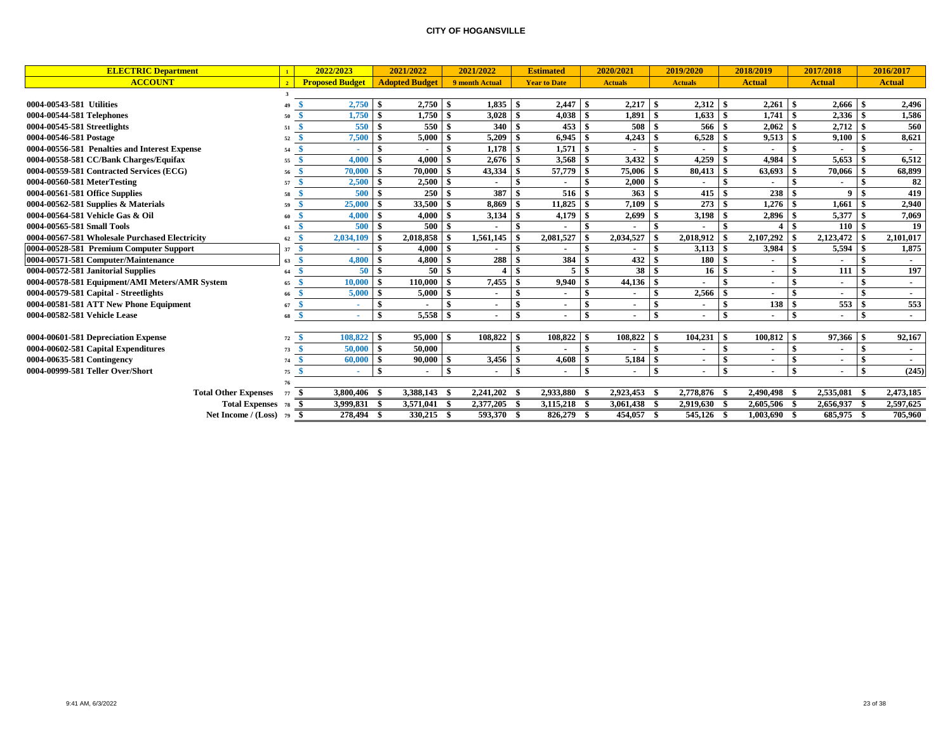| <b>ELECTRIC Department</b>                     |       | 2022/2023              | 2021/2022                          |      | 2021/2022      |               | <b>Estimated</b>    |                    | 2020/2021       |               | 2019/2020                |      | 2018/2019      | 2017/2018     |     | 2016/2017     |
|------------------------------------------------|-------|------------------------|------------------------------------|------|----------------|---------------|---------------------|--------------------|-----------------|---------------|--------------------------|------|----------------|---------------|-----|---------------|
| <b>ACCOUNT</b>                                 | $2-1$ | <b>Proposed Budget</b> | <b>Adopted Budget</b>              |      | 9 month Actual |               | <b>Year to Date</b> |                    | <b>Actuals</b>  |               | <b>Actuals</b>           |      | <b>Actual</b>  | <b>Actual</b> |     | <b>Actual</b> |
|                                                |       |                        |                                    |      |                |               |                     |                    |                 |               |                          |      |                |               |     |               |
| 0004-00543-581 Utilities                       |       | $2,750$ \$             | 2,750                              |      | $1,835$ \$     |               | 2,447               | - \$               | $2,217$ \$      |               | $2,312$ \$               |      | 2,261          | 2,666         |     | 2,496         |
| 0004-00544-581 Telephones                      |       | 1,750                  | 1,750                              |      | 3,028          |               | 4,038               | -9                 | 1,891           | -\$           | 1,633                    |      | 1,741          | 2,336         |     | 1,586         |
| 0004-00545-581 Streetlights                    | 51    | 550                    | 550<br>-\$                         |      | 340            |               | 453                 | -\$                | 508             |               | 566                      | -9   | 2,062          | 2,712         | -8  | 560           |
| 0004-00546-581 Postage                         | 52    | 7,500                  | 5,000<br>l \$                      | -\$  | 5,209          | - \$          | 6,945               | -8                 | $4,243$ \$      |               | 6,528                    | - 9  | 9,513          | 9,100         | -\$ | 8,621         |
| 0004-00556-581 Penalties and Interest Expense  | 54    | ٠                      |                                    |      | $1,178$ \$     |               | 1,571               | -\$                |                 |               |                          |      |                |               |     |               |
| 0004-00558-581 CC/Bank Charges/Equifax         | 55    | 4.000                  | 4.000<br>- \$                      |      | 2.676          |               | 3,568               | -\$                |                 |               | 4,259                    |      | 4,984          | 5.653         |     | 6,512         |
| 0004-00559-581 Contracted Services (ECG)       | 56    | 70,000                 | l \$<br>70,000                     | -\$  |                |               | 57,779              | -\$                | $75,006$ \ \ \$ |               | 80,413                   | -9   | 63,693         | 70,066        |     | 68,899        |
| 0004-00560-581 MeterTesting                    | 57    | 2,500                  | 2.500<br>l \$                      | -8   | ۰.             |               |                     |                    | $2,000$ \$      |               | $\overline{\phantom{a}}$ |      |                |               |     | 82            |
| 0004-00561-581 Office Supplies                 | 58    | 500                    | 250<br>-\$                         |      | 387            | \$            | 516                 | -8                 | 363S            |               | 415                      |      | 238            | 9             | \$  | 419           |
| 0004-00562-581 Supplies $\&$ Materials         | 59    | 25,000                 | <b>S</b><br>33,500                 | -\$  | 8,869          |               | 11,825              |                    | 7,109           |               | 273                      |      | 1,276          | 1,661         |     | 2,940         |
| 0004-00564-581 Vehicle Gas & Oil               |       | 4,000                  | 4.000<br>l \$                      |      | 3,134          |               | 4,179               |                    | 2,699           |               | 3,198                    |      | 2,896          | 5,377         |     | 7,069         |
| 0004-00565-581 Small Tools                     | 61    | 500                    | 500<br>l \$                        |      |                |               |                     |                    |                 |               |                          |      |                | 110           |     | 19            |
| 0004-00567-581 Wholesale Purchased Electricity | 62    | 2,034,109              | 2,018,858                          |      | 1,561,145      |               | 2,081,527           |                    | 2,034,527       |               | 2,018,912                |      | 2,107,292      | 2,123,472     |     | 2,101,017     |
| 0004-00528-581 Premium Computer Support        | 37    | - \$                   | 4.000<br>- \$                      | - \$ |                | \$            |                     |                    |                 | -\$           |                          |      | 3,984          | 5,594         |     | 1,875         |
| 0004-00571-581 Computer/Maintenance            | 63    | 4,800<br>- \$          | 4,800                              |      | 288 \$         |               | 384                 | - \$               | $432^{6}$       |               | 180                      | -8   |                |               |     |               |
| 0004-00572-581 Janitorial Supplies             | 64    | 50S<br>-8              | 50                                 |      | $4$   \$       |               | 5                   | -\$                | 38 <sup>8</sup> |               | 16 <sup>1</sup>          | - 9  |                | 111           |     | 197           |
| 0004-00578-581 Equipment/AMI Meters/AMR System | 65    | 10,000                 | l \$<br>110,000                    | -\$  |                |               | 9,940               | -\$                |                 |               |                          |      |                |               |     | $\sim$        |
| 0004-00579-581 Capital - Streetlights          | 66    | 5,000                  | 5.000                              | -8   |                | -\$           |                     |                    |                 | $\mathbf{s}$  | 2,566                    |      |                |               |     |               |
| 0004-00581-581 ATT New Phone Equipment         | 67    |                        | -\$                                |      |                |               |                     |                    |                 |               |                          |      | 138            | 553           |     | 553           |
| 0004-00582-581 Vehicle Lease                   | 68    |                        | - \$<br>5.558                      | -\$  | $\mathbf{r}$   | $\mathbf{s}$  |                     | $\mathbf{\hat{S}}$ |                 | $\mathbf{s}$  | $\sim$                   | -\$  |                |               | -\$ | $\sim$        |
|                                                |       |                        |                                    |      |                |               |                     |                    |                 |               |                          |      |                |               |     |               |
| 0004-00601-581 Depreciation Expense            | 72    | 108,822 \$             | 95,000                             | -8   | 108,822        |               | 108,822             | -8                 | $108,822$ \$    |               | 104,231                  | - \$ | 100,812        | 97,366        |     | 92,167        |
| 0004-00602-581 Capital Expenditures            | 73    | 50,000                 | l \$<br>50,000                     |      |                | $\mathbf{\$}$ |                     |                    |                 | $\mathbf{\$}$ |                          | -\$  |                |               |     | $\sim$        |
| 0004-00635-581 Contingency                     | 74    | 60,000                 | $\overline{\phantom{a}}$<br>90,000 | - \$ | $3,456$ \$     |               | 4,608               | - \$               |                 |               | $\sim$                   |      |                |               |     |               |
| 0004-00999-581 Teller Over/Short               | 75    | ٠                      | -\$<br>$\blacksquare$              | \$   |                | -\$           |                     | ¢                  |                 | \$            | $\sim$                   |      |                |               |     | (245)         |
|                                                |       |                        |                                    |      |                |               |                     |                    |                 |               |                          |      |                |               |     |               |
| <b>Total Other Expenses</b>                    | 77    | 3,800,406 \$<br>- \$   | 3,388,143                          |      | $2,241,202$ \$ |               | 2,933,880           | - \$               | 2,923,453 \$    |               | 2,778,876                |      | 2,490,498      | 2,535,081 \$  |     | 2,473,185     |
| <b>Total Expenses</b> 78                       |       | 3,999,831 \$<br>- \$   | 3,571,041                          |      | 2,377,205      |               | 3,115,218 \$        |                    | 3,061,438 \$    |               | 2.919.630                |      | 2,605,506 \$   | 2.656.937 \$  |     | 2,597,625     |
| Net Income / $(Loss)$ 79 \$                    |       | 278,494 \$             | $330,215$ \$                       |      | 593,370 \$     |               | 826,279 \$          |                    | 454,057 \$      |               | 545,126                  | - S  | $1,003,690$ \$ | 685,975 \$    |     | 705,960       |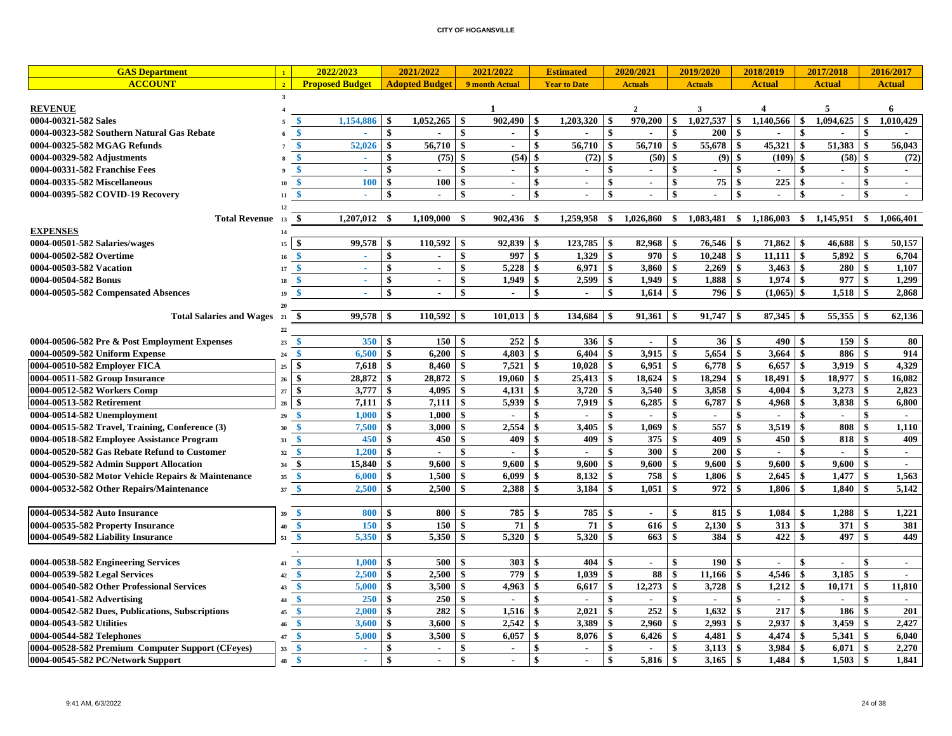| <b>GAS Department</b>                              | $\mathbf{1}$            | 2022/2023                    |                           | 2021/2022             | 2021/2022                      |                    | <b>Estimated</b>         |                           | 2020/2021      |                    | 2019/2020        |                           | 2018/2019        |                    | 2017/2018      |                           | 2016/2017      |
|----------------------------------------------------|-------------------------|------------------------------|---------------------------|-----------------------|--------------------------------|--------------------|--------------------------|---------------------------|----------------|--------------------|------------------|---------------------------|------------------|--------------------|----------------|---------------------------|----------------|
| <b>ACCOUNT</b>                                     | $\overline{2}$          | <b>Proposed Budget</b>       |                           | <b>Adopted Budget</b> | 9 month Actual                 |                    | <b>Year to Date</b>      |                           | <b>Actuals</b> |                    | <b>Actuals</b>   |                           | <b>Actual</b>    |                    | <b>Actual</b>  |                           | <b>Actual</b>  |
|                                                    | $\overline{\mathbf{3}}$ |                              |                           |                       |                                |                    |                          |                           |                |                    |                  |                           |                  |                    |                |                           |                |
| <b>REVENUE</b>                                     | $\overline{4}$          |                              |                           |                       | 1                              |                    |                          |                           | $\mathbf{2}$   |                    | 3                |                           | $\boldsymbol{A}$ |                    | 5              |                           | 6              |
| 0004-00321-582 Sales                               |                         | 1,154,886<br>\$              | $\mathbf{\$}$             | 1,052,265             | 902,490<br>-\$                 | $\mathbf{\hat{S}}$ | 1,203,320                | $\mathbf{\$}$             | 970,200        | \$                 | 1.027.537        | l \$                      | 1,140,566        | \$                 | 1.094.625      | \$                        | 1.010.429      |
| 0004-00323-582 Southern Natural Gas Rebate         | 6                       | -\$<br>ä,                    | $\mathbf{\$}$             | $\blacksquare$        | -\$<br>$\sim$                  | \$                 | $\overline{a}$           | $\boldsymbol{\mathsf{s}}$ | $\sim$         | \$                 | 200              | $\mathbf{s}$              | $\sim$           | $\mathbf{s}$       | $\sim$         | $\mathbf{s}$              |                |
| 0004-00325-582 MGAG Refunds                        |                         | 52,026<br>-\$                | $\mathbf{s}$              | 56,710                | -\$<br>$\sim$                  | $\mathbf{\hat{S}}$ | 56,710                   | $\mathbf{\$}$             | 56,710         | \$                 | 55,678           | -\$                       | 45,321           | \$                 | 51,383         | \$                        | 56,043         |
| 0004-00329-582 Adjustments                         |                         | \$<br>÷.                     | \$                        | (75)                  | (54)<br>$\sqrt{3}$             | \$                 | (72)                     | \$                        | (50)           | \$                 | $(9)$ \$         |                           | (109)            | $\mathbf{\$}$      | (58)           | \$                        | (72)           |
| 0004-00331-582 Franchise Fees                      |                         | $\mathbf{\$}$<br>×.          | $\mathbf{\$}$             | $\mathbf{r}$          | $\boldsymbol{\mathsf{s}}$      | \$                 | $\mathbf{r}$             | $\boldsymbol{\mathsf{s}}$ | $\blacksquare$ | \$                 | $\overline{a}$   | \$                        | $\mathbf{r}$     | \$                 | $\sim$         | \$                        | $\blacksquare$ |
| 0004-00335-582 Miscellaneous                       | 10                      | <b>100</b><br>¢              | $\boldsymbol{\mathsf{s}}$ | 100                   | $\mathbf{s}$<br>$\sim$         | \$                 | $\mathbf{r}$             | \$                        | $\sim$         | \$                 | $\overline{75}$  | -\$                       | 225              | $\mathbf{s}$       | $\sim$         | $\mathbf{\hat{s}}$        | $\blacksquare$ |
| 0004-00395-582 COVID-19 Recovery                   | 11                      | -\$                          | $\mathbf{s}$              |                       | $\mathbf{s}$                   | \$                 | $\blacksquare$           | $\mathbf{\hat{s}}$        |                | \$                 |                  | \$                        | $\mathbf{r}$     | $\mathbf{s}$       |                | $\mathbf{\hat{s}}$        |                |
|                                                    | $12\,$                  |                              |                           |                       |                                |                    |                          |                           |                |                    |                  |                           |                  |                    |                |                           |                |
| Total Revenue 13                                   |                         | -\$<br>1,207,012             | -\$                       | 1.109.000             | $\mathbf{s}$<br>902,436        | - \$               | 1,259,958                | \$                        | 1,026,860      | - \$               | 1,083,481        | -\$                       | 1,186,003        | -S                 | 1,145,951      | \$                        | 1.066.401      |
| <b>EXPENSES</b>                                    | 14                      |                              |                           |                       |                                |                    |                          |                           |                |                    |                  |                           |                  |                    |                |                           |                |
| 0004-00501-582 Salaries/wages                      | 15                      | $\mathbf{\hat{S}}$<br>99,578 | \$                        | 110,592               | 92,839                         | \$                 | 123,785                  | \$                        | 82,968         | \$                 |                  |                           | 71,862           | -\$                | 46,688         | \$                        | 50,157         |
| 0004-00502-582 Overtime                            | 16                      | -\$<br>$\sim$                | $\boldsymbol{\mathsf{s}}$ | $\sim$                | \$<br>997                      | \$                 | 1,329                    | $\boldsymbol{\mathsf{s}}$ | 970            | \$                 |                  |                           | 11,111           | $\mathbf{\$}$      | 5,892          | \$                        | 6,704          |
| 0004-00503-582 Vacation                            | 17                      | S<br>$\sim$                  | \$                        | $\sim$                | $\mathbf{\$}$<br>5,228         | \$                 |                          |                           | 3,860          | \$                 |                  |                           | 3,463            | l \$               | 280            | $\mathbf{\$}$             | 1,107          |
| 0004-00504-582 Bonus                               | 18                      | -\$<br>$\sim$                | $\mathbf{\$}$             | $\sim$                | -\$<br>1,949                   | \$                 | 2,599                    | \$                        | 1,949          | \$                 | $1,888$ \$       |                           | 1,974            | \$                 | 977            | $\mathbf{\$}$             | 1,299          |
| 0004-00505-582 Compensated Absences                | 19                      | S<br>÷                       | $\mathbf{s}$              | $\sim$                | -\$<br>$\sim$                  | \$                 | $\sim$                   | $\mathbf{\hat{s}}$        | 1,614          | $\mathbf{\hat{s}}$ | 796 \$           |                           | $(1,065)$ \$     |                    | 1,518          | $\mathbf{\hat{s}}$        | 2,868          |
|                                                    | 20                      |                              |                           |                       |                                |                    |                          |                           |                |                    |                  |                           |                  |                    |                |                           |                |
| <b>Total Salaries and Wages</b> 21                 |                         | 99,578<br>-\$                | -\$                       |                       | $101,013$ \$                   |                    |                          |                           | $91,361$   \$  |                    | $91,747$   \$    |                           |                  |                    |                |                           | 62,136         |
|                                                    | 22                      |                              |                           |                       |                                |                    |                          |                           |                |                    |                  |                           |                  |                    |                |                           |                |
| 0004-00506-582 Pre & Post Employment Expenses      | 23                      | 350<br>¢                     | \$                        | 150                   | l \$<br>252                    | <b>S</b>           | 336 <sup>8</sup>         |                           |                | \$                 | $36 \, \text{S}$ |                           | 490              | \$                 | 159S           |                           | 80             |
| 0004-00509-582 Uniform Expense                     | 24                      | 6,500<br>$\ddot{\bm{z}}$     | $\mathbf{s}$              | 6,200                 | -\$<br>4,803                   | $\mathbf{s}$       | 6.404                    | \$                        | 3,915          | \$                 |                  |                           | 3,664            | $\mathbf{s}$       | 886            | \$                        | 914            |
| 0004-00510-582 Employer FICA                       | 25                      | 7,618<br>-\$                 | $\mathbf{\$}$             | 8,460                 | -\$<br>7,521                   | \$                 | 10,028                   | $\boldsymbol{\mathsf{s}}$ | 6,951          | \$                 | $6,778$ \$       |                           | 6,657            | \$                 | 3,919          | $\mathbf{\hat{s}}$        | 4,329          |
| 0004-00511-582 Group Insurance                     | 26                      | $\mathbf{\$}$<br>28,872      | $\mathbf{s}$              | 28,872                | \$<br>19.060                   | \$                 | 25,413                   | \$                        | 18,624         | \$                 | 18,294           | \$                        | 18,491           | \$                 | 18,977         | $\mathbf{\hat{s}}$        | 16,082         |
| 0004-00512-582 Workers Comp                        | 27                      | \$<br>3,777                  | $\mathbf{\$}$             | 4.095                 | -\$<br>4,131                   | \$                 | 3,720                    | -\$                       | 3,540          | \$                 | 3,858            | \$                        | 4.004            | $\hat{\mathbf{s}}$ | 3,273          | \$                        | 2,823          |
| 0004-00513-582 Retirement                          | 28                      | $\ddot{\bm{S}}$<br>7,111     | $\boldsymbol{\mathsf{s}}$ | 7,111                 | 5,939<br>$\mathbf{s}$          | \$                 | 7,919                    | \$                        | 6,285          | \$                 | 6,787            | $\boldsymbol{\mathsf{s}}$ | 4,968            | \$                 | 3,838          | \$                        | 6,800          |
| 0004-00514-582 Unemployment                        | 29                      | 1,000<br>S                   | \$                        | 1,000                 | $\blacksquare$                 | \$                 |                          | \$                        | $\blacksquare$ | \$                 | $\sim$           | \$                        | $\blacksquare$   | \$                 | $\overline{a}$ | \$                        | $\sim$         |
| 0004-00515-582 Travel, Training, Conference (3)    | 30                      | 7,500                        | \$                        | 3,000                 | 2,554                          |                    | 3,405                    | \$                        | 1,069          | \$                 | 557              | \$                        | 3,519            | \$                 | 808            | \$                        | 1,110          |
| 0004-00518-582 Employee Assistance Program         | 31                      | $\mathbf{\hat{s}}$<br>450    | $\mathbf{\$}$             | 450                   | 409<br>-\$                     | \$                 | 409                      | \$                        | 375            | \$                 | 409              | \$                        | 450              | \$                 | 818            | $\boldsymbol{\mathsf{s}}$ | 409            |
| 0004-00520-582 Gas Rebate Refund to Customer       | 32                      | 1,200<br>$\mathbf{\$}$       | $\mathbf{\$}$             | $\sim$                | \$<br>$\sim$                   | \$                 | $\sim$                   | $\boldsymbol{\mathsf{s}}$ | 300            | \$                 | 200S             |                           | $\mathbf{r}$     | \$                 | $\sim$         | \$                        | $\sim$         |
| 0004-00529-582 Admin Support Allocation            | 34                      | 15,840<br>-\$                | $\mathbf{\$}$             | 9,600                 | 9.600<br>-\$                   | \$                 | 9,600                    | $\mathbf{s}$              | 9,600          | \$                 | $9,600$   \$     |                           | 9,600            | \$                 | 9.600          | \$                        | $\sim$         |
| 0004-00530-582 Motor Vehicle Repairs & Maintenance | 35                      | 6,000<br>- \$                | \$                        | 1,500                 | $\sqrt{3}$<br>6,099            | $\mathbf{s}$       | 8,132                    | -\$                       | 758            | $\mathbf{\$}$      | $1,806$ \$       |                           | 2,645            | $\mathbf{\$}$      | 1,477          | $\mathbf{\hat{s}}$        | 1,563          |
| 0004-00532-582 Other Repairs/Maintenance           | 37                      | $\mathbf{s}$<br>2,500        | $\mathbf{s}$              | 2,500                 | \$<br>2,388                    | \$                 | 3,184                    | $\mathbf{s}$              | 1,051          | \$                 | 972S             |                           | 1,806            | $\mathbf{s}$       | 1,840          | \$                        | 5,142          |
|                                                    |                         |                              |                           |                       |                                |                    |                          |                           |                |                    |                  |                           |                  |                    |                |                           |                |
| 0004-00534-582 Auto Insurance                      | 39                      | 800                          | \$                        | 800                   | 785                            | \$                 | 785                      | \$                        | $\sim$         | \$                 | 815              | -\$                       | 1,084            | \$                 | 1,288          | \$                        | 1,221          |
| 0004-00535-582 Property Insurance                  | 40                      | <b>150</b><br>- 4            | \$                        | 150                   | 71<br>\$                       | \$                 | 71                       | $\boldsymbol{\mathsf{s}}$ | 616            | \$                 |                  |                           | 313              | $\mathbf{\$}$      | 371            | \$                        | 381            |
| 0004-00549-582 Liability Insurance                 | 51                      | 5,350<br>$\mathbf{\hat{S}}$  | -\$                       | 5,350                 | 5,320<br>-\$                   | \$                 | 5.320                    | \$                        | 663            | $\mathbf{\$}$      | 384              | $\mathbf{s}$              | 422              | \$                 | 497            | $\boldsymbol{\mathsf{s}}$ | 449            |
|                                                    |                         |                              |                           |                       |                                |                    |                          |                           |                |                    |                  |                           |                  |                    |                |                           |                |
| 0004-00538-582 Engineering Services                | 41                      | 1,000                        | \$                        | 500                   | 303<br>\$                      | \$                 | 404                      | \$                        |                | \$                 | 190              | -\$                       |                  | \$                 |                | \$                        | $\mathbf{r}$   |
| 0004-00539-582 Legal Services                      | 42                      | 2,500<br>Ś                   | \$                        | 2.500                 | 779                            | \$                 | 1.039                    | \$                        | 88             | \$                 | 11,166           | \$                        | 4,546            | $\mathbf{\$}$      | 3,185          | $\mathbf{s}$              |                |
| 0004-00540-582 Other Professional Services         | 43                      | $\ddot{\bm{x}}$<br>5,000     | \$                        | 3,500                 | 4,963<br>\$                    | \$                 | 6,617                    | \$                        | 12,273         | \$                 | 3,728            | \$                        | 1,212            | \$                 | 10,171         | \$                        | 11,810         |
| 0004-00541-582 Advertising                         | 44                      | 250<br>-\$                   | \$                        | 250                   | $\blacksquare$                 | \$                 | $\overline{\phantom{a}}$ | \$                        | $\sim$         | \$                 | $\sim$           | \$                        | $\blacksquare$   | \$                 | $\blacksquare$ | \$                        |                |
| 0004-00542-582 Dues, Publications, Subscriptions   | 45                      | -\$<br>2,000                 | \$                        | 282                   | 1,516<br>-S                    | \$                 | 2,021                    | \$                        | 252            | \$                 | 1,632            | \$                        | 217              | -\$                | 186            | \$                        | 201            |
| 0004-00543-582 Utilities                           | 46                      | $\mathbf{\$}$<br>3,600       | \$                        | 3,600                 | 2,542<br>\$                    | \$                 | 3,389                    | \$                        | 2,960          | \$                 | 2,993            | <b>S</b>                  | 2,937            | $\mathbf{\$}$      | 3,459          | \$                        | 2,427          |
| 0004-00544-582 Telephones                          | 47                      | 5,000<br>-\$                 | $\mathbf{\$}$             | 3,500                 | $\sqrt{3}$<br>6,057            | \$                 | 8,076                    | \$                        | 6,426          | \$                 |                  |                           | 4,474            | -\$                | 5,341          | \$                        | 6,040          |
| 0004-00528-582 Premium Computer Support (CFeyes)   | 33                      | $\mathbf{\$}$<br>$\sim$      | \$                        | $\sim$                | -\$<br>$\sim$                  | \$                 | $\sim$                   | $\boldsymbol{\mathsf{s}}$ | $\sim$         | \$                 |                  |                           | 3,984            | $\mathbf{\$}$      | 6,071          | \$                        | 2,270          |
| 0004-00545-582 PC/Network Support                  | 48                      | -8<br>$\omega$               | $\mathbf{\$}$             | $\blacksquare$        | $\mathbf{s}$<br>$\blacksquare$ | $\mathbf{s}$       | $\sim$                   | $\mathbf{\hat{s}}$        | $5,816$ \$     |                    |                  |                           | 1,484            | $\mathbf{\hat{s}}$ | $1,503$ \$     |                           | 1,841          |
|                                                    |                         |                              |                           |                       |                                |                    |                          |                           |                |                    |                  |                           |                  |                    |                |                           |                |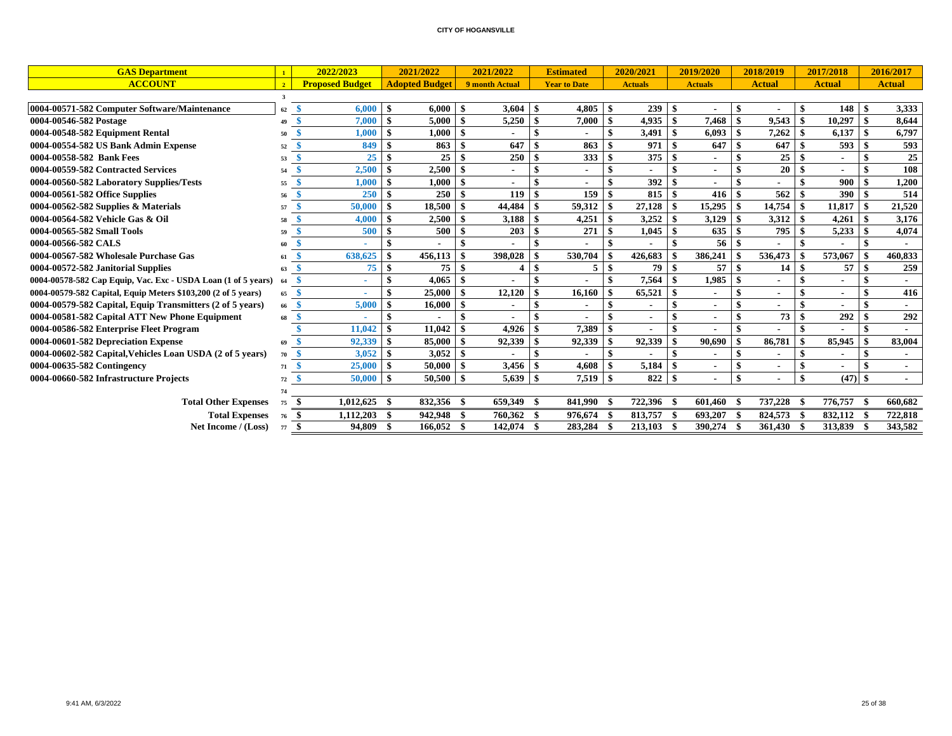| <b>GAS Department</b>                                         | $\overline{1}$          | 2022/2023              |              | 2021/2022             | 2021/2022          | <b>Estimated</b>    |      | 2020/2021      |     | 2019/2020      |                           | 2018/2019     |      | 2017/2018      |     | 2016/2017      |
|---------------------------------------------------------------|-------------------------|------------------------|--------------|-----------------------|--------------------|---------------------|------|----------------|-----|----------------|---------------------------|---------------|------|----------------|-----|----------------|
| <b>ACCOUNT</b>                                                | $\overline{2}$          | <b>Proposed Budget</b> |              | <b>Adopted Budget</b> | 9 month Actual     | <b>Year to Date</b> |      | <b>Actuals</b> |     | <b>Actuals</b> |                           | <b>Actual</b> |      | <b>Actual</b>  |     | <b>Actual</b>  |
|                                                               | $\overline{\mathbf{3}}$ |                        |              |                       |                    |                     |      |                |     |                |                           |               |      |                |     |                |
| 0004-00571-582 Computer Software/Maintenance                  | 62                      | 6,000<br><b>S</b>      | - \$         | 6,000                 | 3,604<br>-\$       | \$<br>4,805         | -S   | 239            | \$  |                | -\$                       |               | -8   | 148            | \$. | 3,333          |
| 0004-00546-582 Postage                                        | 49                      | \$<br>7.000            | $\mathbf{s}$ | 5.000                 | 5,250<br>-8        | 7,000               | -\$  | 4,935          | \$  | 7.468          | $\ddot{\bm{x}}$           | 9.543         |      | 10,297         | \$. | 8.644          |
| 0004-00548-582 Equipment Rental                               | 50                      | 1,000                  | -S           | 1,000                 |                    |                     |      | 3,491          | \$  | 6,093          | -\$                       | 7,262         |      | 6,137          |     | 6,797          |
| 0004-00554-582 US Bank Admin Expense                          | 52                      | 849                    |              | 863                   | 647                | 863                 | - \$ | 971            | \$  | 647            | -\$                       | 647           |      | 593            |     | 593            |
| 0004-00558-582 Bank Fees                                      | 53                      | 25                     | - \$         | 25                    | 250                | 333                 | -\$  | 375            | \$  |                | - \$                      | 25            | -\$  | $\blacksquare$ |     | 25             |
| 0004-00559-582 Contracted Services                            | 54                      | 2,500                  | -S           | 2,500                 |                    |                     | -\$  |                | \$  |                | $\mathbf{s}$              | 20            | -\$  |                |     | 108            |
| 0004-00560-582 Laboratory Supplies/Tests                      | 55                      | 1,000                  | -\$          | 1,000                 |                    |                     | -\$  | 392            | \$  |                | \$                        |               |      | 900            | \$. | 1,200          |
| 0004-00561-582 Office Supplies                                | 56                      | <b>250</b>             |              | 250                   | 119                | \$<br>159           | -\$  | 815            | \$  | 416            |                           | 562           |      | <b>390</b>     |     | 514            |
| 0004-00562-582 Supplies $&$ Materials                         | 57                      | 50,000                 | - \$         | 18,500                | 44,484             | 59,312              | -\$  | 27,128         | \$  | $15,295$ \ \\$ |                           | 14,754        | -\$  | 11,817         | \$  | 21,520         |
| 0004-00564-582 Vehicle Gas & Oil                              | 58                      | 4,000                  | - \$         | 2,500                 | 3,188              | \$<br>4,251         | -\$  | 3,252          | \$  | 3,129          | - \$                      | 3,312         | -\$  | 4,261          | \$. | 3,176          |
| 0004-00565-582 Small Tools                                    | 59                      | 500                    |              | 500                   | 203                | 271                 | - \$ | 1,045          | -\$ | 635            | -\$                       | 795           | - \$ | 5,233          |     | 4,074          |
| 0004-00566-582 CALS                                           | 60                      |                        |              |                       |                    |                     | -\$  |                |     | 56             | -\$                       |               |      |                |     |                |
| 0004-00567-582 Wholesale Purchase Gas                         | 61                      | 638,625                | \$           | 456,113               | 398,028            | 530,704             |      | 426,683        |     | 386,241        | -\$                       | 536,473       |      | 573,067        |     | 460,833        |
| 0004-00572-582 Janitorial Supplies                            | 63                      | 75<br>S                | -\$          | 75                    | -\$                | \$<br>5             | -\$  | 79 \$          |     | $57 \quad$ \$  |                           | 14            | l \$ | $57 \quad$ \$  |     | 259            |
| 0004-00578-582 Cap Equip, Vac. Exc - USDA Loan (1 of 5 years) |                         | -S<br>٠                | -\$          | 4,065                 | -\$                |                     | -8   | 7,564          | \$  | $1,985$ \$     |                           |               | -9   | $\blacksquare$ |     | $\blacksquare$ |
| 0004-00579-582 Capital, Equip Meters \$103,200 (2 of 5 years) | 65                      | -8<br>$\sim$           |              | 25,000                | 12,120<br>-\$      | 16,160              | - \$ | 65,521         | \$  |                | $\boldsymbol{\mathsf{s}}$ |               | -9   | $\blacksquare$ |     | 416            |
| 0004-00579-582 Capital, Equip Transmitters (2 of 5 years)     | 66                      | 5,000<br>-8            | - \$         | 16.000                | -8                 |                     |      |                | \$  | $\blacksquare$ | \$                        |               | -8   |                |     | $\blacksquare$ |
| 0004-00581-582 Capital ATT New Phone Equipment                | 68                      |                        |              |                       |                    |                     |      |                | \$  |                | $\mathbf{s}$              | 73            | -9   | 292            |     | 292            |
| 0004-00586-582 Enterprise Fleet Program                       |                         | 11,042                 | - \$         | 11,042                | 4,926              | 7,389               | -\$  |                | \$  |                | $\mathbf{s}$              |               |      |                |     |                |
| 0004-00601-582 Depreciation Expense                           | 69                      | 92,339                 | - \$         | 85,000                | 92,339<br>-\$      | 92,339              | -S   | 92,339         | \$  | 90.690         | -\$                       | 86,781        |      | 85,945         |     | 83,004         |
| 0004-00602-582 Capital, Vehicles Loan USDA (2 of 5 years)     | 70                      | 3,052<br>-8            | - \$         | 3,052                 | - \$               |                     | -8   |                | \$  | $\blacksquare$ | \$                        |               |      | $\blacksquare$ |     | $\blacksquare$ |
| 0004-00635-582 Contingency                                    | 71                      | 25,000                 | - \$         | 50.000                | 3,456<br>- \$      | 4.608               | -\$  | 5,184          | \$  | $\blacksquare$ | $\mathbf{s}$              |               | -\$  |                |     | $\blacksquare$ |
| 0004-00660-582 Infrastructure Projects                        | 72                      | 50,000                 | - \$         | 50,500                | - \$<br>5,639      | \$<br>7,519         | \$   | 822S           |     | $\blacksquare$ | \$                        |               | - \$ | $(47)$ \$      |     | $\sim$         |
|                                                               | 74                      |                        |              |                       |                    |                     |      |                |     |                |                           |               |      |                |     |                |
| <b>Total Other Expenses</b>                                   | 75                      | 1,012,625<br>- \$      | - \$         | 832,356 \$            | 659,349 \$         | 841,990             |      | 722,396        | - 9 | 601,460        | - \$                      | 737,228       |      | 776,757        |     | 660.682        |
| <b>Total Expenses</b>                                         | 76                      | 1,112,203<br>-S        | -S           | 942,948               | - \$<br>760.362 \$ | 976,674             | - \$ | 813,757        |     | 693,207        | -\$                       | 824,573       |      | 832,112        |     | 722,818        |
| Net Income / (Loss)                                           | 77                      | 94,809<br>- \$         | - \$         | $166,052$ \$          | 142,074 \$         | 283,284             | - \$ | 213,103        |     | 390,274        |                           | 361,430       |      | 313,839        |     | 343,582        |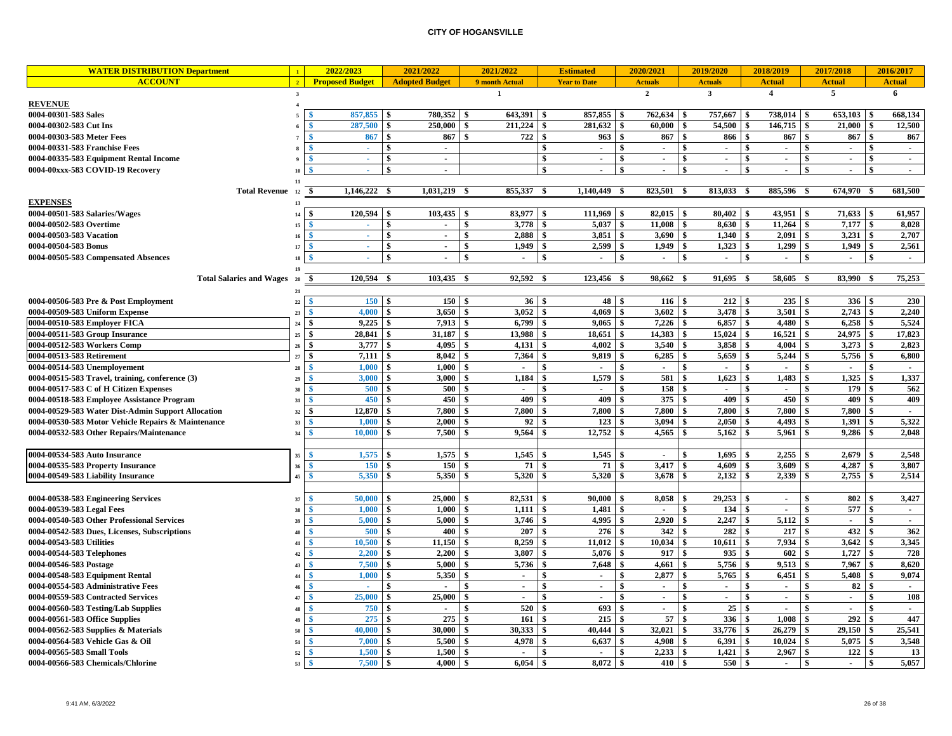| <b>WATER DISTRIBUTION Department</b>               | $\mathbf{1}$            | 2022/2023              | 2021/2022               | 2021/2022       |                           | <b>Estimated</b>         | 2020/2021               | 2019/2020               | 2018/2019               | 2017/2018               |               | 2016/2017                |
|----------------------------------------------------|-------------------------|------------------------|-------------------------|-----------------|---------------------------|--------------------------|-------------------------|-------------------------|-------------------------|-------------------------|---------------|--------------------------|
| <b>ACCOUNT</b>                                     | $\overline{2}$          | <b>Proposed Budget</b> | <b>Adopted Budget</b>   | 9 month Actual  |                           | <b>Year to Date</b>      | <b>Actuals</b>          | <b>Actuals</b>          | <b>Actual</b>           | <b>Actual</b>           |               | <b>Actual</b>            |
|                                                    | $\overline{\mathbf{3}}$ |                        |                         | $\mathbf{1}$    |                           |                          | $\overline{2}$          | $\overline{\mathbf{3}}$ | $\overline{\mathbf{4}}$ | $\overline{5}$          |               | 6                        |
| <b>REVENUE</b>                                     | $\overline{4}$          |                        |                         |                 |                           |                          |                         |                         |                         |                         |               |                          |
| 0004-00301-583 Sales                               |                         | 857,855                | 780,352<br>l \$         | 643.391<br>l \$ | -8                        | 857,855                  | $762,634$ \$<br>-8      | 757,667                 | 738,014 \$<br>- \$      | 653,103                 | - \$          | 668.134                  |
| 0004-00302-583 Cut Ins                             |                         | 287,500                | 250,000                 | 211,224         | $\boldsymbol{\mathsf{s}}$ | 281,632                  | \$<br>60.000            | 54.500                  | 146,715<br>\$           | $\mathbf{\$}$<br>21,000 | $\mathbf{s}$  | 12,500                   |
| 0004-00303-583 Meter Fees                          |                         | 867                    | 867                     | 722             | $\mathbf{s}$              | 963                      | -\$<br>867              | 866                     | $\mathbf{s}$<br>867     | \$<br>867               | -\$           | 867                      |
| 0004-00331-583 Franchise Fees                      |                         | ÷.                     | \$<br>$\overline{a}$    |                 | -S                        | $\overline{a}$           | -\$<br>$\sim$           | \$<br>$\blacksquare$    | \$<br>$\sim$            | \$<br>$\mathbf{r}$      | \$            | $\sim$                   |
| 0004-00335-583 Equipment Rental Income             |                         | $\sim$                 | <sup>\$</sup><br>$\sim$ |                 | $\mathbf{s}$              | $\sim$                   | <sup>\$</sup><br>$\sim$ | -S<br>$\sim$            | -S<br>$\sim$            | \$<br>$\sim$            | $\mathbf{s}$  | $\sim$                   |
| 0004-00xxx-583 COVID-19 Recovery                   | 10                      | $\sim$                 | \$<br>$\blacksquare$    |                 | -\$                       | $\overline{\phantom{a}}$ | -\$<br>$\overline{a}$   | $\sim$                  | \$<br>$\sim$            | \$<br>$\sim$            | -\$           | $\overline{a}$           |
|                                                    | 11                      |                        |                         |                 |                           |                          |                         |                         |                         |                         |               |                          |
| <b>Total Revenue</b>                               | 12                      | 1,146,222              | 1,031,219<br>-\$        | 855,337<br>-\$  | -\$                       | 1,140,449                | 823,501<br>-\$          | 813,033<br>-8           | 885,596                 | 674,970<br>- \$         |               | 681,500                  |
| <b>EXPENSES</b>                                    | 13                      |                        |                         |                 |                           |                          |                         |                         |                         |                         |               |                          |
| 0004-00501-583 Salaries/Wages                      | 14                      | l \$<br>120,594        | 103,435                 | 83,977          | \$                        | 111,969                  | 82,015                  | 80,402                  | 43,951<br>\$            | 71,633<br>\$            |               | 61,957                   |
| 0004-00502-583 Overtime                            | 15                      |                        | \$<br>$\blacksquare$    | 3,778<br>\$     | \$                        | 5,037                    | 11,008<br>-\$           | 8,630<br><sup>\$</sup>  | 11,264<br>\$            | 7,177<br>\$             | $\mathbf{s}$  | 8,028                    |
| 0004-00503-583 Vacation                            | 16                      | $\sim$                 | \$<br>$\blacksquare$    | 2,888<br>\$     | $\mathbf{s}$              | 3,851                    | 3.690<br><sup>\$</sup>  | 1,340                   | <sup>\$</sup><br>2.091  | \$                      |               | 2,707                    |
| 0004-00504-583 Bonus                               | 17                      | $\sim$                 | \$<br>$\sim$            | 1.949<br>\$     | $\mathbf{s}$              | 2,599                    | 1,949<br>-\$            | 1,323                   | 1,299<br>\$             | \$<br>$1,949$ \$        |               | 2,561                    |
| 0004-00505-583 Compensated Absences                | 18                      |                        | \$<br>$\overline{a}$    | \$              | \$                        |                          | \$<br>$\blacksquare$    | $\blacksquare$          | \$<br>$\sim$            | \$<br>$\sim$            | \$            | $\mathbf{r}$             |
|                                                    | <b>19</b>               |                        |                         |                 |                           |                          |                         |                         |                         |                         |               |                          |
| <b>Total Salaries and Wages</b>                    | 20                      | 120,594<br>-\$         | 103,435 \$<br>- 4       | 92,592          | - \$                      | 123,456                  | 98,662<br>-\$           | 91,695<br>-8            | 58,605<br>-S            | 83,990<br>- \$          |               | 75,253                   |
|                                                    | 21                      |                        |                         |                 |                           |                          |                         |                         |                         |                         |               |                          |
| 0004-00506-583 Pre & Post Employment               | 22                      | 150                    | 150                     | 36 <sup>°</sup> | - \$                      | 48                       | 116 <sup>8</sup><br>-\$ | $212 \quad$ \$          | $235 \t3$               | 336 \$                  |               | 230                      |
| 0004-00509-583 Uniform Expense                     | 23                      | 4,000                  | 3,650                   | 3,052           | \$                        | 4,069                    | 3,602<br>-\$            | 3,478<br>-S             | \$<br>3,501             | 2,743<br>\$             | -\$           | 2,240                    |
| 0004-00510-583 Employer FICA                       | 24                      | 9,225                  | 7.913<br>\$             | 6.799<br>\$     | $\mathbf{s}$              | 9.065                    | 7,226<br>-\$            | 6,857<br>-\$            | \$<br>4,480             | \$<br>6,258             | $\mathbf{s}$  | 5,524                    |
| 0004-00511-583 Group Insurance                     | 25                      | <b>S</b><br>28,841     | 31,187                  | 13,988          | $\boldsymbol{\mathsf{s}}$ | 18,651                   | 14,383<br>\$            | 15,024                  | 16,521<br>\$            | \$<br>24,975            | $\mathbf{s}$  | 17,823                   |
| 0004-00512-583 Workers Comp                        | 26                      | $\frac{3}{2}$<br>3,777 | 4,095<br>\$             | 4,131           | \$                        | 4,002                    | 3,540<br>\$             | 3,858                   | \$<br>4,004             | \$<br>3,273             | -\$           | 2,823                    |
| 0004-00513-583 Retirement                          | 27                      | ∣\$<br>7,111           | 8.042<br>\$             | 7,364           | $\mathbf{s}$              | 9,819                    | \$<br>6,285             | 5,659                   | $\mathbf{s}$<br>5,244   | $\mathbf{s}$<br>5,756   | $\mathbf{s}$  | 6,800                    |
| 0004-00514-583 Unemployement                       | 28                      | 1,000                  | 1.000                   | $\sim$          | $\mathbf{s}$              |                          | \$<br>$\blacksquare$    | $\blacksquare$          | \$<br>$\sim$            | \$<br>$\sim$            | \$            | $\overline{a}$           |
| 0004-00515-583 Travel, training, conference (3)    | 29                      | 3,000                  | 3,000                   | 1,184           | -\$                       | 1,579                    | 581<br>\$               | 1,623<br>\$             | 1,483<br>\$             | 1,325<br>\$             | -S            | 1,337                    |
| 0004-00517-583 C of H Citizen Expenses             | 30                      | 500                    | 500                     | $\sim$          | $\mathbf{s}$              | $\blacksquare$           | 158<br>-\$              | $\sim$                  | \$<br>$\sim$            | \$<br>179               | $\mathbf{s}$  | 562                      |
| 0004-00518-583 Employee Assistance Program         | 31                      | 450                    | 450                     | 409             | \$                        | 409                      | 375                     | 409<br>-\$              | 450                     | \$<br>409               | \$            | 409                      |
| 0004-00529-583 Water Dist-Admin Support Allocation | 32                      | 12,870<br>- \$         | 7.800                   | 7.800           | $\mathbf{s}$              | 7.800                    | 7.800<br>\$             | 7,800                   | 7.800<br>\$             | \$<br>7.800             | -\$           |                          |
| 0004-00530-583 Motor Vehicle Repairs & Maintenance | 33                      | 1,000                  | 2,000<br>\$             | 92              | -\$                       | 123                      | 3,094<br>-\$            | 2,050                   | 4,493<br>\$             | \$<br>1,391             | <sup>\$</sup> | 5,322                    |
| 0004-00532-583 Other Repairs/Maintenance           | 34                      | 10,000                 | 7,500                   | 9,564           | -\$                       | 12,752                   | 4,565<br>-\$            | 5,162                   | 5,961<br>\$             | \$<br>9,286             | -\$           | 2,048                    |
|                                                    |                         |                        |                         |                 |                           |                          |                         |                         |                         |                         |               |                          |
| 0004-00534-583 Auto Insurance                      | 35                      | 1,575                  | 1,575                   | 1,545           | -\$                       | 1,545                    | $\blacksquare$          | 1,695<br>\$             | 2,255<br>\$             | 2,679<br><b>S</b>       | -\$           | 2,548                    |
| 0004-00535-583 Property Insurance                  | 36                      | 150                    | 150                     | 71              | -\$                       | 71                       | 3.417<br>-\$            | 4.609                   | \$<br>3.609             | \$<br>4.287             | -\$           | 3.807                    |
| 0004-00549-583 Liability Insurance                 | 45                      | 5,350                  | 5,350                   | 5,320<br>\$     | $\mathbf{s}$              | 5,320                    | 3,678<br>-\$            | 2,132                   | \$<br>2,339             | \$<br>2,755             | -S            | 2,514                    |
|                                                    |                         |                        |                         |                 |                           |                          |                         |                         |                         |                         |               |                          |
| 0004-00538-583 Engineering Services                | 37                      | 50,000                 | 25,000                  | 82,531          | -S                        | 90.000                   | 8,058<br>-\$            | 29,253                  | \$<br>$\sim$            | 802<br>\$               | -\$           | 3,427                    |
| 0004-00539-583 Legal Fees                          | 38                      | 1,000                  | 1,000<br>\$             | 1,111<br>\$     | -\$                       | 1,481                    | \$<br>$\sim$            | 134                     | \$<br>$\blacksquare$    | 577<br>\$               | $\mathbf{s}$  | $\overline{\phantom{a}}$ |
| 0004-00540-583 Other Professional Services         | 39                      | 5,000                  | 5,000                   | 3,746           | -\$                       | 4,995                    | 2,920<br>-\$            | 2,247                   | 5,112                   | \$<br>$\sim$            | \$            | $\overline{a}$           |
| 0004-00542-583 Dues, Licenses, Subscriptions       | 40                      | 500                    | 400                     | 207             | -\$                       | 276                      | 342<br>\$               | 282                     | \$<br>217               | 432<br>s.               | -S            | 362                      |
| 0004-00543-583 Utilities                           | 41                      | 10,500                 | 11,150                  | 8,259           | $\mathbf{s}$              | 11,012                   | 10,034<br>-\$           | 10,611                  | 7,934<br>\$             | 3,642<br>\$             | -\$           | 3,345                    |
| 0004-00544-583 Telephones                          | 42                      | 2,200                  | 2.200                   | 3,807           | \$                        | 5.076                    | 917                     | 935                     | 602<br>\$               | 1,727<br>\$             | -\$           | 728                      |
| 0004-00546-583 Postage                             | 43                      | 7,500                  | 5,000                   | 5,736           | $\mathbf{s}$              | 7,648                    | 4,661<br>\$             | 5,756                   | 9,513<br>\$             | $\mathbf{s}$<br>7,967   | \$            | 8,620                    |
| 0004-00548-583 Equipment Rental                    | 44                      | 1,000                  | 5,350<br>\$             | $\sim$          | \$                        | $\blacksquare$           | 2,877<br>\$             | 5,765<br>-S             | 6,451<br>\$             | 5,408<br>\$             | \$            | 9,074                    |
| 0004-00554-583 Administrative Fees                 | 46                      | $\sim$                 | $\blacksquare$          | $\sim$          | <sup>\$</sup>             | $\blacksquare$           | \$<br>$\sim$            | \$<br>$\sim$            | \$<br>$\sim$            | 82<br>\$                | -S            | $\blacksquare$           |
| 0004-00559-583 Contracted Services                 | 47                      | 25,000                 | 25,000                  |                 | \$                        |                          | $\blacksquare$          | $\sim$                  | \$<br>$\sim$            | \$<br>$\blacksquare$    | \$            | 108                      |
| 0004-00560-583 Testing/Lab Supplies                | 48                      | 750                    | $\overline{a}$          | 520             | - \$                      | 693                      | -\$<br>$\sim$           | 25<br>-S                | \$<br>$\sim$            | \$<br>$\sim$            | \$            | $\overline{a}$           |
| 0004-00561-583 Office Supplies                     | 49                      | 275                    | 275                     | 161             | -\$                       | 215                      | 57                      | 336                     | 1,008<br>\$             | 292<br>\$               | \$            | 447                      |
| 0004-00562-583 Supplies $&$ Materials              | 50                      | 40,000                 | 30,000<br>\$            | 30,333          | \$                        | 40,444                   | 32,021<br>-\$           | 33,776<br>-S            | 26,279<br>\$            | \$<br>29,150            | <sup>\$</sup> | 25,541                   |
| 0004-00564-583 Vehicle Gas & Oil                   | 51                      | 7,000                  | 5,500                   | 4,978           | $\mathbf{s}$              | 6,637                    | -\$<br>4.908            | 6,391                   | <b>S</b><br>$10,024$ \$ | $5,075$ \$              |               | 3,548                    |
| 0004-00565-583 Small Tools                         | 52                      | 1,500                  | 1,500<br>S              | $\sim$          | \$                        | $\overline{\phantom{a}}$ | 2,233<br>S.             | 1,421<br>-S             | \$<br>2,967             | 122<br>\$               | \$            | 13                       |
| 0004-00566-583 Chemicals/Chlorine                  | 53                      | 7,500                  | \$<br>4,000             | 6,054<br>\$     | -\$                       | 8,072                    | \$<br>410               | 550                     | \$<br>$\sim$            | \$<br>$\sim$            | \$            | 5,057                    |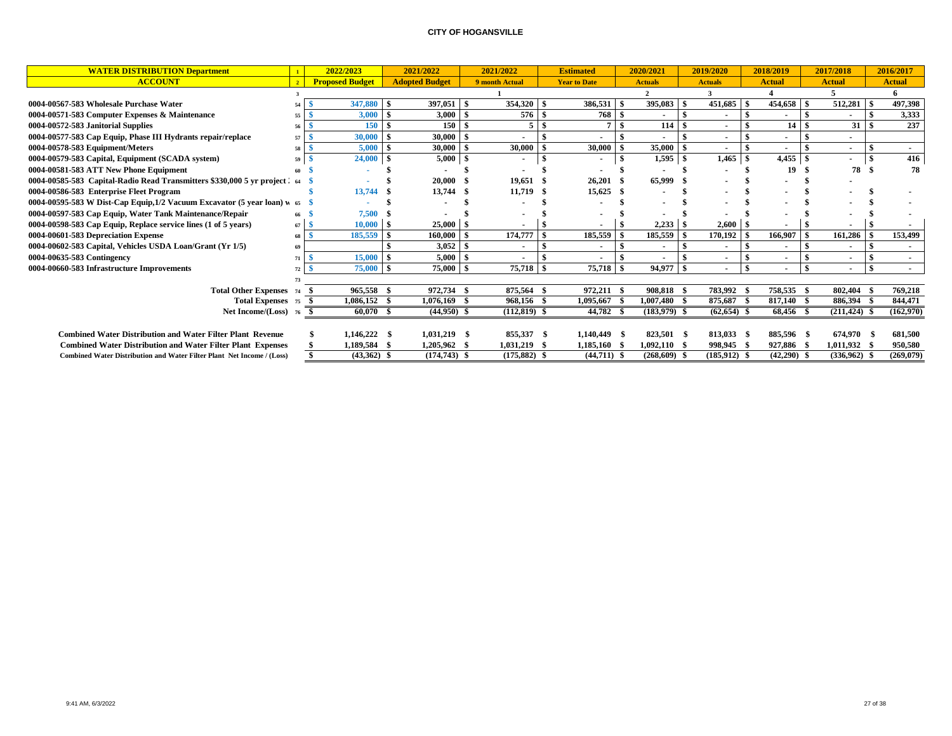| <b>WATER DISTRIBUTION Department</b>                                           |                | 2022/2023              |     | 2021/2022             | 2021/2022      | <b>Estimated</b>    |     | 2020/2021      |    | 2019/2020      | 2018/2019                | 2017/2018       |      | 2016/2017      |
|--------------------------------------------------------------------------------|----------------|------------------------|-----|-----------------------|----------------|---------------------|-----|----------------|----|----------------|--------------------------|-----------------|------|----------------|
| <b>ACCOUNT</b>                                                                 | $\overline{2}$ | <b>Proposed Budget</b> |     | <b>Adopted Budget</b> | 9 month Actual | <b>Year to Date</b> |     | <b>Actuals</b> |    | <b>Actuals</b> | <b>Actual</b>            | <b>Actual</b>   |      | <b>Actual</b>  |
|                                                                                |                |                        |     |                       |                |                     |     |                |    |                |                          | 5.              |      | 6              |
| 0004-00567-583 Wholesale Purchase Water                                        | 54             | 347,880                |     | 397,051               | 354,320        | 386,531             | -\$ | $395,083$ \$   |    | 451,685        | 454,658                  | \$<br>512,281   |      | 497,398        |
| 0004-00571-583 Computer Expenses & Maintenance                                 | 55             | 3,000                  |     | 3,000                 | 576            | 768                 |     | $\blacksquare$ |    |                |                          |                 |      | 3,333          |
| 0004-00572-583 Janitorial Supplies                                             | 56             | 150                    |     | 150                   | 5.             |                     |     | 114            |    | $\sim$         | 14 <sup>1</sup>          | 31              |      | 237            |
| 0004-00577-583 Cap Equip, Phase III Hydrants repair/replace                    | 57             | 30,000                 |     | 30,000                |                |                     |     |                |    |                |                          |                 |      |                |
| 0004-00578-583 Equipment/Meters                                                | 58             | 5,000                  |     | 30,000                | 30,000         | 30,000              |     | 35,000         |    | $\sim$         | $\overline{\phantom{a}}$ | ۰               |      | $\blacksquare$ |
| 0004-00579-583 Capital, Equipment (SCADA system)                               | 59             | 24,000                 |     | 5,000                 |                |                     |     |                |    | 1,465          | 4,455                    | \$              |      | 416            |
| 0004-00581-583 ATT New Phone Equipment                                         |                |                        |     |                       |                |                     |     |                |    |                | 19                       | 78              | - \$ | 78             |
| 0004-00585-583 Capital-Radio Read Transmitters \$330,000 5 yr project 2 64     |                |                        |     | 20,000                | 19,651         | $26,201$ \$         |     | 65,999         |    |                |                          |                 |      |                |
| 0004-00586-583 Enterprise Fleet Program                                        |                | 13,744                 |     | 13,744 \$             | 11,719         | $15,625$ \$         |     |                |    |                |                          |                 |      |                |
| 0004-00595-583 W Dist-Cap Equip, $1/2$ Vacuum Excavator (5 year loan) $\pi$ 65 |                |                        |     |                       |                |                     |     |                |    |                |                          |                 |      |                |
| 0004-00597-583 Cap Equip, Water Tank Maintenance/Repair                        |                | 7,500                  |     |                       |                |                     |     |                |    |                |                          |                 |      |                |
| 0004-00598-583 Cap Equip, Replace service lines (1 of 5 years)                 | 67             | 10,000                 | - 9 | 25,000                |                |                     |     | 2,233          |    | 2,600          |                          |                 |      |                |
| 0004-00601-583 Depreciation Expense                                            | 68             | 185,559                |     | 160,000               | 174,777        | 185,559             |     | 185,559        |    | 170,192        | 166,907                  | 161,286         |      | 153,499        |
| 0004-00602-583 Capital, Vehicles USDA Loan/Grant (Yr 1/5)                      |                |                        |     | 3,052                 |                |                     |     | $\blacksquare$ |    | $\blacksquare$ |                          |                 |      |                |
| 0004-00635-583 Contingency                                                     |                | 15,000                 |     | 5,000                 |                |                     |     | $\blacksquare$ |    | $\sim$         | $\blacksquare$           |                 |      | $\sim$         |
| 0004-00660-583 Infrastructure Improvements                                     |                | 75,000                 |     | 75,000                | 75,718         | 75,718              |     | 94,977         | -8 | $\blacksquare$ | $\overline{\phantom{a}}$ |                 |      |                |
|                                                                                |                |                        |     |                       |                |                     |     |                |    |                |                          |                 |      |                |
| <b>Total Other Expenses</b> 74                                                 |                | 965,558                |     | 972,734               | 875,564        | 972,211             |     | 908.818        |    | 783,992        | 758,535                  | 802,404         |      | 769,218        |
| Total Expenses 75                                                              |                | 1,086,152<br>- \$      |     | $1,076,169$ \$        | 968,156 \$     | 1,095,667           |     | $1,007,480$ \$ |    | 875,687        | 817,140 \$               | 886,394         |      | 844,471        |
| Net Income/(Loss) 76                                                           |                | $60,070$ \$            |     | $(44,950)$ \$         | $(112,819)$ \$ | 44,782 \$           |     | $(183,979)$ \$ |    | $(62, 654)$ \$ | 68,456 \$                | $(211, 424)$ \$ |      | (162,970)      |
|                                                                                |                |                        |     |                       |                |                     |     |                |    |                |                          |                 |      |                |
| <b>Combined Water Distribution and Water Filter Plant Revenue</b>              |                | $1,146,222$ \$         |     | $1,031,219$ \$        | 855,337 \$     | 1,140,449 \$        |     | 823,501 \$     |    | 813,033 \$     | 885,596 \$               | 674,970 \$      |      | 681,500        |
| <b>Combined Water Distribution and Water Filter Plant Expenses</b>             |                | 1,189,584              |     | 1,205,962 \$          | 1,031,219      | 1,185,160 \$        |     | $1,092,110$ \$ |    | 998,945 \$     | 927,886 \$               | 1,011,932       |      | 950,580        |
| <b>Combined Water Distribution and Water Filter Plant Net Income / (Loss)</b>  |                | $(43,362)$ \$          |     | $(174, 743)$ \$       | $(175,882)$ \$ | $(44,711)$ \$       |     | $(268,609)$ \$ |    | $(185.912)$ \$ | $(42,290)$ \$            | $(336.962)$ \$  |      | (269.079)      |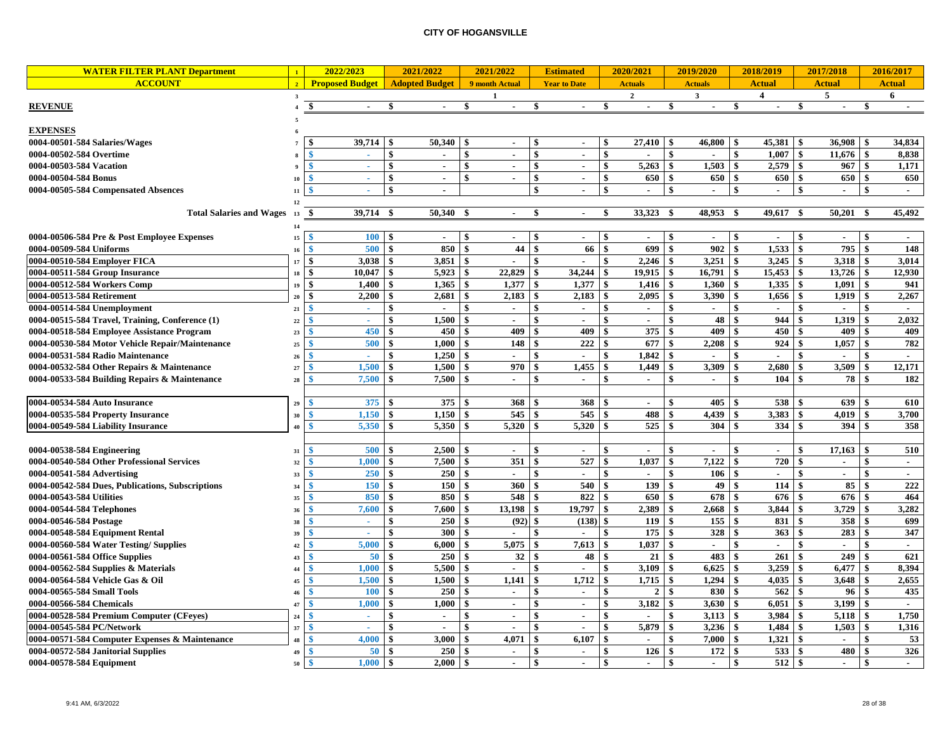| <b>WATER FILTER PLANT Department</b>             | $\mathbf{1}$            | 2022/2023                    |                    | 2021/2022                | 2021/2022                      |              | <b>Estimated</b>    |                    | 2020/2021      |               | 2019/2020      |                           | 2018/2019                |                    | 2017/2018                |                        | 2016/2017     |
|--------------------------------------------------|-------------------------|------------------------------|--------------------|--------------------------|--------------------------------|--------------|---------------------|--------------------|----------------|---------------|----------------|---------------------------|--------------------------|--------------------|--------------------------|------------------------|---------------|
| <b>ACCOUNT</b>                                   | $\overline{2}$          | <b>Proposed Budget</b>       |                    | <b>Adopted Budget</b>    | 9 month Actual                 |              | <b>Year to Date</b> |                    | <b>Actuals</b> |               | <b>Actuals</b> |                           | <b>Actual</b>            |                    | <b>Actual</b>            |                        | <b>Actual</b> |
|                                                  | $\overline{\mathbf{3}}$ |                              |                    |                          | $\mathbf{1}$                   |              |                     |                    | $\mathbf{2}$   |               | $\mathbf{3}$   |                           | $\overline{4}$           |                    | 5                        |                        | 6             |
| <b>REVENUE</b>                                   |                         | \$                           |                    |                          | \$                             | \$           |                     |                    |                | \$            |                | \$                        |                          |                    |                          |                        |               |
|                                                  |                         |                              |                    |                          |                                |              |                     |                    |                |               |                |                           |                          |                    |                          |                        |               |
| <b>EXPENSES</b>                                  |                         |                              |                    |                          |                                |              |                     |                    |                |               |                |                           |                          |                    |                          |                        |               |
| 0004-00501-584 Salaries/Wages                    |                         | 39,714                       |                    | 50,340                   |                                | \$           |                     | \$                 | 27,410         | -\$           | 46,800         | -\$                       | 45,381                   | -\$                | 36,908                   |                        | 34,834        |
| 0004-00502-584 Overtime                          |                         | $\blacktriangle$             | \$                 |                          | $\mathbf{s}$<br>$\sim$         | \$           | $\mathbf{r}$        | $\mathbf{s}$       |                | \$            |                | $\mathbf{s}$              | 1.007                    | $\mathbf{s}$       | 11,676                   | -\$                    | 8,838         |
| 0004-00503-584 Vacation                          |                         | $\mathbf{\hat{x}}$<br>×,     | $\mathbf{\$}$      | $\blacksquare$           | $\mathbf{s}$<br>$\blacksquare$ | \$           | $\blacksquare$      | $\mathbf{\$}$      | 5,263          | \$            | 1,503          | $\mathbf{\$}$             | 2,579                    | $\boldsymbol{\$}$  | 967                      | $\mathbf{s}$           | 1,171         |
| 0004-00504-584 Bonus                             | 10                      | $\mathbf{\hat{S}}$<br>$\sim$ | $\hat{\mathbf{s}}$ | $\sim$                   | \$<br>$\sim$                   | \$           | $\sim$              | $\mathbf{\$}$      | 650            | \$            | 650            | $\mathbf{\$}$             | 650                      | $\boldsymbol{\$}$  | 650                      | $\mathbf{\$}$          | 650           |
| 0004-00505-584 Compensated Absences              | 11                      | ÷.                           | \$                 | $\sim$                   |                                | \$           | $\sim$              | $\mathbf{\hat{s}}$ | $\sim$         | \$            | $\mathbf{r}$   | -\$                       | $\overline{a}$           | \$                 | $\sim$                   | \$                     | $\sim$        |
|                                                  | 12                      |                              |                    |                          |                                |              |                     |                    |                |               |                |                           |                          |                    |                          |                        |               |
| <b>Total Salaries and Wages</b>                  | 13                      | 39,714<br>-\$                | - \$               | 50,340                   | -9<br>$\sim$                   | \$           | $\sim$              | \$                 | 33,323         | - \$          | 48,953         | - \$                      | 49,617                   | - \$               | 50,201                   | -\$                    | 45,492        |
|                                                  | 14                      |                              |                    |                          |                                |              |                     |                    |                |               |                |                           |                          |                    |                          |                        |               |
| 0004-00506-584 Pre & Post Employee Expenses      | $15\,$                  | 100S                         |                    | $\sim$                   | $\mathbf{\$}$<br>$\sim$        | \$           | $\mathbf{r}$        | -\$                | $\sim$         | <sup>\$</sup> | $\sim$         | $\mathbf{s}$              | $\sim$                   | $\mathbf{s}$       | $\sim$                   | $\mathbf{s}$           | $\sim$        |
| 0004-00509-584 Uniforms                          | 16                      | 500<br>-9                    | $\mathbf{s}$       | 850                      | 44<br>\$                       | \$           | 66                  | $\mathbf{\hat{s}}$ | 699            | \$            | 902            | $\mathbf{\$}$             | 1,533                    | <b>S</b>           | 795                      | \$                     | 148           |
| 0004-00510-584 Employer FICA                     | 17                      | \$<br>$3.038$   \$           |                    | 3.851                    | $\mathbf{s}$<br>$\sim$         | \$           | $\mathbf{r}$        | -\$                | 2.246          | - \$          | 3.251          | - \$                      | $3,245$ \\$              |                    | 3.318                    | <sup>\$</sup>          | 3.014         |
| 0004-00511-584 Group Insurance                   | 18                      | $\mathbf{s}$<br>10,047       | - \$               | 5,923                    | \$<br>22,829                   | \$           | 34,244              | - \$               | 19,915         | \$            | 16,791         | $\mathbf{\$}$             | 15,453                   | $\mathbf{\$}$      | 13,726                   | \$                     | 12,930        |
| 0004-00512-584 Workers Comp                      | 19                      | \$<br>1,400                  | -\$                | 1,365                    | -\$<br>1,377                   | \$           | 1,377               | - \$               | 1,416          | -\$           | 1,360          | \$                        | 1,335                    | \$                 | 1,091                    | \$                     | 941           |
| 0004-00513-584 Retirement                        | 20                      | $\hat{\mathbf{s}}$<br>2,200  |                    | 2,681                    | 2,183<br>-\$                   |              | 2,183               | S.                 | 2,095          | \$            | 3,390          | \$                        | 1,656                    |                    | 1,919                    | \$                     | 2,267         |
| 0004-00514-584 Unemployment                      | 21                      | $\sim$                       |                    | $\overline{\phantom{a}}$ | \$<br>$\sim$                   |              | $\sim$              |                    | $\overline{a}$ | \$            | $\sim$         | \$                        | $\blacksquare$           |                    | $\overline{\phantom{a}}$ |                        | $\sim$        |
| 0004-00515-584 Travel, Training, Conference (1)  | 22                      | ÷.                           |                    | 1,500                    | \$<br>$\mathbf{r}$             |              | $\mathbf{r}$        |                    | $\sim$         | \$            | 48             | $\boldsymbol{\hat{s}}$    | 944                      |                    | 1,319                    |                        | 2,032         |
| 0004-00518-584 Employee Assistance Program       | 23                      | 450                          |                    | 450                      | 409                            |              | 409                 |                    | 375            |               | 409            | \$                        | 450                      |                    | 409                      |                        | 409           |
| 0004-00530-584 Motor Vehicle Repair/Maintenance  | 25                      | 500                          |                    | 1.000                    | 148<br>-\$                     |              | 222                 | -\$                | 677            | \$            | 2,208          | $\boldsymbol{\hat{s}}$    | 924                      | \$                 | 1,057                    |                        | 782           |
| 0004-00531-584 Radio Maintenance                 | 26                      |                              | \$                 | 1,250                    | $\hat{\mathbf{x}}$             | \$           |                     | -8                 | 1,842          |               |                | $\hat{\mathbf{s}}$        |                          | $\hat{\mathbf{s}}$ |                          |                        |               |
| 0004-00532-584 Other Repairs & Maintenance       | 27                      | 1,500<br>$\ddot{\textbf{C}}$ | \$                 | 1,500                    | 970<br>-9                      | \$           | 1,455               | -\$                | 1,449          |               | 3,309          | \$                        | 2,680                    | $\mathbf{s}$       | 3,509                    | \$                     | 12,171        |
| 0004-00533-584 Building Repairs & Maintenance    | 28                      | 7,500<br>-¢                  |                    | 7,500                    | -9<br>$\sim$                   | \$           | $\sim$              | \$                 | $\sim$         | \$            | $\mathbf{r}$   | $\mathbf{s}$              | 104                      | \$                 | 78                       | -\$                    | 182           |
|                                                  |                         |                              |                    |                          |                                |              |                     |                    |                |               |                |                           |                          |                    |                          |                        |               |
| 0004-00534-584 Auto Insurance                    | 29                      | 375<br>-9                    | -\$                | 375                      | 368<br>-9                      | \$           | 368                 | -\$                | $\sim$         | \$            | 405            | \$                        | 538                      | \$                 | 639                      | \$                     | 610           |
| 0004-00535-584 Property Insurance                | 30                      | 1,150<br>-9                  | -\$                | 1,150                    | 545<br>-9                      | - \$         | 545                 | -S                 | 488            | \$            | 4,439          | \$                        | 3,383                    | \$                 | 4,019                    | \$                     | 3,700         |
| 0004-00549-584 Liability Insurance               | 40                      | 5,350<br><b>S</b>            |                    | 5,350                    | 5,320                          |              | 5,320               |                    | 525            |               | 304            | -\$                       | 334                      | \$                 | 394                      | $\mathbf{s}$           | 358           |
|                                                  |                         |                              |                    |                          |                                |              |                     |                    |                |               |                |                           |                          |                    |                          |                        |               |
| 0004-00538-584 Engineering                       | 31                      | 500                          |                    | 2,500                    | -9<br>$\sim$                   | \$           | $\sim$              | -\$                | $\overline{a}$ | \$            | $\sim$         | -\$                       | $\sim$                   | \$                 | 17,163                   | \$                     | 510           |
| 0004-00540-584 Other Professional Services       | 32                      | 1,000                        | -\$                | 7,500                    | $\mathbf{s}$<br>351            | $\mathbf{s}$ | 527                 | -\$                | 1,037          | -\$           | 7,122          | $\mathbf{\$}$             | 720                      | $\boldsymbol{\$}$  | $\blacksquare$           | \$                     | $\sim$        |
| 0004-00541-584 Advertising                       | 33                      | 250<br>$\ddot{\textbf{C}}$   | $\mathbf{s}$       | 250                      | \$<br>$\sim$                   | \$           | $\mathbf{r}$        | -\$                | $\sim$         | \$            | 106            | $\boldsymbol{\mathsf{s}}$ | $\sim$                   | $\boldsymbol{\$}$  | $\blacksquare$           | $\mathbf{\hat{s}}$     | $\sim$        |
| 0004-00542-584 Dues, Publications, Subscriptions | 34                      | 150<br>-9                    | -\$                | 150                      | -\$<br>360S                    |              | 540                 | - \$               | 139            | -\$           | 49             | \$                        | 114S                     |                    | 85                       | \$                     | 222           |
| 0004-00543-584 Utilities                         | 35                      | 850                          |                    | 850                      | 548<br>-\$                     |              | 822                 | -\$                | 650            |               | 678            | \$                        | 676                      |                    | 676                      | \$                     | 464           |
| 0004-00544-584 Telephones                        | 36                      | 7,600                        | S                  | 7,600                    | 13,198<br>-S                   | \$           | 19,797              | -S                 | 2,389          |               | 2,668          | \$                        | 3,844                    | \$                 | 3,729                    | \$                     | 3,282         |
| 0004-00546-584 Postage                           | 38                      | $\sim$                       |                    | 250                      | $\mathbf{\hat{S}}$<br>(92)     | \$           | (138)               | -\$                | 119            |               | 155            | $\frac{3}{2}$             | 831                      |                    | 358                      |                        | 699           |
| 0004-00548-584 Equipment Rental                  | 39                      |                              |                    | 300                      | -\$                            |              |                     |                    | 175            |               | 328            | \$                        | 363                      |                    | 283                      | \$                     | 347           |
| 0004-00560-584 Water Testing/Supplies            | 42                      | 5,000                        |                    | 6,000                    | $\hat{\mathbf{x}}$<br>5,075    |              | 7,613               | -\$                | 1,037          |               | $\sim$         | $\mathbf{\$}$             | $\overline{\phantom{a}}$ | $\hat{\mathbf{s}}$ | ä,                       |                        | $\sim$        |
| 0004-00561-584 Office Supplies                   | 43                      | 50                           | -9                 | 250                      | 32<br>$\hat{\mathbf{x}}$       |              | 48                  | -\$                | 21             | -9            | 483            | $\mathbf{\$}$             | 261                      | \$                 | 249                      | \$                     | 621           |
| 0004-00562-584 Supplies & Materials              | 44                      | 1.000                        |                    | 5,500                    | -\$                            |              |                     | \$                 | 3.109          | \$            | 6,625          | $\mathbf{s}$              | 3,259                    | \$                 | 6,477                    | -\$                    | 8.394         |
| 0004-00564-584 Vehicle Gas & Oil                 | 45                      | 1,500<br>-9                  | \$                 | 1,500                    | 1,141<br>-\$                   | \$           | 1,712               | -\$                | 1,715          | \$            | 1,294          | $\mathbf{\$}$             | 4,035                    | $\mathbf{s}$       | 3,648                    | \$                     | 2,655         |
| 0004-00565-584 Small Tools                       | 46                      | -9<br><b>100</b>             | \$                 | 250                      | \$<br>$\sim$                   | \$           | $\blacksquare$      | \$                 | $\mathbf{2}$   | \$            | 830            | $\mathbf{\$}$             | 562                      | $\mathbf{s}$       | 96                       | \$                     | 435           |
| 0004-00566-584 Chemicals                         | 47                      | $\mathbf{s}$<br>1,000        | -\$                | 1.000                    | -\$<br>$\sim$                  | \$           | $\sim$              | -\$                | 3,182          | \$            | 3,630          | \$                        | 6,051                    | $\mathbf{s}$       | 3,199                    | \$                     | $\sim$        |
| 0004-00528-584 Premium Computer (CFeyes)         | 24                      | $\mathbf{\hat{S}}$<br>A.     | \$                 | $\sim$                   | \$<br>$\sim$                   | \$           | $\sim$              | \$                 |                | \$            | 3,113          | $\mathbf{\$}$             | 3,984                    | \$                 | 5,118                    | \$                     | 1,750         |
| 0004-00545-584 PC/Network                        | 37                      | n.                           | \$                 | $\mathbf{r}$             | \$<br>$\sim$                   | \$           | $\mathbf{r}$        | \$                 | 5,879          |               | 3,236          | $\mathbf{\$}$             | 1,484                    | \$                 | 1,503                    | \$                     | 1,316         |
| 0004-00571-584 Computer Expenses & Maintenance   | 48                      | 4,000                        | -\$                | 3,000                    | \$<br>4,071                    | -\$          | 6,107               | -\$                | $\sim$         | \$            | 7,000          | \$                        | 1,321                    | \$                 | $\sim$                   | \$                     | 53            |
| 0004-00572-584 Janitorial Supplies               | 49                      | $\ddot{\bm{S}}$<br>50        | -\$                | 250                      | $\hat{\mathbf{x}}$<br>$\sim$   | \$           | $\sim$              | $\mathbf{s}$       | 126            |               | 172            | $\mathbf{\$}$             | 533                      | $\mathbf{s}$       | 480                      | $\mathbf{\hat{s}}$     | 326           |
| 0004-00578-584 Equipment                         | 50                      | 1,000<br>$\mathbf{\hat{S}}$  | <b>S</b>           | 2.000                    | $\mathbf{s}$<br>$\epsilon$     | $\mathbf{s}$ | $\sim$              | $\mathbf{s}$       | $\sim$         | $\mathbf{s}$  | $\sim$         | $\mathbf{\$}$             | $512 \quad$ \$           |                    | $\sim$                   | $\boldsymbol{\hat{s}}$ | $\sim$        |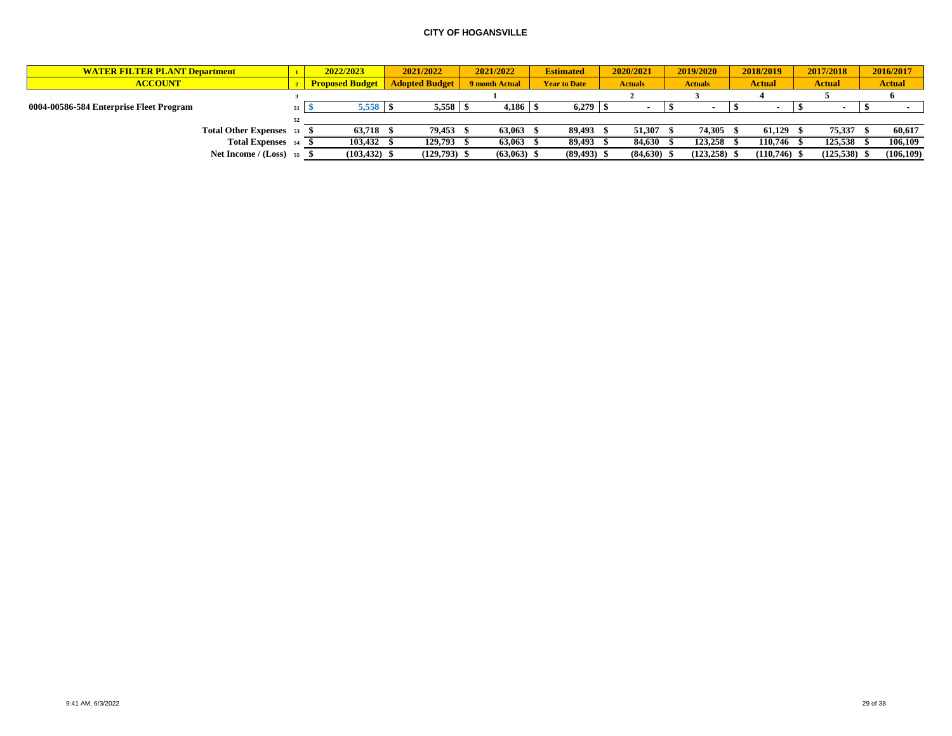| <b>WATER FILTER PLANT Department</b>    |    | 2022/2023              | 2021/2022             | 2021/2022      | <b>Estimated</b>    | 2020/2021      | 2019/2020      | 2018/2019      | 2017/2018     | 2016/2017     |
|-----------------------------------------|----|------------------------|-----------------------|----------------|---------------------|----------------|----------------|----------------|---------------|---------------|
| <b>ACCOUNT</b>                          |    | <b>Proposed Budget</b> | <b>Adopted Budget</b> | 9 month Actual | <b>Year to Date</b> | <b>Actuals</b> | <b>Actuals</b> | <b>Actual</b>  | <b>Actual</b> | <b>Actual</b> |
|                                         |    |                        |                       |                |                     |                |                |                |               |               |
| 0004-00586-584 Enterprise Fleet Program |    |                        |                       | 4,186          | $6,279$   \$        |                |                |                |               |               |
|                                         | 52 |                        |                       |                |                     |                |                |                |               |               |
| Total Other Expenses 53                 |    | 63,718                 | 79,453 \$             | 63,063         | 89,493              | 51,307         | 74,305         | 61,129         | 75,337        | 60,617        |
| Total Expenses 54                       |    | 103,432                | 129,793 \$            | 63,063         | 89,493              | 84.630         | 123,258        | 110.746        | 125,538       | 106,109       |
| Net Income / $(Loss)$ 55                |    | (103, 432)             | $(129,793)$ \$        | (63,063)       | (89, 493)           | (84,630)       | (123, 258)     | $(110,746)$ \$ | (125, 538)    | (106, 109)    |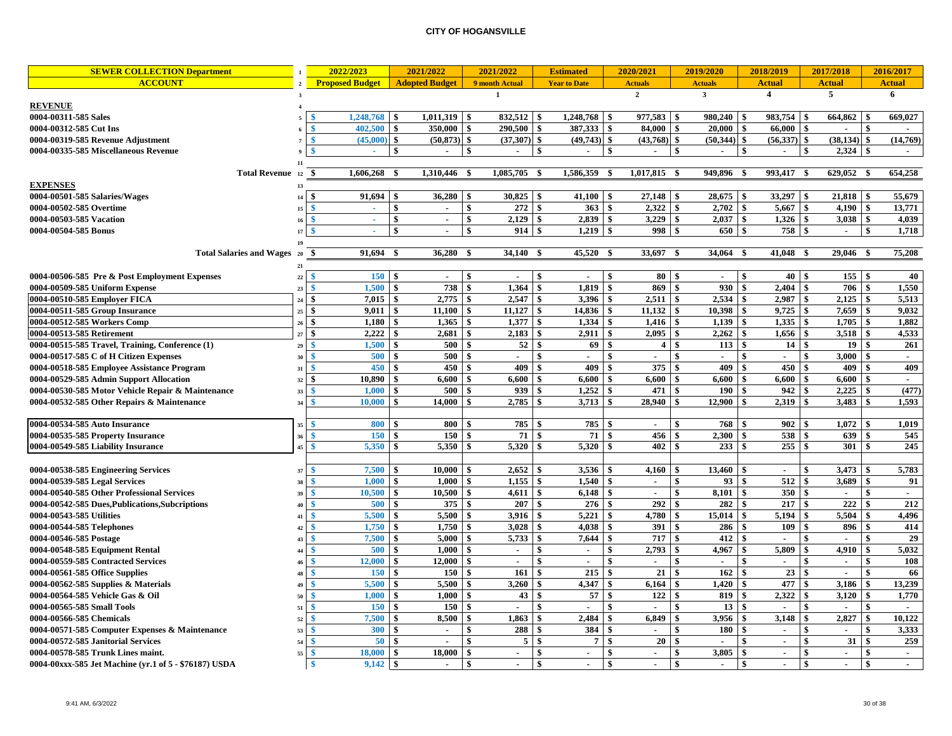| <b>SEWER COLLECTION Department</b>                    | $\mathbf{1}$ | 2022/2023                | 2021/2022             | 2021/2022                  | <b>Estimated</b>               |                | 2020/2021                           | 2019/2020                         | 2018/2019                                   |                                 | 2017/2018       |              | 2016/2017      |
|-------------------------------------------------------|--------------|--------------------------|-----------------------|----------------------------|--------------------------------|----------------|-------------------------------------|-----------------------------------|---------------------------------------------|---------------------------------|-----------------|--------------|----------------|
| <b>ACCOUNT</b>                                        |              | <b>Proposed Budget</b>   | <b>Adopted Budget</b> | 9 month Actual             | <b>Year to Date</b>            |                | <b>Actuals</b>                      | <b>Actuals</b>                    | <b>Actual</b>                               |                                 | <b>Actual</b>   |              | <b>Actual</b>  |
|                                                       | $\mathbf{3}$ |                          |                       | $\mathbf{1}$               |                                |                | $\overline{2}$                      | $\overline{\mathbf{3}}$           | $\overline{4}$                              |                                 | 5               |              | 6              |
| <b>REVENUE</b>                                        |              |                          |                       |                            |                                |                |                                     |                                   |                                             |                                 |                 |              |                |
| 0004-00311-585 Sales                                  |              | 1,248,768                | $1,011,319$ \$<br>-\$ | $832,512$ \$               | 1,248,768                      |                | <b>S</b><br>977,583                 | 980,240<br>  \$                   | 983,754<br>-\$                              | \$                              | 664,862         | \$           | 669,027        |
| 0004-00312-585 Cut Ins                                |              | 402.500<br>\$            | \$<br>350,000         | $\mathbf{s}$<br>290.500    | 387.333<br>\$                  |                | \$<br>84.000                        | 20,000<br><b>S</b>                | $\mathbf{s}$<br>66.000                      | \$                              | $\overline{a}$  | \$           | $\overline{a}$ |
| 0004-00319-585 Revenue Adjustment                     |              | $(45,000)$ \$            | (50, 873)             | \$<br>$(37,307)$ \$        | $(49,743)$ \$                  |                | $(43,768)$ \$                       | (50, 344)                         | \$<br>(56,337)                              | \$                              | $(38, 134)$ \$  |              | (14,769)       |
| 0004-00335-585 Miscellaneous Revenue                  |              | $\mathcal{L}_{\rm{eff}}$ | \$<br>$\sim$          | \$<br>$\sim$               | \$<br>$\sim$                   |                | \$<br>$\sim$                        | $\sqrt{5}$<br>$\sim$              | \$<br>$\sim$                                | \$                              |                 |              | $\sim$         |
|                                                       |              |                          |                       |                            |                                |                |                                     |                                   |                                             |                                 |                 |              |                |
| <b>Total Revenue</b>                                  | 12           | 1,606,268<br>-\$         | 1,310,446 \$<br>- \$  | $\overline{1,085,705}$     | - \$<br>1,586,359              |                | 1,017,815 \$<br>- \$                | 949,896 \$                        | 993,417 \$                                  |                                 | 629,052 \$      |              | 654,258        |
| <b>EXPENSES</b>                                       |              |                          |                       |                            |                                |                |                                     |                                   |                                             |                                 |                 |              |                |
| 0004-00501-585 Salaries/Wages                         |              | $91,694$ \$              | $36,280$ \$           |                            | $41,100$ \ \$                  |                |                                     | $28,675$ \$                       | $33,297$ \ \\$                              |                                 | 21,818          | -\$          | 55,679         |
| 0004-00502-585 Overtime                               | 15           | $\sim$                   | \$<br>$\sim$          | $\mathbf{s}$<br>272        | \$                             | 363            | $\mathbf{s}$<br>$2.322 \, \text{S}$ |                                   | 5.667                                       | \$                              | 4.190           | \$           | 13.771         |
| 0004-00503-585 Vacation                               | 16           | A.                       | \$<br>$\sim$          | \$<br>$2,129$ \$           | 2,839                          |                | \$<br>3,229                         | <b>S</b><br>$2,037$ \$            | 1,326                                       | \$                              | 3,038           | \$           | 4,039          |
| 0004-00504-585 Bonus                                  | 17           | $\sim$                   | \$<br>$\sim$          | \$<br>914                  | 1,219<br>-\$                   |                | \$<br>998                           | <b>S</b><br>$650 - $$             | 758                                         | \$                              | $\sim$          | \$           | 1,718          |
|                                                       |              |                          |                       |                            |                                |                |                                     |                                   |                                             |                                 |                 |              |                |
| <b>Total Salaries and Wages</b>                       | 20           | 91,694<br>-\$            | 36,280 \$<br>- \$     | 34,140 \$                  | 45,520                         |                | 33,697<br>- \$                      | 34,064 \$                         | 41,048 \$                                   |                                 | 29,046          | - \$         | 75,208         |
|                                                       |              |                          |                       |                            |                                |                |                                     |                                   |                                             |                                 |                 |              |                |
| 0004-00506-585 Pre & Post Employment Expenses         | 22           | 150S                     | $\sim$                | -\$<br>$\sim$              | \$<br>$\overline{\phantom{a}}$ |                | \$<br>$80 \quad$ \$                 | $\sim$                            | 40<br>\$                                    | \$                              | 155             | $\sqrt{3}$   | 40             |
| 0004-00509-585 Uniform Expense                        | 23           | 1.500<br>\$              | 738<br>\$             | \$<br>1,364                | 1,819<br>\$                    |                | 869<br>\$                           | \$<br>930                         | 2,404<br>\$                                 | \$                              | 706             | \$           | 1,550          |
| 0004-00510-585 Employer FICA                          | 24           | 7.015                    | 2.775<br>\$           | 2,547<br>\$                | 3,396                          |                | 2,511<br>$\mathbf{\$}$              | 2,534<br><b>S</b>                 | 2,987<br>\$                                 | \$                              | 2,125           |              | 5,513          |
| 0004-00511-585 Group Insurance                        | 25           | 9,011<br>\$              | 11,100<br>-\$         | 11,127<br>-\$              | 14,836<br>\$                   |                | 11,132<br>-\$                       | 10,398<br>\$                      | 9,725<br>-\$                                | \$                              | 7,659           | \$           | 9,032          |
| 0004-00512-585 Workers Comp                           | 26           | 1,180<br>-\$             | 1.365<br>\$           | 1.377<br>- \$              | 1.334<br>\$                    |                | -\$<br>1.416                        | 1,139<br>- \$                     | 1.335<br><sup>\$</sup>                      | \$                              | 1,705           | \$           | 1,882          |
| 0004-00513-585 Retirement                             | 27           | 2,222<br>$\mathbf{\$}$   | $\mathbf{s}$<br>2,681 | $\mathbf{s}$<br>2,183      | 2,911<br>\$                    |                | $\mathbf{\hat{s}}$<br>2,095         | <b>S</b>                          | 1,656                                       | $\mathbf{s}$                    | 3,518           | $\mathbf{s}$ | 4,533          |
| 0004-00515-585 Travel, Training, Conference (1)       | 29           | 1,500                    | 500<br>\$             | \$<br>52                   |                                | 69             | $\overline{4}$<br>\$                | 113<br>- \$                       | $\mathbf{s}$<br>14                          | \$                              | 19              | \$           | 261            |
| 0004-00517-585 C of H Citizen Expenses                | 30           | 500                      | 500                   | \$<br>$\sim$               | ÷                              |                | \$                                  | $\sim$                            | \$<br>$\sim$                                | \$                              | 3,000           |              | $\mathbf{r}$   |
| 0004-00518-585 Employee Assistance Program            | 31           | 450                      | 450                   | $\mathbf{\hat{s}}$<br>409  | \$                             | 409            | $\ddot{\bm{x}}$<br>375              | -\$<br>409                        | 450<br>-\$                                  | $\boldsymbol{\hat{\mathbf{s}}}$ | 409             |              | 409            |
| 0004-00529-585 Admin Support Allocation               | 32           | 10,890<br>\$             | 6,600<br>\$           | \$<br>6,600                | 6,600                          |                | 6,600<br>\$                         | 6,600<br>\$                       | 6,600<br>\$                                 | \$                              | 6,600           | \$           | $\blacksquare$ |
| 0004-00530-585 Motor Vehicle Repair & Maintenance     | 33           | 1,000<br>Я               | 500<br>-\$            | 939<br>-\$                 | 1,252                          |                | 471<br>-\$                          | <b>S</b><br>190                   | \$<br>942                                   | \$                              | 2,225           | \$           | (477)          |
| 0004-00532-585 Other Repairs & Maintenance            | 34           | 10,000                   | \$<br>14.000          | 2,785<br>- \$              | 3,713                          |                | \$<br>28,940                        | - \$<br>12,900                    | 2,319<br>-\$                                | \$                              | 3,483           | \$           | 1,593          |
|                                                       |              |                          |                       |                            |                                |                |                                     |                                   |                                             |                                 |                 |              |                |
| 0004-00534-585 Auto Insurance                         |              | 800                      | 800                   | 785<br>\$                  |                                | 785            |                                     | \$<br>768                         | 902                                         | \$                              | 1,072           |              | 1,019          |
| 0004-00535-585 Property Insurance                     |              | 150<br>\$                | \$<br>150             | 71<br>-\$                  | \$                             | 71             | 456<br>-\$                          | 2.300<br>-\$                      | 538<br>-\$                                  | \$                              | 639             | \$           | 545            |
| 0004-00549-585 Liability Insurance                    |              | 5,350                    | 5,350<br>-\$          | 5,320<br>-\$               | 5,320                          |                | 402<br>-\$                          | 233<br>- \$                       | 255<br>-\$                                  | \$                              | 301             | \$           | 245            |
|                                                       |              |                          |                       |                            |                                |                |                                     |                                   |                                             |                                 |                 |              |                |
| 0004-00538-585 Engineering Services                   | 37           | 7,500                    | $10,000$ \$<br>-\$    | $2,652$ \$                 | 3,536                          |                | -\$<br>4,160                        | $13,460$   \$<br>- \$             | $\sim$                                      | \$                              | 3,473           | \$           | 5,783          |
| 0004-00539-585 Legal Services                         | 38           | 1.000                    | 1.000                 | 1.155<br>-S                | 1.540                          |                | -\$<br>$\blacksquare$               | $\hat{\mathbf{s}}$<br>93          | 512<br>-\$                                  | \$                              | 3,689           | \$           | 91             |
| 0004-00540-585 Other Professional Services            | 39           | 10,500                   | 10.500                | 4.611<br>\$                | 6,148                          |                | $\mathbf{\$}$                       | $\mathbf{s}$<br>8,101             | 350<br>$\mathbf{\hat{S}}$                   | \$                              |                 |              |                |
| 0004-00542-585 Dues, Publications, Subcriptions       |              | 500                      | 375                   | 207<br>-\$                 |                                | 276            | 292<br>\$                           | 282<br>\$                         | 217<br>-\$                                  | \$                              | 222             |              | 212            |
| 0004-00543-585 Utilities                              | $\mathbf{A}$ | 5.500                    | 5.500                 | 3.916<br>\$                | 5.221                          |                | 4.780<br>-\$                        | \$<br>15.014                      | 5,194<br>\$                                 | \$                              | 5.504           | \$           | 4,496          |
| 0004-00544-585 Telephones                             | 42           | 1,750                    | 1,750                 | 3,028<br>\$                | 4.038                          |                | 391<br>$\mathbf{\$}$                | <b>S</b><br>286                   | 109<br>\$                                   | $\boldsymbol{\hat{\mathbf{s}}}$ | 896             |              | 414            |
| 0004-00546-585 Postage                                |              | 7,500                    | 5,000                 | 5,733<br>\$                | 7,644                          |                | 717<br>\$                           | 412<br>-\$                        | -\$<br>$\mathcal{L}_{\mathcal{A}}$          | \$                              | $\sim$          | \$           | 29             |
| 0004-00548-585 Equipment Rental                       | 44           | 500                      | 1.000                 | \$<br>$\sim$               | $\blacksquare$                 |                | -\$<br>2,793                        | \$<br>4,967                       | \$<br>5,809                                 | \$                              | 4,910           | \$           | 5,032          |
| 0004-00559-585 Contracted Services                    |              | 12,000                   | 12,000<br>\$          | <b>S</b><br>$\blacksquare$ | \$<br>$\mathbf{r}$             |                | $\mathbf{s}$<br>$\mathbf{r}$        | - \$<br>$\mathbf{r}$              | -\$<br>$\blacksquare$                       | \$                              | $\blacksquare$  | \$           | 108            |
| 0004-00561-585 Office Supplies                        |              | 150                      | 150<br>\$             | \$<br>161                  | \$                             | 215            | 21<br>-\$                           | 162<br>- \$                       | 23<br>\$                                    | \$                              | $\sim$          | \$           | 66             |
| 0004-00562-585 Supplies & Materials                   | 49           | 5,500                    | 5,500<br>\$           | \$<br>3,260                | 4,347                          |                | -\$<br>6,164                        | 1,420<br><b>S</b>                 | 477<br>\$                                   | \$                              | 3,186           | \$           | 13,239         |
| 0004-00564-585 Vehicle Gas & Oil                      | 50           | 1.000                    | \$<br>1.000           | 43<br>-\$                  | \$.                            | 57             | 122<br>-\$                          | l \$<br>819                       | 2.322<br>-\$                                | \$                              | 3,120           | \$           | 1,770          |
| 0004-00565-585 Small Tools                            | 51           | 150                      | 150<br>\$             | \$<br>$\mathbf{r}$         | \$<br>$\sim$                   |                | $\boldsymbol{s}$<br>$\blacksquare$  | 13<br>\$                          | $\mathbf{s}$<br>$\sim$                      | \$                              | $\overline{a}$  | \$           | $\overline{a}$ |
| 0004-00566-585 Chemicals                              | 52           | 7,500                    | 8,500                 | \$<br>1,863                | 2,484<br>$\mathbf{\hat{S}}$    |                | $\mathbf{\$}$<br>6,849              | $\hat{\mathbf{s}}$<br>3,956       | 3,148<br><sup>\$</sup>                      | \$                              | 2,827           | \$           | 10,122         |
| 0004-00571-585 Computer Expenses & Maintenance        | 53           | 300                      | \$<br>$\sim$          | \$<br>288                  |                                | 384            | -\$<br>$\ddot{\phantom{1}}$         | \$<br>180                         | \$<br>$\mathcal{L}_{\mathcal{A}}$           | \$                              | $\sim$          | \$           | 3,333          |
| 0004-00572-585 Janitorial Services                    | 54           | 50<br>Я                  | \$<br>$\sim$          | 5<br>\$                    | \$                             | $\overline{7}$ | 20<br>-\$                           | \$<br>$\mathcal{L}_{\mathcal{A}}$ | $\mathbf{s}$<br>$\mathcal{L}_{\mathcal{A}}$ | \$                              | $\overline{31}$ | \$           | 259            |
| 0004-00578-585 Trunk Lines maint.                     | 55           | 18,000                   | 18,000                | \$<br>$\sim$               | \$<br>$\sim$                   |                | \$<br>$\mathbf{r}$                  | $\mathbf{s}$<br>3,805             | \$<br>$\mathcal{L}_{\mathcal{A}}$           | \$                              | $\blacksquare$  | \$           | $\sim$         |
| 0004-00xxx-585 Jet Machine (yr.1 of 5 - \$76187) USDA |              | 9,142<br>- \$            | \$<br>$\sim$          | \$<br>$\sim$               | \$<br>$\sim$                   |                | \$<br>$\blacksquare$                | \$<br>$\sim$                      | \$<br>$\sim$                                | \$                              | $\sim$          | \$           | $\sim$         |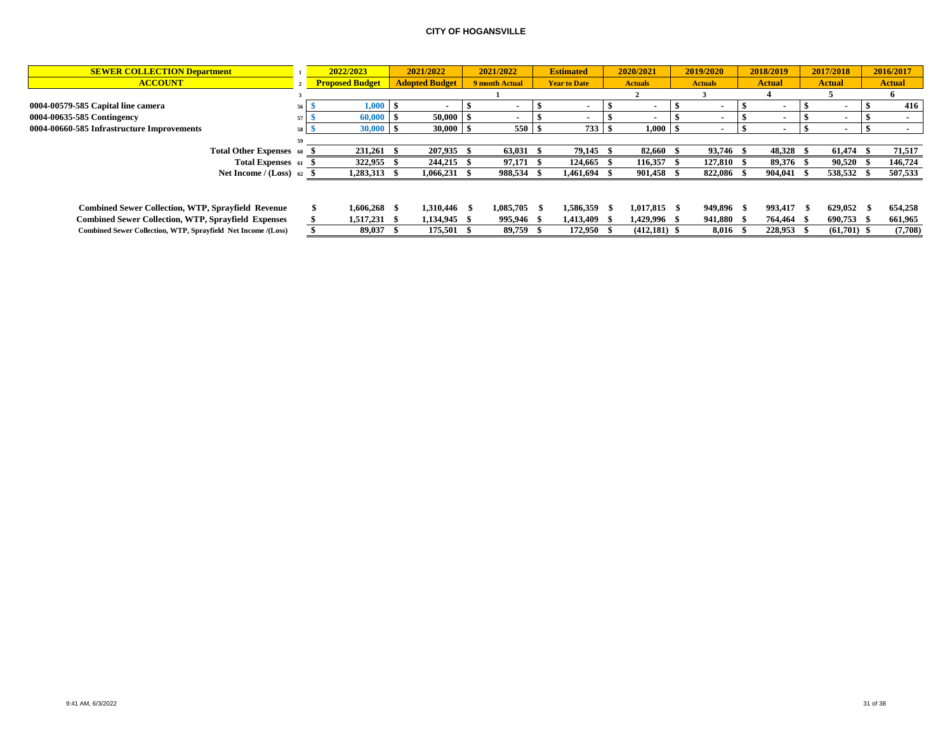| <b>SEWER COLLECTION Department</b>                            | 2022/2023              | 2021/2022             | 2021/2022             | <b>Estimated</b>    |      | 2020/2021      | 2019/2020      | 2018/2019     |      | 2017/2018                | 2016/2017     |
|---------------------------------------------------------------|------------------------|-----------------------|-----------------------|---------------------|------|----------------|----------------|---------------|------|--------------------------|---------------|
| <b>ACCOUNT</b>                                                | <b>Proposed Budget</b> | <b>Adopted Budget</b> | <b>9 month Actual</b> | <b>Year to Date</b> |      | <b>Actuals</b> | <b>Actuals</b> | <b>Actual</b> |      | <b>Actual</b>            | <b>Actual</b> |
|                                                               |                        |                       |                       |                     |      |                |                |               |      |                          |               |
| 0004-00579-585 Capital line camera                            | ${\bf 1.000}$          |                       |                       |                     |      |                |                |               |      |                          | 416           |
| 0004-00635-585 Contingency                                    | 60,000                 | 50,000                |                       |                     |      |                |                |               |      |                          |               |
| 0004-00660-585 Infrastructure Improvements                    | 30,000 S               | $30,000$ \$           | 550S                  | 733                 | - 56 | $1,000$ \ \$   |                |               |      | $\overline{\phantom{a}}$ |               |
|                                                               |                        |                       |                       |                     |      |                |                |               |      |                          |               |
| Total Other Expenses 60                                       | 231,261                | 207,935               | 63,031 \$             | 79,145              |      | 82,660         | 93,746         | 48,328 \$     |      | 61.474                   | 71,517        |
| Total Expenses 61                                             | 322,955                | 244,215               | 97,171 \$             | 124.665             |      | 116.357        | 127.810        | 89.376 \$     |      | 90,520                   | 146,724       |
| Net Income / $(Loss)$ 62                                      | 1,283,313 \$           | $1,066,231$ \$        | 988,534 \$            | 1,461,694 \$        |      | 901,458 \$     | 822,086        | 904.041 \$    |      | 538,532                  | 507,533       |
|                                                               |                        |                       |                       |                     |      |                |                |               |      |                          |               |
| <b>Combined Sewer Collection, WTP, Sprayfield Revenue</b>     | $1.606.268$ \$         | 1.310.446 \$          | 1.085.705             | 1.586.359 \$        |      | $1,017,815$ \$ | 949,896 \$     | 993.417       | - 56 | 629,052                  | 654,258       |
| <b>Combined Sewer Collection, WTP, Sprayfield Expenses</b>    | 1,517,231 \$           | 1,134,945 \$          | 995,946 \$            | 1.413.409 \$        |      | 1,429,996 \$   | 941,880 \$     | 764.464 \$    |      | 690,753                  | 661,965       |
| Combined Sewer Collection, WTP, Sprayfield Net Income /(Loss) | 89.037 \$              | 175.501 \$            | 89.759 \$             | 172.950 \$          |      | $(412.181)$ \$ | 8.016 \$       | 228.953 \$    |      | $(61.701)$ \$            | (7,708)       |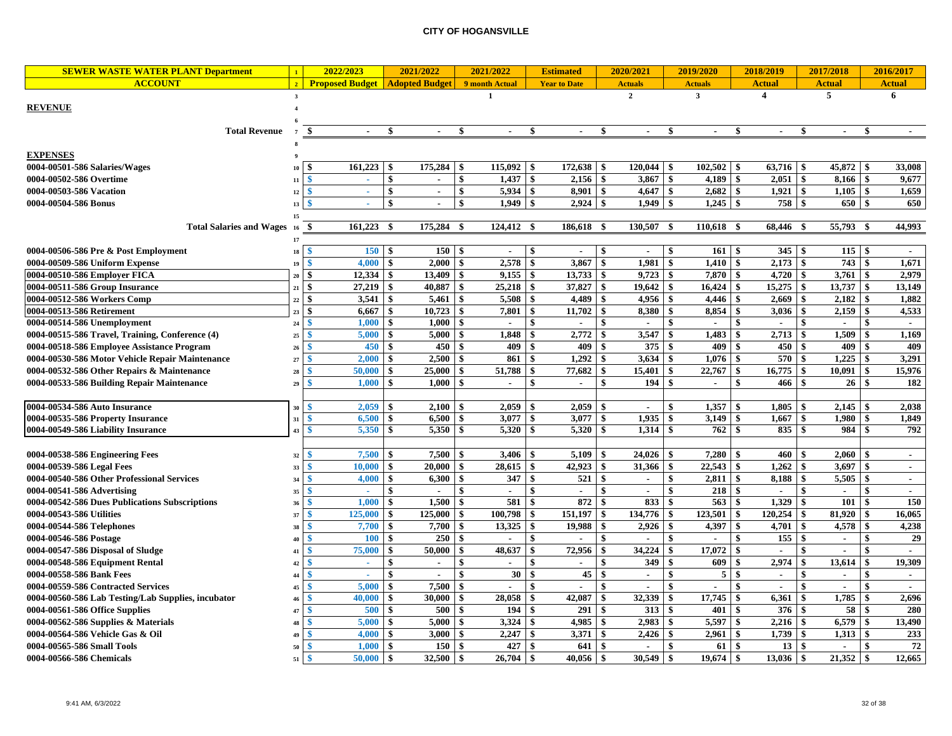| <b>SEWER WASTE WATER PLANT Department</b>                                  | $\mathbf{1}$   | 2022/2023                        |                    | 2021/2022             | 2021/2022                |                       |               | <b>Estimated</b>      |              | 2020/2021                |                    | 2019/2020      |                          | 2018/2019               |                    | 2017/2018                |     | 2016/2017     |
|----------------------------------------------------------------------------|----------------|----------------------------------|--------------------|-----------------------|--------------------------|-----------------------|---------------|-----------------------|--------------|--------------------------|--------------------|----------------|--------------------------|-------------------------|--------------------|--------------------------|-----|---------------|
| <b>ACCOUNT</b>                                                             | $\overline{2}$ | <b>Proposed Budget</b>           |                    | <b>Adopted Budget</b> | 9 month Actual           |                       |               | <b>Year to Date</b>   |              | <b>Actuals</b>           |                    | <b>Actuals</b> |                          | <b>Actual</b>           |                    | <b>Actual</b>            |     | <b>Actual</b> |
|                                                                            | $\mathbf{3}$   |                                  |                    |                       | $\mathbf{1}$             |                       |               |                       |              | $\mathbf{2}$             |                    | $\mathbf{3}$   |                          | $\overline{\mathbf{4}}$ |                    | 5                        |     | 6             |
| <b>REVENUE</b>                                                             | $\overline{4}$ |                                  |                    |                       |                          |                       |               |                       |              |                          |                    |                |                          |                         |                    |                          |     |               |
|                                                                            |                |                                  |                    |                       |                          |                       |               |                       |              |                          |                    |                |                          |                         |                    |                          |     |               |
| <b>Total Revenue</b>                                                       | $\overline{7}$ | -\$<br>$\sim$                    | \$                 | $\sim$                | -\$                      | $\sim$                | -\$           | $\sim$                | -S           | $\sim$                   | \$                 | $\blacksquare$ | -\$                      | $\sim$                  | S.                 | $\sim$                   | \$  |               |
|                                                                            |                |                                  |                    |                       |                          |                       |               |                       |              |                          |                    |                |                          |                         |                    |                          |     |               |
| <b>EXPENSES</b>                                                            |                |                                  |                    |                       |                          |                       |               |                       |              |                          |                    |                |                          |                         |                    |                          |     |               |
| 0004-00501-586 Salaries/Wages                                              | 10             | 161,223<br>S                     | - \$               | 175,284               | \$                       | 115,092               | \$            | 172,638               | \$           | 120,044                  | \$                 | 102,502        | \$                       | 63,716                  | -\$                | 45,872                   | -8  | 33,008        |
| 0004-00502-586 Overtime                                                    | 11             | -\$<br>÷.                        | -\$                | $\sim$                | -\$                      | 1.437                 | $\mathbf{s}$  | 2,156                 | $\mathbf{s}$ | $3,867$ \$               |                    | 4.189          | \$                       | $2.051 \, \text{S}$     |                    | 8.166                    | -\$ | 9.677         |
| 0004-00503-586 Vacation                                                    | 12             | $\mathbf{\$}$<br>$\sim$          | \$                 | $\sim$                | \$                       | 5,934                 | \$            | 8,901                 | $\mathbf{s}$ | 4,647                    | \$                 | 2,682          | \$                       | 1,921                   | -\$                | 1,105                    | \$  | 1,659         |
| 0004-00504-586 Bonus                                                       | 13             | -\$                              | $\mathbf{s}$       | $\sim$                | $\mathbf{s}$             | 1,949                 | \$            | 2,924                 | $\mathbf{s}$ | 1,949                    | \$                 | 1,245          | \$                       | 758 \$                  |                    | 650 \$                   |     | 650           |
|                                                                            | 15             |                                  |                    |                       |                          |                       |               |                       |              |                          |                    |                |                          |                         |                    |                          |     |               |
| <b>Total Salaries and Wages</b>                                            | <b>16</b>      | 161,223<br>-\$                   | - \$               | 175,284               | -\$                      | 124,412               | - \$          | 186,618 \$            |              | 130,507                  | - \$               | 110,618 \$     |                          | 68,446                  | - \$               | 55,793                   |     | 44,993        |
|                                                                            | 17             |                                  |                    |                       |                          |                       |               |                       |              |                          |                    |                |                          |                         |                    |                          |     |               |
| 0004-00506-586 Pre & Post Employment                                       | 18             | <b>150</b><br>-\$                | l \$               | 150                   | -\$                      | $\blacksquare$        | \$            | $\sim$                | \$           | $\sim$                   | \$                 | 161            | -\$                      | 345S                    |                    | $115 \quad$ \$           |     | $\sim$        |
| 0004-00509-586 Uniform Expense                                             | 19             | $\mathbf{\hat{S}}$<br>4.000      | -\$                | 2.000                 | <sup>\$</sup>            | 2,578                 | \$            | 3.867                 | \$           | 1.981                    | \$                 | 1.410          | -\$                      | 2,173                   | \$                 | 743                      | \$  | 1.671         |
| 0004-00510-586 Employer FICA                                               | 20             | $12,334$ \$<br>\$                |                    | 13,409                | -\$                      | 9,155                 | \$            | 13,733                | \$           | $9,723$ \$               |                    | 7,870          | \$                       | $4,720$ \$              |                    | $3,761$ \$               |     | 2,979         |
| 0004-00511-586 Group Insurance                                             | 21             | \$<br>27,219                     | $\mathbf{\hat{s}}$ | 40,887                | $\mathbf{\$}$            | 25,218                | \$            | 37,827                | \$           | 19,642                   | \$                 | 16,424         | \$                       | 15,275                  | $\mathbf{\$}$      | 13,737                   | \$  | 13,149        |
| 0004-00512-586 Workers Comp                                                | $\bf 22$       | \$<br>3,541                      | $\mathbf{\hat{s}}$ | 5,461                 | $\mathbf{\$}$            | 5,508                 | \$            | 4,489                 | \$           | 4,956                    | $\mathbf{\$}$      | 4,446          | \$                       | 2,669                   | <b>S</b>           | 2,182                    | \$  | 1,882         |
| 0004-00513-586 Retirement                                                  | 23             | \$<br>6,667                      | l \$               | 10,723                | -\$                      | 7,801                 | \$            | 11,702                | \$           | 8,380                    | \$                 | 8,854          | -\$                      | 3,036                   | \$                 | 2,159                    | -\$ | 4,533         |
| 0004-00514-586 Unemployment                                                | 24             | 1,000<br>-\$                     | $\mathbf{s}$       | 1,000                 | -\$                      | $\sim$                | \$            | $\overline{a}$        | \$           | $\overline{a}$           | \$                 | $\sim$         | $\mathbf{s}$             | $\sim$                  | \$                 | $\sim$                   | \$  | $\sim$        |
| 0004-00515-586 Travel, Training, Conference (4)                            | $\bf 25$       | 5,000<br>S                       | -\$                | 5,000                 | -\$                      | 1,848                 | \$            | 2,772                 | \$           | 3,547                    | \$                 | 1,483          | \$                       | 2,713                   | \$                 | 1,509                    | -\$ | 1,169         |
| 0004-00518-586 Employee Assistance Program                                 | 26             | 450<br>-8                        | l \$               | 450                   | -\$                      | 409                   | \$            | 409                   | \$           | 375                      | \$                 | 409            | \$                       | 450                     | \$                 | 409                      | -\$ | 409           |
| 0004-00530-586 Motor Vehicle Repair Maintenance                            | 27             | 2,000                            | - \$               | 2,500                 | - \$                     | 861                   | \$            | 1,292                 | \$           | 3,634                    |                    | 1,076          | \$                       | 570                     |                    | 1,225                    |     | 3,291         |
| 0004-00532-586 Other Repairs & Maintenance                                 | 28             | 50,000<br>-S                     | -\$                | 25,000                | -\$                      | 51,788                | \$            | 77,682                | \$           | 15,401                   | \$                 | 22,767         | \$                       | 16,775                  | \$                 | 10,091                   | -\$ | 15,976        |
| 0004-00533-586 Building Repair Maintenance                                 | 29             | 1,000                            | -\$                | 1,000                 | \$                       | $\blacksquare$        | \$            | $\sim$                | \$           | 194                      | \$                 | $\bullet$      | \$                       | 466                     | \$                 | 26 <sup>1</sup>          | \$  | 182           |
|                                                                            |                |                                  |                    |                       |                          |                       |               |                       |              |                          |                    |                |                          |                         |                    |                          |     |               |
| 0004-00534-586 Auto Insurance                                              | 30             | 2,059                            |                    | 2,100                 | ſ.                       | 2,059                 |               | 2,059                 |              | $\blacksquare$           |                    | 1,357          | \$                       | 1,805                   |                    | 2,145                    |     | 2,038         |
| 0004-00535-586 Property Insurance                                          | 31             | 6,500                            | \$                 | 6,500                 | \$                       | 3,077                 | \$            | 3,077                 | \$           | 1,935                    | \$                 | 3,149          | \$                       | 1,667                   | \$                 | 1,980                    |     | 1,849         |
| 0004-00549-586 Liability Insurance                                         | 43             | 5,350                            |                    | 5,350                 | -\$                      | 5,320                 |               | 5,320                 | \$           | 1.314                    |                    | 762            | -\$                      | 835                     | \$                 | 984                      |     | 792           |
|                                                                            |                |                                  |                    |                       |                          |                       |               |                       |              |                          |                    |                |                          |                         |                    |                          |     |               |
| 0004-00538-586 Engineering Fees                                            | 32             | 7,500                            |                    | 7,500                 |                          | 3,406                 |               | 5,109                 | \$           | 24,026                   |                    | 7,280          |                          | 460                     |                    | 2,060                    |     | $\sim$        |
| 0004-00539-586 Legal Fees                                                  | 33             | 10,000                           |                    | 20,000                | \$                       | 28,615                | \$<br>\$      | 42,923                | \$           | 31,366                   |                    | 22,543         | \$                       | 1,262                   | \$                 | 3,697                    |     | $\sim$        |
| 0004-00540-586 Other Professional Services                                 | 34             | 4,000                            |                    | 6,300                 | \$<br>$\mathbf{\hat{S}}$ | 347                   |               | 521                   |              | $\sim$                   | \$                 | 2,811          | \$<br>$\mathbf{\hat{s}}$ | 8,188                   |                    | 5,505                    |     | $\sim$        |
| 0004-00541-586 Advertising                                                 | 35             | 1,000                            |                    | 1,500                 |                          | $\blacksquare$<br>581 |               | $\blacksquare$<br>872 |              | 833                      |                    | 218<br>563     | \$                       | 1,329                   |                    | $\blacksquare$<br>101    |     | 150           |
| 0004-00542-586 Dues Publications Subscriptions<br>0004-00543-586 Utilities | 36             | 125,000                          | -\$                | 125,000               | \$                       | 100,798               | \$            | 151,197               | \$           | 134,776                  | \$                 | 123,501        | \$                       | 120,254                 | \$                 | 81,920                   |     | 16,065        |
| 0004-00544-586 Telephones                                                  | 37<br>38       | 7,700                            | -\$                | 7,700                 | \$                       | 13,325                | \$            | 19,988                | \$           | 2,926                    | \$                 | 4,397          | \$                       | 4,701                   | \$                 | 4,578                    |     | 4,238         |
| 0004-00546-586 Postage                                                     |                | $\mathbf{\hat{S}}$<br><b>100</b> | $\mathbf{\$}$      | 250                   | $\mathbf{\hat{s}}$       |                       | \$            |                       | \$           |                          | \$                 |                | \$                       | 155                     | \$                 | $\blacksquare$           |     | 29            |
| 0004-00547-586 Disposal of Sludge                                          | 40<br>41       | 75,000                           | -\$                | 50,000                | \$                       | 48,637                | \$            | 72,956                | \$           | 34,224                   | \$                 | 17,072         | -\$                      | $\mathbf{r}$            | \$                 |                          |     |               |
| 0004-00548-586 Equipment Rental                                            | 42             | $\sim$                           | \$                 | $\sim$                | \$                       | $\blacksquare$        | \$            |                       | \$           | 349                      | \$                 | 609            | \$                       | 2,974                   | \$                 | 13,614                   |     | 19.309        |
| 0004-00558-586 Bank Fees                                                   | 44             | \$.<br>$\sim$                    | $\mathbf{s}$       | $\sim$                | \$                       | 30                    | \$            | 45                    | \$           | $\blacksquare$           | \$                 | 5              | $\mathbf{s}$             | $\mathbf{r}$            | \$                 | $\blacksquare$           |     | $\sim$        |
| 0004-00559-586 Contracted Services                                         | 45             | 5,000<br>-\$                     | -\$                | 7,500                 | \$                       |                       | \$            |                       | \$           |                          | \$                 | $\blacksquare$ | \$                       | $\mathbf{r}$            | \$                 | $\overline{\phantom{a}}$ | -\$ |               |
| 0004-00560-586 Lab Testing/Lab Supplies, incubator                         | 46             | 40,000                           | -\$                | 30,000                | -\$                      | 28,058                | \$            | 42,087                | \$           | 32,339                   | \$                 | 17,745         | \$                       | 6,361                   | \$                 | 1,785                    |     | 2,696         |
| 0004-00561-586 Office Supplies                                             | 47             | -\$<br>500                       | -\$                | 500                   | -\$                      | 194                   | \$            | 291                   | \$           | 313                      | \$                 | 401            | -\$                      | 376                     | -\$                | 58                       |     | 280           |
| 0004-00562-586 Supplies & Materials                                        | 48             | $\mathbf{\hat{S}}$<br>5,000      | $\mathbf{s}$       | 5,000                 | \$                       | 3,324                 | \$            | 4,985                 | \$           | 2,983                    | \$                 | 5,597          | \$                       | 2,216                   | $\mathbf{s}$       | 6,579                    | -\$ | 13,490        |
| 0004-00564-586 Vehicle Gas & Oil                                           | 49             | 4,000<br>-\$                     | -\$                | 3,000                 | \$                       | 2,247                 | \$            | 3,371                 | \$           | 2,426                    | \$                 | 2,961          | \$                       | 1,739                   | \$                 | 1,313                    | \$  | 233           |
| 0004-00565-586 Small Tools                                                 | 50             | 1,000<br>-\$                     | -\$                | 150                   | -\$                      | 427                   | \$            | 641                   | \$           | $\overline{\phantom{a}}$ | \$                 | 61             | \$                       | 13                      | -\$                | $\sim$                   | \$. | 72            |
| 0004-00566-586 Chemicals                                                   | 51             | $\mathbf{s}$<br>50,000           | $\mathbf{s}$       | 32,500                | $\mathbf{s}$             | 26,704                | $\mathbf{\$}$ | 40.056                | \$           | 30.549                   | $\mathbf{\hat{s}}$ | 19.674         | $\mathbf{\hat{s}}$       | 13,036                  | $\mathbf{\hat{s}}$ | 21,352                   |     | 12,665        |
|                                                                            |                |                                  |                    |                       |                          |                       |               |                       |              |                          |                    |                |                          |                         |                    |                          |     |               |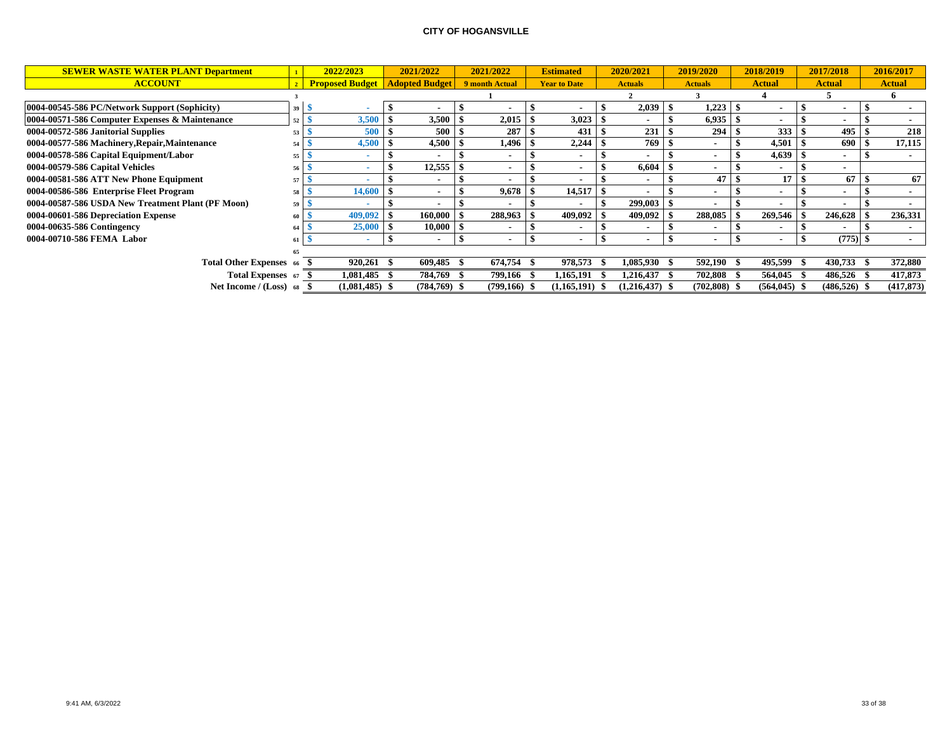| <b>SEWER WASTE WATER PLANT Department</b>         |                | 2022/2023              |      | 2021/2022             | 2021/2022                | <b>Estimated</b>    | 2020/2021        | 2019/2020      |      | 2018/2019       | 2017/2018                | 2016/2017     |
|---------------------------------------------------|----------------|------------------------|------|-----------------------|--------------------------|---------------------|------------------|----------------|------|-----------------|--------------------------|---------------|
| <b>ACCOUNT</b>                                    | 2 <sup>7</sup> | <b>Proposed Budget</b> |      | <b>Adopted Budget</b> | 9 month Actual           | <b>Year to Date</b> | <b>Actuals</b>   | <b>Actuals</b> |      | <b>Actual</b>   | <b>Actual</b>            | <b>Actual</b> |
|                                                   |                |                        |      |                       |                          |                     |                  |                |      |                 |                          |               |
| 0004-00545-586 PC/Network Support (Sophicity)     | 39             |                        |      |                       |                          |                     | 2,039            | 1,223          |      |                 |                          |               |
| 0004-00571-586 Computer Expenses & Maintenance    | 52             | 3,500                  |      | 3,500                 | 2,015                    | 3,023               |                  | 6,935          |      |                 | $\overline{\phantom{a}}$ |               |
| 0004-00572-586 Janitorial Supplies                | 53             | 500                    |      | 500                   | 287                      | 431                 | 231              | 294            |      | 333             | 495                      | 218           |
| 0004-00577-586 Machinery, Repair, Maintenance     | 54             | 4,500                  |      | 4,500                 | 1,496                    | 2,244               | 769              | $\blacksquare$ |      | 4,501           | 690                      | 17,115        |
| 0004-00578-586 Capital Equipment/Labor            | 55             |                        |      |                       | $\overline{\phantom{a}}$ | $\blacksquare$      |                  |                |      | 4,639           | $\sim$                   |               |
| 0004-00579-586 Capital Vehicles                   | 56             |                        |      | 12,555                | $\blacksquare$           | $\blacksquare$      | 6,604            |                |      |                 | $\blacksquare$           |               |
| 0004-00581-586 ATT New Phone Equipment            | 57             |                        |      | $\sim$                |                          |                     |                  | 47             |      | 17              | 67                       | 67            |
| 0004-00586-586 Enterprise Fleet Program           | 58             | 14,600                 |      | $\blacksquare$        | 9,678                    | 14,517              |                  |                |      |                 | $\overline{\phantom{a}}$ |               |
| 0004-00587-586 USDA New Treatment Plant (PF Moon) | 59             |                        |      |                       |                          | $\sim$              | 299,003          |                |      |                 |                          |               |
| 0004-00601-586 Depreciation Expense               | 61             | 409,092                |      | 160,000               | 288,963                  | 409,092             | 409,092          | 288,085        |      | 269,546         | 246,628                  | 236,331       |
| 0004-00635-586 Contingency                        | 64             | 25,000                 |      | 10,000                |                          | $\blacksquare$      |                  |                |      |                 |                          |               |
| 0004-00710-586 FEMA Labor                         |                |                        |      | $\blacksquare$        |                          |                     |                  |                |      |                 | (775)                    |               |
|                                                   |                |                        |      |                       |                          |                     |                  |                |      |                 |                          |               |
| <b>Total Other Expenses</b> 66                    |                | 920.261                | - 56 | 609.485               | 674,754                  | 978,573             | 1,085,930 \$     | 592,190        | - 56 | 495,599         | 430,733                  | 372,880       |
| Total Expenses 67 \$                              |                | 1,081,485              |      | 784.769               | 799,166                  | 1,165,191           | 1,216,437        | 702,808        |      | 564,045         | 486.526                  | 417,873       |
| Net Income / (Loss) 68                            |                | $(1,081,485)$ \$       |      | (784,769) \$          | (799,166)                | (1,165,191)         | $(1,216,437)$ \$ | $(702,808)$ \$ |      | $(564, 045)$ \$ | $(486, 526)$ \$          | (417, 873)    |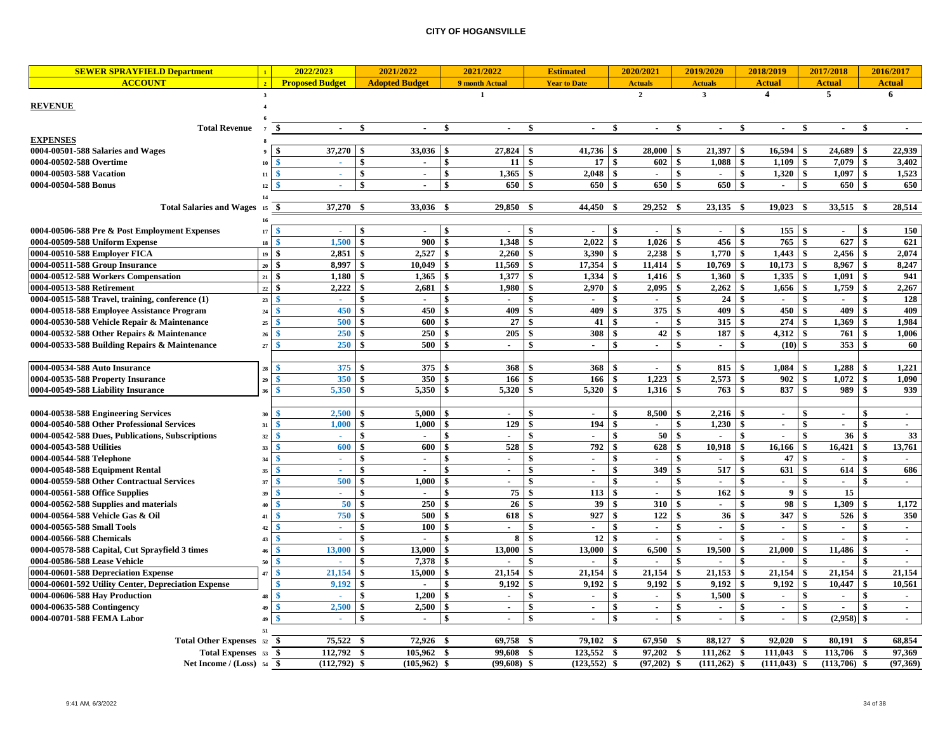| <b>SEWER SPRAYFIELD Department</b>                                                |                             | 2022/2023                          | 2021/2022                         | 2021/2022             | <b>Estimated</b>             | 2020/2021                   | 2019/2020                                | 2018/2019                          | 2017/2018                       |              | 2016/2017      |
|-----------------------------------------------------------------------------------|-----------------------------|------------------------------------|-----------------------------------|-----------------------|------------------------------|-----------------------------|------------------------------------------|------------------------------------|---------------------------------|--------------|----------------|
| <b>ACCOUNT</b>                                                                    |                             | <b>Proposed Budget</b>             | <b>Adopted Budget</b>             | 9 month Actual        | <b>Year to Date</b>          | <b>Actuals</b>              | <b>Actuals</b>                           | <b>Actual</b>                      | <b>Actual</b>                   |              | <b>Actual</b>  |
|                                                                                   | $\mathbf{3}$                |                                    |                                   |                       |                              | $\overline{2}$              | $\mathbf{3}$                             | 4                                  | $\overline{5}$                  |              | 6              |
| <b>REVENUE</b>                                                                    |                             |                                    |                                   |                       |                              |                             |                                          |                                    |                                 |              |                |
|                                                                                   |                             |                                    |                                   |                       |                              |                             |                                          |                                    |                                 |              |                |
| <b>Total Revenue</b>                                                              | $\overline{7}$              | - \$<br>$\sim$                     | ÷.<br>$\sim$                      | \$<br>$\sim$          | S<br>$\sim$                  | \$<br>$\sim$                | \$<br>$\sim$                             | \$<br>$\sim$                       | \$<br>$\sim$                    | - \$         | $\sim$         |
| <b>EXPENSES</b>                                                                   |                             |                                    |                                   |                       |                              |                             |                                          |                                    |                                 |              |                |
| 0004-00501-588 Salaries and Wages                                                 |                             | 37,270<br>-\$                      | 33,036                            | 27,824<br>-\$         | 41,736<br>-\$                | 28,000<br>-\$               | 21,397<br>\$                             | 16,594<br>\$                       | 24,689<br>\$                    | -\$          | 22,939         |
| 0004-00502-588 Overtime                                                           | 10                          | ×.                                 | $\sim$                            | 11 <sup>1</sup><br>\$ | 17<br>-\$                    | \$<br>602                   | \$<br>1,088                              | \$<br>1,109                        | 7,079<br>\$                     | \$           | 3,402          |
| 0004-00503-588 Vacation                                                           | 11                          | -\$<br>$\sim$                      | \$<br>$\sim$                      | \$<br>1.365           | 2.048<br>- \$                | \$                          | \$                                       | \$<br>1,320                        | \$<br>1.097                     | $\mathbf{s}$ | 1,523          |
| 0004-00504-588 Bonus                                                              | 12                          | -\$<br>$\sim$                      | \$<br>$\sim$                      | \$<br>650             | $\mathbf{s}$<br>650          | 650<br>$\mathbf{s}$         | \$<br>650                                | \$<br>$\sim$                       | $\mathbf{\$}$<br>650            | $\mathbf{s}$ | 650            |
|                                                                                   | 14                          |                                    |                                   |                       |                              |                             |                                          |                                    |                                 |              |                |
| Total Salaries and Wages 15                                                       |                             | 37,270                             | 33,036                            | 29,850                | 44,450                       | 29,252                      | 23,135<br>-\$                            | 19,023<br>- \$                     | 33,515<br>-\$                   | - \$         | 28,514         |
|                                                                                   | 16                          |                                    |                                   |                       |                              |                             |                                          |                                    |                                 |              |                |
| 0004-00506-588 Pre & Post Employment Expenses                                     | 17                          | $\mathbf{s}$                       |                                   |                       |                              |                             | $\mathbf{\hat{S}}$                       | \$<br>155                          | -\$                             | \$           | 150            |
| 0004-00509-588 Uniform Expense                                                    | 18                          | 1,500<br>$\mathbf{\$}$             | 900<br>\$                         | 1,348<br>\$           | 2,022<br>-\$                 | \$<br>1,026                 | \$<br>456                                | 765<br>\$                          | \$<br>627                       | -\$          | 621            |
| 0004-00510-588 Employer FICA                                                      | 19S                         | 2,851                              | 2,527<br>-\$                      | 2.260<br>\$           | 3.390<br>-\$                 | 2,238<br>\$                 | \$<br>1,770                              | 1,443<br>\$                        | \$<br>2,456                     | -\$          | 2,074          |
| 0004-00511-588 Group Insurance                                                    | $20 \quad$ $\bullet$        | 8.997                              | 10.049<br>-\$                     | 11.569<br>\$          | 17.354<br>-\$                | <sup>\$</sup><br>11.414     | \$<br>10,769                             | \$<br>10.173                       | $\mathbf{s}$<br>8,967           | $\mathbf{s}$ | 8,247          |
| 0004-00512-588 Workers Compensation                                               | $21 \overline{\phantom{a}}$ |                                    | 1,365                             | 1,377<br>\$           | 1,334<br>-\$                 | \$<br>1,416                 | \$<br>1,360                              | 1,335<br>\$                        | $\sqrt[6]{3}$<br>1,091          | -\$          | 941            |
| 0004-00513-588 Retirement                                                         | $22\,$                      | 2,222<br>-\$                       | 2,681                             | 1,980                 | 2,970                        | 2,095<br>\$                 | 2,262<br>\$                              | 1,656<br>\$<br>\$                  | 1,759<br>\$                     |              | 2,267          |
| 0004-00515-588 Travel, training, conference (1)                                   | 23                          | $\mathbf{s}$                       |                                   | \$                    | \$                           | \$                          | 24<br>\$                                 |                                    | \$                              |              | 128            |
| 0004-00518-588 Employee Assistance Program                                        | $\bf 24$                    | 450<br>\$                          | 450<br>-\$                        | 409<br>\$             | 409<br>-\$                   | 375<br>\$                   | \$<br>409                                | 450<br>\$                          | 409<br>\$                       | $\mathbf{s}$ | 409            |
| 0004-00530-588 Vehicle Repair & Maintenance                                       | 25                          | 500<br><sup>\$</sup>               | 600<br>\$                         | 27<br>\$              | 41<br>\$                     | \$<br>$\mathbf{r}$          | \$<br>315                                | 274<br>\$                          | 1,369<br>\$                     | -\$          | 1,984          |
| 0004-00532-588 Other Repairs & Maintenance                                        | 26                          | 250<br>-\$                         | 250<br>-\$                        | 205<br>\$             | \$<br>308<br>$\ddot{\bm{x}}$ | $\mathbf{s}$<br>42          | \$<br>187                                | \$<br>4,312                        | \$<br>761                       | \$           | 1,006          |
| 0004-00533-588 Building Repairs & Maintenance                                     | 27                          | 250<br>-\$                         | 500                               | $\sim$                | $\sim$                       | \$<br>$\sim$                | \$<br>$\sim$                             | (10)<br>\$                         | 353<br>$\mathbf{\hat{S}}$       | $\mathbf{S}$ | 60             |
|                                                                                   |                             |                                    |                                   |                       | -\$                          |                             | \$                                       |                                    |                                 |              |                |
| 0004-00534-588 Auto Insurance                                                     | 25                          | 375<br>350                         | 375<br>350<br>\$                  | 368<br>\$             | 368<br>\$                    | \$<br>$\sim$<br>1.223<br>\$ | 815<br>2.573<br>\$                       | $\mathbf{s}$<br>1,084<br>902<br>\$ | 1,288<br>\$<br>1.072            | \$<br>\$     | 1,221<br>1.090 |
| 0004-00535-588 Property Insurance<br>0004-00549-588 Liability Insurance           | 29                          | <b>S</b><br>5,350<br>-\$           | 5,350                             | 166<br>5,320<br>-\$   | 166<br>5,320                 | \$<br>1,316                 | \$<br>763                                | 837<br>\$                          | \$<br>\$<br>989                 | $\mathbf{s}$ | 939            |
|                                                                                   |                             |                                    |                                   |                       |                              |                             |                                          |                                    |                                 |              |                |
|                                                                                   |                             | 2,500<br>索                         | 5,000                             | $\sim$                | $\sim$                       | 8,500<br>\$                 | 2,216                                    | \$<br>$\sim$                       | \$<br>$\sim$                    |              | $\sim$         |
| 0004-00538-588 Engineering Services<br>0004-00540-588 Other Professional Services | 30<br>31                    | 1.000<br>-\$                       | 1.000                             | 129                   | 194<br>-\$                   | $\mathbf{\$}$               | $\boldsymbol{\hat{\mathbf{s}}}$<br>1,230 | \$<br>$\sim$                       | $\boldsymbol{\hat{\mathbf{s}}}$ |              | ä,             |
| 0004-00542-588 Dues, Publications, Subscriptions                                  | 32                          | \$<br>A.                           | \$<br>$\sim$                      | \$<br>$\sim$          | \$<br>$\sim$                 | \$<br>50                    | \$                                       | \$<br>$\mathbf{r}$                 | \$<br>36                        | \$           | 33             |
| 0004-00543-588 Utilities                                                          | 33                          | 600<br>-\$                         | 600<br>-\$                        | 528<br>\$             | 792<br>\$                    | \$<br>628                   | 10,918<br>\$                             | \$<br>16,166                       | \$<br>16,421                    | \$           | 13,761         |
| 0004-00544-588 Telephone                                                          | 34                          | -\$<br>$\sim$                      | -\$<br>$\sim$                     | \$<br>$\sim$          | $\mathbf{s}$<br>$\sim$       | \$<br>$\mathbf{r}$          | \$<br>$\sim$                             | \$<br>47                           | \$<br>$\blacksquare$            | $\mathbf{s}$ | $\sim$         |
| 0004-00548-588 Equipment Rental                                                   | 35                          | -8<br>. .                          | $\sim$                            | \$<br>$\sim$          | -\$<br>$\sim$                | 349<br>\$                   | $\mathbf{\hat{S}}$<br>517                | \$<br>631                          | \$<br>614                       | $\mathbf s$  | 686            |
| 0004-00559-588 Other Contractual Services                                         | 37                          | 500                                | 1.000                             | $\sim$                | \$<br>$\sim$                 | \$<br>$\blacksquare$        | \$<br>ä,                                 | \$<br>$\blacksquare$               | \$<br>$\blacksquare$            | \$           | $\sim$         |
| 0004-00561-588 Office Supplies                                                    | 3 <sup>0</sup>              | -\$<br>$\mathcal{L}_{\mathcal{A}}$ | \$<br>$\mathcal{L}_{\mathcal{A}}$ | 75<br>\$              | 113<br>-\$                   | \$<br>$\overline{a}$        | \$<br>162                                | \$<br>$\boldsymbol{9}$             | \$<br>15                        |              |                |
| 0004-00562-588 Supplies and materials                                             | 40                          | 50<br>\$                           | 250<br>\$                         | 26                    | 39<br>-\$                    | 310<br>\$                   | \$<br>$\overline{a}$                     | 98<br>\$                           | 1.309<br>\$                     |              | 1,172          |
| 0004-00564-588 Vehicle Gas & Oil                                                  | 41                          | 750                                | 500                               | 618                   | 927                          | 122<br>\$                   | \$<br>36                                 | 347<br>\$                          | \$<br>526                       | \$           | 350            |
| 0004-00565-588 Small Tools                                                        | 42                          | -\$<br>$\mathcal{L}_{\mathcal{A}}$ | 100<br>\$                         | \$<br>$\sim$          | $\mathbf{\$}$<br>$\sim$      | \$<br>$\sim$                | \$<br>$\blacksquare$                     | \$<br>$\sim$                       | \$<br>$\sim$                    | \$           | $\sim$         |
| 0004-00566-588 Chemicals                                                          | 43                          | -\$<br>$\sim$                      | $\sim$                            | 8<br>\$               | 12<br>-\$                    | \$<br>$\sim$                | \$<br>$\sim$                             | \$<br>$\sim$                       | \$<br>$\overline{a}$            | \$           | $\sim$         |
| 0004-00578-588 Capital, Cut Sprayfield 3 times                                    | 40                          | 13,000                             | 13.000                            | 13,000<br>\$          | 13,000<br>-\$                | 6,500<br>\$                 | $\mathbf{s}$<br>19.500                   | \$<br>21,000                       | 11,486<br>\$                    | -\$          | $\sim$         |
| 0004-00586-588 Lease Vehicle                                                      | 50                          | $\mathbf{\$}$                      | 7,378<br>-\$                      |                       | \$                           | \$<br>$\sim$                | \$<br>$\overline{a}$                     | \$                                 | \$                              | \$           | $\sim$         |
| 0004-00601-588 Depreciation Expense                                               | 47                          | 21,154<br><sup>\$</sup>            | 15.000<br>-\$                     | 21,154<br>\$          | 21,154<br>-\$                | 21,154<br>\$                | 21,153<br>\$                             | \$<br>21,154                       | 21,154<br>\$                    | \$           | 21,154         |
| 0004-00601-592 Utility Center, Depreciation Expense                               |                             | $9.192$ \$<br>-8                   | $\sim$                            | \$<br>9.192           | 9.192<br>- \$                | <sup>\$</sup><br>9.192      | - \$<br>9.192                            | \$<br>9.192                        | -\$<br>10,447                   | $\mathbf{s}$ | 10.561         |
| 0004-00606-588 Hay Production                                                     | 48                          | $\mathbf{\$}$<br>×.                | 1,200                             | $\sim$                | $\mathbf{\$}$<br>$\sim$      | \$<br>$\sim$                | \$<br>1,500                              | \$<br>$\sim$                       | \$<br>$\sim$                    | \$           | $\sim$         |
| 0004-00635-588 Contingency                                                        | 49                          | 2.500<br>$\ddot{\mathbf{x}}$       | 2,500                             | $\sim$                | $\sim$                       | \$<br>$\sim$                | \$<br>$\sim$                             | \$<br>$\sim$                       | \$                              | \$           | $\sim$         |
| 0004-00701-588 FEMA Labor                                                         | $\mathbf{A}^{\dagger}$      | -\$<br>$\mathcal{L}_{\mathcal{A}}$ | -\$<br>$\blacksquare$             | \$<br>$\blacksquare$  | \$<br>$\blacksquare$         | \$<br>$\mathbf{r}$          | \$<br>$\sim$                             | \$<br>$\sim$                       | (2,958)<br>\$                   | - 9          | $\sim$         |
|                                                                                   | 51                          |                                    |                                   |                       |                              |                             |                                          |                                    |                                 |              |                |
| <b>Total Other Expenses</b> 52                                                    |                             | 75,522<br>- \$                     | 72,926 \$                         | 69,758 \$             | 79,102 \$                    | 67,950                      | 88,127<br>- \$                           | 92,020<br>- \$                     | 80,191<br>- \$                  | - \$         | 68,854         |
| Total Expenses 53                                                                 |                             | 112,792 \$<br>- \$                 | 105,962 \$                        | 99,608 \$             | 123,552 \$                   | 97,202                      | \$<br>$111,262$ \$                       | 111,043                            | -\$<br>113,706 \$               |              | 97,369         |
| Net Income / $(Loss)$ 54 \$                                                       |                             | $(112,792)$ \$                     | $(105, 962)$ \$                   | $(99,608)$ \$         | $(123, 552)$ \$              | $(97,202)$ \$               | $(111,262)$ \$                           | $(111, 043)$ \$                    | $(113,706)$ \$                  |              | (97, 369)      |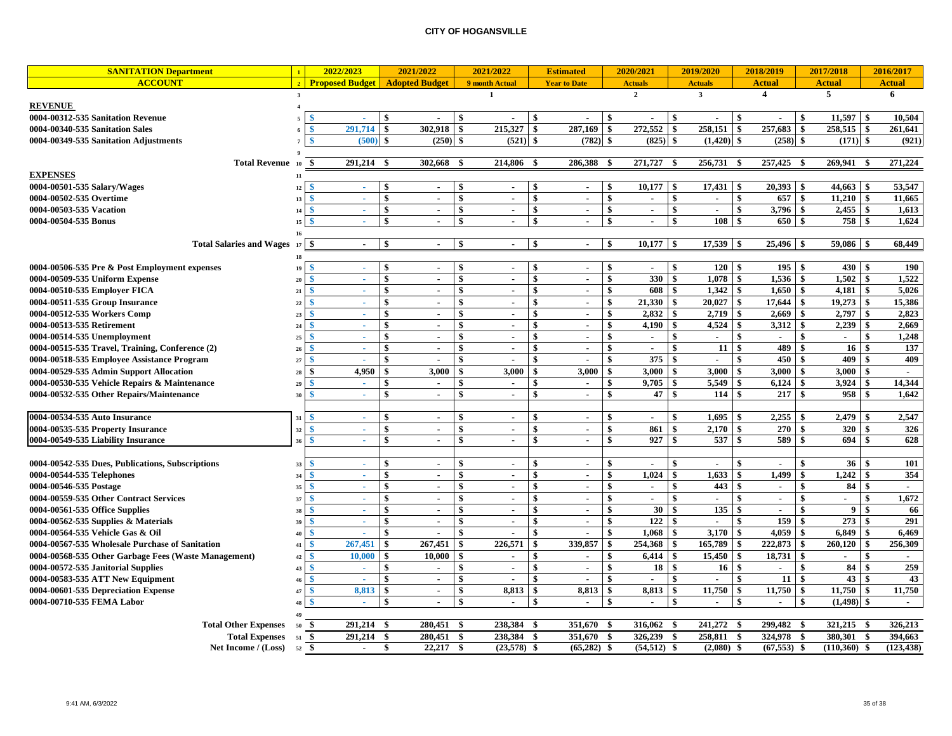| <b>SANITATION Department</b>                         | $\mathbf{1}$               | 2022/2023                   | 2021/2022             |                           | 2021/2022      |                                 | <b>Estimated</b>    |     | 2020/2021                |     | 2019/2020                |                    | 2018/2019        |                 | 2017/2018                   |                 | 2016/2017     |
|------------------------------------------------------|----------------------------|-----------------------------|-----------------------|---------------------------|----------------|---------------------------------|---------------------|-----|--------------------------|-----|--------------------------|--------------------|------------------|-----------------|-----------------------------|-----------------|---------------|
| <b>ACCOUNT</b>                                       |                            | 2 Proposed Budget           | <b>Adopted Budget</b> |                           | 9 month Actual |                                 | <b>Year to Date</b> |     | <b>Actuals</b>           |     | <b>Actuals</b>           |                    | <b>Actual</b>    |                 | <b>Actual</b>               |                 | <b>Actual</b> |
|                                                      | $\overline{\mathbf{3}}$    |                             |                       |                           | 1              |                                 |                     |     | $\mathbf{2}$             |     | $\overline{\mathbf{3}}$  |                    | $\boldsymbol{4}$ |                 | 5                           |                 | 6             |
| <b>REVENUE</b>                                       |                            |                             |                       |                           |                |                                 |                     |     |                          |     |                          |                    |                  |                 |                             |                 |               |
| 0004-00312-535 Sanitation Revenue                    |                            | <b>A</b>                    |                       | \$                        |                | -\$                             | $\blacksquare$      | -\$ |                          | \$  |                          | -\$                |                  | -\$             | 11.597                      | \$              | 10,504        |
| 0004-00340-535 Sanitation Sales                      |                            | 291,714                     | \$<br>302.918         | $\mathbf{s}$              | 215,327        | -\$                             | 287,169             | \$  | 272,552                  | \$  | 258,151                  | $\mathbf{s}$       | 257,683          | $\mathbf{s}$    | 258,515                     | \$              | 261,641       |
| 0004-00349-535 Sanitation Adjustments                |                            | (500)                       | \$<br>(250)           | -\$                       | $(521)$ \$     |                                 | (782)               | \$  | (825)                    | \$  | (1, 420)                 | -\$                | (258)            | -\$             | (171)                       | $\mathbf{s}$    | (921)         |
|                                                      |                            |                             |                       |                           |                |                                 |                     |     |                          |     |                          |                    |                  |                 |                             |                 |               |
| <b>Total Revenue</b>                                 | -\$<br>10                  | 291,214 \$                  | 302,668               | -\$                       | 214,806 \$     |                                 | 286,388             | -\$ | 271,727 \$               |     | 256,731 \$               |                    | 257,425 \$       |                 | 269,941                     | - \$            | 271,224       |
| <b>EXPENSES</b>                                      | 11                         |                             |                       |                           |                |                                 |                     |     |                          |     |                          |                    |                  |                 |                             |                 |               |
| 0004-00501-535 Salary/Wages                          | - \$<br>12                 | ×.                          | \$<br>$\blacksquare$  | \$                        | $\sim$         | -\$                             | $\sim$              | \$  | 10,177                   | \$  | 17,431                   | -\$                | 20,393           | -\$             |                             |                 | 53,547        |
| 0004-00502-535 Overtime                              | -\$<br>13                  | $\mathcal{L}_{\mathcal{A}}$ | \$<br>$\mathbf{r}$    | $\mathbf{\$}$             |                | $\boldsymbol{\mathsf{s}}$       | $\sim$              | \$  | $\sim$                   | \$  |                          | $\mathbf{\$}$      | 657              | \$              | 11,210                      | \$              | 11,665        |
| 0004-00503-535 Vacation                              | - \$<br>14                 | $\sim$                      | \$<br>$\sim$          | \$                        | $\blacksquare$ | $\sqrt[6]{3}$                   | $\sim$              | \$  | $\sim$                   | \$  | $\blacksquare$           | \$                 | 3,796            | \$              | 2,455                       | \$              | 1,613         |
| 0004-00504-535 Bonus                                 | -8<br>15                   | ÷.                          | \$<br>$\sim$          | $\boldsymbol{\mathsf{s}}$ | $\sim$         | \$                              | $\sim$              | \$  | $\mathbf{r}$             | \$  | 108                      | $\mathbf{\$}$      | 650              | \$              | 758                         | $\mathbf{s}$    | 1,624         |
|                                                      | 16                         |                             |                       |                           |                |                                 |                     |     |                          |     |                          |                    |                  |                 |                             |                 |               |
| <b>Total Salaries and Wages</b>                      | $17 \,$ $\sim$             | $\sim$                      | \$<br>$\sim$          | -\$                       | $\sim$         | ∣\$                             | $\sim$              | -\$ | $10,177$ \$              |     | $17,539$ \$              |                    |                  |                 | $59,086$ \$                 |                 | 68,449        |
|                                                      | 18                         |                             |                       |                           |                |                                 |                     |     |                          |     |                          |                    |                  |                 |                             |                 |               |
| 0004-00506-535 Pre & Post Employment expenses        | 19                         | $\sim$                      | \$<br>$\sim$          | -\$                       | $\blacksquare$ | -\$                             | $\sim$              | \$  | $\sim$                   | \$  | $120 \text{ s}$          |                    | $195 \t3$        |                 | $430 \t3$                   |                 | 190           |
| 0004-00509-535 Uniform Expense                       | 20                         | a.                          | \$<br>$\sim$          | -\$                       | $\sim$         | -\$                             | $\sim$              | \$  | 330                      | \$  | $1,078$ \$               |                    |                  |                 | 1,502                       | \$              | 1,522         |
| 0004-00510-535 Employer FICA                         | 21                         | $\sim$                      | \$<br>$\sim$          | -\$                       | $\blacksquare$ | \$                              | $\sim$              | \$  | 608                      | \$  | $1,342$ \$               |                    | 1.650            | -\$             | 4,181                       | \$              | 5,026         |
| 0004-00511-535 Group Insurance                       | -S<br>22                   | . .                         | \$<br>$\sim$          | \$                        | $\sim$         | \$                              | $\sim$              | \$  | 21,330                   | \$  | 20,027                   | -\$                | 17,644           | \$              | 19,273                      | \$              | 15,386        |
| 0004-00512-535 Workers Comp                          | 23                         | a.                          | \$<br>$\sim$          | $\boldsymbol{\hat{s}}$    | $\blacksquare$ | \$                              | $\blacksquare$      | \$  | 2,832                    | \$  | 2,719                    | -\$                | 2,669            | \$              | 2,797                       | \$              | 2,823         |
| 0004-00513-535 Retirement                            | 24                         | A.                          | \$<br>$\sim$          | $\mathbf{\$}$             | $\sim$         | -\$                             | $\sim$              | \$  | 4,190                    | \$  | 4,524                    | \$                 | 3,312            | \$              | 2,239                       | \$              | 2,669         |
| 0004-00514-535 Unemployment                          | 25                         | $\sim$                      | \$<br>$\sim$          | \$                        | $\sim$         | \$                              | $\sim$              | \$  | $\sim$                   | \$  | $\sim$                   | $\hat{\mathbf{s}}$ | $\sim$           | $\ddot{\bm{x}}$ | $\mathcal{L}_{\mathcal{A}}$ | $\ddot{\bm{x}}$ | 1,248         |
| 0004-00515-535 Travel, Training, Conference (2)      | 26                         | ×.                          | \$<br>$\sim$          | \$                        | $\sim$         | $\boldsymbol{\hat{\mathbf{x}}}$ | $\sim$              | \$  | $\overline{\phantom{a}}$ | \$  | 11                       | \$                 | 489              | \$              | 16                          | \$              | 137           |
| 0004-00518-535 Employee Assistance Program           | <b>S</b><br>$\overline{2}$ | $\mathbf{r}$                | \$<br>$\overline{a}$  | \$                        | $\blacksquare$ | \$                              | $\blacksquare$      | \$  | 375                      | \$  |                          | \$                 | 450              | -\$             | 409                         | \$              | 409           |
| 0004-00529-535 Admin Support Allocation              | \$<br>28                   | 4,950                       | \$<br>3,000           | \$                        | 3,000          | \$                              | 3,000               | \$  | 3,000                    | \$  | 3,000                    | \$                 | 3,000            | -\$             | 3,000                       | \$              |               |
| 0004-00530-535 Vehicle Repairs & Maintenance         | \$<br>29                   | $\mathcal{L}_{\mathcal{A}}$ | \$<br>$\blacksquare$  | \$                        | $\blacksquare$ | \$                              | $\blacksquare$      | \$  | 9,705                    | \$  | 5,549                    | \$                 | 6,124            | \$              | 3,924                       | \$              | 14,344        |
| 0004-00532-535 Other Repairs/Maintenance             | -¢<br>30                   | A.                          | \$<br>$\sim$          | -\$                       | $\sim$         | \$                              | $\sim$              | \$  | 47                       | \$  | 114                      | -\$                | 217              | \$              | 958                         | \$              | 1,642         |
|                                                      |                            |                             |                       |                           |                |                                 |                     |     |                          |     |                          |                    |                  |                 |                             |                 |               |
| 0004-00534-535 Auto Insurance                        | 31                         | $\sim$                      | \$<br>$\sim$          | -\$                       | $\blacksquare$ | -\$                             | $\blacksquare$      | -\$ | $\sim$                   | \$  | 1,695                    | -\$                | 2,255            | - \$            | 2,479                       | \$              | 2,547         |
| 0004-00535-535 Property Insurance                    | -9<br>32                   | ×.                          | \$<br>$\sim$          | \$                        | $\sim$         | \$                              | $\sim$              | \$  | 861                      | \$  | 2,170                    | -\$                | 270              | -\$             | 320                         | \$              | 326           |
| 0004-00549-535 Liability Insurance                   | -8<br>36                   | $\sim$                      | \$<br>$\sim$          | -\$                       | $\blacksquare$ | -\$                             | $\sim$              | \$  | 927                      | \$  | 537                      | -\$                | 589              | -\$             | 694                         | -\$             | 628           |
|                                                      |                            |                             |                       |                           |                |                                 |                     |     |                          |     |                          |                    |                  |                 |                             |                 |               |
| 0004-00542-535 Dues, Publications, Subscriptions     | 33                         | $\sim$                      | \$<br>$\sim$          | -\$                       | $\sim$         | \$                              | $\sim$              | \$  | $\sim$                   | \$  | $\sim$                   | \$                 | $\sim$           | -\$             | 36                          | \$              | 101           |
| 0004-00544-535 Telephones                            | $\mathcal{R}$              | $\sim$                      | \$<br>$\sim$          | -\$                       | $\sim$         | -\$                             | $\sim$              | \$  | 1,024                    | \$  | 1,633                    | - \$               | 1,499            | \$              | 1,242                       | \$              | 354           |
| 0004-00546-535 Postage                               | 35                         | $\sim$                      | \$<br>$\sim$          | -\$                       | $\blacksquare$ | \$                              | $\mathbf{r}$        | \$  | $\sim$                   | \$  | 443                      | - \$               | $\sim$           | \$              | 84                          | \$              | $\sim$        |
| 0004-00559-535 Other Contract Services               | 37                         | A.                          | \$<br>$\sim$          | -\$                       | $\sim$         | \$                              | $\sim$              | \$  | $\sim$                   | \$  | $\sim$                   | \$                 | $\sim$           | \$              | $\sim$                      | \$              | 1,672         |
| 0004-00561-535 Office Supplies                       | 35                         | $\sim$                      | \$<br>$\sim$          | \$                        | $\sim$         | -\$                             | $\sim$              | \$  | 30                       | \$  | 135                      | -\$                | $\sim$           | \$              | $\boldsymbol{9}$            | \$              | 66            |
| 0004-00562-535 Supplies & Materials                  | 39                         | <b>COL</b>                  | $\overline{a}$        | \$                        | $\sim$         | \$                              | $\sim$              |     | 122                      | \$  | $\overline{\phantom{a}}$ | \$                 | 159              | -\$             | 273                         |                 | 291           |
| 0004-00564-535 Vehicle Gas & Oil                     | 40                         | $\mathcal{L}$               | $\mathbf{r}$          | \$                        | $\sim$         | \$                              | $\sim$              |     | 1.068                    |     | 3,170                    | \$                 | 4,059            | \$              | 6.849                       |                 | 6.469         |
| 0004-00567-535 Wholesale Purchase of Sanitation      | 41                         | 267,451                     | \$<br>267,451         | \$                        | 226,571        |                                 | 339,857             | \$  | 254,368                  | \$  | 165,789                  | \$                 | 222,873          | \$              | 260,120                     | \$              | 256,309       |
| 0004-00568-535 Other Garbage Fees (Waste Management) | 42                         | 10,000                      | \$<br>10,000          | \$                        | $\sim$         | \$                              | $\sim$              | \$  | 6,414                    | \$  | 15,450                   | -\$                | 18,731           | $\mathbf{s}$    |                             | $\ddot{\bm{x}}$ |               |
| 0004-00572-535 Janitorial Supplies                   | <b>S</b><br>43             | $\sim$                      | \$                    | -\$                       |                | -\$                             | $\sim$              | \$  | 18                       | \$  | 16                       | \$                 |                  | \$              | 84                          | \$              | 259           |
| 0004-00583-535 ATT New Equipment                     | -9<br>40                   | ×                           | \$<br>$\blacksquare$  | \$                        | $\blacksquare$ | \$                              | $\blacksquare$      | \$  | $\blacksquare$           | \$  |                          | \$                 | 11               | \$              | 43                          | \$              | 43            |
| 0004-00601-535 Depreciation Expense                  | -8<br>47                   | 8,813                       | \$<br>$\sim$          | -\$                       | 8,813          | -\$                             | 8,813               | \$  | 8,813                    | \$  | 11,750                   | \$                 | 11,750           | -\$             | 11,750                      | -\$             | 11,750        |
| 0004-00710-535 FEMA Labor                            | -\$<br>48                  | in 1                        | \$<br>$\sim$          | \$                        | $\sim$         | \$                              | $\sim$              | \$  | $\sim$                   | \$  | $\sim$                   | -\$                | $\sim$           | -\$             | (1, 498)                    | -\$             | $\sim$        |
|                                                      |                            |                             |                       |                           |                |                                 |                     |     |                          |     |                          |                    |                  |                 |                             |                 |               |
| <b>Total Other Expenses</b>                          | - \$<br>50                 | $291,214$ \$                | 280,451               | -\$                       | 238,384 \$     |                                 | 351,670 \$          |     | $316,062$ \$             |     | 241,272 \$               |                    | 299,482 \$       |                 | 321,215 \$                  |                 | 326,213       |
| <b>Total Expenses</b>                                | -\$<br>51                  | $291,214$ \$                | 280.451               | \$                        | 238,384        | -\$                             | 351,670             | -\$ | 326.239                  | -\$ | 258,811                  | - \$               | 324,978          | -\$             | 380,301                     | \$              | 394,663       |
| Net Income / (Loss)                                  | 52S                        | $\sim$                      | 22,217<br>\$          | -\$                       | $(23,578)$ \$  |                                 | $(65,282)$ \$       |     | $(54, 512)$ \$           |     | $(2,080)$ \$             |                    | $(67,553)$ \$    |                 | (110,360)                   | -\$             | (123, 438)    |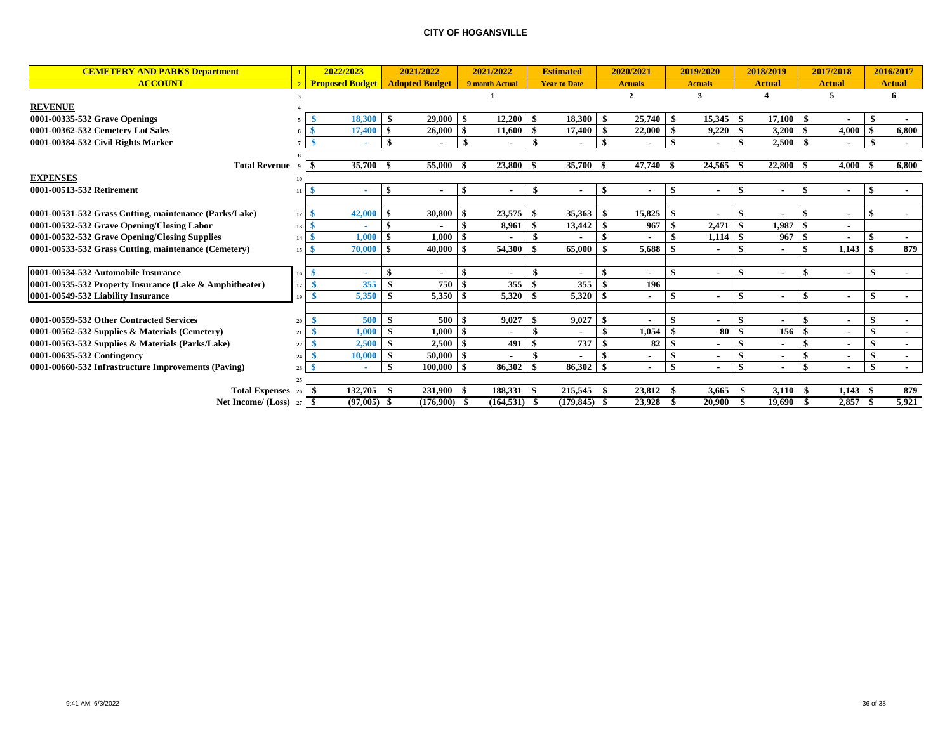| <b>CEMETERY AND PARKS Department</b>                    |                | 2022/2023              | 2021/2022                       |      | 2021/2022       |      | <b>Estimated</b>    |      | 2020/2021      | 2019/2020                | 2018/2019            |     | 2017/2018      |               | 2016/2017     |
|---------------------------------------------------------|----------------|------------------------|---------------------------------|------|-----------------|------|---------------------|------|----------------|--------------------------|----------------------|-----|----------------|---------------|---------------|
| <b>ACCOUNT</b>                                          | $\overline{2}$ | <b>Proposed Budget</b> | <b>Adopted Budget</b>           |      | 9 month Actual  |      | <b>Year to Date</b> |      | <b>Actuals</b> | <b>Actuals</b>           | <b>Actual</b>        |     | <b>Actual</b>  |               | <b>Actual</b> |
|                                                         |                |                        |                                 |      |                 |      |                     |      | $\overline{2}$ | 3                        |                      |     | 5              |               | 6             |
| <b>REVENUE</b>                                          |                |                        |                                 |      |                 |      |                     |      |                |                          |                      |     |                |               |               |
| 0001-00335-532 Grave Openings                           |                | 18,300                 | 29,000                          | -\$  | 12,200          | - \$ | 18,300              | - \$ | 25,740         | $15,345$   \$            | $17.100 \pm \$$      |     |                |               |               |
| 0001-00362-532 Cemetery Lot Sales                       |                | 17,400                 | 26,000                          |      | 11,600          | - \$ | 17,400              |      | 22,000         | 9,220                    | $3,200$   \$         |     | 4,000          |               | 6,800         |
| 0001-00384-532 Civil Rights Marker                      |                |                        | -\$<br>$\overline{\phantom{a}}$ |      | $\blacksquare$  | -\$  | $\blacksquare$      |      |                |                          | \$                   |     | $\sim$         | - \$          | $\sim$        |
|                                                         |                |                        |                                 |      |                 |      |                     |      |                |                          |                      |     |                |               |               |
| <b>Total Revenue</b>                                    |                | 35,700 \$              | 55,000                          | - \$ | 23,800          | -S   | 35,700 \$           |      | 47,740 \$      | 24,565 \$                | 22,800 \$            |     | 4.000 S        |               | 6,800         |
| <b>EXPENSES</b>                                         |                |                        |                                 |      |                 |      |                     |      |                |                          |                      |     |                |               |               |
| 0001-00513-532 Retirement                               | 11             | ٠                      |                                 | -\$  |                 | \$   |                     |      |                |                          |                      |     |                | <sup>\$</sup> |               |
|                                                         |                |                        |                                 |      |                 |      |                     |      |                |                          |                      |     |                |               |               |
| 0001-00531-532 Grass Cutting, maintenance (Parks/Lake)  | 12             | 42,000                 | 30,800                          |      | 23,575          |      | 35,363              |      | 15,825         | $\blacksquare$           | $\sim$               |     |                | <sup>\$</sup> | $\sim$        |
| 0001-00532-532 Grave Opening/Closing Labor              | 13             | - \$<br>٠              |                                 |      | 8,961           | -\$  | 13,442              |      | 967            | 2,471                    | 1.987                |     |                |               |               |
| 0001-00532-532 Grave Opening/Closing Supplies           | 14             | 1.000                  | 1.000                           | -9   |                 |      |                     |      |                | 1,114                    | 967S                 |     |                |               | $\sim$        |
| 0001-00533-532 Grass Cutting, maintenance (Cemetery)    | 15             | 70,000                 | 40.000                          |      | 54.300          |      | 65,000              |      | 5.688          |                          |                      |     | 1.143          | -\$           | 879           |
|                                                         |                |                        |                                 |      |                 |      |                     |      |                |                          |                      |     |                |               |               |
| 0001-00534-532 Automobile Insurance                     | 16             | - \$<br>٠              | $\blacksquare$                  |      | $\sim$          | \$.  | $\sim$              |      |                | $\overline{\phantom{a}}$ | $\blacksquare$       |     | $\blacksquare$ |               |               |
| 0001-00535-532 Property Insurance (Lake & Amphitheater) | 17             | 355<br>- \$            | 750<br>-9                       |      | 355             |      | 355                 |      | 196            |                          |                      |     |                |               |               |
| 0001-00549-532 Liability Insurance                      | 19             | 5,350                  | 5,350                           |      | 5,320           |      | 5,320               |      |                | $\overline{\phantom{a}}$ | $\sim$               | \$  | $\sim$         | \$            |               |
|                                                         |                |                        |                                 |      |                 |      |                     |      |                |                          |                      |     |                |               |               |
| 0001-00559-532 Other Contracted Services                | 20             | 500                    | 500                             |      | 9,027           |      | 9,027               |      |                |                          |                      |     |                |               | $\sim$        |
| 0001-00562-532 Supplies & Materials (Cemetery)          | 21             | 1,000                  | 1,000<br>-9                     | -9   |                 | \$   |                     |      | 1,054          | 80                       | 156                  | -\$ |                | \$            |               |
| 0001-00563-532 Supplies & Materials (Parks/Lake)        | 22             | 2,500                  | 2,500                           | -S   | 491             |      | 737                 |      | 82             |                          |                      |     | $\blacksquare$ | S.            | $\sim$        |
| 0001-00635-532 Contingency                              | 24             | 10,000                 | 50,000                          | - \$ |                 |      |                     |      |                |                          | $\sim$               |     | $\blacksquare$ |               | $\sim$        |
| 0001-00660-532 Infrastructure Improvements (Paving)     | 23             | ٠                      | 100,000                         | -S   | 86,302          | - \$ | 86,302              |      | ۰              | \$<br>$\blacksquare$     | \$<br>$\blacksquare$ | \$  | $\blacksquare$ | \$            | $\sim$        |
|                                                         | 25             |                        |                                 |      |                 |      |                     |      |                |                          |                      |     |                |               |               |
| <b>Total Expenses</b> 26                                |                | 132,705                | 231,900                         | - \$ | 188,331         | - \$ | 215,545             |      | 23,812 \$      | 3.665                    | $3,110$ \$           |     | 1,143          |               | 879           |
| Net Income/ (Loss) 27                                   |                | $(97,005)$ \$          | $(176,900)$ \$                  |      | $(164, 531)$ \$ |      | (179, 845)          |      | 23,928         | 20,900                   | 19.690               |     | $2,857$ \$     |               | 5,921         |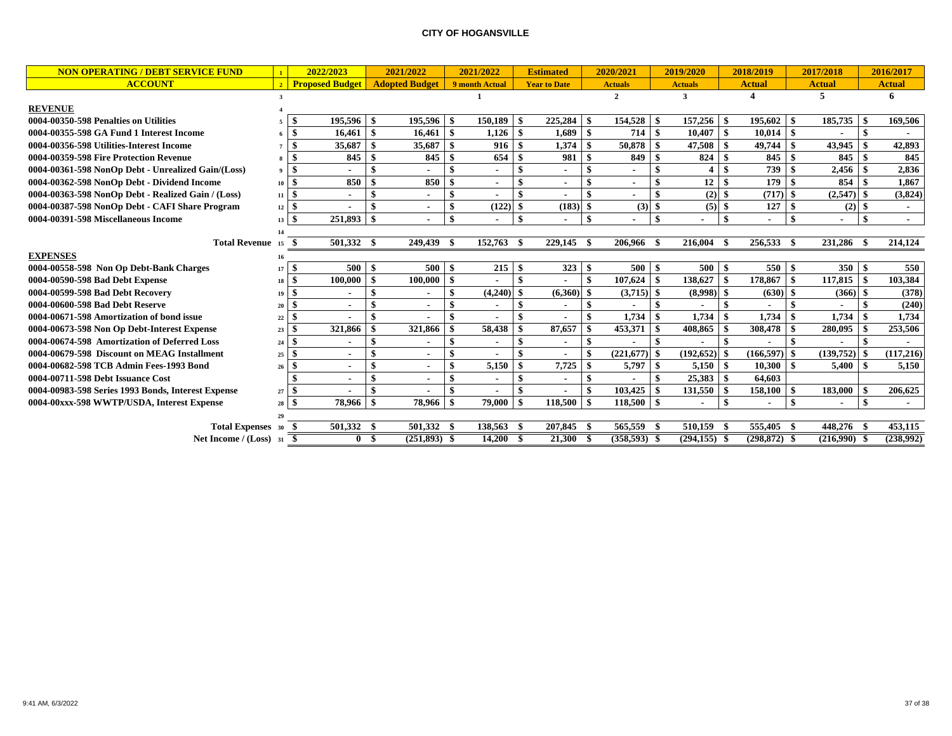| <b>NON OPERATING / DEBT SERVICE FUND</b>           |                              | 2022/2023              |                | 2021/2022             | 2021/2022                       |       |                     | <b>Estimated</b> |      | 2020/2021         |     | 2019/2020       |                    | 2018/2019      |      | 2017/2018        |  | 2016/2017     |  |
|----------------------------------------------------|------------------------------|------------------------|----------------|-----------------------|---------------------------------|-------|---------------------|------------------|------|-------------------|-----|-----------------|--------------------|----------------|------|------------------|--|---------------|--|
| <b>ACCOUNT</b>                                     |                              | <b>Proposed Budget</b> |                | <b>Adopted Budget</b> | 9 month Actual                  |       | <b>Year to Date</b> |                  |      | <b>Actuals</b>    |     | <b>Actuals</b>  |                    | <b>Actual</b>  |      | <b>Actual</b>    |  | <b>Actual</b> |  |
|                                                    |                              |                        |                |                       |                                 |       |                     |                  |      | $\overline{2}$    |     | 3               |                    |                |      | 5                |  | 6             |  |
| <b>REVENUE</b>                                     |                              |                        |                |                       |                                 |       |                     |                  |      |                   |     |                 |                    |                |      |                  |  |               |  |
| 0004-00350-598 Penalties on Utilities              |                              | 195,596<br>l \$        | - \$           | $195.596$ \$          | 150,189                         |       | -\$                 | 225,284          | l SS | 154,528 \$        |     | 157,256         | - \$               | 195,602        |      | 185,735          |  | 169,506       |  |
| 0004-00355-598 GA Fund 1 Interest Income           |                              | 16.461<br>$6 \mid$ S   |                | 16.461                | \$<br>1,126                     |       | -\$                 | 1.689            |      | 714 \$            |     | 10.407          | -\$                | 10.014         |      |                  |  |               |  |
| 0004-00356-598 Utilities-Interest Income           |                              | 35,687<br>l \$         |                | $35,687$ \$           |                                 | 916   |                     | 1,374            |      | 50,878            |     | 47,508          |                    | 49,744         |      | 43,945           |  | 42,893        |  |
| 0004-00359-598 Fire Protection Revenue             |                              | 845<br>l \$            |                | 845                   | \$                              | 654   |                     | 981              |      | 849               |     | 824             |                    | 845            |      | 845              |  | 845           |  |
| 0004-00361-598 NonOp Debt - Unrealized Gain/(Loss) |                              | $9 \t3$                |                |                       | \$<br>$\sim$                    |       |                     |                  |      |                   |     |                 |                    | 739            |      | 2,456            |  | 2,836         |  |
| 0004-00362-598 NonOp Debt - Dividend Income        | $10 \mid$ \$                 | 850                    |                | 850                   | -\$<br>$\sim$                   |       |                     |                  |      |                   | \$  | 12              |                    | 179            |      | 854              |  | 1,867         |  |
| 0004-00363-598 NonOp Debt - Realized Gain / (Loss) | $11 \mid$ \$                 |                        |                |                       | \$<br>$\blacksquare$            |       |                     |                  |      |                   | -\$ | (2)             | -8                 | $(717)$ \$     |      | $(2,547)$ \$     |  | (3,824)       |  |
| 0004-00387-598 NonOp Debt - CAFI Share Program     | $12 \mid$ \$                 |                        |                |                       | \$                              | (122) |                     | $(183)$ \$       |      | $(3)$ \$          |     | $(5)$ \$        |                    | 127            | l \$ | $(2)$ \$         |  |               |  |
| 0004-00391-598 Miscellaneous Income                | $13 \mid$ \$                 | 251,893                | -\$            |                       | \$<br>$\sim$                    |       | -\$                 |                  | -\$  |                   | \$  |                 | \$                 |                |      |                  |  | $\sim$        |  |
|                                                    |                              |                        |                |                       |                                 |       |                     |                  |      |                   |     |                 |                    |                |      |                  |  |               |  |
| Total Revenue 15                                   |                              | 501,332 \$<br>- \$     |                | 249,439               | - \$<br>152,763                 |       | - \$                | 229,145 \$       |      | 206,966 \$        |     | 216,004         | - \$               | 256,533 \$     |      | 231,286 \$       |  | 214,124       |  |
| <b>EXPENSES</b>                                    | 16                           |                        |                |                       |                                 |       |                     |                  |      |                   |     |                 |                    |                |      |                  |  |               |  |
| 0004-00558-598 Non Op Debt-Bank Charges            | $17 \mid$ \$                 | 500                    | -\$            | 500                   | - \$                            | 215   | -\$                 |                  |      | $500 \, \text{S}$ |     | 500             | l \$               | $550$ \$       |      | 350 <sup>8</sup> |  | 550           |  |
| 0004-00590-598 Bad Debt Expense                    | $18 \mid$ \$                 | 100.000                | \$             | $100,000$ \$          | $\blacksquare$                  |       |                     |                  |      | $107,624$ \$      |     | 138,627         | -\$                | 178,867        |      | 117,815          |  | 103,384       |  |
| 0004-00599-598 Bad Debt Recovery                   | $19 \mid$ \$                 |                        |                |                       | \$<br>(4,240)                   |       |                     | $(6,360)$ \$     |      | $(3,715)$ \$      |     | $(8,998)$ \$    |                    | $(630)$ \$     |      | $(366)$ \$       |  | (378)         |  |
| 0004-00600-598 Bad Debt Reserve                    | $20 \mid$ S                  | $\blacksquare$         |                |                       | \$<br>$\blacksquare$            |       |                     |                  |      |                   |     |                 |                    |                |      |                  |  | (240)         |  |
| 0004-00671-598 Amortization of bond issue          | $22 \quad$                   |                        |                |                       | \$                              |       |                     |                  |      | 1,734             | \$  | 1,734           |                    | 1,734          |      | 1,734            |  | 1,734         |  |
| 0004-00673-598 Non Op Debt-Interest Expense        | $23 \quad$                   | 321,866                |                | 321,866               | 58,438<br>-\$                   |       |                     | 87,657           |      | 453,371           |     | 408,865         |                    | 308,478        |      | 280,095          |  | 253,506       |  |
| 0004-00674-598 Amortization of Deferred Loss       | $24 \overline{\phantom{1}8}$ |                        |                |                       | \$<br>$\blacksquare$            |       |                     |                  |      |                   |     |                 |                    |                |      |                  |  |               |  |
| 0004-00679-598 Discount on MEAG Installment        | $25 \quad$ $\bullet$         |                        |                |                       | $\mathbf{s}$                    |       | $\ddot{\bm{z}}$     |                  |      | $(221.677)$ \$    |     | (192, 652)      |                    | $(166.597)$ \$ |      | (139,752)        |  | (117, 216)    |  |
| 0004-00682-598 TCB Admin Fees-1993 Bond            | $26 \quad$                   |                        |                |                       | \$<br>5,150                     |       | -\$                 | 7,725            | l \$ | $5,797$ \$        |     | 5,150           | - \$               | 10,300         |      | 5,400            |  | 5,150         |  |
| 0004-00711-598 Debt Issuance Cost                  |                              |                        |                |                       | \$<br>$\blacksquare$            |       |                     |                  |      |                   |     | 25,383          | - \$               | 64,603         |      |                  |  |               |  |
| 0004-00983-598 Series 1993 Bonds, Interest Expense | $27 \, \text{S}$             |                        |                |                       | $\mathbf{\$}$<br>$\blacksquare$ |       |                     |                  |      |                   |     | 131,550         |                    | 158,100        |      | 183,000          |  | 206,625       |  |
| 0004-00xxx-598 WWTP/USDA, Interest Expense         | $28 \quad$                   | 78.966                 |                | 78.966                | -\$<br>79,000                   |       | \$                  | 118.500          | l \$ | $118,500$ \$      |     |                 | $\mathbf{\hat{S}}$ |                |      |                  |  |               |  |
|                                                    |                              |                        |                |                       |                                 |       |                     |                  |      |                   |     |                 |                    |                |      |                  |  |               |  |
| Total Expenses 30 \$                               |                              | 501,332 \$             |                | 501,332 \$            | 138,563                         |       | -8                  | 207,845 \$       |      | 565,559 \$        |     | 510,159         |                    | 555,405 \$     |      | 448,276 \$       |  | 453.115       |  |
| Net Income / $(Loss)$ 31 \$                        |                              |                        | 0 <sup>5</sup> | $(251.893)$ \$        | 14.200S                         |       |                     | 21,300 \$        |      | $(358,593)$ \$    |     | $(294, 155)$ \$ |                    | $(298.872)$ \$ |      | $(216.990)$ \$   |  | (238,992)     |  |